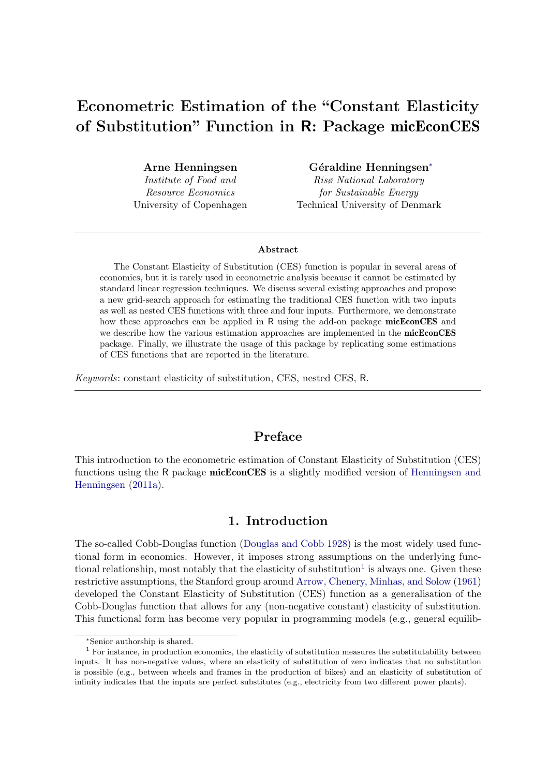# Econometric Estimation of the "Constant Elasticity of Substitution" Function in R: Package micEconCES

Arne Henningsen Institute of Food and Resource Economics University of Copenhagen Géraldi[n](#page-0-0)e Henningsen<sup>∗</sup>

Risø National Laboratory for Sustainable Energy Technical University of Denmark

#### Abstract

The Constant Elasticity of Substitution (CES) function is popular in several areas of economics, but it is rarely used in econometric analysis because it cannot be estimated by standard linear regression techniques. We discuss several existing approaches and propose a new grid-search approach for estimating the traditional CES function with two inputs as well as nested CES functions with three and four inputs. Furthermore, we demonstrate how these approaches can be applied in R using the add-on package micEconCES and we describe how the various estimation approaches are implemented in the micEconCES package. Finally, we illustrate the usage of this package by replicating some estimations of CES functions that are reported in the literature.

Keywords: constant elasticity of substitution, CES, nested CES, R.

# Preface

This introduction to the econometric estimation of Constant Elasticity of Substitution (CES) functions using the R package **micEconCES** is a slightly modified version of [Henningsen and](#page-106-0) [Henningsen](#page-106-0) [\(2011a\)](#page-106-0).

# 1. Introduction

The so-called Cobb-Douglas function [\(Douglas and Cobb](#page-105-0) [1928\)](#page-105-0) is the most widely used functional form in economics. However, it imposes strong assumptions on the underlying func-tional relationship, most notably that the elasticity of substitution<sup>[1](#page-0-1)</sup> is always one. Given these restrictive assumptions, the Stanford group around [Arrow, Chenery, Minhas, and Solow](#page-104-0) [\(1961\)](#page-104-0) developed the Constant Elasticity of Substitution (CES) function as a generalisation of the Cobb-Douglas function that allows for any (non-negative constant) elasticity of substitution. This functional form has become very popular in programming models (e.g., general equilib-

<span id="page-0-1"></span><span id="page-0-0"></span><sup>∗</sup>Senior authorship is shared.

<sup>&</sup>lt;sup>1</sup> For instance, in production economics, the elasticity of substitution measures the substitutability between inputs. It has non-negative values, where an elasticity of substitution of zero indicates that no substitution is possible (e.g., between wheels and frames in the production of bikes) and an elasticity of substitution of infinity indicates that the inputs are perfect substitutes (e.g., electricity from two different power plants).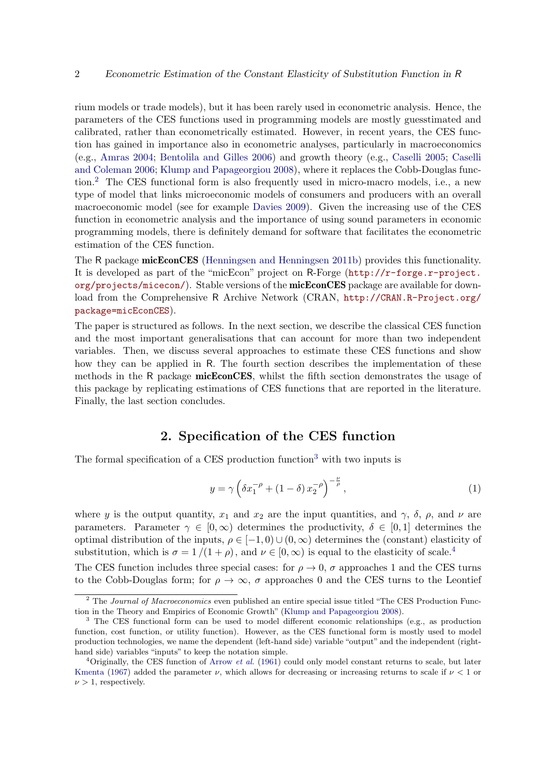rium models or trade models), but it has been rarely used in econometric analysis. Hence, the parameters of the CES functions used in programming models are mostly guesstimated and calibrated, rather than econometrically estimated. However, in recent years, the CES function has gained in importance also in econometric analyses, particularly in macroeconomics (e.g., [Amras](#page-104-1) [2004;](#page-104-1) [Bentolila and Gilles](#page-104-2) [2006\)](#page-104-2) and growth theory (e.g., [Caselli](#page-104-3) [2005;](#page-104-3) [Caselli](#page-104-4) [and Coleman](#page-104-4) [2006;](#page-104-4) [Klump and Papageorgiou](#page-106-1) [2008\)](#page-106-1), where it replaces the Cobb-Douglas function.[2](#page-1-0) The CES functional form is also frequently used in micro-macro models, i.e., a new type of model that links microeconomic models of consumers and producers with an overall macroeconomic model (see for example [Davies](#page-105-1) [2009\)](#page-105-1). Given the increasing use of the CES function in econometric analysis and the importance of using sound parameters in economic programming models, there is definitely demand for software that facilitates the econometric estimation of the CES function.

The R package micEconCES [\(Henningsen and Henningsen](#page-106-2) [2011b\)](#page-106-2) provides this functionality. It is developed as part of the "micEcon" project on R-Forge ([http://r-forge.r-project.](http://r-forge.r-project.org/projects/micecon/)  $\sigma$ rg/projects/micecon/). Stable versions of the micEconCES package are available for download from the Comprehensive R Archive Network (CRAN, [http://CRAN.R-Project.org/](http://CRAN.R-Project.org/package=micEconCES) [package=micEconCES](http://CRAN.R-Project.org/package=micEconCES)).

The paper is structured as follows. In the next section, we describe the classical CES function and the most important generalisations that can account for more than two independent variables. Then, we discuss several approaches to estimate these CES functions and show how they can be applied in R. The fourth section describes the implementation of these methods in the R package micEconCES, whilst the fifth section demonstrates the usage of this package by replicating estimations of CES functions that are reported in the literature. Finally, the last section concludes.

# 2. Specification of the CES function

The formal specification of a CES production function<sup>[3](#page-1-1)</sup> with two inputs is

<span id="page-1-3"></span>
$$
y = \gamma \left( \delta x_1^{-\rho} + (1 - \delta) x_2^{-\rho} \right)^{-\frac{\nu}{\rho}}, \tag{1}
$$

where y is the output quantity,  $x_1$  and  $x_2$  are the input quantities, and  $\gamma$ ,  $\delta$ ,  $\rho$ , and  $\nu$  are parameters. Parameter  $\gamma \in [0,\infty)$  determines the productivity,  $\delta \in [0,1]$  determines the optimal distribution of the inputs,  $\rho \in [-1, 0) \cup (0, \infty)$  determines the (constant) elasticity of substitution, which is  $\sigma = 1/(1+\rho)$ , and  $\nu \in [0,\infty)$  is equal to the elasticity of scale.<sup>[4](#page-1-2)</sup>

The CES function includes three special cases: for  $\rho \to 0$ ,  $\sigma$  approaches 1 and the CES turns to the Cobb-Douglas form; for  $\rho \to \infty$ ,  $\sigma$  approaches 0 and the CES turns to the Leontief

<span id="page-1-0"></span><sup>&</sup>lt;sup>2</sup> The *Journal of Macroeconomics* even published an entire special issue titled "The CES Production Function in the Theory and Empirics of Economic Growth" [\(Klump and Papageorgiou](#page-106-1) [2008\)](#page-106-1).

<span id="page-1-1"></span><sup>&</sup>lt;sup>3</sup> The CES functional form can be used to model different economic relationships (e.g., as production function, cost function, or utility function). However, as the CES functional form is mostly used to model production technologies, we name the dependent (left-hand side) variable "output" and the independent (righthand side) variables "inputs" to keep the notation simple.

<span id="page-1-2"></span><sup>&</sup>lt;sup>4</sup>Originally, the CES function of [Arrow](#page-104-0) *et al.* [\(1961\)](#page-104-0) could only model constant returns to scale, but later [Kmenta](#page-106-3) [\(1967\)](#page-106-3) added the parameter  $\nu$ , which allows for decreasing or increasing returns to scale if  $\nu < 1$  or  $\nu > 1$ , respectively.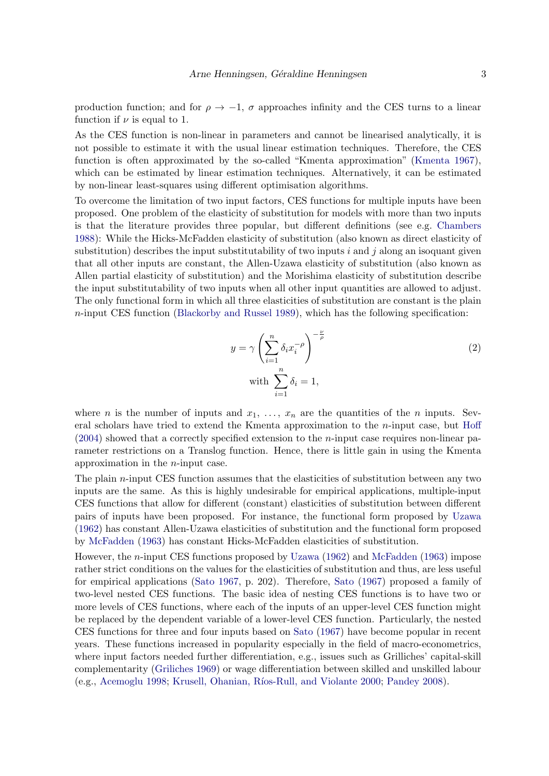production function; and for  $\rho \rightarrow -1$ ,  $\sigma$  approaches infinity and the CES turns to a linear function if  $\nu$  is equal to 1.

As the CES function is non-linear in parameters and cannot be linearised analytically, it is not possible to estimate it with the usual linear estimation techniques. Therefore, the CES function is often approximated by the so-called "Kmenta approximation" [\(Kmenta](#page-106-3) [1967\)](#page-106-3), which can be estimated by linear estimation techniques. Alternatively, it can be estimated by non-linear least-squares using different optimisation algorithms.

To overcome the limitation of two input factors, CES functions for multiple inputs have been proposed. One problem of the elasticity of substitution for models with more than two inputs is that the literature provides three popular, but different definitions (see e.g. [Chambers](#page-105-2) [1988\)](#page-105-2): While the Hicks-McFadden elasticity of substitution (also known as direct elasticity of substitution) describes the input substitutability of two inputs i and j along an isoquant given that all other inputs are constant, the Allen-Uzawa elasticity of substitution (also known as Allen partial elasticity of substitution) and the Morishima elasticity of substitution describe the input substitutability of two inputs when all other input quantities are allowed to adjust. The only functional form in which all three elasticities of substitution are constant is the plain  $n$ -input CES function [\(Blackorby and Russel](#page-104-5) [1989\)](#page-104-5), which has the following specification:

<span id="page-2-0"></span>
$$
y = \gamma \left(\sum_{i=1}^{n} \delta_i x_i^{-\rho}\right)^{-\frac{\nu}{\rho}}
$$
  
with 
$$
\sum_{i=1}^{n} \delta_i = 1,
$$
 (2)

where *n* is the number of inputs and  $x_1, \ldots, x_n$  are the quantities of the *n* inputs. Several scholars have tried to extend the Kmenta approximation to the  $n$ -input case, but [Hoff](#page-106-4)  $(2004)$  showed that a correctly specified extension to the *n*-input case requires non-linear parameter restrictions on a Translog function. Hence, there is little gain in using the Kmenta approximation in the n-input case.

The plain  $n$ -input CES function assumes that the elasticities of substitution between any two inputs are the same. As this is highly undesirable for empirical applications, multiple-input CES functions that allow for different (constant) elasticities of substitution between different pairs of inputs have been proposed. For instance, the functional form proposed by [Uzawa](#page-108-0) [\(1962\)](#page-108-0) has constant Allen-Uzawa elasticities of substitution and the functional form proposed by [McFadden](#page-107-0) [\(1963\)](#page-107-0) has constant Hicks-McFadden elasticities of substitution.

However, the n-input CES functions proposed by [Uzawa](#page-108-0) [\(1962\)](#page-108-0) and [McFadden](#page-107-0) [\(1963\)](#page-107-0) impose rather strict conditions on the values for the elasticities of substitution and thus, are less useful for empirical applications [\(Sato](#page-107-1) [1967,](#page-107-1) p. 202). Therefore, [Sato](#page-107-1) [\(1967\)](#page-107-1) proposed a family of two-level nested CES functions. The basic idea of nesting CES functions is to have two or more levels of CES functions, where each of the inputs of an upper-level CES function might be replaced by the dependent variable of a lower-level CES function. Particularly, the nested CES functions for three and four inputs based on [Sato](#page-107-1) [\(1967\)](#page-107-1) have become popular in recent years. These functions increased in popularity especially in the field of macro-econometrics, where input factors needed further differentiation, e.g., issues such as Grilliches' capital-skill complementarity [\(Griliches](#page-105-3) [1969\)](#page-105-3) or wage differentiation between skilled and unskilled labour (e.g., [Acemoglu](#page-104-6) [1998;](#page-104-6) Krusell, Ohanian, Ríos-Rull, and Violante [2000;](#page-106-5) [Pandey](#page-107-2) [2008\)](#page-107-2).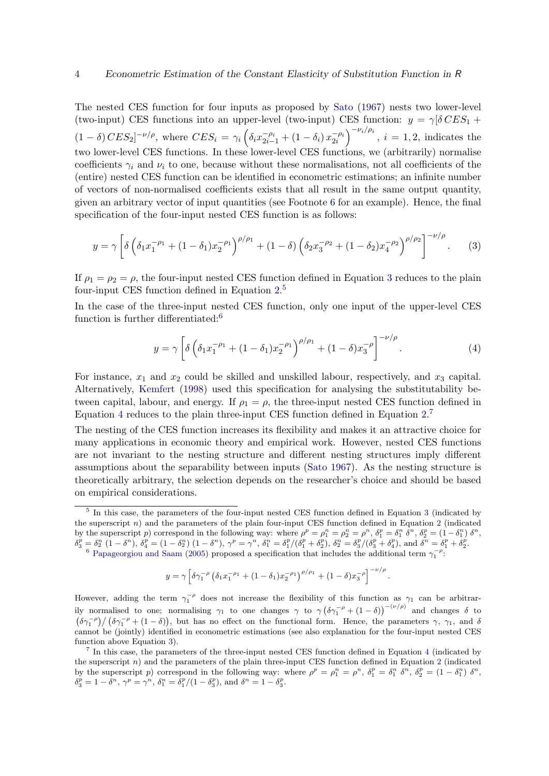The nested CES function for four inputs as proposed by [Sato](#page-107-1) [\(1967\)](#page-107-1) nests two lower-level (two-input) CES functions into an upper-level (two-input) CES function:  $y = \gamma \delta C E S_1 +$  $(1-\delta) \, CES_2]^{-\nu/\rho}$ , where  $CES_i = \gamma_i \left( \delta_i x_{2i-1}^{-\rho_i} + (1-\delta_i) \, x_{2i}^{-\rho_i} \right)^{-\nu_i/\rho_i}$ ,  $i = 1, 2$ , indicates the two lower-level CES functions. In these lower-level CES functions, we (arbitrarily) normalise coefficients  $\gamma_i$  and  $\nu_i$  to one, because without these normalisations, not all coefficients of the (entire) nested CES function can be identified in econometric estimations; an infinite number of vectors of non-normalised coefficients exists that all result in the same output quantity, given an arbitrary vector of input quantities (see Footnote [6](#page-3-0) for an example). Hence, the final specification of the four-input nested CES function is as follows:

$$
y = \gamma \left[ \delta \left( \delta_1 x_1^{-\rho_1} + (1 - \delta_1) x_2^{-\rho_1} \right)^{\rho/\rho_1} + (1 - \delta) \left( \delta_2 x_3^{-\rho_2} + (1 - \delta_2) x_4^{-\rho_2} \right)^{\rho/\rho_2} \right]^{-\nu/\rho} . \tag{3}
$$

If  $\rho_1 = \rho_2 = \rho$ , the four-input nested CES function defined in Equation [3](#page-3-1) reduces to the plain four-input CES function defined in Equation [2.](#page-2-0) [5](#page-3-2)

In the case of the three-input nested CES function, only one input of the upper-level CES function is further differentiated:<sup>[6](#page-3-0)</sup>

<span id="page-3-3"></span><span id="page-3-1"></span>
$$
y = \gamma \left[ \delta \left( \delta_1 x_1^{-\rho_1} + (1 - \delta_1) x_2^{-\rho_1} \right)^{\rho/\rho_1} + (1 - \delta) x_3^{-\rho} \right]^{-\nu/\rho} . \tag{4}
$$

For instance,  $x_1$  and  $x_2$  could be skilled and unskilled labour, respectively, and  $x_3$  capital. Alternatively, [Kemfert](#page-106-6) [\(1998\)](#page-106-6) used this specification for analysing the substitutability between capital, labour, and energy. If  $\rho_1 = \rho$ , the three-input nested CES function defined in Equation [4](#page-3-3) reduces to the plain three-input CES function defined in Equation [2.](#page-2-0)<sup>[7](#page-3-4)</sup>

The nesting of the CES function increases its flexibility and makes it an attractive choice for many applications in economic theory and empirical work. However, nested CES functions are not invariant to the nesting structure and different nesting structures imply different assumptions about the separability between inputs [\(Sato](#page-107-1) [1967\)](#page-107-1). As the nesting structure is theoretically arbitrary, the selection depends on the researcher's choice and should be based on empirical considerations.

$$
y = \gamma \left[ \delta \gamma_1^{-\rho} \left( \delta_1 x_1^{-\rho_1} + (1 - \delta_1) x_2^{-\rho_1} \right)^{\rho/\rho_1} + (1 - \delta) x_3^{-\rho} \right]^{-\nu/\rho}.
$$

However, adding the term  $\gamma_1^{-\rho}$  does not increase the flexibility of this function as  $\gamma_1$  can be arbitrarily normalised to one; normalising  $\gamma_1$  to one changes  $\gamma$  to  $\gamma (\delta \gamma_1^{-\rho} + (1 - \delta))^{-(\nu/\rho)}$  and changes  $\delta$  to  $(\delta\gamma_1^{-\rho})/(\delta\gamma_1^{-\rho}+(1-\delta))$ , but has no effect on the functional form. Hence, the parameters  $\gamma$ ,  $\gamma_1$ , and  $\delta$ cannot be (jointly) identified in econometric estimations (see also explanation for the four-input nested CES function above Equation [3\)](#page-3-1).

<span id="page-3-4"></span><sup>7</sup> In this case, the parameters of the three-input nested CES function defined in Equation [4](#page-3-3) (indicated by the superscript  $n$ ) and the parameters of the plain three-input CES function defined in Equation [2](#page-2-0) (indicated by the superscript p) correspond in the following way: where  $\rho^p = \rho_1^n = \rho^n$ ,  $\delta_1^p = \delta_1^n \delta^n$ ,  $\delta_2^p = (1 - \delta_1^n) \delta^n$ ,  $\delta_3^p = 1 - \delta^n, \, \gamma^p = \gamma^n, \, \delta_1^n = \delta_1^p/(1 - \delta_3^p), \, \text{and} \, \, \delta^n = 1 - \delta_3^p.$ 

<span id="page-3-2"></span><sup>&</sup>lt;sup>5</sup> In this case, the parameters of the four-input nested CES function defined in Equation [3](#page-3-1) (indicated by the superscript  $n$ ) and the parameters of the plain four-input CES function defined in Equation [2](#page-2-0) (indicated by the superscript p) correspond in the following way: where  $\rho^p = \rho_1^n = \rho_2^n = \rho^n$ ,  $\delta_1^p = \delta_1^n \delta^n$ ,  $\delta_2^p = (1 - \delta_1^n) \delta^n$ ,  $\delta_3^p = \delta_2^n (1 - \delta^n)$ ,  $\delta_4^p = (1 - \delta_2^n) (1 - \delta^n)$ ,  $\gamma^p = \gamma^n$ ,  $\delta_1^n = \delta_1^p / (\delta_1^p + \delta_2^p)$ ,  $\delta_2^n = \delta_3^p / (\delta_3^p + \delta_4^p)$ , and  $\delta^n = \delta_1^p + \delta_2^p$ .

<span id="page-3-0"></span><sup>&</sup>lt;sup>6</sup> [Papageorgiou and Saam](#page-107-3) [\(2005\)](#page-107-3) proposed a specification that includes the additional term  $\gamma_1^{-\rho}$ .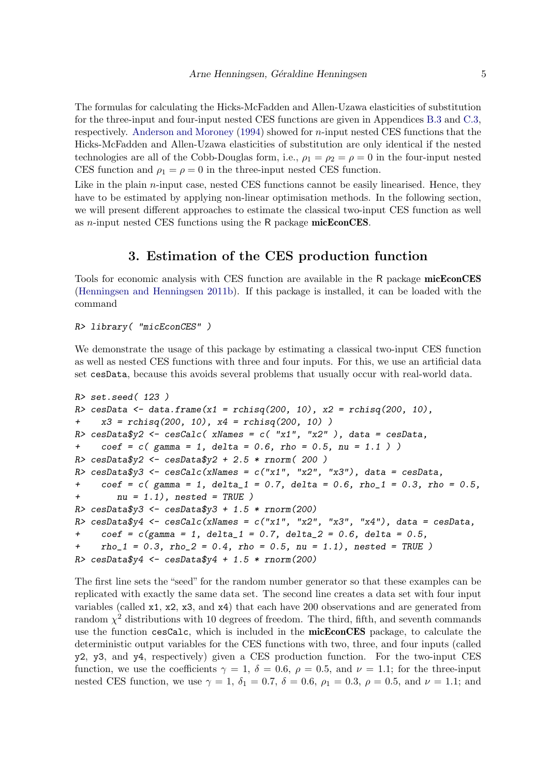The formulas for calculating the Hicks-McFadden and Allen-Uzawa elasticities of substitution for the three-input and four-input nested CES functions are given in Appendices [B.3](#page-79-0) and [C.3,](#page-88-0) respectively. [Anderson and Moroney](#page-104-7) [\(1994\)](#page-104-7) showed for n-input nested CES functions that the Hicks-McFadden and Allen-Uzawa elasticities of substitution are only identical if the nested technologies are all of the Cobb-Douglas form, i.e.,  $\rho_1 = \rho_2 = \rho = 0$  in the four-input nested CES function and  $\rho_1 = \rho = 0$  in the three-input nested CES function.

Like in the plain  $n$ -input case, nested CES functions cannot be easily linearised. Hence, they have to be estimated by applying non-linear optimisation methods. In the following section, we will present different approaches to estimate the classical two-input CES function as well as  $n$ -input nested CES functions using the R package micEconCES.

# 3. Estimation of the CES production function

<span id="page-4-0"></span>Tools for economic analysis with CES function are available in the R package micEconCES [\(Henningsen and Henningsen](#page-106-2) [2011b\)](#page-106-2). If this package is installed, it can be loaded with the command

R> library( "micEconCES" )

We demonstrate the usage of this package by estimating a classical two-input CES function as well as nested CES functions with three and four inputs. For this, we use an artificial data set cesData, because this avoids several problems that usually occur with real-world data.

```
R> set.seed( 123 )
R> cesData <- data.frame(x1 = rchisq(200, 10), x2 = rchisq(200, 10),
+ x3 = rchisq(200, 10), x4 = rchisq(200, 10) )
R cesData$y2 <- cesCalc( xNames = c( "x1", "x2" ), data = cesData,
+ \c{coeff} = c ( gamma = 1, delta = 0.6, rho = 0.5, nu = 1.1 ) )
R> cesData$y2 <- cesData$y2 + 2.5 * rnorm(200)
R> cesData$y3 <- cesCalc(xNames = c("x1", "x2", "x3"), data = cesData,
+ coef = c (gamma = 1, delta_1 = 0.7, delta = 0.6, rho_1 = 0.3, rho = 0.5,
+ nu = 1.1), nested = TRUE )
R> cesData$y3 <- cesData$y3 + 1.5 * rnorm(200)
R cesData$y4 <- cesCalc(xNames = c("x1", "x2", "x3", "x4"), data = cesData,
+ coef = c(gamma = 1, delta_1 = 0.7, delta_2 = 0.6, delta = 0.5,+ rho_1 = 0.3, rho_2 = 0.4, rho = 0.5, nu = 1.1), nested = TRUE )
R> cesData$y4 <- cesData$y4 + 1.5 * rnorm(200)
```
The first line sets the "seed" for the random number generator so that these examples can be replicated with exactly the same data set. The second line creates a data set with four input variables (called x1, x2, x3, and x4) that each have 200 observations and are generated from random  $\chi^2$  distributions with 10 degrees of freedom. The third, fifth, and seventh commands use the function cesCalc, which is included in the **micEconCES** package, to calculate the deterministic output variables for the CES functions with two, three, and four inputs (called y2, y3, and y4, respectively) given a CES production function. For the two-input CES function, we use the coefficients  $\gamma = 1$ ,  $\delta = 0.6$ ,  $\rho = 0.5$ , and  $\nu = 1.1$ ; for the three-input nested CES function, we use  $\gamma = 1$ ,  $\delta_1 = 0.7$ ,  $\delta = 0.6$ ,  $\rho_1 = 0.3$ ,  $\rho = 0.5$ , and  $\nu = 1.1$ ; and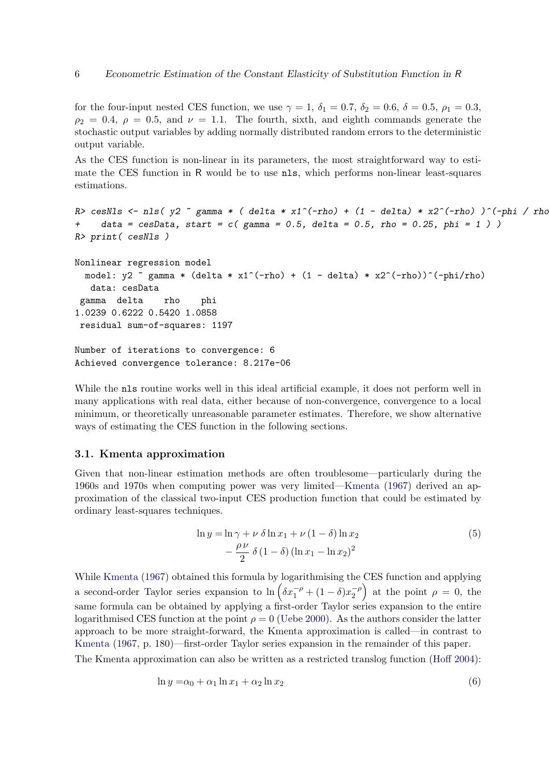for the four-input nested CES function, we use  $\gamma = 1$ ,  $\delta_1 = 0.7$ ,  $\delta_2 = 0.6$ ,  $\delta = 0.5$ ,  $\rho_1 = 0.3$ ,  $\rho_2 = 0.4$ ,  $\rho = 0.5$ , and  $\nu = 1.1$ . The fourth, sixth, and eighth commands generate the stochastic output variables by adding normally distributed random errors to the deterministic output variable.

As the CES function is non-linear in its parameters, the most straightforward way to estimate the CES function in R would be to use nls, which performs non-linear least-squares estimations.

```
R> cesNls <- nls( y2 \degree gamma * ( delta * x1^(-rho) + (1 - delta) * x2^(-rho) )^(-phi / rho
     data = cesData, start = c( gamma = 0.5, delta = 0.5, rho = 0.25, phi = 1))
R> print( cesNls )
Nonlinear regression model
  model: y2 \tilde{ } gamma * (delta * x1^(-rho) + (1 - delta) * x2^(-rho))^(-phi/rho)
   data: cesData
 gamma delta rho phi
1.0239 0.6222 0.5420 1.0858
 residual sum-of-squares: 1197
Number of iterations to convergence: 6
Achieved convergence tolerance: 8.217e-06
```
While the nls routine works well in this ideal artificial example, it does not perform well in many applications with real data, either because of non-convergence, convergence to a local minimum, or theoretically unreasonable parameter estimates. Therefore, we show alternative ways of estimating the CES function in the following sections.

#### 3.1. Kmenta approximation

Given that non-linear estimation methods are often troublesome—particularly during the 1960s and 1970s when computing power was very limited[—Kmenta](#page-106-3) [\(1967\)](#page-106-3) derived an approximation of the classical two-input CES production function that could be estimated by ordinary least-squares techniques.

<span id="page-5-1"></span><span id="page-5-0"></span>
$$
\ln y = \ln \gamma + \nu \, \delta \ln x_1 + \nu (1 - \delta) \ln x_2
$$
  
 
$$
- \frac{\rho \nu}{2} \, \delta (1 - \delta) (\ln x_1 - \ln x_2)^2
$$
 (5)

While [Kmenta](#page-106-3) [\(1967\)](#page-106-3) obtained this formula by logarithmising the CES function and applying a second-order Taylor series expansion to  $\ln \left( \delta x_1^{-\rho} + (1 - \delta) x_2^{-\rho} \right)$  $\begin{pmatrix} -\rho \\ 2 \end{pmatrix}$  at the point  $\rho = 0$ , the same formula can be obtained by applying a first-order Taylor series expansion to the entire logarithmised CES function at the point  $\rho = 0$  [\(Uebe](#page-108-1) [2000\)](#page-108-1). As the authors consider the latter approach to be more straight-forward, the Kmenta approximation is called—in contrast to [Kmenta](#page-106-3) [\(1967,](#page-106-3) p. 180)—first-order Taylor series expansion in the remainder of this paper.

The Kmenta approximation can also be written as a restricted translog function [\(Hoff](#page-106-4) [2004\)](#page-106-4):

$$
\ln y = \alpha_0 + \alpha_1 \ln x_1 + \alpha_2 \ln x_2 \tag{6}
$$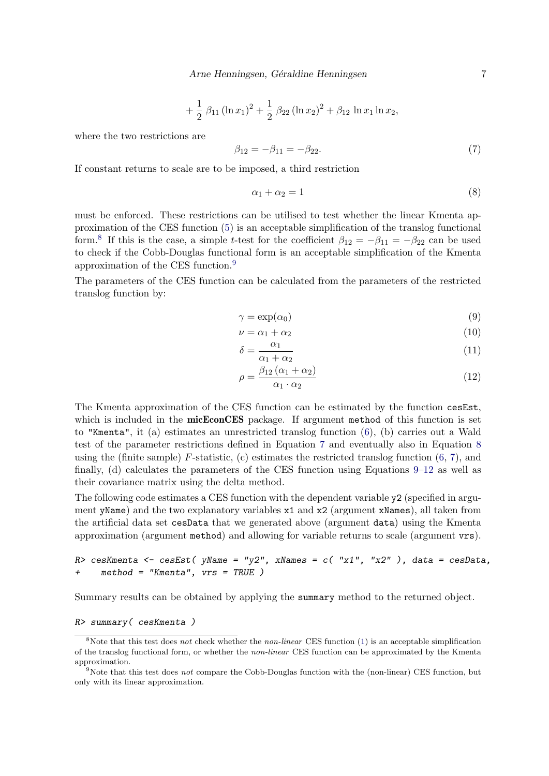+ 
$$
\frac{1}{2}
$$
  $\beta_{11} (\ln x_1)^2$  +  $\frac{1}{2}$   $\beta_{22} (\ln x_2)^2$  +  $\beta_{12} \ln x_1 \ln x_2$ ,

where the two restrictions are

<span id="page-6-2"></span>
$$
\beta_{12} = -\beta_{11} = -\beta_{22}.\tag{7}
$$

If constant returns to scale are to be imposed, a third restriction

<span id="page-6-3"></span>
$$
\alpha_1 + \alpha_2 = 1 \tag{8}
$$

must be enforced. These restrictions can be utilised to test whether the linear Kmenta approximation of the CES function [\(5\)](#page-5-0) is an acceptable simplification of the translog functional form.<sup>[8](#page-6-0)</sup> If this is the case, a simple t-test for the coefficient  $\beta_{12} = -\beta_{11} = -\beta_{22}$  can be used to check if the Cobb-Douglas functional form is an acceptable simplification of the Kmenta approximation of the CES function.[9](#page-6-1)

The parameters of the CES function can be calculated from the parameters of the restricted translog function by:

<span id="page-6-4"></span>
$$
\gamma = \exp(\alpha_0) \tag{9}
$$

$$
\nu = \alpha_1 + \alpha_2 \tag{10}
$$

$$
\delta = \frac{\alpha_1}{\alpha_1 + \alpha_2} \tag{11}
$$

<span id="page-6-5"></span>
$$
\rho = \frac{\beta_{12} \left( \alpha_1 + \alpha_2 \right)}{\alpha_1 \cdot \alpha_2} \tag{12}
$$

The Kmenta approximation of the CES function can be estimated by the function cesEst, which is included in the **micEconCES** package. If argument method of this function is set to "Kmenta", it (a) estimates an unrestricted translog function [\(6\)](#page-5-1), (b) carries out a Wald test of the parameter restrictions defined in Equation [7](#page-6-2) and eventually also in Equation [8](#page-6-3) using the (finite sample)  $F$ -statistic, (c) estimates the restricted translog function  $(6, 7)$  $(6, 7)$  $(6, 7)$ , and finally, (d) calculates the parameters of the CES function using Equations [9–](#page-6-4)[12](#page-6-5) as well as their covariance matrix using the delta method.

The following code estimates a CES function with the dependent variable y2 (specified in argument yName) and the two explanatory variables x1 and x2 (argument xNames), all taken from the artificial data set cesData that we generated above (argument data) using the Kmenta approximation (argument method) and allowing for variable returns to scale (argument vrs).

```
R> cesKmenta <- cesEst( yName = "y2", xNames = c( "x1", "x2" ), data = cesData,
+ method = "Kmenta", vrs = TRUE )
```
Summary results can be obtained by applying the summary method to the returned object.

#### R> summary( cesKmenta )

<span id="page-6-0"></span><sup>&</sup>lt;sup>8</sup>Note that this test does not check whether the non-linear CES function [\(1\)](#page-1-3) is an acceptable simplification of the translog functional form, or whether the non-linear CES function can be approximated by the Kmenta approximation.

<span id="page-6-1"></span><sup>&</sup>lt;sup>9</sup>Note that this test does not compare the Cobb-Douglas function with the (non-linear) CES function, but only with its linear approximation.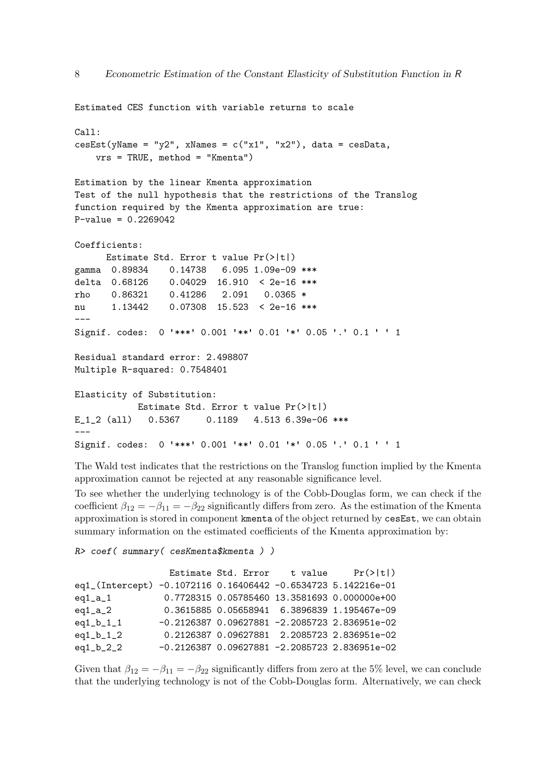```
Estimated CES function with variable returns to scale
Call:
cesEst(yName = "y2", xNames = c("x1", "x2"), data = cesData,vrs = TRUE, method = "Kmenta")
Estimation by the linear Kmenta approximation
Test of the null hypothesis that the restrictions of the Translog
function required by the Kmenta approximation are true:
P-value = 0.2269042Coefficients:
     Estimate Std. Error t value Pr(>|t|)
gamma 0.89834  0.14738  6.095  1.09e-09 ***
delta 0.68126 0.04029 16.910 < 2e-16 ***
rho 0.86321 0.41286 2.091 0.0365 *
nu 1.13442 0.07308 15.523 < 2e-16 ***
---
Signif. codes: 0 '***' 0.001 '**' 0.01 '*' 0.05 '.' 0.1 ' ' 1
Residual standard error: 2.498807
Multiple R-squared: 0.7548401
Elasticity of Substitution:
           Estimate Std. Error t value Pr(>|t|)
E_1_2 (all) 0.5367 0.1189 4.513 6.39e-06 ***
---
Signif. codes: 0 '***' 0.001 '**' 0.01 '*' 0.05 '.' 0.1 ' ' 1
```
The Wald test indicates that the restrictions on the Translog function implied by the Kmenta approximation cannot be rejected at any reasonable significance level.

To see whether the underlying technology is of the Cobb-Douglas form, we can check if the coefficient  $\beta_{12} = -\beta_{11} = -\beta_{22}$  significantly differs from zero. As the estimation of the Kmenta approximation is stored in component kmenta of the object returned by cesEst, we can obtain summary information on the estimated coefficients of the Kmenta approximation by:

R> coef( summary( cesKmenta\$kmenta ) )

|  | Estimate Std. Error t value $Pr(>\vert t \vert)$<br>eq1_(Intercept) -0.1072116 0.16406442 -0.6534723 5.142216e-01<br>0.7728315 0.05785460 13.3581693 0.000000e+00<br>0.3615885 0.05658941 6.3896839 1.195467e-09<br>$-0.2126387$ 0.09627881 -2.2085723 2.836951e-02<br>0.2126387 0.09627881 2.2085723 2.836951e-02<br>$-0.2126387$ 0.09627881 -2.2085723 2.836951e-02 |
|--|-----------------------------------------------------------------------------------------------------------------------------------------------------------------------------------------------------------------------------------------------------------------------------------------------------------------------------------------------------------------------|

Given that  $\beta_{12} = -\beta_{11} = -\beta_{22}$  significantly differs from zero at the 5% level, we can conclude that the underlying technology is not of the Cobb-Douglas form. Alternatively, we can check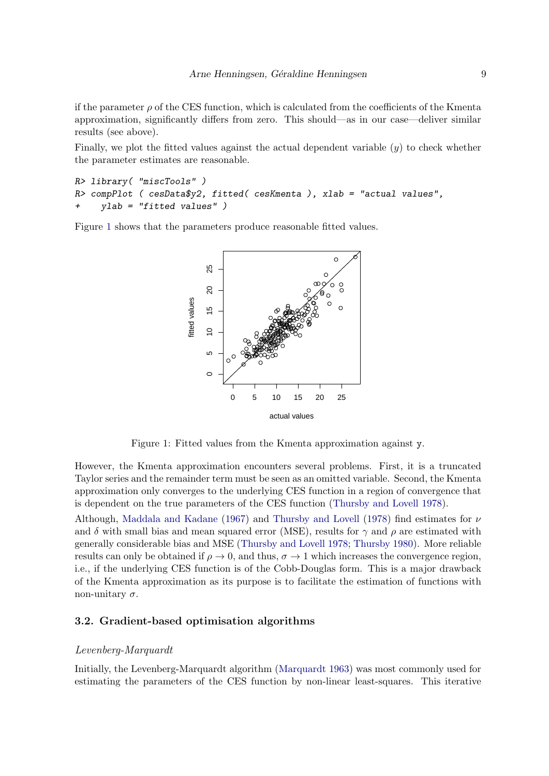if the parameter  $\rho$  of the CES function, which is calculated from the coefficients of the Kmenta approximation, significantly differs from zero. This should—as in our case—deliver similar results (see above).

Finally, we plot the fitted values against the actual dependent variable  $(y)$  to check whether the parameter estimates are reasonable.

```
R> library( "miscTools" )
R> compPlot ( cesData$y2, fitted( cesKmenta ), xlab = "actual values",
    ylab = "fitted values" )
```
Figure [1](#page-8-0) shows that the parameters produce reasonable fitted values.



<span id="page-8-0"></span>Figure 1: Fitted values from the Kmenta approximation against y.

However, the Kmenta approximation encounters several problems. First, it is a truncated Taylor series and the remainder term must be seen as an omitted variable. Second, the Kmenta approximation only converges to the underlying CES function in a region of convergence that is dependent on the true parameters of the CES function [\(Thursby and Lovell](#page-108-2) [1978\)](#page-108-2).

Although, [Maddala and Kadane](#page-106-7) [\(1967\)](#page-106-7) and [Thursby and Lovell](#page-108-2) [\(1978\)](#page-108-2) find estimates for  $\nu$ and  $\delta$  with small bias and mean squared error (MSE), results for  $\gamma$  and  $\rho$  are estimated with generally considerable bias and MSE [\(Thursby and Lovell](#page-108-2) [1978;](#page-108-2) [Thursby](#page-108-3) [1980\)](#page-108-3). More reliable results can only be obtained if  $\rho \to 0$ , and thus,  $\sigma \to 1$  which increases the convergence region, i.e., if the underlying CES function is of the Cobb-Douglas form. This is a major drawback of the Kmenta approximation as its purpose is to facilitate the estimation of functions with non-unitary  $\sigma$ .

# 3.2. Gradient-based optimisation algorithms

### Levenberg-Marquardt

Initially, the Levenberg-Marquardt algorithm [\(Marquardt](#page-107-4) [1963\)](#page-107-4) was most commonly used for estimating the parameters of the CES function by non-linear least-squares. This iterative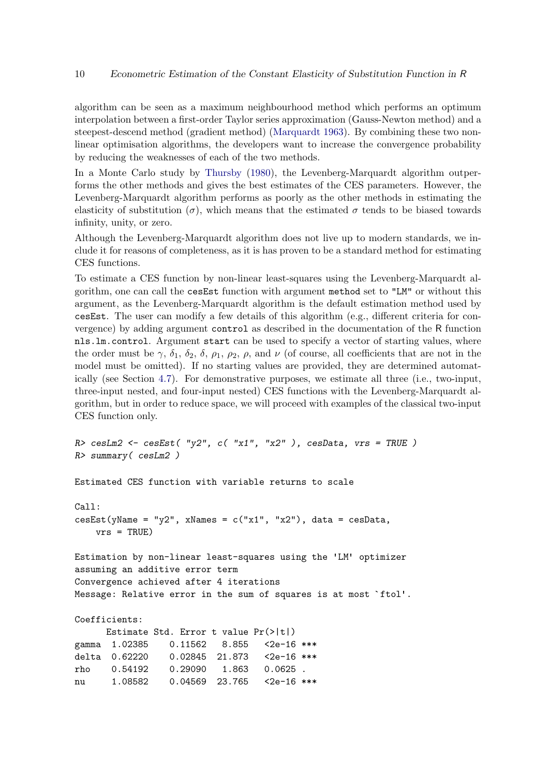algorithm can be seen as a maximum neighbourhood method which performs an optimum interpolation between a first-order Taylor series approximation (Gauss-Newton method) and a steepest-descend method (gradient method) [\(Marquardt](#page-107-4) [1963\)](#page-107-4). By combining these two nonlinear optimisation algorithms, the developers want to increase the convergence probability by reducing the weaknesses of each of the two methods.

In a Monte Carlo study by [Thursby](#page-108-3) [\(1980\)](#page-108-3), the Levenberg-Marquardt algorithm outperforms the other methods and gives the best estimates of the CES parameters. However, the Levenberg-Marquardt algorithm performs as poorly as the other methods in estimating the elasticity of substitution  $(\sigma)$ , which means that the estimated  $\sigma$  tends to be biased towards infinity, unity, or zero.

Although the Levenberg-Marquardt algorithm does not live up to modern standards, we include it for reasons of completeness, as it is has proven to be a standard method for estimating CES functions.

To estimate a CES function by non-linear least-squares using the Levenberg-Marquardt algorithm, one can call the cesEst function with argument method set to "LM" or without this argument, as the Levenberg-Marquardt algorithm is the default estimation method used by cesEst. The user can modify a few details of this algorithm (e.g., different criteria for convergence) by adding argument control as described in the documentation of the R function nls.lm.control. Argument start can be used to specify a vector of starting values, where the order must be  $\gamma$ ,  $\delta_1$ ,  $\delta_2$ ,  $\delta$ ,  $\rho_1$ ,  $\rho_2$ ,  $\rho$ , and  $\nu$  (of course, all coefficients that are not in the model must be omitted). If no starting values are provided, they are determined automatically (see Section [4.7\)](#page-37-0). For demonstrative purposes, we estimate all three (i.e., two-input, three-input nested, and four-input nested) CES functions with the Levenberg-Marquardt algorithm, but in order to reduce space, we will proceed with examples of the classical two-input CES function only.

```
R cesLm2 <- cesEst( "y2", c( "x1", "x2" ), cesData, vrs = TRUE )
R> summary( cesLm2 )
```
Estimated CES function with variable returns to scale

```
Call:
cesEst(yName = "y2", xNames = c("x1", "x2"), data = cesData,vrs = TRUE)
Estimation by non-linear least-squares using the 'LM' optimizer
assuming an additive error term
Convergence achieved after 4 iterations
Message: Relative error in the sum of squares is at most `ftol'.
Coefficients:
     Estimate Std. Error t value Pr(>|t|)
gamma 1.02385 0.11562 8.855 <2e-16 ***
delta 0.62220 0.02845 21.873 <2e-16 ***
rho 0.54192 0.29090 1.863 0.0625 .
nu 1.08582 0.04569 23.765 <2e-16 ***
```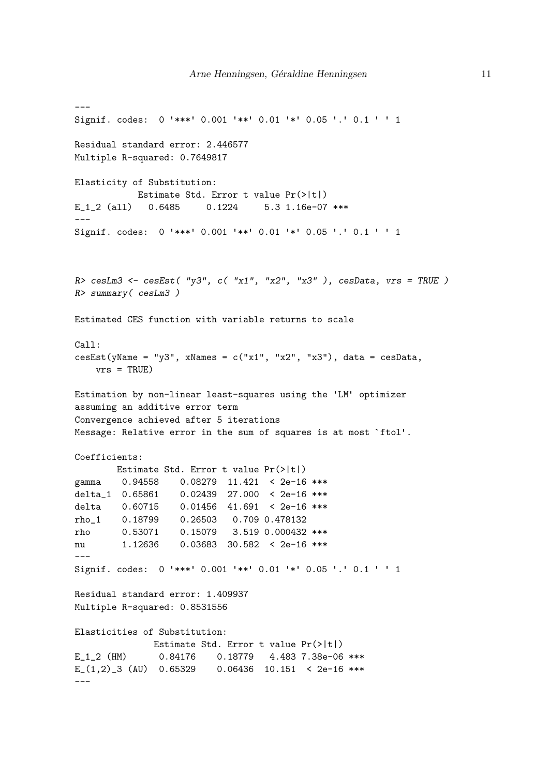```
---
Signif. codes: 0 '***' 0.001 '**' 0.01 '*' 0.05 '.' 0.1 ' ' 1
Residual standard error: 2.446577
Multiple R-squared: 0.7649817
Elasticity of Substitution:
           Estimate Std. Error t value Pr(>|t|)
E_1_2 (all) 0.6485 0.1224 5.3 1.16e-07 ***
---
Signif. codes: 0 '***' 0.001 '**' 0.01 '*' 0.05 '.' 0.1 ' ' 1
R> cesLm3 <- cesEst( "y3", c( "x1", "x2", "x3" ), cesData, vrs = TRUE )
R> summary( cesLm3 )
Estimated CES function with variable returns to scale
Call:
cesEst(yName = "y3", xNames = c("x1", "x2", "x3"), data = cesData,vrs = TRUF.Estimation by non-linear least-squares using the 'LM' optimizer
assuming an additive error term
Convergence achieved after 5 iterations
Message: Relative error in the sum of squares is at most `ftol'.
Coefficients:
       Estimate Std. Error t value Pr(>|t|)
gamma 0.94558 0.08279 11.421 < 2e-16 ***
delta_1 0.65861 0.02439 27.000 < 2e-16 ***
delta  0.60715  0.01456  41.691 < 2e-16 ***
rho_1 0.18799 0.26503 0.709 0.478132
rho 0.53071 0.15079 3.519 0.000432 ***
nu 1.12636 0.03683 30.582 < 2e-16 ***
---Signif. codes: 0 '***' 0.001 '**' 0.01 '*' 0.05 '.' 0.1 ' ' 1
Residual standard error: 1.409937
Multiple R-squared: 0.8531556
Elasticities of Substitution:
             Estimate Std. Error t value Pr(>|t|)
E_1_2 (HM) 0.84176 0.18779 4.483 7.38e-06 ***
E_(1,2)_3 (AU) 0.65329 0.06436 10.151 < 2e-16 ***
---
```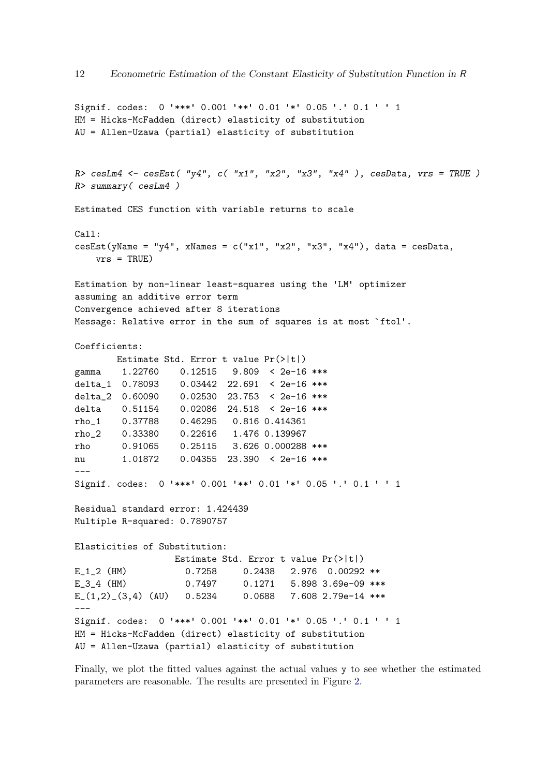```
Signif. codes: 0 '***' 0.001 '**' 0.01 '*' 0.05 '.' 0.1 ' ' 1
HM = Hicks-McFadden (direct) elasticity of substitution
AU = Allen-Uzawa (partial) elasticity of substitution
R> cesLm4 \leq cesEst( "y4", c( "x1", "x2", "x3", "x4"), cesData, vrs = TRUE)
R> summary( cesLm4 )
Estimated CES function with variable returns to scale
Call:
cesEst(yName = "y4", xNames = c("x1", "x2", "x3", "x4"), data = cesData,vrs = TRUF.Estimation by non-linear least-squares using the 'LM' optimizer
assuming an additive error term
Convergence achieved after 8 iterations
Message: Relative error in the sum of squares is at most `ftol'.
Coefficients:
       Estimate Std. Error t value Pr(>|t|)
gamma 1.22760 0.12515 9.809 < 2e-16 ***
delta_1 0.78093 0.03442 22.691 < 2e-16 ***
delta_2 0.60090 0.02530 23.753 < 2e-16 ***
delta 0.51154 0.02086 24.518 < 2e-16 ***
rho_1 0.37788 0.46295 0.816 0.414361
rho_2 0.33380 0.22616 1.476 0.139967
rho 0.91065 0.25115 3.626 0.000288 ***
nu 1.01872 0.04355 23.390 < 2e-16 ***
---
Signif. codes: 0 '***' 0.001 '**' 0.01 '*' 0.05 '.' 0.1 ' ' 1
Residual standard error: 1.424439
Multiple R-squared: 0.7890757
Elasticities of Substitution:
                 Estimate Std. Error t value Pr(>|t|)
E 1 2 (HM) 0.7258 0.2438 2.976 0.00292 **
E 3 4 (HM) 0.7497 0.1271 5.898 3.69e-09 ***
E_{-}(1,2)_{-}(3,4) (AU) 0.5234 0.0688 7.608 2.79e-14 ***
---
Signif. codes: 0 '***' 0.001 '**' 0.01 '*' 0.05 '.' 0.1 ' ' 1
HM = Hicks-McFadden (direct) elasticity of substitution
AU = Allen-Uzawa (partial) elasticity of substitution
```
Finally, we plot the fitted values against the actual values y to see whether the estimated parameters are reasonable. The results are presented in Figure [2.](#page-12-0)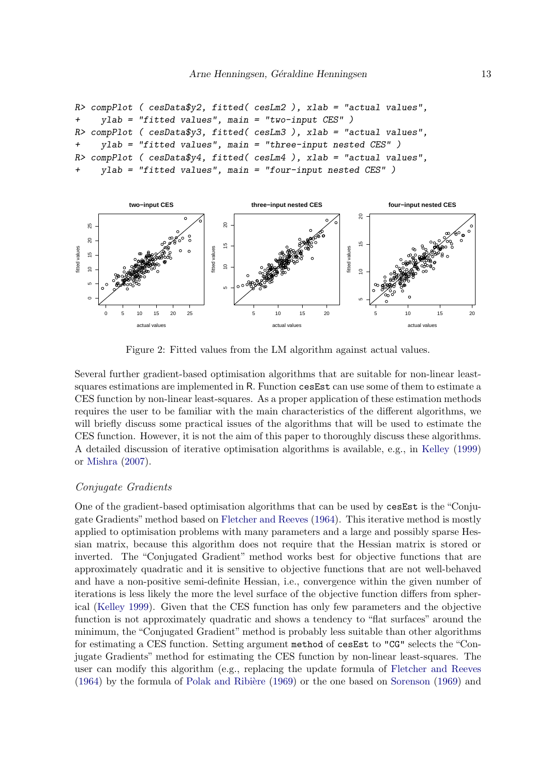```
R> compPlot ( cesData$y2, fitted( cesLm2 ), xlab = "actual values",
+ ylab = "fitted values", main = "two-input CES" )
R> compPlot ( cesData$y3, fitted( cesLm3 ), xlab = "actual values",
+ ylab = "fitted values", main = "three-input nested CES" )
R compPlot ( cesData$y4, fitted( cesLm4 ), xlab = "actual values",
    ylab = "fitted values", main = "four-input nested CES" )
```


<span id="page-12-0"></span>Figure 2: Fitted values from the LM algorithm against actual values.

Several further gradient-based optimisation algorithms that are suitable for non-linear leastsquares estimations are implemented in R. Function cesEst can use some of them to estimate a CES function by non-linear least-squares. As a proper application of these estimation methods requires the user to be familiar with the main characteristics of the different algorithms, we will briefly discuss some practical issues of the algorithms that will be used to estimate the CES function. However, it is not the aim of this paper to thoroughly discuss these algorithms. A detailed discussion of iterative optimisation algorithms is available, e.g., in [Kelley](#page-106-8) [\(1999\)](#page-106-8) or [Mishra](#page-107-5) [\(2007\)](#page-107-5).

#### Conjugate Gradients

One of the gradient-based optimisation algorithms that can be used by cesEst is the "Conjugate Gradients"method based on [Fletcher and Reeves](#page-105-4) [\(1964\)](#page-105-4). This iterative method is mostly applied to optimisation problems with many parameters and a large and possibly sparse Hessian matrix, because this algorithm does not require that the Hessian matrix is stored or inverted. The "Conjugated Gradient" method works best for objective functions that are approximately quadratic and it is sensitive to objective functions that are not well-behaved and have a non-positive semi-definite Hessian, i.e., convergence within the given number of iterations is less likely the more the level surface of the objective function differs from spherical [\(Kelley](#page-106-8) [1999\)](#page-106-8). Given that the CES function has only few parameters and the objective function is not approximately quadratic and shows a tendency to "flat surfaces" around the minimum, the "Conjugated Gradient" method is probably less suitable than other algorithms for estimating a CES function. Setting argument method of cesEst to "CG" selects the "Conjugate Gradients" method for estimating the CES function by non-linear least-squares. The user can modify this algorithm (e.g., replacing the update formula of [Fletcher and Reeves](#page-105-4)  $(1964)$  by the formula of Polak and Ribière  $(1969)$  or the one based on [Sorenson](#page-108-4)  $(1969)$  and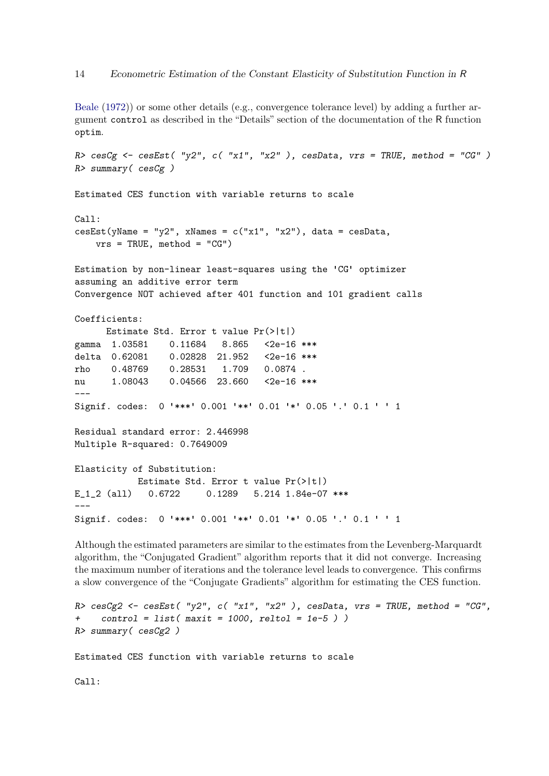[Beale](#page-104-8) [\(1972\)](#page-104-8)) or some other details (e.g., convergence tolerance level) by adding a further argument control as described in the "Details" section of the documentation of the R function optim.

```
R> cesCg <- cesEst( "y2", c( "x1", "x2" ), cesData, vrs = TRUE, method = "CG" )R> summary( cesCg )
Estimated CES function with variable returns to scale
Call:
cesEst(yName = "y2", xNames = c("x1", "x2"), data = cesData,vrs = TRUE, method = "CG")Estimation by non-linear least-squares using the 'CG' optimizer
assuming an additive error term
Convergence NOT achieved after 401 function and 101 gradient calls
Coefficients:
     Estimate Std. Error t value Pr(>|t|)
gamma 1.03581 0.11684 8.865 <2e-16 ***
delta 0.62081 0.02828 21.952 <2e-16 ***
rho 0.48769 0.28531 1.709 0.0874 .
nu 1.08043 0.04566 23.660 <2e-16 ***
---
Signif. codes: 0 '***' 0.001 '**' 0.01 '*' 0.05 '.' 0.1 ' ' 1
Residual standard error: 2.446998
Multiple R-squared: 0.7649009
Elasticity of Substitution:
           Estimate Std. Error t value Pr(>|t|)
E 1 2 (all) 0.6722 0.1289 5.214 1.84e-07 ***
---
Signif. codes: 0 '***' 0.001 '**' 0.01 '*' 0.05 '.' 0.1 ' ' 1
```
Although the estimated parameters are similar to the estimates from the Levenberg-Marquardt algorithm, the "Conjugated Gradient" algorithm reports that it did not converge. Increasing the maximum number of iterations and the tolerance level leads to convergence. This confirms a slow convergence of the "Conjugate Gradients" algorithm for estimating the CES function.

```
R> cesCg2 <- cesEst( "y2", c( "x1", "x2"), cesData, vrs = TRUE, method = "CG",
+ control = list( maxit = 1000, reltol = 1e-5))
R> summary( cesCg2 )
```
Estimated CES function with variable returns to scale

Call: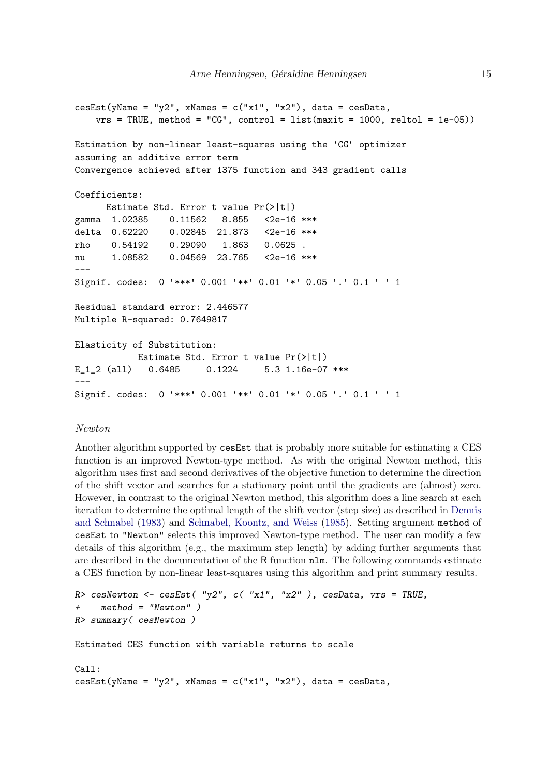```
cesEst(yName = "y2", xNames = c("x1", "x2"), data = cesData,vrs = TRUE, method = "CG", control = list(maxit = 1000, reltol = 1e-05))
Estimation by non-linear least-squares using the 'CG' optimizer
assuming an additive error term
Convergence achieved after 1375 function and 343 gradient calls
Coefficients:
     Estimate Std. Error t value Pr(>|t|)
gamma 1.02385 0.11562 8.855 <2e-16 ***
delta 0.62220 0.02845 21.873 <2e-16 ***
rho 0.54192 0.29090 1.863 0.0625 .
nu 1.08582 0.04569 23.765 <2e-16 ***
---
Signif. codes: 0 '***' 0.001 '**' 0.01 '*' 0.05 '.' 0.1 ' ' 1
Residual standard error: 2.446577
Multiple R-squared: 0.7649817
Elasticity of Substitution:
           Estimate Std. Error t value Pr(>|t|)
E 1 2 (all) 0.6485 0.1224 5.3 1.16e-07 ***
---
Signif. codes: 0 '***' 0.001 '**' 0.01 '*' 0.05 '.' 0.1 ' ' 1
```
# Newton

Another algorithm supported by cesEst that is probably more suitable for estimating a CES function is an improved Newton-type method. As with the original Newton method, this algorithm uses first and second derivatives of the objective function to determine the direction of the shift vector and searches for a stationary point until the gradients are (almost) zero. However, in contrast to the original Newton method, this algorithm does a line search at each iteration to determine the optimal length of the shift vector (step size) as described in [Dennis](#page-105-5) [and Schnabel](#page-105-5) [\(1983\)](#page-105-5) and [Schnabel, Koontz, and Weiss](#page-107-7) [\(1985\)](#page-107-7). Setting argument method of cesEst to "Newton" selects this improved Newton-type method. The user can modify a few details of this algorithm (e.g., the maximum step length) by adding further arguments that are described in the documentation of the R function nlm. The following commands estimate a CES function by non-linear least-squares using this algorithm and print summary results.

```
R> cesNewton <- cesEst( "y2", c( "x1", "x2"), cesData, vrs = TRUE,
+ method = "Newton" )
R> summary( cesNewton )
Estimated CES function with variable returns to scale
Call:
\text{cesEst}(y\text{Name} = "y2", x\text{Names} = c("x1", "x2"), data = cesData,
```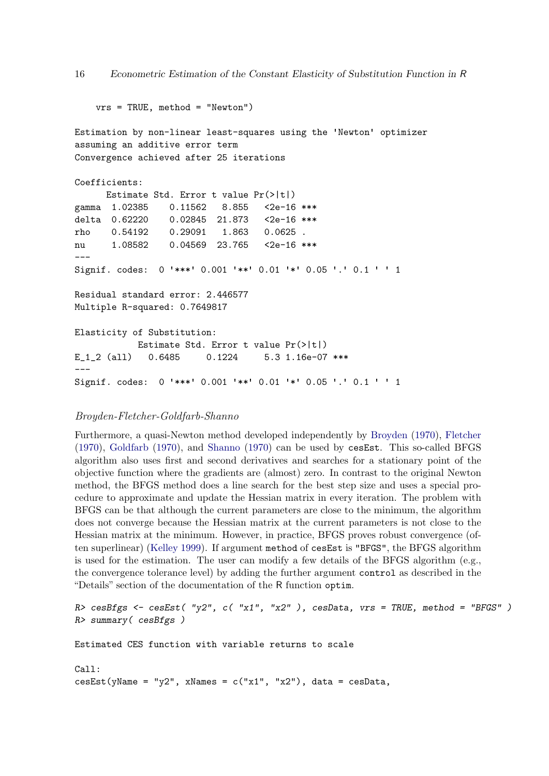```
vrs = TRUE, method = "Newton")
Estimation by non-linear least-squares using the 'Newton' optimizer
assuming an additive error term
Convergence achieved after 25 iterations
Coefficients:
     Estimate Std. Error t value Pr(>|t|)
gamma 1.02385  0.11562  8.855  <2e-16 ***
delta 0.62220 0.02845 21.873 <2e-16 ***
rho 0.54192 0.29091 1.863 0.0625 .
nu 1.08582 0.04569 23.765 <2e-16 ***
---
Signif. codes: 0 '***' 0.001 '**' 0.01 '*' 0.05 '.' 0.1 ' ' 1
Residual standard error: 2.446577
Multiple R-squared: 0.7649817
Elasticity of Substitution:
           Estimate Std. Error t value Pr(>|t|)
E_1_2 (all) 0.6485 0.1224 5.3 1.16e-07 ***
---
Signif. codes: 0 '***' 0.001 '**' 0.01 '*' 0.05 '.' 0.1 ' ' 1
```
# Broyden-Fletcher-Goldfarb-Shanno

Furthermore, a quasi-Newton method developed independently by [Broyden](#page-104-9) [\(1970\)](#page-104-9), [Fletcher](#page-105-6) [\(1970\)](#page-105-6), [Goldfarb](#page-105-7) [\(1970\)](#page-105-7), and [Shanno](#page-108-5) [\(1970\)](#page-108-5) can be used by cesEst. This so-called BFGS algorithm also uses first and second derivatives and searches for a stationary point of the objective function where the gradients are (almost) zero. In contrast to the original Newton method, the BFGS method does a line search for the best step size and uses a special procedure to approximate and update the Hessian matrix in every iteration. The problem with BFGS can be that although the current parameters are close to the minimum, the algorithm does not converge because the Hessian matrix at the current parameters is not close to the Hessian matrix at the minimum. However, in practice, BFGS proves robust convergence (often superlinear) [\(Kelley](#page-106-8) [1999\)](#page-106-8). If argument method of cesEst is "BFGS", the BFGS algorithm is used for the estimation. The user can modify a few details of the BFGS algorithm (e.g., the convergence tolerance level) by adding the further argument control as described in the "Details" section of the documentation of the R function optim.

```
R> cesBfgs <- cesEst( "y2", c( "x1", "x2" ), cesData, vrs = TRUE, method = "BFGS" )
R> summary( cesBfgs )
Estimated CES function with variable returns to scale
Call:
\text{cesEst}(y\text{Name} = "y2", x\text{Names} = c("x1", "x2"), data = cesData,
```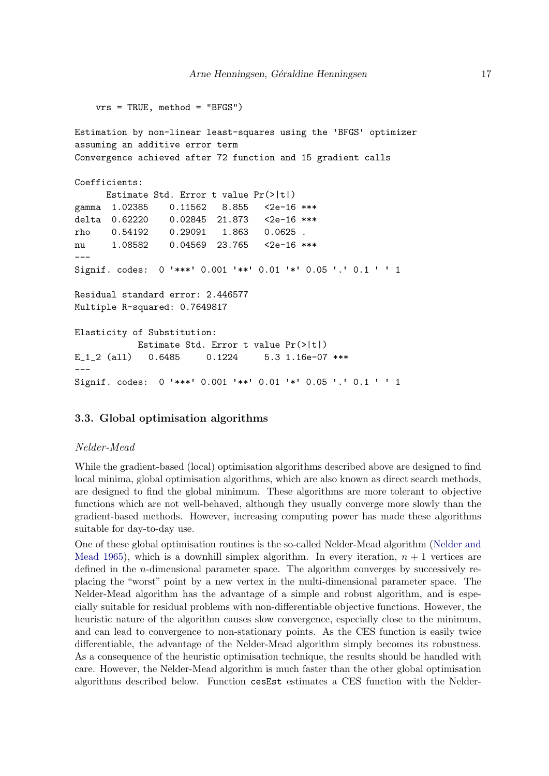```
vrs = TRUE, method = "BFGS")
Estimation by non-linear least-squares using the 'BFGS' optimizer
assuming an additive error term
Convergence achieved after 72 function and 15 gradient calls
Coefficients:
     Estimate Std. Error t value Pr(>|t|)
gamma 1.02385 0.11562 8.855 <2e-16 ***
delta 0.62220 0.02845 21.873 <2e-16 ***
rho 0.54192 0.29091 1.863 0.0625 .
nu 1.08582 0.04569 23.765 <2e-16 ***
---
Signif. codes: 0 '***' 0.001 '**' 0.01 '*' 0.05 '.' 0.1 ' ' 1
Residual standard error: 2.446577
Multiple R-squared: 0.7649817
Elasticity of Substitution:
           Estimate Std. Error t value Pr(>|t|)
E_1_2 (all) 0.6485 0.1224 5.3 1.16e-07 ***
---
Signif. codes: 0 '***' 0.001 '**' 0.01 '*' 0.05 '.' 0.1 ' ' 1
```
### 3.3. Global optimisation algorithms

#### Nelder-Mead

While the gradient-based (local) optimisation algorithms described above are designed to find local minima, global optimisation algorithms, which are also known as direct search methods, are designed to find the global minimum. These algorithms are more tolerant to objective functions which are not well-behaved, although they usually converge more slowly than the gradient-based methods. However, increasing computing power has made these algorithms suitable for day-to-day use.

One of these global optimisation routines is the so-called Nelder-Mead algorithm [\(Nelder and](#page-107-8) [Mead](#page-107-8) [1965\)](#page-107-8), which is a downhill simplex algorithm. In every iteration,  $n + 1$  vertices are defined in the n-dimensional parameter space. The algorithm converges by successively replacing the "worst" point by a new vertex in the multi-dimensional parameter space. The Nelder-Mead algorithm has the advantage of a simple and robust algorithm, and is especially suitable for residual problems with non-differentiable objective functions. However, the heuristic nature of the algorithm causes slow convergence, especially close to the minimum, and can lead to convergence to non-stationary points. As the CES function is easily twice differentiable, the advantage of the Nelder-Mead algorithm simply becomes its robustness. As a consequence of the heuristic optimisation technique, the results should be handled with care. However, the Nelder-Mead algorithm is much faster than the other global optimisation algorithms described below. Function cesEst estimates a CES function with the Nelder-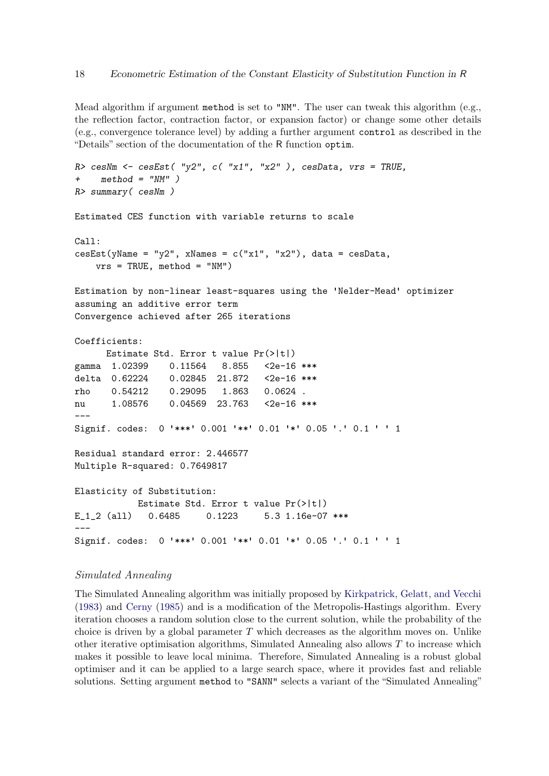Mead algorithm if argument method is set to "NM". The user can tweak this algorithm (e.g., the reflection factor, contraction factor, or expansion factor) or change some other details (e.g., convergence tolerance level) by adding a further argument control as described in the "Details" section of the documentation of the R function optim.

```
R> cesNm <- cesEst( "y2", c( "x1", "x2"), cesData, vrs = TRUE,
+ method = "NM" )
R> summary( cesNm )
Estimated CES function with variable returns to scale
Call:
\text{cesEst}(y\text{Name} = "y2", x\text{Names} = c("x1", "x2"), data = cesData,vrs = TRUE, method = "NM")Estimation by non-linear least-squares using the 'Nelder-Mead' optimizer
assuming an additive error term
Convergence achieved after 265 iterations
Coefficients:
     Estimate Std. Error t value Pr(>|t|)
gamma 1.02399  0.11564  8.855  <2e-16  ***
delta 0.62224 0.02845 21.872 <2e-16 ***
rho 0.54212 0.29095 1.863 0.0624 .
nu 1.08576 0.04569 23.763 <2e-16 ***
---
Signif. codes: 0 '***' 0.001 '**' 0.01 '*' 0.05 '.' 0.1 ' ' 1
Residual standard error: 2.446577
Multiple R-squared: 0.7649817
Elasticity of Substitution:
           Estimate Std. Error t value Pr(>|t|)
E_1_2 (all) 0.6485 0.1223 5.3 1.16e-07 ***
---
Signif. codes: 0 '***' 0.001 '**' 0.01 '*' 0.05 '.' 0.1 ' ' 1
```
#### Simulated Annealing

The Simulated Annealing algorithm was initially proposed by [Kirkpatrick, Gelatt, and Vecchi](#page-106-9) [\(1983\)](#page-106-9) and [Cerny](#page-105-8) [\(1985\)](#page-105-8) and is a modification of the Metropolis-Hastings algorithm. Every iteration chooses a random solution close to the current solution, while the probability of the choice is driven by a global parameter  $T$  which decreases as the algorithm moves on. Unlike other iterative optimisation algorithms, Simulated Annealing also allows  $T$  to increase which makes it possible to leave local minima. Therefore, Simulated Annealing is a robust global optimiser and it can be applied to a large search space, where it provides fast and reliable solutions. Setting argument method to "SANN" selects a variant of the "Simulated Annealing"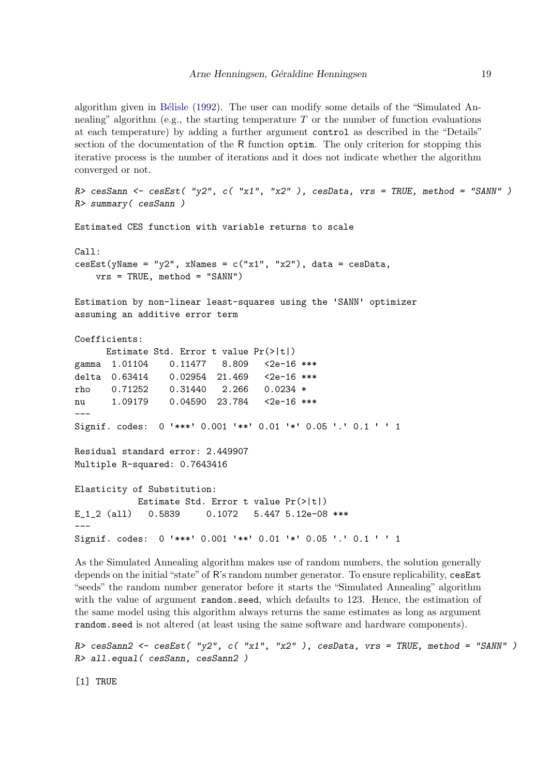algorithm given in Bélisle [\(1992\)](#page-104-10). The user can modify some details of the "Simulated Annealing" algorithm (e.g., the starting temperature  $T$  or the number of function evaluations at each temperature) by adding a further argument control as described in the "Details" section of the documentation of the R function optim. The only criterion for stopping this iterative process is the number of iterations and it does not indicate whether the algorithm converged or not.

```
R cesSann <- cesEst( "y2", c( "x1", "x2" ), cesData, vrs = TRUE, method = "SANN" )
R> summary( cesSann )
Estimated CES function with variable returns to scale
Call:
cesEst(yName = "y2", xNames = c("x1", "x2"), data = cesData,vrs = TRUE, method = "SANN")
Estimation by non-linear least-squares using the 'SANN' optimizer
assuming an additive error term
Coefficients:
      Estimate Std. Error t value Pr(>|t|)
gamma 1.01104  0.11477  8.809  < 2e-16 ***
delta 0.63414 0.02954 21.469 <2e-16 ***
rho 0.71252 0.31440 2.266 0.0234 *
nu 1.09179  0.04590  23.784  <2e-16 ***
---
Signif. codes: 0 '***' 0.001 '**' 0.01 '*' 0.05 '.' 0.1 ' ' 1
Residual standard error: 2.449907
Multiple R-squared: 0.7643416
Elasticity of Substitution:
           Estimate Std. Error t value Pr(>|t|)
E_1_2 (all) 0.5839 0.1072 5.447 5.12e-08 ***
---
Signif. codes: 0 '***' 0.001 '**' 0.01 '*' 0.05 '.' 0.1 ' ' 1
```
As the Simulated Annealing algorithm makes use of random numbers, the solution generally depends on the initial "state" of R's random number generator. To ensure replicability, cesEst "seeds" the random number generator before it starts the "Simulated Annealing" algorithm with the value of argument random.seed, which defaults to 123. Hence, the estimation of the same model using this algorithm always returns the same estimates as long as argument random.seed is not altered (at least using the same software and hardware components).

 $R$  cesSann2 <- cesEst( "y2", c( "x1", "x2" ), cesData, vrs = TRUE, method = "SANN" ) R> all.equal( cesSann, cesSann2 )

[1] TRUE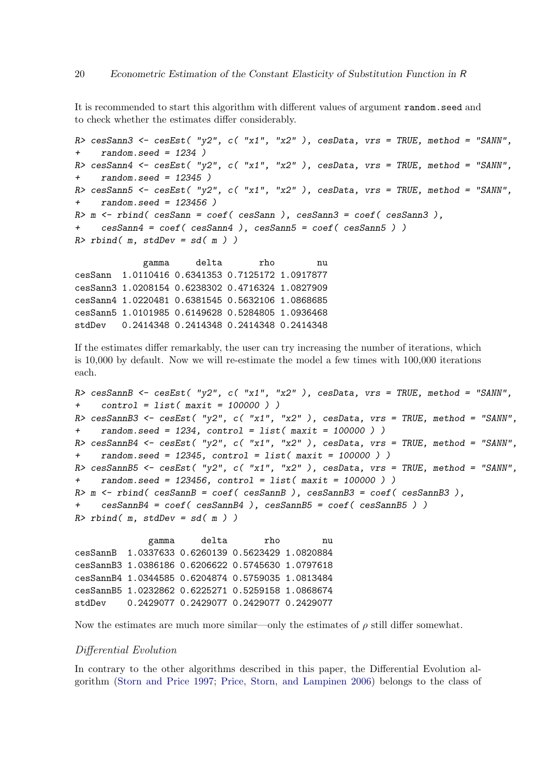It is recommended to start this algorithm with different values of argument random.seed and to check whether the estimates differ considerably.

```
R> cesSann3 <- cesEst( "y2", c( "x1", "x2"), cesData, vrs = TRUE, method = "SANN",
+ random.seed = 1234 )
R> cesSann4 <- cesEst( "y2", c( "x1", "x2"), cesData, vrs = TRUE, method = "SANN",
+ random.seed = 12345 )
R cesSann5 <- cesEst( "y2", c( "x1", "x2" ), cesData, vrs = TRUE, method = "SANN",
+ random.seed = 123456 )
R> m <- rbind( cesSann = coef( cesSann ), cesSann3 = coef( cesSann3 ),
+ cesSann4 = coef( cesSann4 ), cesSann5 = coef( cesSann5 ) )
R> rbind( m, stdDev = sd(m) )
```
gamma delta rho nu cesSann 1.0110416 0.6341353 0.7125172 1.0917877 cesSann3 1.0208154 0.6238302 0.4716324 1.0827909 cesSann4 1.0220481 0.6381545 0.5632106 1.0868685 cesSann5 1.0101985 0.6149628 0.5284805 1.0936468 stdDev 0.2414348 0.2414348 0.2414348 0.2414348

If the estimates differ remarkably, the user can try increasing the number of iterations, which is 10,000 by default. Now we will re-estimate the model a few times with 100,000 iterations each.

```
R cesSannB \leq cesEst( "y2", c( "x1", "x2"), cesData, vrs = TRUE, method = "SANN",
+ control = list( maxit = 100000 ) )
R cesSannB3 <- cesEst( "y2", c( "x1", "x2" ), cesData, vrs = TRUE, method = "SANN",
+ random.seed = 1234, control = list( maxit = 100000 ) )
R> cesSannB4 <- cesEst( "y2", c( "x1", "x2"), cesData, vrs = TRUE, method = "SANN",
+ random.seed = 12345, control = list( maxit = 100000 ) )
R> cesSannB5 <- cesEst( "y2", c( "x1", "x2"), cesData, vrs = TRUE, method = "SANN",
    random.\,seed = 123456, \,control = list(\,maxit = 100000) )R > m <- rbind( cesSannB = coef( cesSannB ), cesSannB3 = coef( cesSannB3 ),
    + cesSannB4 = coef( cesSannB4 ), cesSannB5 = coef( cesSannB5 ) )
R> rbind( m, stdDev = sd( m ) )
```
gamma delta rho nu cesSannB 1.0337633 0.6260139 0.5623429 1.0820884 cesSannB3 1.0386186 0.6206622 0.5745630 1.0797618 cesSannB4 1.0344585 0.6204874 0.5759035 1.0813484 cesSannB5 1.0232862 0.6225271 0.5259158 1.0868674 stdDev 0.2429077 0.2429077 0.2429077 0.2429077

Now the estimates are much more similar—only the estimates of  $\rho$  still differ somewhat.

### Differential Evolution

In contrary to the other algorithms described in this paper, the Differential Evolution algorithm [\(Storn and Price](#page-108-6) [1997;](#page-108-6) [Price, Storn, and Lampinen](#page-107-9) [2006\)](#page-107-9) belongs to the class of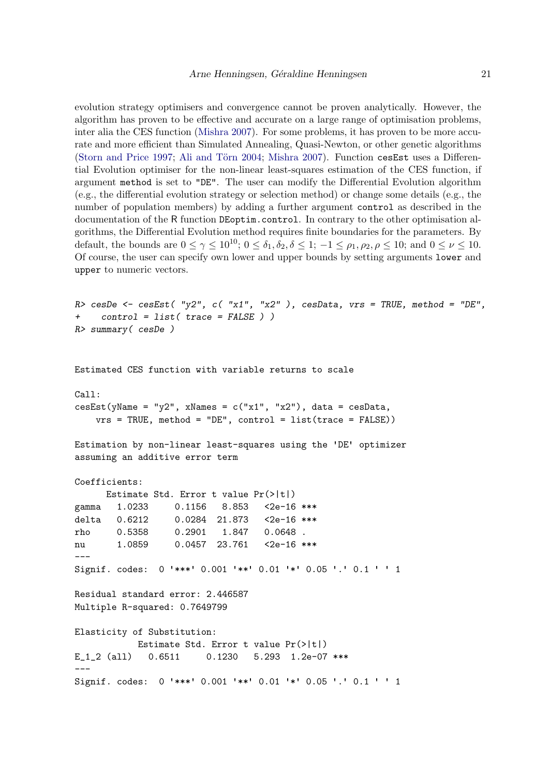evolution strategy optimisers and convergence cannot be proven analytically. However, the algorithm has proven to be effective and accurate on a large range of optimisation problems, inter alia the CES function [\(Mishra](#page-107-5) [2007\)](#page-107-5). For some problems, it has proven to be more accurate and more efficient than Simulated Annealing, Quasi-Newton, or other genetic algorithms [\(Storn and Price](#page-108-6) [1997;](#page-108-6) Ali and Törn [2004;](#page-104-11) [Mishra](#page-107-5) [2007\)](#page-107-5). Function cesEst uses a Differential Evolution optimiser for the non-linear least-squares estimation of the CES function, if argument method is set to "DE". The user can modify the Differential Evolution algorithm (e.g., the differential evolution strategy or selection method) or change some details (e.g., the number of population members) by adding a further argument control as described in the documentation of the R function DEoptim.control. In contrary to the other optimisation algorithms, the Differential Evolution method requires finite boundaries for the parameters. By default, the bounds are  $0 \leq \gamma \leq 10^{10}$ ;  $0 \leq \delta_1, \delta_2, \delta \leq 1$ ;  $-1 \leq \rho_1, \rho_2, \rho \leq 10$ ; and  $0 \leq \nu \leq 10$ . Of course, the user can specify own lower and upper bounds by setting arguments lower and upper to numeric vectors.

```
R> cesDe <- cesEst( "y2", c( "x1", "x2" ), cesData, vrs = TRUE, method = "DE",
+ control = list( trace = FALSE ) )
R> summary( cesDe )
```
Estimated CES function with variable returns to scale

```
Call:
cesEst(yName = "y2", xNames = c("x1", "x2"), data = cesData,vrs = TRUE, method = "DE", control = list(trace = FALSE))
Estimation by non-linear least-squares using the 'DE' optimizer
assuming an additive error term
Coefficients:
     Estimate Std. Error t value Pr(>|t|)
gamma 1.0233 0.1156 8.853 <2e-16 ***
delta 0.6212 0.0284 21.873 <2e-16 ***
rho 0.5358 0.2901 1.847 0.0648 .
nu 1.0859 0.0457 23.761 <2e-16 ***
---
Signif. codes: 0 '***' 0.001 '**' 0.01 '*' 0.05 '.' 0.1 ' ' 1
```

```
Residual standard error: 2.446587
Multiple R-squared: 0.7649799
```

```
Elasticity of Substitution:
           Estimate Std. Error t value Pr(>|t|)
E_1_2 (all)  0.6511  0.1230  5.293  1.2e-07 ***
---
Signif. codes: 0 '***' 0.001 '**' 0.01 '*' 0.05 '.' 0.1 ' ' 1
```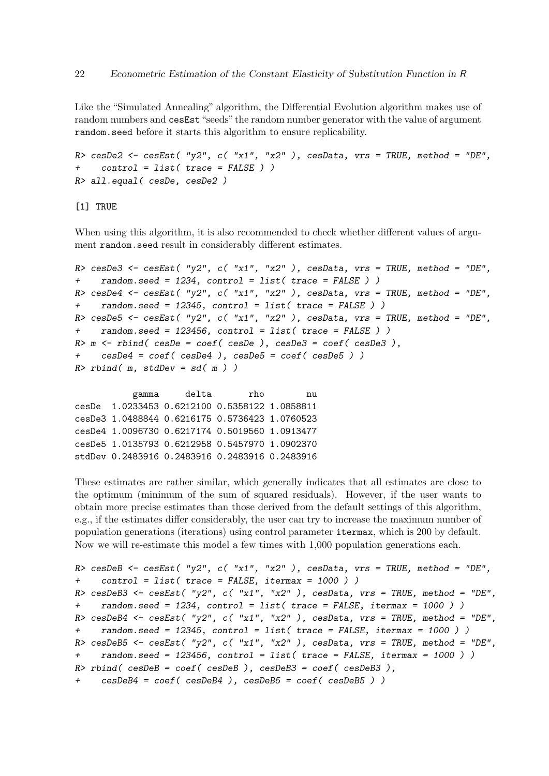Like the "Simulated Annealing" algorithm, the Differential Evolution algorithm makes use of random numbers and cesEst "seeds" the random number generator with the value of argument random.seed before it starts this algorithm to ensure replicability.

```
R> cesDe2 <- cesEst( "y2", c( "x1", "x2" ), cesData, vrs = TRUE, method = "DE",
+ control = list( trace = FALSE ) )
R> all.equal( cesDe, cesDe2 )
```
[1] TRUE

When using this algorithm, it is also recommended to check whether different values of argument random.seed result in considerably different estimates.

```
R> cesDe3 <- cesEst( "y2", c( "x1", "x2"), cesData, vrs = TRUE, method = "DE",
+ random.seed = 1234, control = list( trace = FALSE ) )
R> cesDe4 <- cesEst( "y2", c( "x1", "x2"), cesData, vrs = TRUE, method = "DE",
+ random.seed = 12345, control = list( trace = FALSE ) )
R> cesDe5 <- cesEst( "y2", c( "x1", "x2"), cesData, vrs = TRUE, method = "DE",
     random.\,seed = 123456, \, control = list(\, trace = FALSE \, ))
R> m \le - \text{rbind}(\text{cesDe} = \text{coef}(\text{cesDe}), \text{cesDe3} = \text{coef}(\text{cesDe3}),cesDe4 = coef(cesDe4), cesDe5 = coef( cesDe5 )R> rbind( m, stdDev = sd( m ) )
```
gamma delta rho nu cesDe 1.0233453 0.6212100 0.5358122 1.0858811 cesDe3 1.0488844 0.6216175 0.5736423 1.0760523 cesDe4 1.0096730 0.6217174 0.5019560 1.0913477 cesDe5 1.0135793 0.6212958 0.5457970 1.0902370 stdDev 0.2483916 0.2483916 0.2483916 0.2483916

These estimates are rather similar, which generally indicates that all estimates are close to the optimum (minimum of the sum of squared residuals). However, if the user wants to obtain more precise estimates than those derived from the default settings of this algorithm, e.g., if the estimates differ considerably, the user can try to increase the maximum number of population generations (iterations) using control parameter itermax, which is 200 by default. Now we will re-estimate this model a few times with 1,000 population generations each.

```
R> cesDeB <- cesEst( "y2", c( "x1", "x2" ), cesData, vrs = TRUE, method = "DE",
+ control = list( trace = FALSE, itermax = 1000 ) )
R cesDeB3 <- cesEst( "y2", c( "x1", "x2" ), cesData, vrs = TRUE, method = "DE",
+ random.seed = 1234, control = list( trace = FALSE, itermax = 1000 ) )
R> cesDeB4 <- cesEst( "y2", c( "x1", "x2"), cesData, vrs = TRUE, method = "DE",
    random.seed = 12345, control = list(trace = FALSE, itermax = 1000) )R> cesDeB5 <- cesEst( "y2", c( "x1", "x2"), cesData, vrs = TRUE, method = "DE",
    random.seed = 123456, control = list(trace = FALSE, itermax = 1000) )R> rbind( cesDeB = coef( cesDeB ), cesDeB3 = coef( cesDeB3 ),
    cesDeB4 = coef(cesDeB4), cesDeB5 = coef(cesDeB5))
```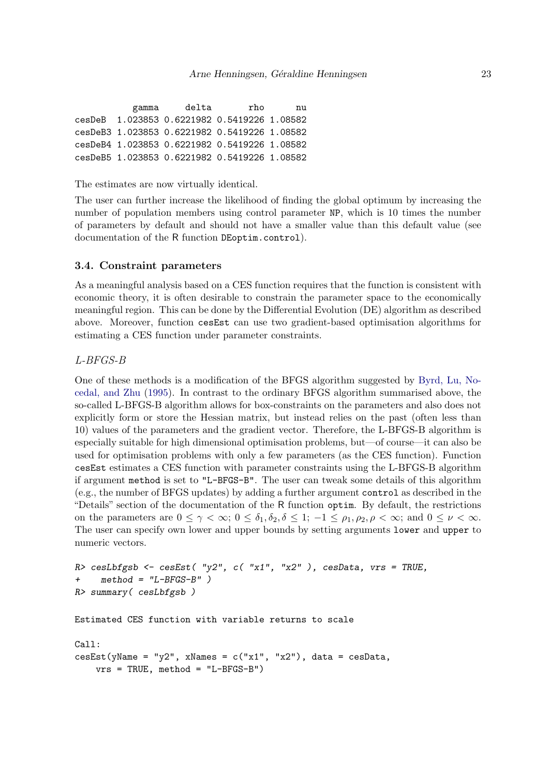gamma delta rho nu cesDeB 1.023853 0.6221982 0.5419226 1.08582 cesDeB3 1.023853 0.6221982 0.5419226 1.08582 cesDeB4 1.023853 0.6221982 0.5419226 1.08582 cesDeB5 1.023853 0.6221982 0.5419226 1.08582

The estimates are now virtually identical.

The user can further increase the likelihood of finding the global optimum by increasing the number of population members using control parameter NP, which is 10 times the number of parameters by default and should not have a smaller value than this default value (see documentation of the R function DEoptim.control).

#### 3.4. Constraint parameters

As a meaningful analysis based on a CES function requires that the function is consistent with economic theory, it is often desirable to constrain the parameter space to the economically meaningful region. This can be done by the Differential Evolution (DE) algorithm as described above. Moreover, function cesEst can use two gradient-based optimisation algorithms for estimating a CES function under parameter constraints.

L-BFGS-B

One of these methods is a modification of the BFGS algorithm suggested by [Byrd, Lu, No](#page-104-12)[cedal, and Zhu](#page-104-12) [\(1995\)](#page-104-12). In contrast to the ordinary BFGS algorithm summarised above, the so-called L-BFGS-B algorithm allows for box-constraints on the parameters and also does not explicitly form or store the Hessian matrix, but instead relies on the past (often less than 10) values of the parameters and the gradient vector. Therefore, the L-BFGS-B algorithm is especially suitable for high dimensional optimisation problems, but—of course—it can also be used for optimisation problems with only a few parameters (as the CES function). Function cesEst estimates a CES function with parameter constraints using the L-BFGS-B algorithm if argument method is set to "L-BFGS-B". The user can tweak some details of this algorithm (e.g., the number of BFGS updates) by adding a further argument control as described in the "Details" section of the documentation of the R function optim. By default, the restrictions on the parameters are  $0 \leq \gamma < \infty$ ;  $0 \leq \delta_1, \delta_2, \delta \leq 1$ ;  $-1 \leq \rho_1, \rho_2, \rho < \infty$ ; and  $0 \leq \nu < \infty$ . The user can specify own lower and upper bounds by setting arguments lower and upper to numeric vectors.

```
R> cesLbfgsb <- cesEst( "y2", c( "x1", "x2"), cesData, vrs = TRUE,
+ method = "L-BFGS-B" )
R> summary( cesLbfgsb )
```
Estimated CES function with variable returns to scale

```
Call:
cesEst(yName = "y2", xNames = c("x1", "x2"), data = cesData,vrs = TRUE, method = "L-BFGS-B")
```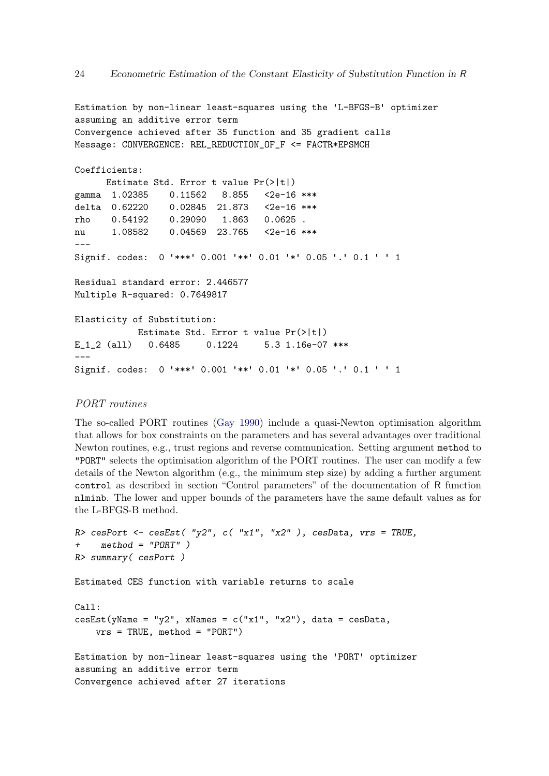```
Estimation by non-linear least-squares using the 'L-BFGS-B' optimizer
assuming an additive error term
Convergence achieved after 35 function and 35 gradient calls
Message: CONVERGENCE: REL_REDUCTION_OF_F <= FACTR*EPSMCH
Coefficients:
     Estimate Std. Error t value Pr(>|t|)
gamma 1.02385 0.11562 8.855 <2e-16 ***
delta 0.62220 0.02845 21.873 <2e-16 ***
rho 0.54192 0.29090 1.863 0.0625 .
nu 1.08582 0.04569 23.765 <2e-16 ***
---
Signif. codes: 0 '***' 0.001 '**' 0.01 '*' 0.05 '.' 0.1 ' ' 1
Residual standard error: 2.446577
Multiple R-squared: 0.7649817
Elasticity of Substitution:
           Estimate Std. Error t value Pr(>|t|)
E_1_2 (all) 0.6485 0.1224 5.3 1.16e-07 ***
---
Signif. codes: 0 '***' 0.001 '**' 0.01 '*' 0.05 '.' 0.1 ' ' 1
```
# PORT routines

The so-called PORT routines [\(Gay](#page-105-9) [1990\)](#page-105-9) include a quasi-Newton optimisation algorithm that allows for box constraints on the parameters and has several advantages over traditional Newton routines, e.g., trust regions and reverse communication. Setting argument method to "PORT" selects the optimisation algorithm of the PORT routines. The user can modify a few details of the Newton algorithm (e.g., the minimum step size) by adding a further argument control as described in section "Control parameters" of the documentation of R function nlminb. The lower and upper bounds of the parameters have the same default values as for the L-BFGS-B method.

```
R> cesPort <- cesEst("y2", c('x1", "x2"), cesData, vrs = TRUE,
+ method = "PORT" )
R> summary( cesPort )
Estimated CES function with variable returns to scale
Call:
cesEst(yName = "y2", xNames = c("x1", "x2"), data = cesData,vrs = TRUE, method = "PORT")Estimation by non-linear least-squares using the 'PORT' optimizer
assuming an additive error term
Convergence achieved after 27 iterations
```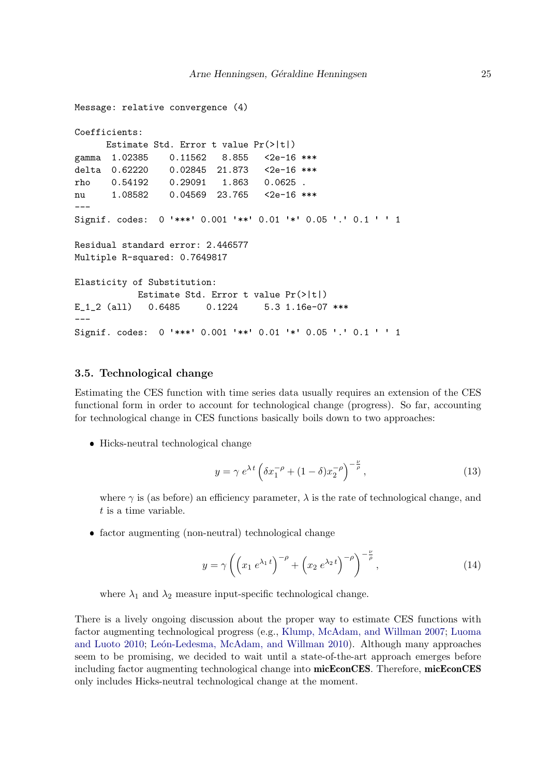```
Message: relative convergence (4)
Coefficients:
     Estimate Std. Error t value Pr(>|t|)
gamma 1.02385 0.11562 8.855 <2e-16 ***
delta 0.62220 0.02845 21.873 <2e-16 ***
rho 0.54192 0.29091 1.863 0.0625 .
nu 1.08582 0.04569 23.765 <2e-16 ***
---
Signif. codes: 0 '***' 0.001 '**' 0.01 '*' 0.05 '.' 0.1 ' ' 1
Residual standard error: 2.446577
Multiple R-squared: 0.7649817
Elasticity of Substitution:
           Estimate Std. Error t value Pr(>|t|)
E_1_2 (all) 0.6485 0.1224 5.3 1.16e-07 ***
---
Signif. codes: 0 '***' 0.001 '**' 0.01 '*' 0.05 '.' 0.1 ' ' 1
```
### 3.5. Technological change

Estimating the CES function with time series data usually requires an extension of the CES functional form in order to account for technological change (progress). So far, accounting for technological change in CES functions basically boils down to two approaches:

Hicks-neutral technological change

$$
y = \gamma e^{\lambda t} \left( \delta x_1^{-\rho} + (1 - \delta) x_2^{-\rho} \right)^{-\frac{\nu}{\rho}}, \tag{13}
$$

where  $\gamma$  is (as before) an efficiency parameter,  $\lambda$  is the rate of technological change, and t is a time variable.

factor augmenting (non-neutral) technological change

$$
y = \gamma \left( \left( x_1 \, e^{\lambda_1 \, t} \right)^{-\rho} + \left( x_2 \, e^{\lambda_2 \, t} \right)^{-\rho} \right)^{-\frac{\nu}{\rho}},\tag{14}
$$

where  $\lambda_1$  and  $\lambda_2$  measure input-specific technological change.

There is a lively ongoing discussion about the proper way to estimate CES functions with factor augmenting technological progress (e.g., [Klump, McAdam, and Willman](#page-106-10) [2007;](#page-106-10) [Luoma](#page-106-11) [and Luoto](#page-106-11) [2010;](#page-106-11) León-Ledesma, McAdam, and Willman [2010\)](#page-106-12). Although many approaches seem to be promising, we decided to wait until a state-of-the-art approach emerges before including factor augmenting technological change into micEconCES. Therefore, micEconCES only includes Hicks-neutral technological change at the moment.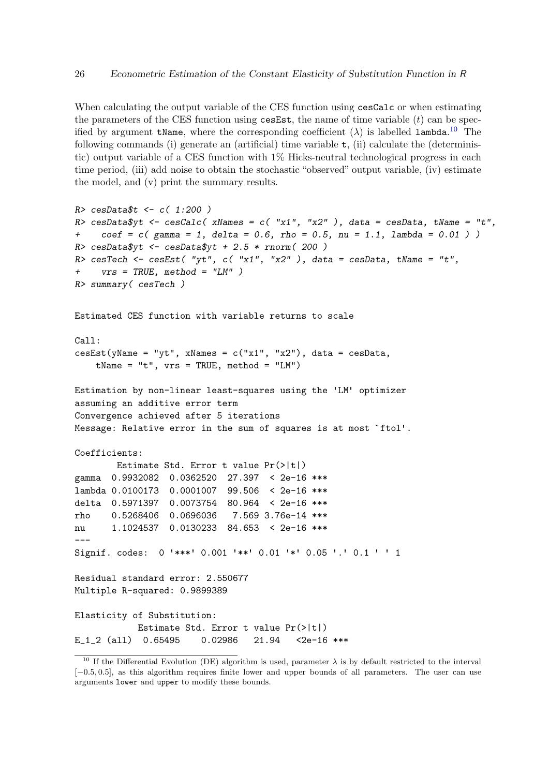When calculating the output variable of the CES function using cesCalc or when estimating the parameters of the CES function using  $\mathsf{cesEst},$  the name of time variable  $(t)$  can be specified by argument tName, where the corresponding coefficient  $(\lambda)$  is labelled lambda.<sup>[10](#page-25-0)</sup> The following commands (i) generate an (artificial) time variable  $t$ , (ii) calculate the (deterministic) output variable of a CES function with 1% Hicks-neutral technological progress in each time period, (iii) add noise to obtain the stochastic "observed" output variable, (iv) estimate the model, and (v) print the summary results.

```
R> cesData$t <- c( 1:200 )
R cesData$yt <- cesCalc( xNames = c( "x1", "x2" ), data = cesData, tName = "t",
+ coef = c (gamma = 1, delta = 0.6, rho = 0.5, nu = 1.1, lambda = 0.01))
R> cesData$yt <- cesData$yt + 2.5 * rnorm( 200 )
R> cesTech <- cesEst( "yt", c( "x1", "x2" ), data = cesData, tName = "t",
+ vrs = TRUE, method = "LM" )
R> summary( cesTech )
Estimated CES function with variable returns to scale
C_{2}11cesEst(yName = "yt", xNames = c("x1", "x2"), data = cesData,tName = "t", vrs = TRUE, method = "LM")Estimation by non-linear least-squares using the 'LM' optimizer
assuming an additive error term
Convergence achieved after 5 iterations
Message: Relative error in the sum of squares is at most `ftol'.
Coefficients:
       Estimate Std. Error t value Pr(>|t|)
gamma 0.9932082 0.0362520 27.397 < 2e-16 ***
lambda 0.0100173 0.0001007 99.506 < 2e-16 ***
delta 0.5971397 0.0073754 80.964 < 2e-16 ***
rho 0.5268406 0.0696036 7.569 3.76e-14 ***
nu 1.1024537 0.0130233 84.653 < 2e-16 ***
---
Signif. codes: 0 '***' 0.001 '**' 0.01 '*' 0.05 '.' 0.1 ' ' 1
Residual standard error: 2.550677
Multiple R-squared: 0.9899389
Elasticity of Substitution:
           Estimate Std. Error t value Pr(>|t|)
E_1_2 (all) 0.65495 0.02986 21.94 <2e-16 ***
```
<span id="page-25-0"></span><sup>&</sup>lt;sup>10</sup> If the Differential Evolution (DE) algorithm is used, parameter  $\lambda$  is by default restricted to the interval [−0.5, 0.5], as this algorithm requires finite lower and upper bounds of all parameters. The user can use arguments lower and upper to modify these bounds.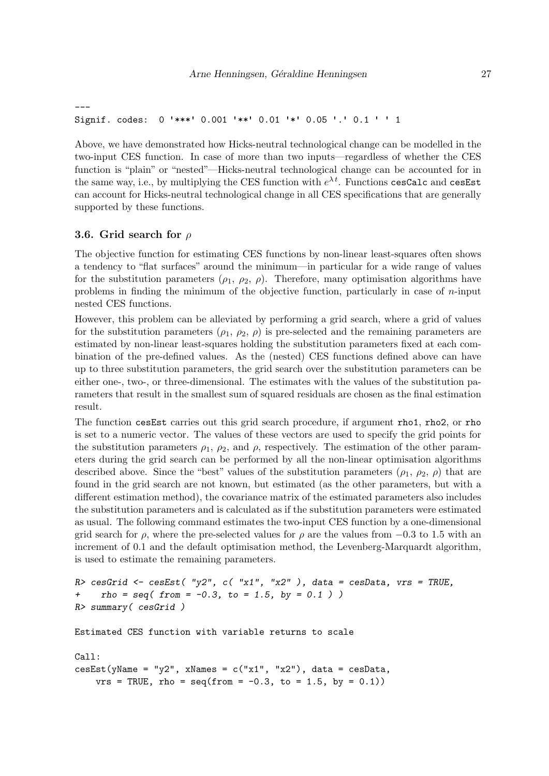```
---
Signif. codes: 0 '***' 0.001 '**' 0.01 '*' 0.05 '.' 0.1 ' ' 1
```
Above, we have demonstrated how Hicks-neutral technological change can be modelled in the two-input CES function. In case of more than two inputs—regardless of whether the CES function is "plain" or "nested"—Hicks-neutral technological change can be accounted for in the same way, i.e., by multiplying the CES function with  $e^{\lambda t}$ . Functions cesCalc and cesEst can account for Hicks-neutral technological change in all CES specifications that are generally supported by these functions.

# 3.6. Grid search for  $\rho$

The objective function for estimating CES functions by non-linear least-squares often shows a tendency to "flat surfaces" around the minimum—in particular for a wide range of values for the substitution parameters  $(\rho_1, \rho_2, \rho)$ . Therefore, many optimisation algorithms have problems in finding the minimum of the objective function, particularly in case of n-input nested CES functions.

However, this problem can be alleviated by performing a grid search, where a grid of values for the substitution parameters  $(\rho_1, \rho_2, \rho)$  is pre-selected and the remaining parameters are estimated by non-linear least-squares holding the substitution parameters fixed at each combination of the pre-defined values. As the (nested) CES functions defined above can have up to three substitution parameters, the grid search over the substitution parameters can be either one-, two-, or three-dimensional. The estimates with the values of the substitution parameters that result in the smallest sum of squared residuals are chosen as the final estimation result.

The function cesEst carries out this grid search procedure, if argument rho1, rho2, or rho is set to a numeric vector. The values of these vectors are used to specify the grid points for the substitution parameters  $\rho_1$ ,  $\rho_2$ , and  $\rho$ , respectively. The estimation of the other parameters during the grid search can be performed by all the non-linear optimisation algorithms described above. Since the "best" values of the substitution parameters  $(\rho_1, \rho_2, \rho)$  that are found in the grid search are not known, but estimated (as the other parameters, but with a different estimation method), the covariance matrix of the estimated parameters also includes the substitution parameters and is calculated as if the substitution parameters were estimated as usual. The following command estimates the two-input CES function by a one-dimensional grid search for  $\rho$ , where the pre-selected values for  $\rho$  are the values from  $-0.3$  to 1.5 with an increment of 0.1 and the default optimisation method, the Levenberg-Marquardt algorithm, is used to estimate the remaining parameters.

```
R> cesGrid <- cesEst( "y2", c( "x1", "x2"), data = cesData, vrs = TRUE,
+ \text{rho} = \text{seq}(\text{from} = -0.3, \text{to} = 1.5, \text{by} = 0.1))
R> summary( cesGrid )
```
Estimated CES function with variable returns to scale

```
Call:
\text{cesEst}(y\text{Name} = "y2", x\text{Names} = c("x1", "x2"), data = cesData,vrs = TRUE, rho = seq(from = -0.3, to = 1.5, by = 0.1)
```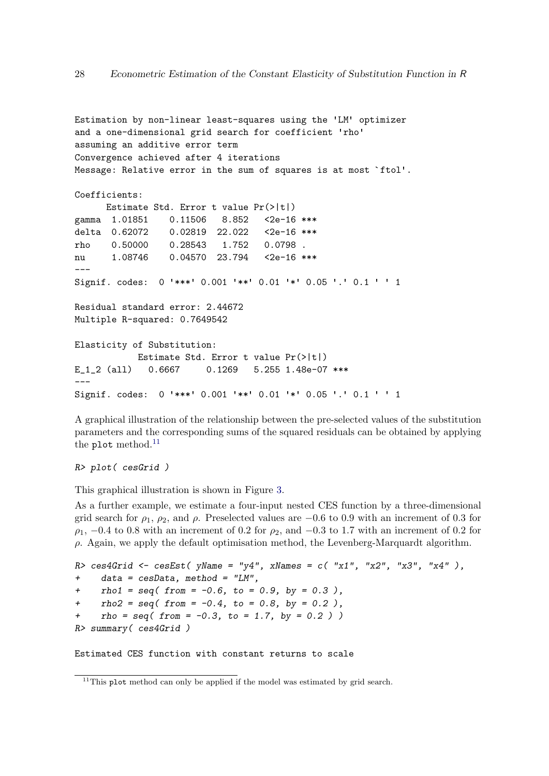```
Estimation by non-linear least-squares using the 'LM' optimizer
and a one-dimensional grid search for coefficient 'rho'
assuming an additive error term
Convergence achieved after 4 iterations
Message: Relative error in the sum of squares is at most `ftol'.
Coefficients:
     Estimate Std. Error t value Pr(>|t|)
gamma 1.01851 0.11506 8.852 <2e-16 ***
delta 0.62072 0.02819 22.022 <2e-16 ***
rho 0.50000 0.28543 1.752 0.0798 .
nu 1.08746 0.04570 23.794 <2e-16 ***
---
Signif. codes: 0 '***' 0.001 '**' 0.01 '*' 0.05 '.' 0.1 ' ' 1
Residual standard error: 2.44672
Multiple R-squared: 0.7649542
Elasticity of Substitution:
           Estimate Std. Error t value Pr(>|t|)
E 1 2 (all) 0.6667 0.1269 5.255 1.48e-07 ***
---
Signif. codes: 0 '***' 0.001 '**' 0.01 '*' 0.05 '.' 0.1 ' ' 1
```
A graphical illustration of the relationship between the pre-selected values of the substitution parameters and the corresponding sums of the squared residuals can be obtained by applying the plot method. $^{11}$  $^{11}$  $^{11}$ 

R> plot( cesGrid )

This graphical illustration is shown in Figure [3.](#page-28-0)

As a further example, we estimate a four-input nested CES function by a three-dimensional grid search for  $\rho_1$ ,  $\rho_2$ , and  $\rho$ . Preselected values are  $-0.6$  to 0.9 with an increment of 0.3 for  $\rho_1$ ,  $-0.4$  to 0.8 with an increment of 0.2 for  $\rho_2$ , and  $-0.3$  to 1.7 with an increment of 0.2 for  $\rho$ . Again, we apply the default optimisation method, the Levenberg-Marquardt algorithm.

R> ces4Grid  $\leq$  cesEst( yName = "y4", xNames = c( "x1", "x2", "x3", "x4"), + data = cesData, method = "LM", +  $rho1 = seq( from = -0.6, to = 0.9, by = 0.3),$ +  $rho2 = seq(from = -0.4, to = 0.8, by = 0.2)$ , +  $\text{rho} = \text{seq}(\text{from} = -0.3, \text{to} = 1.7, \text{by} = 0.2)$ ) R> summary( ces4Grid )

Estimated CES function with constant returns to scale

<span id="page-27-0"></span> $11$ This plot method can only be applied if the model was estimated by grid search.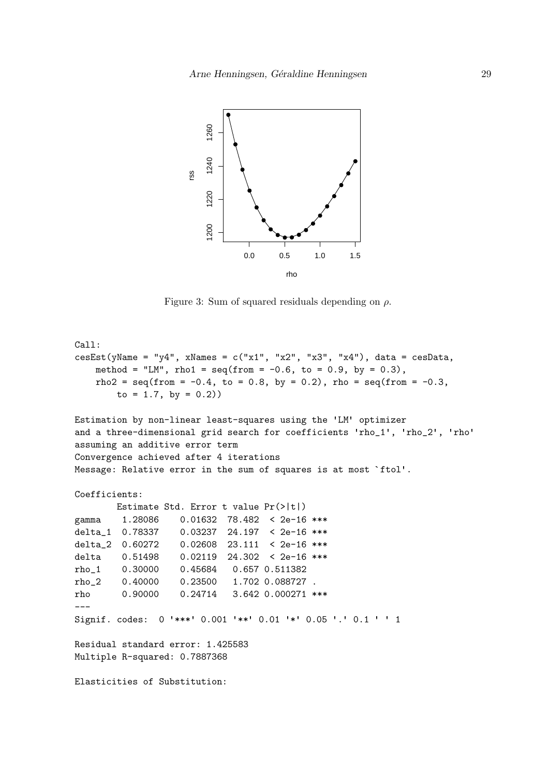

<span id="page-28-0"></span>Figure 3: Sum of squared residuals depending on  $\rho$ .

```
Call:
cesEst(yName = "y4", xNames = c("x1", "x2", "x3", "x4"), data = cesData,
   method = "LM", rho1 = seq(from = -0.6, to = 0.9, by = 0.3).
   rho2 = seq(from = -0.4, to = 0.8, by = 0.2), rho = seq(from = -0.3,
       to = 1.7, by = 0.2)Estimation by non-linear least-squares using the 'LM' optimizer
and a three-dimensional grid search for coefficients 'rho_1', 'rho_2', 'rho'
assuming an additive error term
Convergence achieved after 4 iterations
Message: Relative error in the sum of squares is at most `ftol'.
Coefficients:
       Estimate Std. Error t value Pr(>|t|)
gamma 1.28086 0.01632 78.482 < 2e-16 ***
delta_1 0.78337 0.03237 24.197 < 2e-16 ***
delta_2 0.60272 0.02608 23.111 < 2e-16 ***
delta 0.51498 0.02119 24.302 < 2e-16 ***
rho_1 0.30000 0.45684 0.657 0.511382
rho_2 0.40000 0.23500 1.702 0.088727 .
rho 0.90000 0.24714 3.642 0.000271 ***
---
Signif. codes: 0 '***' 0.001 '**' 0.01 '*' 0.05 '.' 0.1 ' ' 1
Residual standard error: 1.425583
Multiple R-squared: 0.7887368
Elasticities of Substitution:
```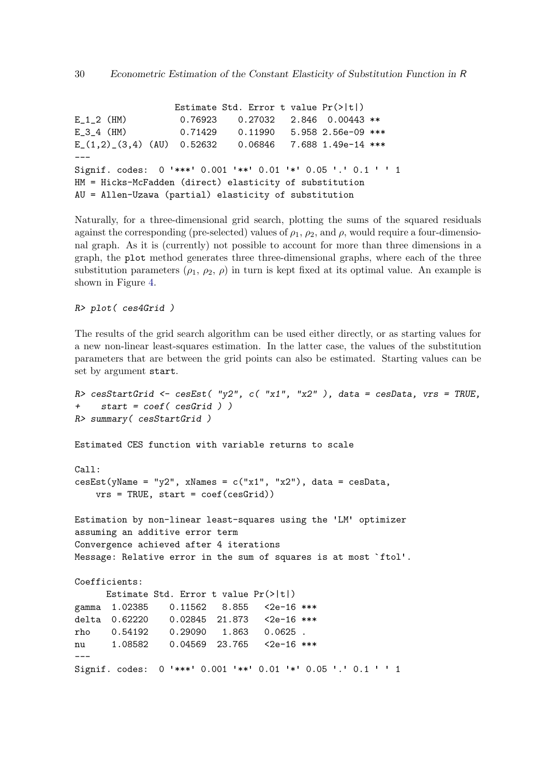Estimate Std. Error t value Pr(>|t|) E\_1\_2 (HM) 0.76923 0.27032 2.846 0.00443 \*\* E\_3\_4 (HM)  $0.71429$  0.11990 5.958 2.56e-09 \*\*\* E\_(1,2)\_(3,4) (AU) 0.52632 0.06846 7.688 1.49e-14 \*\*\*  $---$ Signif. codes: 0 '\*\*\*' 0.001 '\*\*' 0.01 '\*' 0.05 '.' 0.1 ' ' <sup>1</sup> HM = Hicks-McFadden (direct) elasticity of substitution AU = Allen-Uzawa (partial) elasticity of substitution

Naturally, for a three-dimensional grid search, plotting the sums of the squared residuals against the corresponding (pre-selected) values of  $\rho_1$ ,  $\rho_2$ , and  $\rho$ , would require a four-dimensional graph. As it is (currently) not possible to account for more than three dimensions in a graph, the plot method generates three three-dimensional graphs, where each of the three substitution parameters  $(\rho_1, \rho_2, \rho)$  in turn is kept fixed at its optimal value. An example is shown in Figure [4.](#page-30-0)

R> plot( ces4Grid )

The results of the grid search algorithm can be used either directly, or as starting values for a new non-linear least-squares estimation. In the latter case, the values of the substitution parameters that are between the grid points can also be estimated. Starting values can be set by argument start.

```
R> cesStartGrid <- cesEst( "y2", c( "x1", "x2"), data = cesData, vrs = TRUE,
+ start = coef( cesGrid ) )
R> summary( cesStartGrid )
Estimated CES function with variable returns to scale
Call:
\text{cesEst}(y\text{Name} = "y2", x\text{Names} = c("x1", "x2"), data = cesData,vrs = TRUE, start = coef(cesGrid))
Estimation by non-linear least-squares using the 'LM' optimizer
assuming an additive error term
Convergence achieved after 4 iterations
Message: Relative error in the sum of squares is at most `ftol'.
Coefficients:
      Estimate Std. Error t value Pr(>|t|)
gamma 1.02385 0.11562 8.855 <2e-16 ***
delta 0.62220 0.02845 21.873 <2e-16 ***
rho 0.54192 0.29090 1.863 0.0625 .
nu 1.08582 0.04569 23.765 <2e-16 ***
---
Signif. codes: 0 '***' 0.001 '**' 0.01 '*' 0.05 '.' 0.1 ' ' 1
```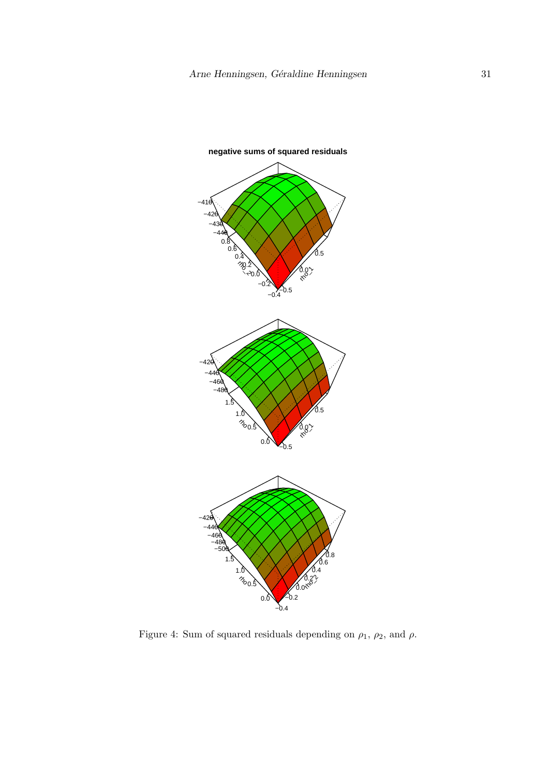

<span id="page-30-0"></span>Figure 4: Sum of squared residuals depending on  $\rho_1$ ,  $\rho_2$ , and  $\rho$ .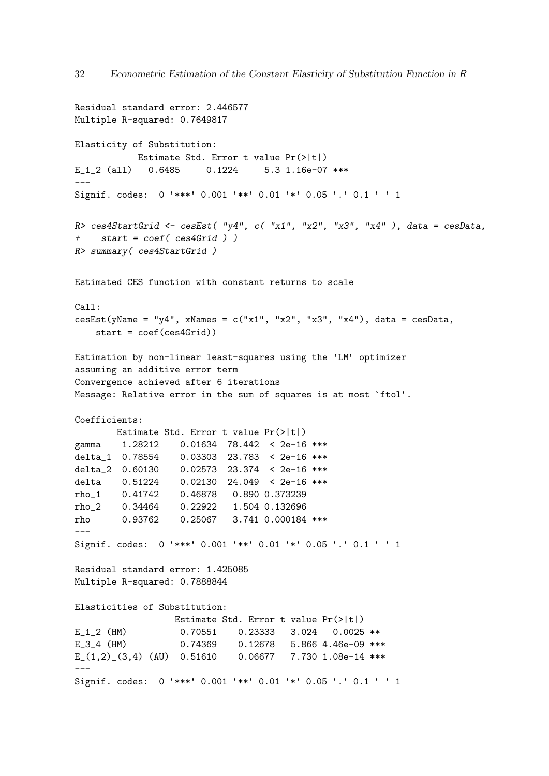```
Residual standard error: 2.446577
Multiple R-squared: 0.7649817
Elasticity of Substitution:
           Estimate Std. Error t value Pr(>|t|)
E_1_2 (all) 0.6485 0.1224 5.3 1.16e-07 ***
---
Signif. codes: 0 '***' 0.001 '**' 0.01 '*' 0.05 '.' 0.1 ' ' 1
R> ces4StartGrid <- cesEst( "y4", c( "x1", "x2", "x3", "x4" ), data = cesData,
+ start = coef( ces4Grid ) )
R> summary( ces4StartGrid )
Estimated CES function with constant returns to scale
Ca11:cesEst(yName = "y4", xNames = c("x1", "x2", "x3", "x4"), data = cesData,start = coef(ces4Grid))
Estimation by non-linear least-squares using the 'LM' optimizer
assuming an additive error term
Convergence achieved after 6 iterations
Message: Relative error in the sum of squares is at most `ftol'.
Coefficients:
      Estimate Std. Error t value Pr(>|t|)
gamma 1.28212 0.01634 78.442 < 2e-16 ***
delta_1 0.78554 0.03303 23.783 < 2e-16 ***
delta_2 0.60130 0.02573 23.374 < 2e-16 ***
delta 0.51224 0.02130 24.049 < 2e-16 ***
rho_1 0.41742 0.46878 0.890 0.373239
rho_2 0.34464 0.22922 1.504 0.132696
rho 0.93762 0.25067 3.741 0.000184 ***
---Signif. codes: 0 '***' 0.001 '**' 0.01 '*' 0.05 '.' 0.1 ' ' 1
Residual standard error: 1.425085
Multiple R-squared: 0.7888844
Elasticities of Substitution:
                 Estimate Std. Error t value Pr(>|t|)
E_1_2 (HM) 0.70551 0.23333 3.024 0.0025 **
E_3_4 (HM) 0.74369 0.12678 5.866 4.46e-09 ***
E_-(1,2)_{(3,4) (AU) 0.51610 0.06677 7.730 1.08e-14 ***
---
Signif. codes: 0 '***' 0.001 '**' 0.01 '*' 0.05 '.' 0.1 ' ' 1
```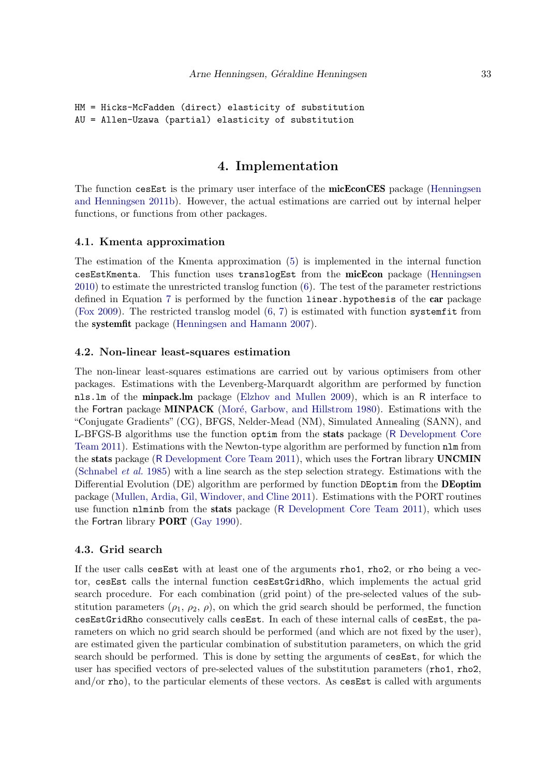```
HM = Hicks-McFadden (direct) elasticity of substitution
AU = Allen-Uzawa (partial) elasticity of substitution
```
# 4. Implementation

The function cesEst is the primary user interface of the **micEconCES** package [\(Henningsen](#page-106-2) [and Henningsen](#page-106-2) [2011b\)](#page-106-2). However, the actual estimations are carried out by internal helper functions, or functions from other packages.

#### 4.1. Kmenta approximation

The estimation of the Kmenta approximation [\(5\)](#page-5-0) is implemented in the internal function cesEstKmenta. This function uses translogEst from the micEcon package [\(Henningsen](#page-105-10) [2010\)](#page-105-10) to estimate the unrestricted translog function [\(6\)](#page-5-1). The test of the parameter restrictions defined in Equation [7](#page-6-2) is performed by the function linear.hypothesis of the car package [\(Fox](#page-105-11) [2009\)](#page-105-11). The restricted translog model  $(6, 7)$  $(6, 7)$  $(6, 7)$  is estimated with function systemfit from the systemfit package [\(Henningsen and Hamann](#page-106-13) [2007\)](#page-106-13).

#### 4.2. Non-linear least-squares estimation

The non-linear least-squares estimations are carried out by various optimisers from other packages. Estimations with the Levenberg-Marquardt algorithm are performed by function nls.lm of the minpack.lm package [\(Elzhov and Mullen](#page-105-12) [2009\)](#page-105-12), which is an R interface to the Fortran package MINPACK (Moré, Garbow, and Hillstrom [1980\)](#page-107-10). Estimations with the "Conjugate Gradients" (CG), BFGS, Nelder-Mead (NM), Simulated Annealing (SANN), and L-BFGS-B algorithms use the function optim from the stats package (R [Development Core](#page-107-11) [Team](#page-107-11) [2011\)](#page-107-11). Estimations with the Newton-type algorithm are performed by function nlm from the stats package (R [Development Core Team](#page-107-11) [2011\)](#page-107-11), which uses the Fortran library UNCMIN [\(Schnabel](#page-107-7) et al. [1985\)](#page-107-7) with a line search as the step selection strategy. Estimations with the Differential Evolution (DE) algorithm are performed by function DEoptim from the **DEoptim** package [\(Mullen, Ardia, Gil, Windover, and Cline](#page-107-12) [2011\)](#page-107-12). Estimations with the PORT routines use function nlminb from the stats package (R [Development Core Team](#page-107-11) [2011\)](#page-107-11), which uses the Fortran library PORT [\(Gay](#page-105-9) [1990\)](#page-105-9).

#### 4.3. Grid search

If the user calls cesEst with at least one of the arguments rho1, rho2, or rho being a vector, cesEst calls the internal function cesEstGridRho, which implements the actual grid search procedure. For each combination (grid point) of the pre-selected values of the substitution parameters  $(\rho_1, \rho_2, \rho)$ , on which the grid search should be performed, the function cesEstGridRho consecutively calls cesEst. In each of these internal calls of cesEst, the parameters on which no grid search should be performed (and which are not fixed by the user), are estimated given the particular combination of substitution parameters, on which the grid search should be performed. This is done by setting the arguments of cesEst, for which the user has specified vectors of pre-selected values of the substitution parameters (rho1, rho2, and/or rho), to the particular elements of these vectors. As cesEst is called with arguments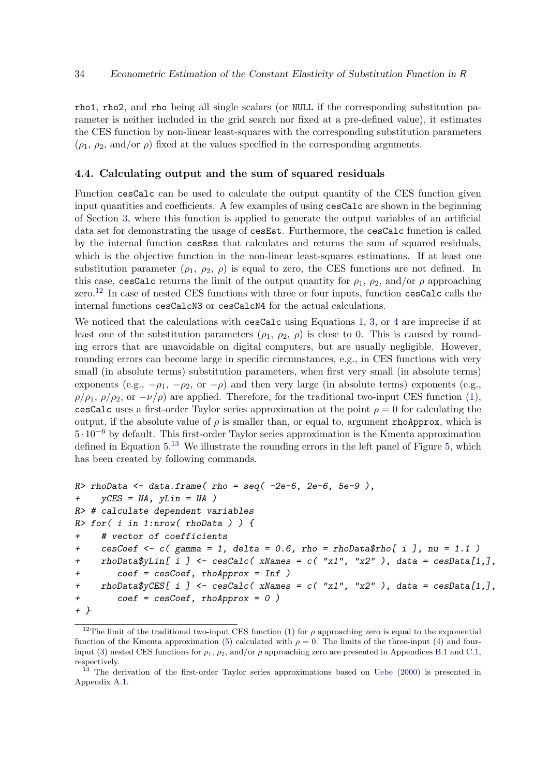rho1, rho2, and rho being all single scalars (or NULL if the corresponding substitution parameter is neither included in the grid search nor fixed at a pre-defined value), it estimates the CES function by non-linear least-squares with the corresponding substitution parameters  $(\rho_1, \rho_2, \text{and/or } \rho)$  fixed at the values specified in the corresponding arguments.

#### <span id="page-33-2"></span>4.4. Calculating output and the sum of squared residuals

Function cesCalc can be used to calculate the output quantity of the CES function given input quantities and coefficients. A few examples of using cesCalc are shown in the beginning of Section [3,](#page-4-0) where this function is applied to generate the output variables of an artificial data set for demonstrating the usage of cesEst. Furthermore, the cesCalc function is called by the internal function cesRss that calculates and returns the sum of squared residuals, which is the objective function in the non-linear least-squares estimations. If at least one substitution parameter  $(\rho_1, \rho_2, \rho)$  is equal to zero, the CES functions are not defined. In this case, cesCalc returns the limit of the output quantity for  $\rho_1$ ,  $\rho_2$ , and/or  $\rho$  approaching zero.<sup>[12](#page-33-0)</sup> In case of nested CES functions with three or four inputs, function cesCalc calls the internal functions cesCalcN3 or cesCalcN4 for the actual calculations.

We noticed that the calculations with cesCalc using Equations [1,](#page-1-3) [3,](#page-3-1) or [4](#page-3-3) are imprecise if at least one of the substitution parameters  $(\rho_1, \rho_2, \rho)$  is close to 0. This is caused by rounding errors that are unavoidable on digital computers, but are usually negligible. However, rounding errors can become large in specific circumstances, e.g., in CES functions with very small (in absolute terms) substitution parameters, when first very small (in absolute terms) exponents (e.g.,  $-\rho_1$ ,  $-\rho_2$ , or  $-\rho$ ) and then very large (in absolute terms) exponents (e.g.,  $\rho/\rho_1$ ,  $\rho/\rho_2$ , or  $-\nu/\rho$ ) are applied. Therefore, for the traditional two-input CES function [\(1\)](#page-1-3), cesCalc uses a first-order Taylor series approximation at the point  $\rho = 0$  for calculating the output, if the absolute value of  $\rho$  is smaller than, or equal to, argument rhoApprox, which is 5 · 10−<sup>6</sup> by default. This first-order Taylor series approximation is the Kmenta approximation defined in Equation [5.](#page-5-0)<sup>[13](#page-33-1)</sup> We illustrate the rounding errors in the left panel of Figure [5,](#page-34-0) which has been created by following commands.

```
R> rhoData \leq data.frame( rho = seq( -2e-6, 2e-6, 5e-9),
+ yCES = NA, yLin = NA)
R> # calculate dependent variables
R> for( i in 1:nrow( rhoData ) ) {
+ # vector of coefficients
+ cesCoef <- c( gamma = 1, delta = 0.6, rho = rhoData$rho[ i ], nu = 1.1 )
+ rhoData$yLin[ i ] <- cesCalc( xNames = c( "x1", "x2" ), data = cesData[1,],
+ coef = cesCoef, rhoApprox = Inf )
+ rhoData$yCES[ i ] <- cesCalc( xNames = c( "x1", "x2" ), data = cesData[1,],
+ coef = cesCoef, rhoApprox = 0 )
+ }
```
<span id="page-33-0"></span><sup>&</sup>lt;sup>12</sup>The limit of the traditional two-input CES function [\(1\)](#page-1-3) for  $\rho$  approaching zero is equal to the exponential function of the Kmenta approximation [\(5\)](#page-5-0) calculated with  $\rho = 0$ . The limits of the three-input [\(4\)](#page-3-3) and four-input [\(3\)](#page-3-1) nested CES functions for  $\rho_1$ ,  $\rho_2$ , and/or  $\rho$  approaching zero are presented in Appendices [B.1](#page-77-0) and [C.1,](#page-81-0) respectively.

<span id="page-33-1"></span><sup>&</sup>lt;sup>13</sup> The derivation of the first-order Taylor series approximations based on [Uebe](#page-108-1) [\(2000\)](#page-108-1) is presented in Appendix [A.1.](#page-56-0)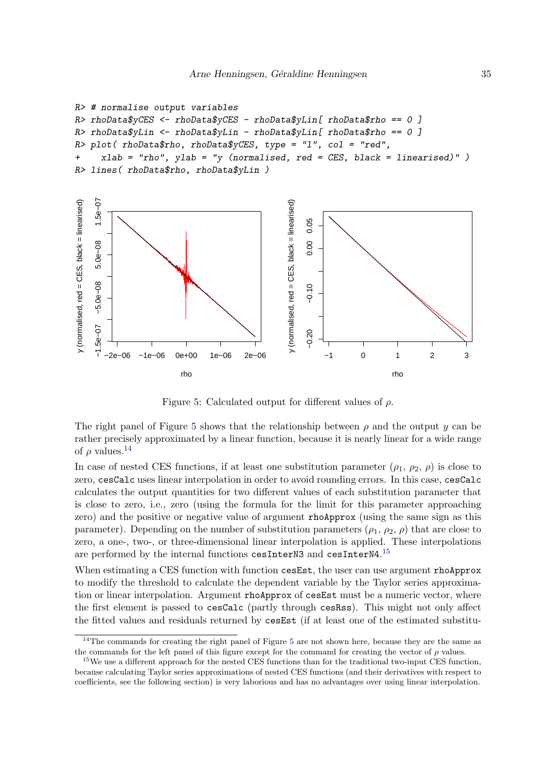```
R> # normalise output variables
R> rhoData$yCES <- rhoData$yCES - rhoData$yLin[ rhoData$rho == 0 ]
R> rhoData$yLin <- rhoData$yLin - rhoData$yLin[ rhoData$rho == 0 ]
R> plot( rhoData$rho, rhoData$yCES, type = "l", col = "red",
+ xlab = "rho", ylab = "y (normalised, red = CES, black = linearised)" )
R> lines( rhoData$rho, rhoData$yLin )
```


<span id="page-34-0"></span>Figure 5: Calculated output for different values of  $\rho$ .

The right panel of Figure [5](#page-34-0) shows that the relationship between  $\rho$  and the output y can be rather precisely approximated by a linear function, because it is nearly linear for a wide range of  $\rho$  values.<sup>[14](#page-34-1)</sup>

In case of nested CES functions, if at least one substitution parameter  $(\rho_1, \rho_2, \rho)$  is close to zero, cesCalc uses linear interpolation in order to avoid rounding errors. In this case, cesCalc calculates the output quantities for two different values of each substitution parameter that is close to zero, i.e., zero (using the formula for the limit for this parameter approaching zero) and the positive or negative value of argument rhoApprox (using the same sign as this parameter). Depending on the number of substitution parameters  $(\rho_1, \rho_2, \rho)$  that are close to zero, a one-, two-, or three-dimensional linear interpolation is applied. These interpolations are performed by the internal functions cesInterN3 and cesInterN4.<sup>[15](#page-34-2)</sup>

When estimating a CES function with function cesEst, the user can use argument rhoApprox to modify the threshold to calculate the dependent variable by the Taylor series approximation or linear interpolation. Argument rhoApprox of cesEst must be a numeric vector, where the first element is passed to cesCalc (partly through cesRss). This might not only affect the fitted values and residuals returned by cesEst (if at least one of the estimated substitu-

<span id="page-34-1"></span><sup>&</sup>lt;sup>14</sup>The commands for creating the right panel of Figure [5](#page-34-0) are not shown here, because they are the same as the commands for the left panel of this figure except for the command for creating the vector of  $\rho$  values.

<span id="page-34-2"></span><sup>&</sup>lt;sup>15</sup>We use a different approach for the nested CES functions than for the traditional two-input CES function, because calculating Taylor series approximations of nested CES functions (and their derivatives with respect to coefficients, see the following section) is very laborious and has no advantages over using linear interpolation.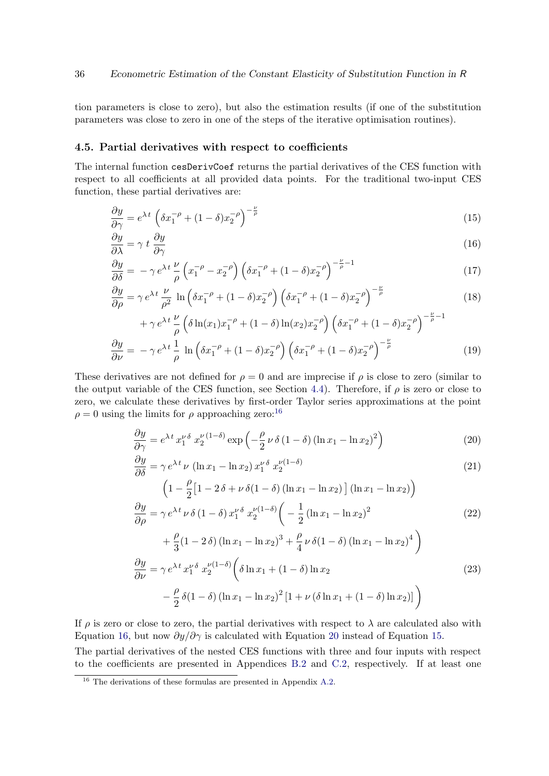tion parameters is close to zero), but also the estimation results (if one of the substitution parameters was close to zero in one of the steps of the iterative optimisation routines).

#### 4.5. Partial derivatives with respect to coefficients

The internal function cesDerivCoef returns the partial derivatives of the CES function with respect to all coefficients at all provided data points. For the traditional two-input CES function, these partial derivatives are:

<span id="page-35-3"></span>
$$
\frac{\partial y}{\partial \gamma} = e^{\lambda t} \left( \delta x_1^{-\rho} + (1 - \delta) x_2^{-\rho} \right)^{-\frac{\nu}{\rho}}
$$
(15)

<span id="page-35-1"></span>
$$
\frac{\partial y}{\partial \lambda} = \gamma \, t \, \frac{\partial y}{\partial \gamma} \tag{16}
$$

$$
\frac{\partial y}{\partial \delta} = -\gamma e^{\lambda t} \frac{\nu}{\rho} \left( x_1^{-\rho} - x_2^{-\rho} \right) \left( \delta x_1^{-\rho} + (1 - \delta) x_2^{-\rho} \right)^{-\frac{\nu}{\rho} - 1} \tag{17}
$$

$$
\frac{\partial y}{\partial \rho} = \gamma e^{\lambda t} \frac{\nu}{\rho^2} \ln \left( \delta x_1^{-\rho} + (1 - \delta) x_2^{-\rho} \right) \left( \delta x_1^{-\rho} + (1 - \delta) x_2^{-\rho} \right)^{-\frac{\nu}{\rho}}
$$
(18)

$$
+\gamma e^{\lambda t} \frac{\nu}{\rho} \left( \delta \ln(x_1) x_1^{-\rho} + (1 - \delta) \ln(x_2) x_2^{-\rho} \right) \left( \delta x_1^{-\rho} + (1 - \delta) x_2^{-\rho} \right)^{-\frac{\nu}{\rho} - 1}
$$
  

$$
\frac{\partial y}{\partial \nu} = -\gamma e^{\lambda t} \frac{1}{\rho} \ln \left( \delta x_1^{-\rho} + (1 - \delta) x_2^{-\rho} \right) \left( \delta x_1^{-\rho} + (1 - \delta) x_2^{-\rho} \right)^{-\frac{\nu}{\rho}}
$$
(19)

These derivatives are not defined for  $\rho = 0$  and are imprecise if  $\rho$  is close to zero (similar to the output variable of the CES function, see Section [4.4\)](#page-33-2). Therefore, if  $\rho$  is zero or close to zero, we calculate these derivatives by first-order Taylor series approximations at the point  $\rho = 0$  using the limits for  $\rho$  approaching zero:<sup>[16](#page-35-0)</sup>

<span id="page-35-2"></span>
$$
\frac{\partial y}{\partial \gamma} = e^{\lambda t} x_1^{\nu \delta} x_2^{\nu (1-\delta)} \exp\left(-\frac{\rho}{2} \nu \delta (1-\delta) (\ln x_1 - \ln x_2)^2\right)
$$
(20)

$$
\frac{\partial y}{\partial \delta} = \gamma e^{\lambda t} \nu \left( \ln x_1 - \ln x_2 \right) x_1^{\nu \delta} x_2^{\nu (1 - \delta)} \tag{21}
$$
\n
$$
\left( 1 - \frac{\rho}{2} \left[ 1 - 2\delta + \nu \delta (1 - \delta) \left( \ln x_1 - \ln x_2 \right) \right] \left( \ln x_1 - \ln x_2 \right) \right)
$$

$$
\left(1 - \frac{\rho}{2} \left[1 - 2 \delta + \nu \delta(1 - \delta) \left(\ln x_1 - \ln x_2\right)\right] \left(\ln x_1 - \ln x_2\right)\right)
$$
  
\n
$$
\frac{\partial y}{\partial \rho} = \gamma e^{\lambda t} \nu \delta \left(1 - \delta\right) x_1^{\nu \delta} x_2^{\nu (1 - \delta)} \left(-\frac{1}{2} \left(\ln x_1 - \ln x_2\right)^2 + \frac{\rho}{3} \left(1 - 2 \delta\right) \left(\ln x_1 - \ln x_2\right)^3 + \frac{\rho}{4} \nu \delta \left(1 - \delta\right) \left(\ln x_1 - \ln x_2\right)^4\right)
$$
  
\n
$$
\frac{\partial y}{\partial \nu} = \gamma e^{\lambda t} x_1^{\nu \delta} x_2^{\nu (1 - \delta)} \left(\delta \ln x_1 + (1 - \delta) \ln x_2 - \frac{\rho}{2} \delta \left(1 - \delta\right) \left(\ln x_1 - \ln x_2\right)^2 \left[1 + \nu \left(\delta \ln x_1 + (1 - \delta) \ln x_2\right)\right]\right)
$$
\n(23)

If  $\rho$  is zero or close to zero, the partial derivatives with respect to  $\lambda$  are calculated also with Equation [16,](#page-35-1) but now  $\partial y/\partial \gamma$  is calculated with Equation [20](#page-35-2) instead of Equation [15.](#page-35-3) The partial derivatives of the nested CES functions with three and four inputs with respect to the coefficients are presented in Appendices [B.2](#page-77-1) and [C.2,](#page-81-1) respectively. If at least one

<span id="page-35-0"></span> $16$  The derivations of these formulas are presented in Appendix [A.2.](#page-58-0)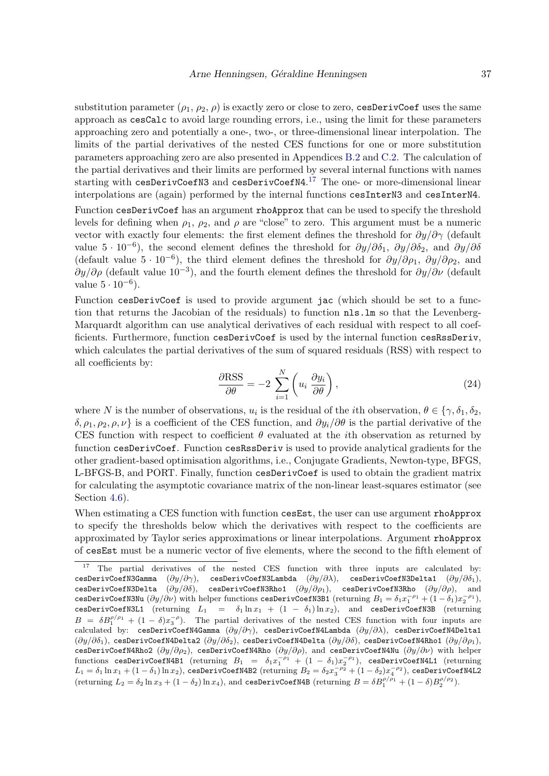substitution parameter  $(\rho_1, \rho_2, \rho)$  is exactly zero or close to zero, cesDerivCoef uses the same approach as cesCalc to avoid large rounding errors, i.e., using the limit for these parameters approaching zero and potentially a one-, two-, or three-dimensional linear interpolation. The limits of the partial derivatives of the nested CES functions for one or more substitution parameters approaching zero are also presented in Appendices [B.2](#page-77-0) and [C.2.](#page-81-0) The calculation of the partial derivatives and their limits are performed by several internal functions with names starting with cesDerivCoefN3 and cesDerivCoefN4.<sup>[17](#page-36-0)</sup> The one- or more-dimensional linear interpolations are (again) performed by the internal functions cesInterN3 and cesInterN4.

Function cesDerivCoef has an argument rhoApprox that can be used to specify the threshold levels for defining when  $\rho_1$ ,  $\rho_2$ , and  $\rho$  are "close" to zero. This argument must be a numeric vector with exactly four elements: the first element defines the threshold for  $\partial y/\partial \gamma$  (default value  $5 \cdot 10^{-6}$ ), the second element defines the threshold for  $\partial y/\partial \delta_1$ ,  $\partial y/\partial \delta_2$ , and  $\partial y/\partial \delta$ (default value  $5 \cdot 10^{-6}$ ), the third element defines the threshold for  $\partial y/\partial \rho_1$ ,  $\partial y/\partial \rho_2$ , and  $\partial y/\partial \rho$  (default value 10<sup>-3</sup>), and the fourth element defines the threshold for  $\partial y/\partial \nu$  (default value  $5 \cdot 10^{-6}$ ).

Function cesDerivCoef is used to provide argument jac (which should be set to a function that returns the Jacobian of the residuals) to function nls.lm so that the Levenberg-Marquardt algorithm can use analytical derivatives of each residual with respect to all coefficients. Furthermore, function cesDerivCoef is used by the internal function cesRssDeriv, which calculates the partial derivatives of the sum of squared residuals (RSS) with respect to all coefficients by:

$$
\frac{\partial \text{RSS}}{\partial \theta} = -2 \sum_{i=1}^{N} \left( u_i \frac{\partial y_i}{\partial \theta} \right),\tag{24}
$$

where N is the number of observations,  $u_i$  is the residual of the *i*th observation,  $\theta \in \{\gamma, \delta_1, \delta_2,$ δ, ρ1, ρ2, ρ, ν} is a coefficient of the CES function, and ∂yi/∂θ is the partial derivative of the CES function with respect to coefficient  $\theta$  evaluated at the *i*th observation as returned by function cesDerivCoef. Function cesRssDeriv is used to provide analytical gradients for the other gradient-based optimisation algorithms, i.e., Conjugate Gradients, Newton-type, BFGS, L-BFGS-B, and PORT. Finally, function cesDerivCoef is used to obtain the gradient matrix for calculating the asymptotic covariance matrix of the non-linear least-squares estimator (see Section [4.6\)](#page-37-0).

When estimating a CES function with function cesEst, the user can use argument rhoApprox to specify the thresholds below which the derivatives with respect to the coefficients are approximated by Taylor series approximations or linear interpolations. Argument rhoApprox of cesEst must be a numeric vector of five elements, where the second to the fifth element of

<span id="page-36-0"></span> $17$  The partial derivatives of the nested CES function with three inputs are calculated by: cesDerivCoefN3Gamma  $(\partial y/\partial \gamma)$ , cesDerivCoefN3Lambda  $(\partial y/\partial \lambda)$ , cesDerivCoefN3Delta1  $(\partial y/\partial \delta_1)$ , cesDerivCoefN3Delta  $(\partial y/\partial \delta)$ , cesDerivCoefN3Rho1  $(\partial y/\partial \rho_1)$ , cesDerivCoefN3Rho  $(\partial y/\partial \rho)$ , and cesDerivCoefN3Nu  $(\partial y/\partial \nu)$  with helper functions cesDerivCoefN3B1 (returning  $B_1 = \delta_1 x_1^{-\rho_1} + (1-\delta_1) x_2^{-\rho_1}$ ), cesDerivCoefN3L1 (returning  $L_1 = \delta_1 \ln x_1 + (1 - \delta_1) \ln x_2$ ), and cesDerivCoefN3B (returning  $B = \delta B_1^{\rho/\rho_1} + (1-\delta)x_3^{-\rho}$ . The partial derivatives of the nested CES function with four inputs are calculated by: cesDerivCoefN4Gamma  $(\partial y/\partial \gamma)$ , cesDerivCoefN4Lambda  $(\partial y/\partial \lambda)$ , cesDerivCoefN4Delta1  $(\partial y/\partial \delta_1)$ , cesDerivCoefN4Delta2  $(\partial y/\partial \delta_2)$ , cesDerivCoefN4Delta  $(\partial y/\partial \delta)$ , cesDerivCoefN4Rho1  $(\partial y/\partial \rho_1)$ , cesDerivCoefN4Rho2  $(\partial y/\partial \rho_2)$ , cesDerivCoefN4Rho  $(\partial y/\partial \rho)$ , and cesDerivCoefN4Nu  $(\partial y/\partial \nu)$  with helper functions cesDerivCoefN4B1 (returning  $B_1 = \delta_1 x_1^{-\rho_1} + (1-\delta_1) x_2^{-\rho_1}$ ), cesDerivCoefN4L1 (returning  $L_1=\delta_1\ln x_1+(1-\delta_1)\ln x_2),$  cesDerivCoefN4B2 (returning  $B_2=\delta_2 x_3^{-\rho_2}+(1-\delta_2)x_4^{-\rho_2}),$  cesDerivCoefN4L2 (returning  $L_2 = \delta_2 \ln x_3 + (1 - \delta_2) \ln x_4$ ), and cesDerivCoefN4B (returning  $B = \delta B_1^{\rho/\rho_1} + (1 - \delta) B_2^{\rho/\rho_2}$ ).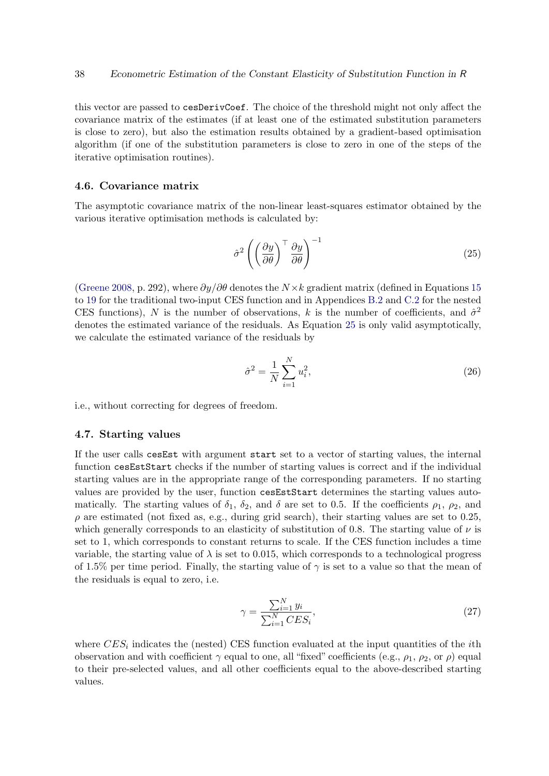this vector are passed to cesDerivCoef. The choice of the threshold might not only affect the covariance matrix of the estimates (if at least one of the estimated substitution parameters is close to zero), but also the estimation results obtained by a gradient-based optimisation algorithm (if one of the substitution parameters is close to zero in one of the steps of the iterative optimisation routines).

#### <span id="page-37-0"></span>4.6. Covariance matrix

The asymptotic covariance matrix of the non-linear least-squares estimator obtained by the various iterative optimisation methods is calculated by:

<span id="page-37-1"></span>
$$
\hat{\sigma}^2 \left( \left( \frac{\partial y}{\partial \theta} \right)^{\top} \frac{\partial y}{\partial \theta} \right)^{-1} \tag{25}
$$

[\(Greene](#page-105-0) [2008,](#page-105-0) p. 292), where  $\partial y/\partial \theta$  denotes the  $N \times k$  gradient matrix (defined in Equations [15](#page-35-0) to [19](#page-35-1) for the traditional two-input CES function and in Appendices [B.2](#page-77-0) and [C.2](#page-81-0) for the nested CES functions), N is the number of observations, k is the number of coefficients, and  $\hat{\sigma}^2$ denotes the estimated variance of the residuals. As Equation [25](#page-37-1) is only valid asymptotically, we calculate the estimated variance of the residuals by

$$
\hat{\sigma}^2 = \frac{1}{N} \sum_{i=1}^{N} u_i^2,
$$
\n(26)

i.e., without correcting for degrees of freedom.

#### 4.7. Starting values

If the user calls cesEst with argument start set to a vector of starting values, the internal function cesEstStart checks if the number of starting values is correct and if the individual starting values are in the appropriate range of the corresponding parameters. If no starting values are provided by the user, function cesEstStart determines the starting values automatically. The starting values of  $\delta_1$ ,  $\delta_2$ , and  $\delta$  are set to 0.5. If the coefficients  $\rho_1$ ,  $\rho_2$ , and  $\rho$  are estimated (not fixed as, e.g., during grid search), their starting values are set to 0.25, which generally corresponds to an elasticity of substitution of 0.8. The starting value of  $\nu$  is set to 1, which corresponds to constant returns to scale. If the CES function includes a time variable, the starting value of  $\lambda$  is set to 0.015, which corresponds to a technological progress of 1.5% per time period. Finally, the starting value of  $\gamma$  is set to a value so that the mean of the residuals is equal to zero, i.e.

$$
\gamma = \frac{\sum_{i=1}^{N} y_i}{\sum_{i=1}^{N} CES_i},\tag{27}
$$

where  $CES_i$  indicates the (nested) CES function evaluated at the input quantities of the *i*th observation and with coefficient  $\gamma$  equal to one, all "fixed" coefficients (e.g.,  $\rho_1$ ,  $\rho_2$ , or  $\rho$ ) equal to their pre-selected values, and all other coefficients equal to the above-described starting values.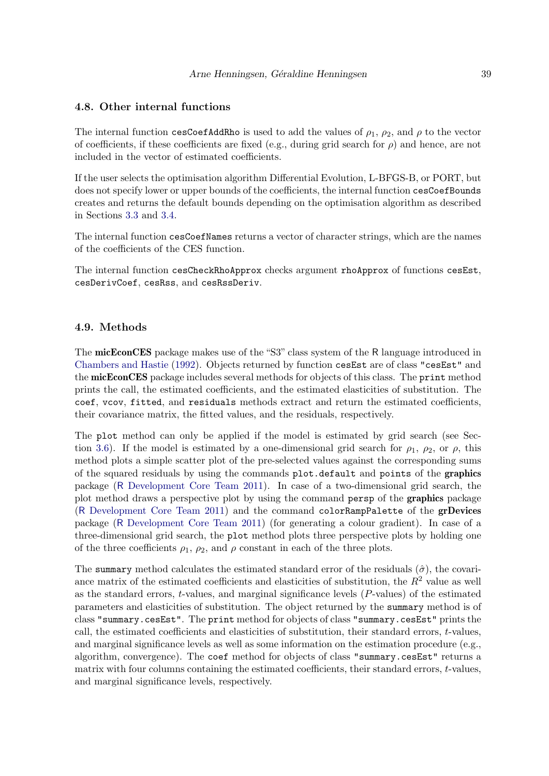## 4.8. Other internal functions

The internal function cesCoefAddRho is used to add the values of  $\rho_1$ ,  $\rho_2$ , and  $\rho$  to the vector of coefficients, if these coefficients are fixed (e.g., during grid search for  $\rho$ ) and hence, are not included in the vector of estimated coefficients.

If the user selects the optimisation algorithm Differential Evolution, L-BFGS-B, or PORT, but does not specify lower or upper bounds of the coefficients, the internal function cesCoefBounds creates and returns the default bounds depending on the optimisation algorithm as described in Sections [3.3](#page-16-0) and [3.4.](#page-22-0)

The internal function cesCoefNames returns a vector of character strings, which are the names of the coefficients of the CES function.

The internal function cesCheckRhoApprox checks argument rhoApprox of functions cesEst, cesDerivCoef, cesRss, and cesRssDeriv.

#### 4.9. Methods

The micEconCES package makes use of the "S3" class system of the R language introduced in [Chambers and Hastie](#page-105-1) [\(1992\)](#page-105-1). Objects returned by function cesEst are of class "cesEst" and the micEconCES package includes several methods for objects of this class. The print method prints the call, the estimated coefficients, and the estimated elasticities of substitution. The coef, vcov, fitted, and residuals methods extract and return the estimated coefficients, their covariance matrix, the fitted values, and the residuals, respectively.

The plot method can only be applied if the model is estimated by grid search (see Sec-tion [3.6\)](#page-26-0). If the model is estimated by a one-dimensional grid search for  $\rho_1$ ,  $\rho_2$ , or  $\rho$ , this method plots a simple scatter plot of the pre-selected values against the corresponding sums of the squared residuals by using the commands plot.default and points of the graphics package (R [Development Core Team](#page-107-0) [2011\)](#page-107-0). In case of a two-dimensional grid search, the plot method draws a perspective plot by using the command persp of the graphics package (R [Development Core Team](#page-107-0) [2011\)](#page-107-0) and the command colorRampPalette of the grDevices package (R [Development Core Team](#page-107-0) [2011\)](#page-107-0) (for generating a colour gradient). In case of a three-dimensional grid search, the plot method plots three perspective plots by holding one of the three coefficients  $\rho_1$ ,  $\rho_2$ , and  $\rho$  constant in each of the three plots.

The summary method calculates the estimated standard error of the residuals  $(\hat{\sigma})$ , the covariance matrix of the estimated coefficients and elasticities of substitution, the  $R^2$  value as well as the standard errors,  $t$ -values, and marginal significance levels  $(P$ -values) of the estimated parameters and elasticities of substitution. The object returned by the summary method is of class "summary.cesEst". The print method for objects of class "summary.cesEst" prints the call, the estimated coefficients and elasticities of substitution, their standard errors, t-values, and marginal significance levels as well as some information on the estimation procedure (e.g., algorithm, convergence). The coef method for objects of class "summary.cesEst" returns a matrix with four columns containing the estimated coefficients, their standard errors, t-values, and marginal significance levels, respectively.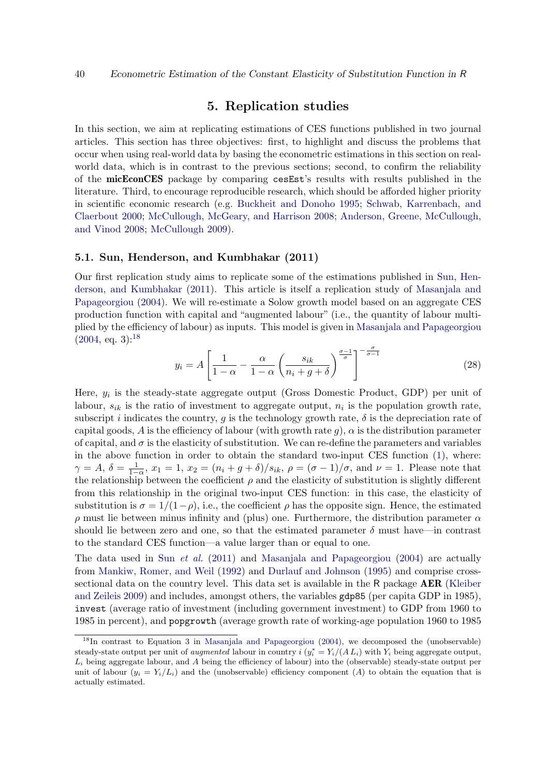# 5. Replication studies

In this section, we aim at replicating estimations of CES functions published in two journal articles. This section has three objectives: first, to highlight and discuss the problems that occur when using real-world data by basing the econometric estimations in this section on realworld data, which is in contrast to the previous sections; second, to confirm the reliability of the micEconCES package by comparing cesEst's results with results published in the literature. Third, to encourage reproducible research, which should be afforded higher priority in scientific economic research (e.g. [Buckheit and Donoho](#page-104-0) [1995;](#page-104-0) [Schwab, Karrenbach, and](#page-108-0) [Claerbout](#page-108-0) [2000;](#page-108-0) [McCullough, McGeary, and Harrison](#page-107-1) [2008;](#page-107-1) [Anderson, Greene, McCullough,](#page-104-1) [and Vinod](#page-104-1) [2008;](#page-104-1) [McCullough](#page-107-2) [2009\)](#page-107-2).

## 5.1. Sun, Henderson, and Kumbhakar (2011)

Our first replication study aims to replicate some of the estimations published in [Sun, Hen](#page-108-1)[derson, and Kumbhakar](#page-108-1) [\(2011\)](#page-108-1). This article is itself a replication study of [Masanjala and](#page-107-3) [Papageorgiou](#page-107-3) [\(2004\)](#page-107-3). We will re-estimate a Solow growth model based on an aggregate CES production function with capital and "augmented labour" (i.e., the quantity of labour multiplied by the efficiency of labour) as inputs. This model is given in [Masanjala and Papageorgiou](#page-107-3)  $(2004, \text{ eq. } 3)^{18}$  $(2004, \text{ eq. } 3)^{18}$  $(2004, \text{ eq. } 3)^{18}$  $(2004, \text{ eq. } 3)^{18}$ 

$$
y_i = A \left[ \frac{1}{1 - \alpha} - \frac{\alpha}{1 - \alpha} \left( \frac{s_{ik}}{n_i + g + \delta} \right)^{\frac{\sigma - 1}{\sigma}} \right]^{-\frac{\sigma}{\sigma - 1}} \tag{28}
$$

Here,  $y_i$  is the steady-state aggregate output (Gross Domestic Product, GDP) per unit of labour,  $s_{ik}$  is the ratio of investment to aggregate output,  $n_i$  is the population growth rate, subscript i indicates the country, g is the technology growth rate,  $\delta$  is the depreciation rate of capital goods, A is the efficiency of labour (with growth rate g),  $\alpha$  is the distribution parameter of capital, and  $\sigma$  is the elasticity of substitution. We can re-define the parameters and variables in the above function in order to obtain the standard two-input CES function [\(1\)](#page-1-0), where:  $\gamma = A, \delta = \frac{1}{1-\alpha}, x_1 = 1, x_2 = (n_i + g + \delta)/s_{ik}, \rho = (\sigma - 1)/\sigma$ , and  $\nu = 1$ . Please note that the relationship between the coefficient  $\rho$  and the elasticity of substitution is slightly different from this relationship in the original two-input CES function: in this case, the elasticity of substitution is  $\sigma = 1/(1-\rho)$ , i.e., the coefficient  $\rho$  has the opposite sign. Hence, the estimated  $ρ$  must lie between minus infinity and (plus) one. Furthermore, the distribution parameter  $α$ should lie between zero and one, so that the estimated parameter  $\delta$  must have—in contrast to the standard CES function—a value larger than or equal to one.

The data used in Sun [et al.](#page-108-1) [\(2011\)](#page-108-1) and [Masanjala and Papageorgiou](#page-107-3) [\(2004\)](#page-107-3) are actually from [Mankiw, Romer, and Weil](#page-106-0) [\(1992\)](#page-106-0) and [Durlauf and Johnson](#page-105-2) [\(1995\)](#page-105-2) and comprise crosssectional data on the country level. This data set is available in the R package **AER** [\(Kleiber](#page-106-1) [and Zeileis](#page-106-1) [2009\)](#page-106-1) and includes, amongst others, the variables gdp85 (per capita GDP in 1985), invest (average ratio of investment (including government investment) to GDP from 1960 to 1985 in percent), and popgrowth (average growth rate of working-age population 1960 to 1985

<span id="page-39-0"></span><sup>&</sup>lt;sup>18</sup>In contrast to Equation 3 in [Masanjala and Papageorgiou](#page-107-3) [\(2004\)](#page-107-3), we decomposed the (unobservable) steady-state output per unit of *augmented* labour in country  $i (y_i^* = Y_i/(A L_i))$  with  $Y_i$  being aggregate output,  $L_i$  being aggregate labour, and A being the efficiency of labour) into the (observable) steady-state output per unit of labour  $(y_i = Y_i/L_i)$  and the (unobservable) efficiency component (A) to obtain the equation that is actually estimated.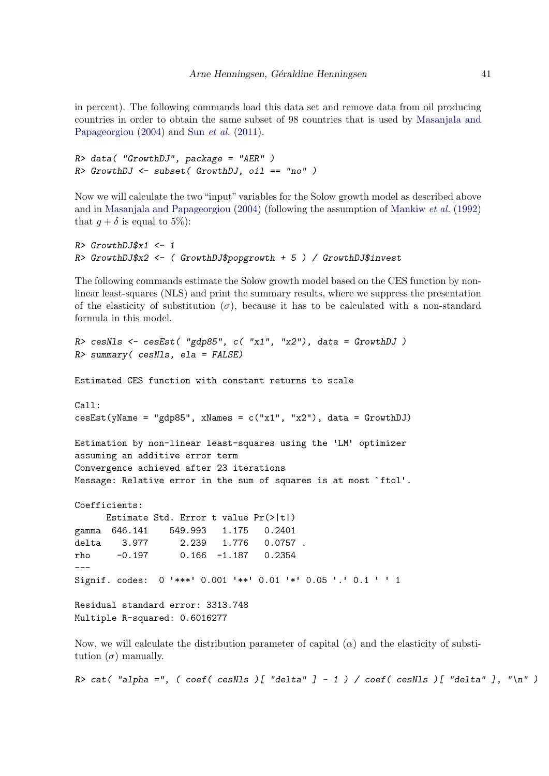in percent). The following commands load this data set and remove data from oil producing countries in order to obtain the same subset of 98 countries that is used by [Masanjala and](#page-107-3) [Papageorgiou](#page-107-3) [\(2004\)](#page-107-3) and Sun *[et al.](#page-108-1)* [\(2011\)](#page-108-1).

```
R> data( "GrowthDJ", package = "AER" )
R> GrowthDJ <- subset( GrowthDJ, oil == "no" )
```
Now we will calculate the two "input" variables for the Solow growth model as described above and in [Masanjala and Papageorgiou](#page-107-3) [\(2004\)](#page-107-3) (following the assumption of [Mankiw](#page-106-0) et al. [\(1992\)](#page-106-0) that  $q + \delta$  is equal to 5%):

```
R> GrowthDJ$x1 <- 1
R> GrowthDJ$x2 <- ( GrowthDJ$popgrowth + 5 ) / GrowthDJ$invest
```
The following commands estimate the Solow growth model based on the CES function by nonlinear least-squares (NLS) and print the summary results, where we suppress the presentation of the elasticity of substitution  $(\sigma)$ , because it has to be calculated with a non-standard formula in this model.

```
R cesNls <- cesEst( "gdp85", c( "x1", "x2"), data = GrowthDJ)
R> summary( cesNls, ela = FALSE)
Estimated CES function with constant returns to scale
Call:
cesEst(yName = "gdp85", xNames = c("x1", "x2"), data = GrowthDJ)Estimation by non-linear least-squares using the 'LM' optimizer
assuming an additive error term
Convergence achieved after 23 iterations
Message: Relative error in the sum of squares is at most `ftol'.
Coefficients:
     Estimate Std. Error t value Pr(>|t|)
gamma 646.141 549.993 1.175 0.2401
delta 3.977 2.239 1.776 0.0757 .
rho -0.197 0.166 -1.187 0.2354
---
Signif. codes: 0 '***' 0.001 '**' 0.01 '*' 0.05 '.' 0.1 ' ' 1
Residual standard error: 3313.748
Multiple R-squared: 0.6016277
```
Now, we will calculate the distribution parameter of capital  $(\alpha)$  and the elasticity of substitution  $(\sigma)$  manually.

R> cat( "alpha =", ( coef( cesNls )[ "delta" ] - 1 ) / coef( cesNls )[ "delta" ], "\n" )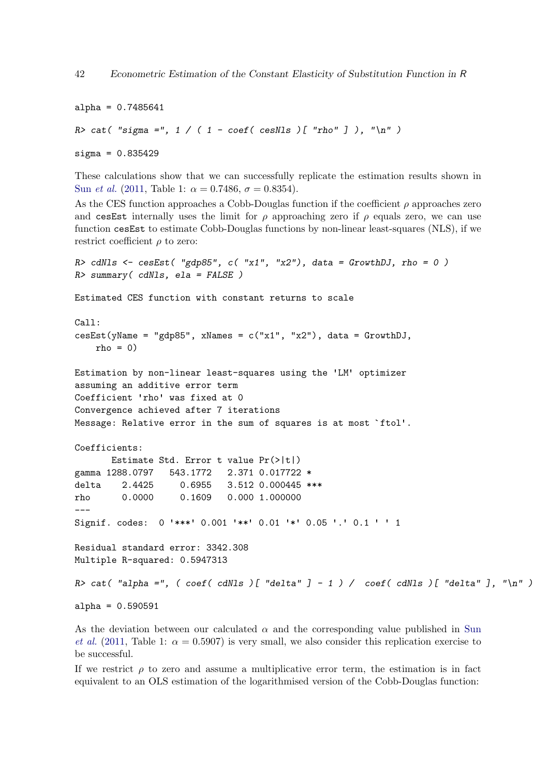```
alpha = 0.7485641R> cat( "sigma =", 1 / ( 1 - coeff(cesNls) [ "rho" ] ), " \n'")
sigma = 0.835429
```
These calculations show that we can successfully replicate the estimation results shown in Sun *[et al.](#page-108-1)* [\(2011,](#page-108-1) Table 1:  $\alpha = 0.7486$ ,  $\sigma = 0.8354$ ).

As the CES function approaches a Cobb-Douglas function if the coefficient  $\rho$  approaches zero and cesEst internally uses the limit for  $\rho$  approaching zero if  $\rho$  equals zero, we can use function cesEst to estimate Cobb-Douglas functions by non-linear least-squares (NLS), if we restrict coefficient  $\rho$  to zero:

```
R> cdNls <- cesEst( "gdp85", c( "x1", "x2"), data = GrowthDJ, rho = 0)
R> summary( cdNls, ela = FALSE )
Estimated CES function with constant returns to scale
Call:
\text{cesEst}(y\text{Name} = "gdp85", x\text{Names} = c("x1", "x2"), data = GrowthDJ,rho = 0)Estimation by non-linear least-squares using the 'LM' optimizer
assuming an additive error term
Coefficient 'rho' was fixed at 0
Convergence achieved after 7 iterations
Message: Relative error in the sum of squares is at most `ftol'.
Coefficients:
       Estimate Std. Error t value Pr(>|t|)
gamma 1288.0797 543.1772 2.371 0.017722 *
delta 2.4425 0.6955 3.512 0.000445 ***
rho 0.0000 0.1609 0.000 1.000000
---
Signif. codes: 0 '***' 0.001 '**' 0.01 '*' 0.05 '.' 0.1 ' ' 1
Residual standard error: 3342.308
Multiple R-squared: 0.5947313
R> cat( "alpha =", (\text{coeff}( \text{cdNls })[ \text{ "delta" } ] - 1 ) / \text{coeff}( \text{cdNls })[ \text{ "delta" } ], "\n" )
alpha = 0.590591
```
As the deviation between our calculated  $\alpha$  and the corresponding value published in [Sun](#page-108-1) [et al.](#page-108-1) [\(2011,](#page-108-1) Table 1:  $\alpha = 0.5907$ ) is very small, we also consider this replication exercise to be successful.

If we restrict  $\rho$  to zero and assume a multiplicative error term, the estimation is in fact equivalent to an OLS estimation of the logarithmised version of the Cobb-Douglas function: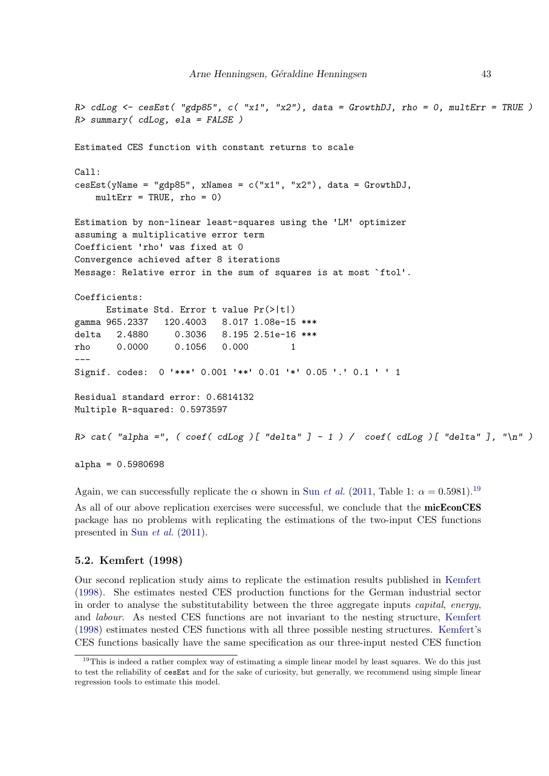```
R> cdLog <- cesEst( "gdp85", c( "x1", "x2"), data = GrowthDJ, rho = 0, multErr = TRUE )
R> summary( cdLog, ela = FALSE )
Estimated CES function with constant returns to scale
Call:
cesEst(yName = "gdp85", xNames = c("x1", "x2"), data = GrowthDJ,multErr = TRUE, rho = 0)Estimation by non-linear least-squares using the 'LM' optimizer
assuming a multiplicative error term
Coefficient 'rho' was fixed at 0
Convergence achieved after 8 iterations
Message: Relative error in the sum of squares is at most `ftol'.
Coefficients:
      Estimate Std. Error t value Pr(>|t|)
gamma 965.2337 120.4003 8.017 1.08e-15 ***
delta 2.4880 0.3036 8.195 2.51e-16 ***
rho 0.0000 0.1056 0.000 1
---
Signif. codes: 0 '***' 0.001 '**' 0.01 '*' 0.05 '.' 0.1 ' ' 1
Residual standard error: 0.6814132
Multiple R-squared: 0.5973597
R> cat( "alpha =", ( coef( cdLog )[ "delta" ] - 1 ) / coef( cdLog )[ "delta" ], "\n" )
alpha = 0.5980698
```
Again, we can successfully replicate the  $\alpha$  shown in Sun *[et al.](#page-108-1)* [\(2011,](#page-108-1) Table 1:  $\alpha = 0.5981$ ).<sup>[19](#page-42-0)</sup> As all of our above replication exercises were successful, we conclude that the micEconCES package has no problems with replicating the estimations of the two-input CES functions presented in Sun [et al.](#page-108-1) [\(2011\)](#page-108-1).

#### <span id="page-42-1"></span>5.2. Kemfert (1998)

Our second replication study aims to replicate the estimation results published in [Kemfert](#page-106-2) [\(1998\)](#page-106-2). She estimates nested CES production functions for the German industrial sector in order to analyse the substitutability between the three aggregate inputs capital, energy, and labour. As nested CES functions are not invariant to the nesting structure, [Kemfert](#page-106-2) [\(1998\)](#page-106-2) estimates nested CES functions with all three possible nesting structures. [Kemfert'](#page-106-2)s CES functions basically have the same specification as our three-input nested CES function

<span id="page-42-0"></span><sup>&</sup>lt;sup>19</sup>This is indeed a rather complex way of estimating a simple linear model by least squares. We do this just to test the reliability of cesEst and for the sake of curiosity, but generally, we recommend using simple linear regression tools to estimate this model.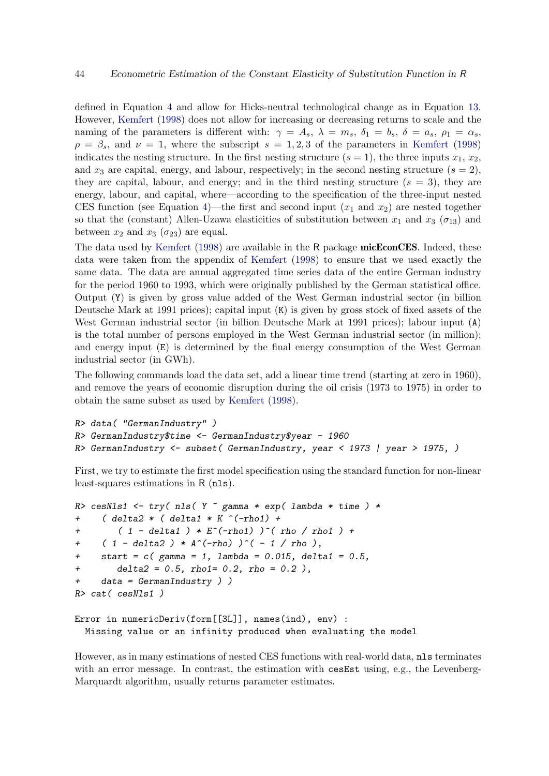defined in Equation [4](#page-3-0) and allow for Hicks-neutral technological change as in Equation [13.](#page-24-0) However, [Kemfert](#page-106-2) [\(1998\)](#page-106-2) does not allow for increasing or decreasing returns to scale and the naming of the parameters is different with:  $\gamma = A_s$ ,  $\lambda = m_s$ ,  $\delta_1 = b_s$ ,  $\delta = a_s$ ,  $\rho_1 = \alpha_s$ ,  $\rho = \beta_s$ , and  $\nu = 1$ , where the subscript  $s = 1, 2, 3$  of the parameters in [Kemfert](#page-106-2) [\(1998\)](#page-106-2) indicates the nesting structure. In the first nesting structure  $(s = 1)$ , the three inputs  $x_1, x_2$ , and  $x_3$  are capital, energy, and labour, respectively; in the second nesting structure  $(s = 2)$ , they are capital, labour, and energy; and in the third nesting structure  $(s = 3)$ , they are energy, labour, and capital, where—according to the specification of the three-input nested CES function (see Equation [4\)](#page-3-0)—the first and second input  $(x_1 \text{ and } x_2)$  are nested together so that the (constant) Allen-Uzawa elasticities of substitution between  $x_1$  and  $x_3$  ( $\sigma_{13}$ ) and between  $x_2$  and  $x_3$  ( $\sigma_{23}$ ) are equal.

The data used by [Kemfert](#page-106-2) [\(1998\)](#page-106-2) are available in the R package **micEconCES**. Indeed, these data were taken from the appendix of [Kemfert](#page-106-2) [\(1998\)](#page-106-2) to ensure that we used exactly the same data. The data are annual aggregated time series data of the entire German industry for the period 1960 to 1993, which were originally published by the German statistical office. Output (Y) is given by gross value added of the West German industrial sector (in billion Deutsche Mark at 1991 prices); capital input (K) is given by gross stock of fixed assets of the West German industrial sector (in billion Deutsche Mark at 1991 prices); labour input (A) is the total number of persons employed in the West German industrial sector (in million); and energy input (E) is determined by the final energy consumption of the West German industrial sector (in GWh).

The following commands load the data set, add a linear time trend (starting at zero in 1960), and remove the years of economic disruption during the oil crisis (1973 to 1975) in order to obtain the same subset as used by [Kemfert](#page-106-2) [\(1998\)](#page-106-2).

```
R> data( "GermanIndustry" )
R> GermanIndustry$time <- GermanIndustry$year - 1960
R> GermanIndustry <- subset( GermanIndustry, year < 1973 | year > 1975, )
```
First, we try to estimate the first model specification using the standard function for non-linear least-squares estimations in R (nls).

```
R> cesNls1 <- try( nls( Y \tilde{ } gamma * exp( lambda * time ) *
+ ( delta2 * ( delta1 * K \hat{(-rho1)} +
+ ( 1 - delta1 ) * E^(-rho1) ) ^(  rho / rho1 ) +
     ( 1 - delta2 ) * A^(-rho) )^(- 1 / rho),+ start = c (gamma = 1, lambda = 0.015, delta1 = 0.5,
+ delta2 = 0.5, rho1= 0.2, rho = 0.2 ),
+ data = GermanIndustry ) )
R> cat( cesNls1 )
Error in numericDeriv(form[[3L]], names(ind), env) :
```
Missing value or an infinity produced when evaluating the model

However, as in many estimations of nested CES functions with real-world data, nls terminates with an error message. In contrast, the estimation with cesEst using, e.g., the Levenberg-Marquardt algorithm, usually returns parameter estimates.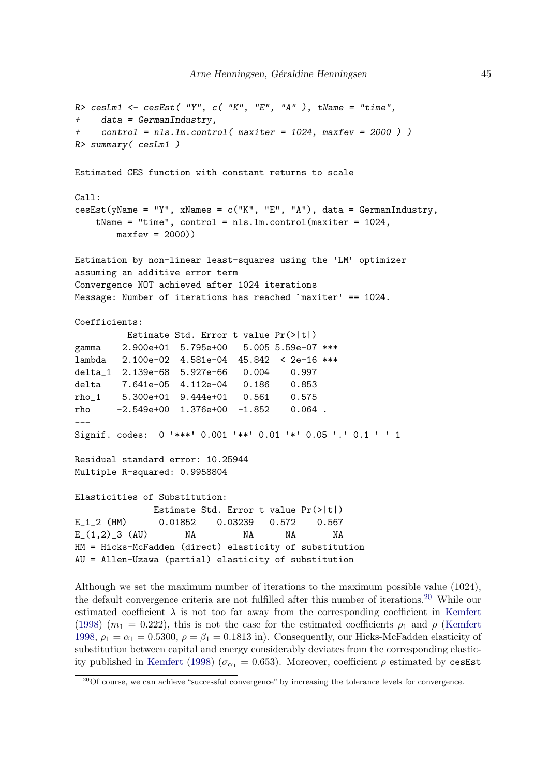```
R> cesLm1 <- cesEst( "Y", c( "K", "E", "A" ), tName = "time",
+ data = GermanIndustry,
    control = nls.lm.control(maxiter = 1024, maxfer = 2000 ))
R> summary( cesLm1 )
Estimated CES function with constant returns to scale
Call:
\text{cesEst}(\text{yName = "Y", xNames = c("K", "E", "A"), data = German Industry,tName = "time", control = nls.lm.control(maxiter = 1024,
       maxfev = 2000)Estimation by non-linear least-squares using the 'LM' optimizer
assuming an additive error term
Convergence NOT achieved after 1024 iterations
Message: Number of iterations has reached `maxiter' == 1024.
Coefficients:
         Estimate Std. Error t value Pr(>|t|)
gamma 2.900e+01 5.795e+00 5.005 5.59e-07 ***
lambda 2.100e-02 4.581e-04 45.842 < 2e-16 ***
delta_1 2.139e-68 5.927e-66 0.004 0.997
delta 7.641e-05 4.112e-04 0.186 0.853
rho_1 5.300e+01 9.444e+01 0.561 0.575
rho -2.549e+00 1.376e+00 -1.852 0.064 .
---
Signif. codes: 0 '***' 0.001 '**' 0.01 '*' 0.05 '.' 0.1 ' ' 1
Residual standard error: 10.25944
Multiple R-squared: 0.9958804
Elasticities of Substitution:
              Estimate Std. Error t value Pr(>|t|)
E_1_2 (HM) 0.01852 0.03239 0.572 0.567
E_(1,2)_3 (AU) NA NA NA NA
HM = Hicks-McFadden (direct) elasticity of substitution
AU = Allen-Uzawa (partial) elasticity of substitution
```
Although we set the maximum number of iterations to the maximum possible value (1024), the default convergence criteria are not fulfilled after this number of iterations.[20](#page-44-0) While our estimated coefficient  $\lambda$  is not too far away from the corresponding coefficient in [Kemfert](#page-106-2) [\(1998\)](#page-106-2)  $(m_1 = 0.222)$ , this is not the case for the estimated coefficients  $\rho_1$  and  $\rho$  [\(Kemfert](#page-106-2) [1998,](#page-106-2)  $\rho_1 = \alpha_1 = 0.5300$ ,  $\rho = \beta_1 = 0.1813$  in). Consequently, our Hicks-McFadden elasticity of substitution between capital and energy considerably deviates from the corresponding elastic-ity published in [Kemfert](#page-106-2) [\(1998\)](#page-106-2) ( $\sigma_{\alpha_1} = 0.653$ ). Moreover, coefficient  $\rho$  estimated by cesEst

<span id="page-44-0"></span><sup>&</sup>lt;sup>20</sup>Of course, we can achieve "successful convergence" by increasing the tolerance levels for convergence.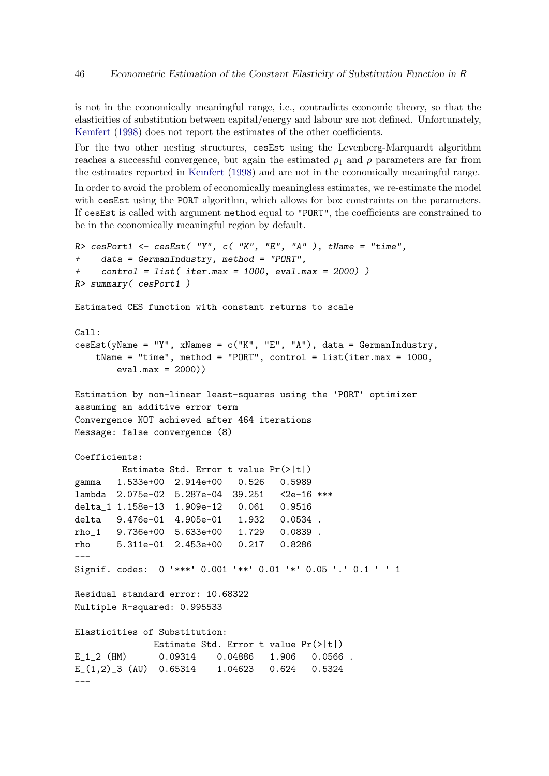is not in the economically meaningful range, i.e., contradicts economic theory, so that the elasticities of substitution between capital/energy and labour are not defined. Unfortunately, [Kemfert](#page-106-2) [\(1998\)](#page-106-2) does not report the estimates of the other coefficients.

For the two other nesting structures, cesEst using the Levenberg-Marquardt algorithm reaches a successful convergence, but again the estimated  $\rho_1$  and  $\rho$  parameters are far from the estimates reported in [Kemfert](#page-106-2) [\(1998\)](#page-106-2) and are not in the economically meaningful range.

In order to avoid the problem of economically meaningless estimates, we re-estimate the model with cesEst using the PORT algorithm, which allows for box constraints on the parameters. If cesEst is called with argument method equal to "PORT", the coefficients are constrained to be in the economically meaningful region by default.

```
R cesPort1 <- cesEst( "Y", c( "K", "E", "A" ), tName = "time",
+ data = GermanIndustry, method = "PORT",
+ control = list( iter.max = 1000, eval.max = 2000) )
R> summary( cesPort1 )
Estimated CES function with constant returns to scale
Call:
cesEst(yName = "Y", xNames = c("K", "E", "A"), data = GermanIndustry,tName = "time", method = "PORT", control = list(iter.max = 1000,
       eval.max = 2000)Estimation by non-linear least-squares using the 'PORT' optimizer
assuming an additive error term
Convergence NOT achieved after 464 iterations
Message: false convergence (8)
Coefficients:
        Estimate Std. Error t value Pr(>|t|)
gamma 1.533e+00 2.914e+00 0.526 0.5989
lambda 2.075e-02 5.287e-04 39.251 <2e-16 ***
delta_1 1.158e-13 1.909e-12 0.061 0.9516
delta 9.476e-01 4.905e-01 1.932 0.0534 .
rho_1 9.736e+00 5.633e+00 1.729 0.0839 .
rho 5.311e-01 2.453e+00 0.217 0.8286
---
Signif. codes: 0 '***' 0.001 '**' 0.01 '*' 0.05 '.' 0.1 ' ' 1
Residual standard error: 10.68322
Multiple R-squared: 0.995533
Elasticities of Substitution:
              Estimate Std. Error t value Pr(>|t|)
E_1_2 (HM) 0.09314 0.04886 1.906 0.0566 .
E_(1,2)_3 (AU) 0.65314 1.04623 0.624 0.5324
---
```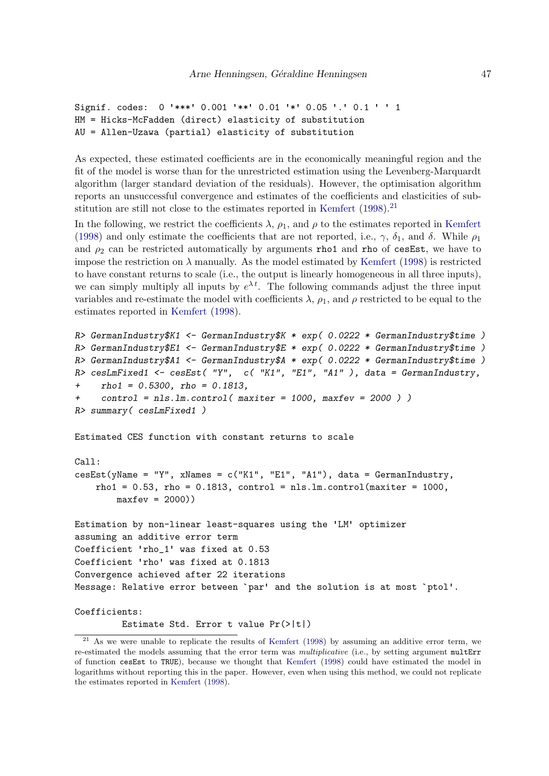```
Signif. codes: 0 '***' 0.001 '**' 0.01 '*' 0.05 '.' 0.1 ' ' 1
HM = Hicks-McFadden (direct) elasticity of substitution
AU = Allen-Uzawa (partial) elasticity of substitution
```
As expected, these estimated coefficients are in the economically meaningful region and the fit of the model is worse than for the unrestricted estimation using the Levenberg-Marquardt algorithm (larger standard deviation of the residuals). However, the optimisation algorithm reports an unsuccessful convergence and estimates of the coefficients and elasticities of sub-stitution are still not close to the estimates reported in [Kemfert](#page-106-2)  $(1998).^{21}$  $(1998).^{21}$  $(1998).^{21}$  $(1998).^{21}$ 

In the following, we restrict the coefficients  $\lambda$ ,  $\rho_1$ , and  $\rho$  to the estimates reported in [Kemfert](#page-106-2) [\(1998\)](#page-106-2) and only estimate the coefficients that are not reported, i.e.,  $\gamma$ ,  $\delta_1$ , and  $\delta$ . While  $\rho_1$ and  $\rho_2$  can be restricted automatically by arguments rho1 and rho of cesEst, we have to impose the restriction on  $\lambda$  manually. As the model estimated by [Kemfert](#page-106-2) [\(1998\)](#page-106-2) is restricted to have constant returns to scale (i.e., the output is linearly homogeneous in all three inputs), we can simply multiply all inputs by  $e^{\lambda t}$ . The following commands adjust the three input variables and re-estimate the model with coefficients  $\lambda$ ,  $\rho_1$ , and  $\rho$  restricted to be equal to the estimates reported in [Kemfert](#page-106-2) [\(1998\)](#page-106-2).

```
R> GermanIndustry$K1 <- GermanIndustry$K * exp( 0.0222 * GermanIndustry$time )
R> GermanIndustry$E1 <- GermanIndustry$E * exp( 0.0222 * GermanIndustry$time )
R> GermanIndustry$A1 <- GermanIndustry$A * exp( 0.0222 * GermanIndustry$time )
R> cesLmFixed1 <- cesEst( "Y", c( "K1", "E1", "A1" ), data = GermanIndustry,
     rho1 = 0.5300, rho = 0.1813,
     control = nls.lm.control( maxiter = 1000, maxfer = 2000 )R> summary( cesLmFixed1 )
Estimated CES function with constant returns to scale
Call:
cesEst(yName = "Y", xNames = c("K1", "E1", "A1"), data = GermanIndustry,rho1 = 0.53, rho = 0.1813, control = nls.lm.control(maxiter = 1000,
       maxfev = 2000)Estimation by non-linear least-squares using the 'LM' optimizer
assuming an additive error term
Coefficient 'rho_1' was fixed at 0.53
Coefficient 'rho' was fixed at 0.1813
Convergence achieved after 22 iterations
Message: Relative error between `par' and the solution is at most `ptol'.
Coefficients:
```
Estimate Std. Error t value Pr(>|t|)

<span id="page-46-0"></span><sup>&</sup>lt;sup>21</sup> As we were unable to replicate the results of [Kemfert](#page-106-2) [\(1998\)](#page-106-2) by assuming an additive error term, we re-estimated the models assuming that the error term was multiplicative (i.e., by setting argument multErr of function cesEst to TRUE), because we thought that [Kemfert](#page-106-2) [\(1998\)](#page-106-2) could have estimated the model in logarithms without reporting this in the paper. However, even when using this method, we could not replicate the estimates reported in [Kemfert](#page-106-2) [\(1998\)](#page-106-2).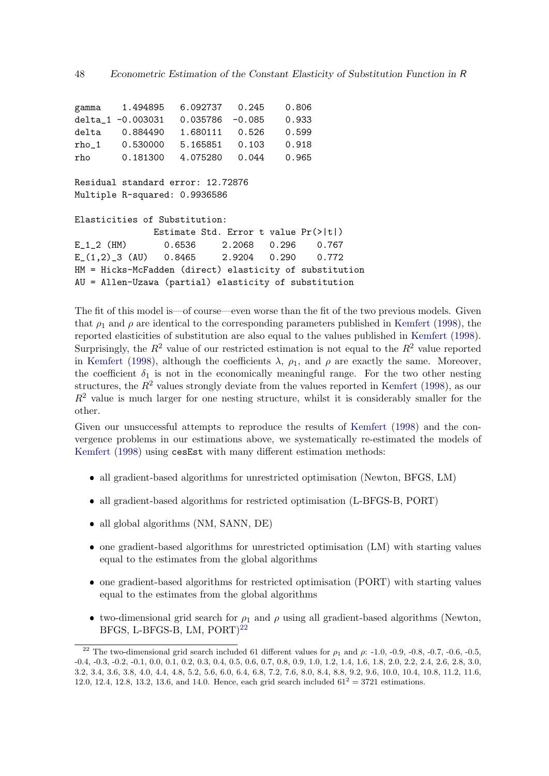gamma 1.494895 6.092737 0.245 0.806 delta\_1 -0.003031 0.035786 -0.085 0.933 delta 0.884490 1.680111 0.526 0.599 rho\_1 0.530000 5.165851 0.103 0.918 rho 0.181300 4.075280 0.044 0.965 Residual standard error: 12.72876 Multiple R-squared: 0.9936586 Elasticities of Substitution: Estimate Std. Error t value Pr(>|t|) E\_1\_2 (HM) 0.6536 2.2068 0.296 0.767 E\_(1,2)\_3 (AU) 0.8465 2.9204 0.290 0.772 HM = Hicks-McFadden (direct) elasticity of substitution AU = Allen-Uzawa (partial) elasticity of substitution

The fit of this model is—of course—even worse than the fit of the two previous models. Given that  $\rho_1$  and  $\rho$  are identical to the corresponding parameters published in [Kemfert](#page-106-2) [\(1998\)](#page-106-2), the reported elasticities of substitution are also equal to the values published in [Kemfert](#page-106-2) [\(1998\)](#page-106-2). Surprisingly, the  $R^2$  value of our restricted estimation is not equal to the  $R^2$  value reported in [Kemfert](#page-106-2) [\(1998\)](#page-106-2), although the coefficients  $\lambda$ ,  $\rho_1$ , and  $\rho$  are exactly the same. Moreover, the coefficient  $\delta_1$  is not in the economically meaningful range. For the two other nesting structures, the  $R^2$  values strongly deviate from the values reported in [Kemfert](#page-106-2) [\(1998\)](#page-106-2), as our  $R<sup>2</sup>$  value is much larger for one nesting structure, whilst it is considerably smaller for the other.

Given our unsuccessful attempts to reproduce the results of [Kemfert](#page-106-2) [\(1998\)](#page-106-2) and the convergence problems in our estimations above, we systematically re-estimated the models of [Kemfert](#page-106-2) [\(1998\)](#page-106-2) using cesEst with many different estimation methods:

- all gradient-based algorithms for unrestricted optimisation (Newton, BFGS, LM)
- all gradient-based algorithms for restricted optimisation (L-BFGS-B, PORT)
- all global algorithms (NM, SANN, DE)
- one gradient-based algorithms for unrestricted optimisation (LM) with starting values equal to the estimates from the global algorithms
- one gradient-based algorithms for restricted optimisation (PORT) with starting values equal to the estimates from the global algorithms
- two-dimensional grid search for  $\rho_1$  and  $\rho$  using all gradient-based algorithms (Newton, BFGS, L-BFGS-B, LM, PORT)<sup>[22](#page-47-0)</sup>

<span id="page-47-0"></span><sup>&</sup>lt;sup>22</sup> The two-dimensional grid search included 61 different values for  $\rho_1$  and  $\rho$ : -1.0, -0.9, -0.8, -0.7, -0.6, -0.5, -0.4, -0.3, -0.2, -0.1, 0.0, 0.1, 0.2, 0.3, 0.4, 0.5, 0.6, 0.7, 0.8, 0.9, 1.0, 1.2, 1.4, 1.6, 1.8, 2.0, 2.2, 2.4, 2.6, 2.8, 3.0, 3.2, 3.4, 3.6, 3.8, 4.0, 4.4, 4.8, 5.2, 5.6, 6.0, 6.4, 6.8, 7.2, 7.6, 8.0, 8.4, 8.8, 9.2, 9.6, 10.0, 10.4, 10.8, 11.2, 11.6, 12.0, 12.4, 12.8, 13.2, 13.6, and 14.0. Hence, each grid search included  $61^2 = 3721$  estimations.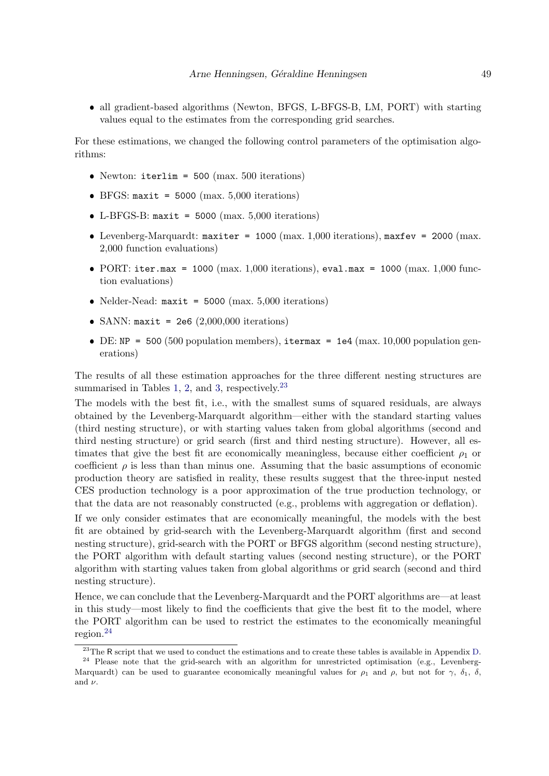• all gradient-based algorithms (Newton, BFGS, L-BFGS-B, LM, PORT) with starting values equal to the estimates from the corresponding grid searches.

For these estimations, we changed the following control parameters of the optimisation algorithms:

- Newton:  $iterlim = 500 (max. 500 iterations)$
- $\bullet$  BFGS: maxit = 5000 (max. 5,000 iterations)
- $\bullet$  L-BFGS-B: maxit = 5000 (max. 5,000 iterations)
- Levenberg-Marquardt: maxiter = 1000 (max. 1,000 iterations), maxfev = 2000 (max. 2,000 function evaluations)
- PORT: iter.max = 1000 (max. 1,000 iterations), eval.max = 1000 (max. 1,000 function evaluations)
- Nelder-Nead:  $\text{maxit} = 5000 \text{ (max. } 5{,}000 \text{ iterations)}$
- SANN:  $\texttt{maxit} = 2e6 (2,000,000 \text{ iterations})$
- DE: NP = 500 (500 population members), itermax = 1e4 (max. 10,000 population generations)

The results of all these estimation approaches for the three different nesting structures are summarised in Tables [1,](#page-49-0) [2,](#page-50-0) and [3,](#page-51-0) respectively. $23$ 

The models with the best fit, i.e., with the smallest sums of squared residuals, are always obtained by the Levenberg-Marquardt algorithm—either with the standard starting values (third nesting structure), or with starting values taken from global algorithms (second and third nesting structure) or grid search (first and third nesting structure). However, all estimates that give the best fit are economically meaningless, because either coefficient  $\rho_1$  or coefficient  $\rho$  is less than than minus one. Assuming that the basic assumptions of economic production theory are satisfied in reality, these results suggest that the three-input nested CES production technology is a poor approximation of the true production technology, or that the data are not reasonably constructed (e.g., problems with aggregation or deflation).

If we only consider estimates that are economically meaningful, the models with the best fit are obtained by grid-search with the Levenberg-Marquardt algorithm (first and second nesting structure), grid-search with the PORT or BFGS algorithm (second nesting structure), the PORT algorithm with default starting values (second nesting structure), or the PORT algorithm with starting values taken from global algorithms or grid search (second and third nesting structure).

Hence, we can conclude that the Levenberg-Marquardt and the PORT algorithms are—at least in this study—most likely to find the coefficients that give the best fit to the model, where the PORT algorithm can be used to restrict the estimates to the economically meaningful region.[24](#page-48-1)

<span id="page-48-1"></span><span id="page-48-0"></span> $^{23}$ The R script that we used to conduct the estimations and to create these tables is available in Appendix [D.](#page-90-0)

<sup>&</sup>lt;sup>24</sup> Please note that the grid-search with an algorithm for unrestricted optimisation (e.g., Levenberg-Marquardt) can be used to guarantee economically meaningful values for  $\rho_1$  and  $\rho$ , but not for  $\gamma$ ,  $\delta_1$ ,  $\delta$ , and  $\nu$ .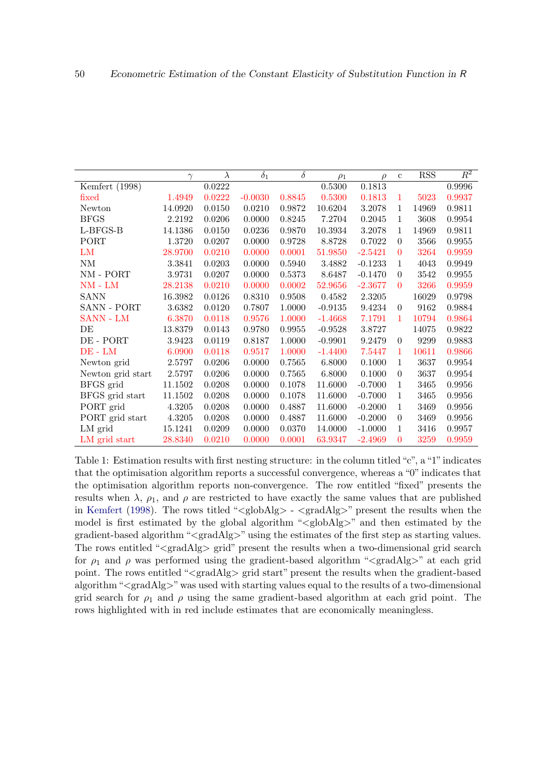|                             | $\gamma$   | $\lambda$ | $\delta_1$ | $\delta$ | $\rho_1$  | $\rho$    | $\mathbf c$    | <b>RSS</b> | $\overline{R^2}$ |
|-----------------------------|------------|-----------|------------|----------|-----------|-----------|----------------|------------|------------------|
| Kemfert (1998)              |            | 0.0222    |            |          | 0.5300    | 0.1813    |                |            | 0.9996           |
| fixed                       | 1.4949     | 0.0222    | $-0.0030$  | 0.8845   | 0.5300    | 0.1813    | 1              | 5023       | 0.9937           |
| Newton                      | 14.0920    | 0.0150    | 0.0210     | 0.9872   | 10.6204   | 3.2078    | 1              | 14969      | 0.9811           |
| <b>BFGS</b>                 | 2.2192     | 0.0206    | 0.0000     | 0.8245   | 7.2704    | 0.2045    | 1              | 3608       | 0.9954           |
| L-BFGS-B                    | 14.1386    | 0.0150    | 0.0236     | 0.9870   | 10.3934   | 3.2078    | 1              | 14969      | 0.9811           |
| <b>PORT</b>                 | 1.3720     | 0.0207    | 0.0000     | 0.9728   | 8.8728    | 0.7022    | $\theta$       | 3566       | 0.9955           |
| LM                          | 28.9700    | 0.0210    | 0.0000     | 0.0001   | 51.9850   | $-2.5421$ | $\theta$       | 3264       | 0.9959           |
| NM                          | 3.3841     | 0.0203    | 0.0000     | 0.5940   | 3.4882    | $-0.1233$ | 1              | 4043       | 0.9949           |
| $\text{NM}$ - $\text{PORT}$ | 3.9731     | 0.0207    | 0.0000     | 0.5373   | 8.6487    | $-0.1470$ | $\theta$       | 3542       | 0.9955           |
| $NM$ - $LM$                 | 28.2138    | 0.0210    | 0.0000     | 0.0002   | 52.9656   | $-2.3677$ | $\theta$       | 3266       | 0.9959           |
| <b>SANN</b>                 | 16.3982    | 0.0126    | 0.8310     | 0.9508   | 0.4582    | 2.3205    |                | 16029      | 0.9798           |
| SANN - PORT                 | 3.6382     | 0.0120    | 0.7807     | 1.0000   | $-0.9135$ | 9.4234    | $\theta$       | 9162       | 0.9884           |
| SANN - LM                   | 6.3870     | 0.0118    | 0.9576     | 1.0000   | $-1.4668$ | 7.1791    | 1              | 10794      | 0.9864           |
| DE                          | 13.8379    | 0.0143    | 0.9780     | 0.9955   | $-0.9528$ | 3.8727    |                | 14075      | 0.9822           |
| DE - PORT                   | 3.9423     | 0.0119    | 0.8187     | 1.0000   | $-0.9901$ | 9.2479    | $\theta$       | 9299       | 0.9883           |
| $DE$ - $LM$                 | 6.0900     | 0.0118    | 0.9517     | 1.0000   | $-1.4400$ | 7.5447    | 1              | 10611      | 0.9866           |
| Newton grid                 | 2.5797     | 0.0206    | 0.0000     | 0.7565   | 6.8000    | 0.1000    | 1              | 3637       | 0.9954           |
| Newton grid start           | 2.5797     | 0.0206    | 0.0000     | 0.7565   | 6.8000    | 0.1000    | $\theta$       | 3637       | 0.9954           |
| BFGS grid                   | 11.1502    | 0.0208    | 0.0000     | 0.1078   | 11.6000   | $-0.7000$ | 1              | 3465       | 0.9956           |
| BFGS grid start             | 11.1502    | 0.0208    | 0.0000     | 0.1078   | 11.6000   | $-0.7000$ | 1              | 3465       | 0.9956           |
| PORT grid                   | $4.3205\,$ | 0.0208    | 0.0000     | 0.4887   | 11.6000   | $-0.2000$ | 1              | 3469       | 0.9956           |
| PORT grid start             | 4.3205     | 0.0208    | 0.0000     | 0.4887   | 11.6000   | $-0.2000$ | $\theta$       | 3469       | 0.9956           |
| LM grid                     | 15.1241    | 0.0209    | 0.0000     | 0.0370   | 14.0000   | $-1.0000$ | 1              | 3416       | 0.9957           |
| LM grid start               | 28.8340    | 0.0210    | 0.0000     | 0.0001   | 63.9347   | $-2.4969$ | $\overline{0}$ | 3259       | 0.9959           |

<span id="page-49-0"></span>Table 1: Estimation results with first nesting structure: in the column titled "c", a "1" indicates that the optimisation algorithm reports a successful convergence, whereas a "0" indicates that the optimisation algorithm reports non-convergence. The row entitled "fixed" presents the results when  $\lambda$ ,  $\rho_1$ , and  $\rho$  are restricted to have exactly the same values that are published in [Kemfert](#page-106-2) [\(1998\)](#page-106-2). The rows titled " $\langle \text{globAlg} \rangle$  -  $\langle \text{gradAlg} \rangle$ " present the results when the model is first estimated by the global algorithm "<globAlg>" and then estimated by the gradient-based algorithm "<gradAlg>" using the estimates of the first step as starting values. The rows entitled "<gradAlg> grid" present the results when a two-dimensional grid search for  $\rho_1$  and  $\rho$  was performed using the gradient-based algorithm " $\langle \text{gradAlg} \rangle$ " at each grid point. The rows entitled "<gradAlg> grid start" present the results when the gradient-based algorithm "<gradAlg>"was used with starting values equal to the results of a two-dimensional grid search for  $\rho_1$  and  $\rho$  using the same gradient-based algorithm at each grid point. The rows highlighted with in red include estimates that are economically meaningless.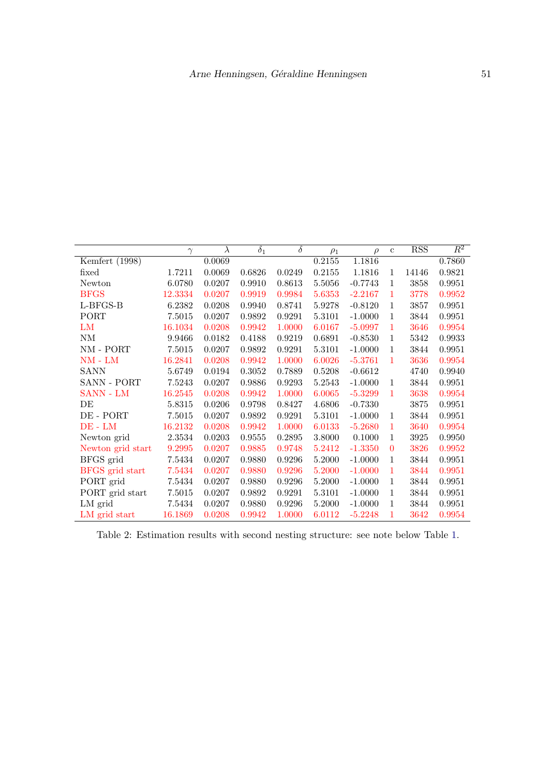|                   | $\gamma$ | $\lambda$ | $\overline{\delta_1}$ | $\overline{\delta}$ | $\rho_1$ | $\rho$    | $\mathbf{c}$ | <b>RSS</b> | $\overline{R^2}$ |
|-------------------|----------|-----------|-----------------------|---------------------|----------|-----------|--------------|------------|------------------|
| Kemfert (1998)    |          | 0.0069    |                       |                     | 0.2155   | 1.1816    |              |            | 0.7860           |
| fixed             | 1.7211   | 0.0069    | 0.6826                | 0.0249              | 0.2155   | 1.1816    | 1            | 14146      | 0.9821           |
| Newton            | 6.0780   | 0.0207    | 0.9910                | 0.8613              | 5.5056   | $-0.7743$ | 1            | 3858       | 0.9951           |
| <b>BFGS</b>       | 12.3334  | 0.0207    | 0.9919                | 0.9984              | 5.6353   | $-2.2167$ | 1            | 3778       | 0.9952           |
| L-BFGS-B          | 6.2382   | 0.0208    | 0.9940                | 0.8741              | 5.9278   | $-0.8120$ | 1            | 3857       | 0.9951           |
| PORT              | 7.5015   | 0.0207    | 0.9892                | 0.9291              | 5.3101   | $-1.0000$ | 1            | 3844       | $\,0.9951\,$     |
| LM                | 16.1034  | 0.0208    | 0.9942                | 1.0000              | 6.0167   | $-5.0997$ | 1            | 3646       | 0.9954           |
| NM                | 9.9466   | 0.0182    | 0.4188                | 0.9219              | 0.6891   | $-0.8530$ | 1            | 5342       | 0.9933           |
| NM - PORT         | 7.5015   | 0.0207    | 0.9892                | 0.9291              | 5.3101   | $-1.0000$ | $\mathbf{1}$ | 3844       | 0.9951           |
| $NM$ - $LM$       | 16.2841  | 0.0208    | 0.9942                | 1.0000              | 6.0026   | $-5.3761$ | $\mathbf{1}$ | 3636       | 0.9954           |
| <b>SANN</b>       | 5.6749   | 0.0194    | 0.3052                | 0.7889              | 0.5208   | $-0.6612$ |              | 4740       | 0.9940           |
| SANN - PORT       | 7.5243   | 0.0207    | 0.9886                | 0.9293              | 5.2543   | $-1.0000$ | $\mathbf{1}$ | 3844       | 0.9951           |
| SANN - LM         | 16.2545  | 0.0208    | 0.9942                | 1.0000              | 6.0065   | $-5.3299$ | 1            | 3638       | 0.9954           |
| DE                | 5.8315   | 0.0206    | 0.9798                | 0.8427              | 4.6806   | $-0.7330$ |              | 3875       | 0.9951           |
| DE - PORT         | 7.5015   | 0.0207    | 0.9892                | 0.9291              | 5.3101   | $-1.0000$ | 1            | 3844       | 0.9951           |
| $DE$ - $LM$       | 16.2132  | 0.0208    | 0.9942                | 1.0000              | 6.0133   | $-5.2680$ | 1            | 3640       | 0.9954           |
| Newton grid       | 2.3534   | 0.0203    | 0.9555                | 0.2895              | 3.8000   | 0.1000    | 1            | 3925       | 0.9950           |
| Newton grid start | 9.2995   | 0.0207    | 0.9885                | 0.9748              | 5.2412   | $-1.3350$ | $\Omega$     | 3826       | 0.9952           |
| BFGS grid         | 7.5434   | 0.0207    | 0.9880                | 0.9296              | 5.2000   | $-1.0000$ | $\mathbf{1}$ | 3844       | $\,0.9951\,$     |
| BFGS grid start   | 7.5434   | 0.0207    | 0.9880                | 0.9296              | 5.2000   | $-1.0000$ | 1            | 3844       | 0.9951           |
| PORT grid         | 7.5434   | 0.0207    | 0.9880                | 0.9296              | 5.2000   | $-1.0000$ | 1            | 3844       | 0.9951           |
| PORT grid start   | 7.5015   | 0.0207    | 0.9892                | 0.9291              | 5.3101   | $-1.0000$ | 1            | 3844       | 0.9951           |
| LM grid           | 7.5434   | 0.0207    | 0.9880                | 0.9296              | 5.2000   | $-1.0000$ | $\mathbf{1}$ | 3844       | 0.9951           |
| LM grid start     | 16.1869  | 0.0208    | 0.9942                | 1.0000              | 6.0112   | $-5.2248$ | 1            | 3642       | 0.9954           |

<span id="page-50-0"></span>Table 2: Estimation results with second nesting structure: see note below Table [1.](#page-49-0)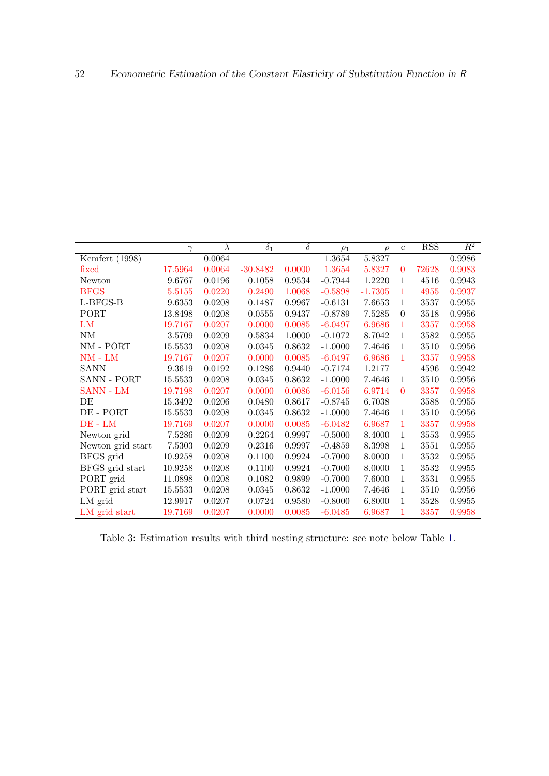|                   | $\gamma$ | $\lambda$ | $\overline{\delta_1}$ | $\overline{\delta}$ | $\rho_1$  | $\rho$    | $\mathbf c$    | <b>RSS</b> | $\overline{R^2}$ |
|-------------------|----------|-----------|-----------------------|---------------------|-----------|-----------|----------------|------------|------------------|
| Kemfert (1998)    |          | 0.0064    |                       |                     | 1.3654    | 5.8327    |                |            | 0.9986           |
| fixed             | 17.5964  | 0.0064    | $-30.8482$            | 0.0000              | 1.3654    | 5.8327    | $\overline{0}$ | 72628      | 0.9083           |
| Newton            | 9.6767   | 0.0196    | 0.1058                | 0.9534              | $-0.7944$ | 1.2220    | 1              | 4516       | 0.9943           |
| <b>BFGS</b>       | 5.5155   | 0.0220    | 0.2490                | 1.0068              | $-0.5898$ | $-1.7305$ | 1              | 4955       | 0.9937           |
| L-BFGS-B          | 9.6353   | 0.0208    | 0.1487                | 0.9967              | $-0.6131$ | 7.6653    | 1              | 3537       | 0.9955           |
| PORT              | 13.8498  | 0.0208    | 0.0555                | 0.9437              | $-0.8789$ | 7.5285    | $\theta$       | 3518       | 0.9956           |
| LM                | 19.7167  | 0.0207    | 0.0000                | 0.0085              | $-6.0497$ | 6.9686    | 1              | 3357       | 0.9958           |
| $\mathrm{NM}$     | 3.5709   | 0.0209    | 0.5834                | 1.0000              | $-0.1072$ | 8.7042    | 1              | 3582       | 0.9955           |
| NM - PORT         | 15.5533  | 0.0208    | 0.0345                | 0.8632              | $-1.0000$ | 7.4646    | $\mathbf{1}$   | 3510       | 0.9956           |
| $NM$ - $LM$       | 19.7167  | 0.0207    | 0.0000                | 0.0085              | $-6.0497$ | 6.9686    | 1              | 3357       | 0.9958           |
| <b>SANN</b>       | 9.3619   | 0.0192    | 0.1286                | 0.9440              | $-0.7174$ | 1.2177    |                | 4596       | 0.9942           |
| SANN - PORT       | 15.5533  | 0.0208    | 0.0345                | 0.8632              | $-1.0000$ | 7.4646    | $\mathbf{1}$   | 3510       | 0.9956           |
| SANN - LM         | 19.7198  | 0.0207    | 0.0000                | 0.0086              | $-6.0156$ | 6.9714    | $\theta$       | 3357       | 0.9958           |
| DE                | 15.3492  | 0.0206    | 0.0480                | 0.8617              | $-0.8745$ | 6.7038    |                | 3588       | 0.9955           |
| DE - PORT         | 15.5533  | 0.0208    | 0.0345                | 0.8632              | $-1.0000$ | 7.4646    | 1              | 3510       | 0.9956           |
| $DE$ - $LM$       | 19.7169  | 0.0207    | 0.0000                | 0.0085              | $-6.0482$ | 6.9687    | 1              | 3357       | 0.9958           |
| Newton grid       | 7.5286   | 0.0209    | 0.2264                | 0.9997              | $-0.5000$ | 8.4000    | 1              | 3553       | 0.9955           |
| Newton grid start | 7.5303   | 0.0209    | 0.2316                | 0.9997              | $-0.4859$ | 8.3998    | $\mathbf{1}$   | 3551       | 0.9955           |
| BFGS grid         | 10.9258  | 0.0208    | 0.1100                | 0.9924              | $-0.7000$ | 8.0000    | 1              | 3532       | 0.9955           |
| BFGS grid start   | 10.9258  | 0.0208    | 0.1100                | 0.9924              | $-0.7000$ | 8.0000    | $\mathbf{1}$   | 3532       | 0.9955           |
| PORT grid         | 11.0898  | 0.0208    | 0.1082                | 0.9899              | $-0.7000$ | 7.6000    | 1              | 3531       | 0.9955           |
| PORT grid start   | 15.5533  | 0.0208    | 0.0345                | 0.8632              | $-1.0000$ | 7.4646    | $\mathbf{1}$   | 3510       | 0.9956           |
| LM grid           | 12.9917  | 0.0207    | 0.0724                | 0.9580              | $-0.8000$ | 6.8000    | $\mathbf{1}$   | 3528       | 0.9955           |
| LM grid start     | 19.7169  | 0.0207    | 0.0000                | 0.0085              | $-6.0485$ | 6.9687    | 1              | 3357       | 0.9958           |

<span id="page-51-0"></span>Table 3: Estimation results with third nesting structure: see note below Table [1.](#page-49-0)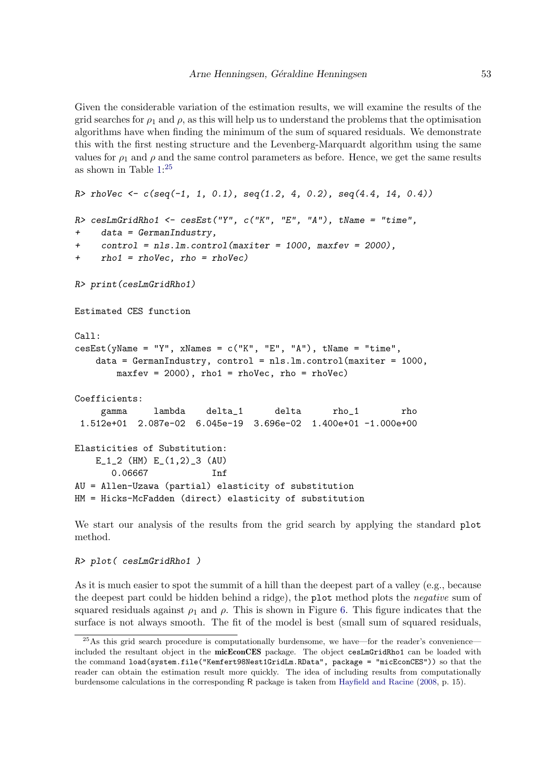Given the considerable variation of the estimation results, we will examine the results of the grid searches for  $\rho_1$  and  $\rho$ , as this will help us to understand the problems that the optimisation algorithms have when finding the minimum of the sum of squared residuals. We demonstrate this with the first nesting structure and the Levenberg-Marquardt algorithm using the same values for  $\rho_1$  and  $\rho$  and the same control parameters as before. Hence, we get the same results as shown in Table [1:](#page-49-0) [25](#page-52-0)

```
R> rhoVec <- c(seq(-1, 1, 0.1), seq(1.2, 4, 0.2), seq(4.4, 14, 0.4))
R> cesLmGridRho1 <- cesEst("Y", c("K", "E", "A"), tName = "time",
+ data = GermanIndustry,
+ control = nls.lm.control(maxiter = 1000, maxfev = 2000),
+ rho1 = rhoVec, rho = rhoVec)
R> print(cesLmGridRho1)
Estimated CES function
Call:
\text{cesEst}(\text{yName} = "Y", \text{ xNames} = c("K", "E", "A"), tName = "time",data = GermanIndustry, control = nls.lm.control(maxiter = 1000,
       maxfev = 2000, rho1 = rhoVec, rho = rhoVec)
Coefficients:
     gamma lambda delta_1 delta rho_1 rho
 1.512e+01 2.087e-02 6.045e-19 3.696e-02 1.400e+01 -1.000e+00
Elasticities of Substitution:
   E_1_2 (HM) E_1_2_2 (AU)
       0.06667 Inf
AU = Allen-Uzawa (partial) elasticity of substitution
HM = Hicks-McFadden (direct) elasticity of substitution
```
We start our analysis of the results from the grid search by applying the standard plot method.

R> plot( cesLmGridRho1 )

As it is much easier to spot the summit of a hill than the deepest part of a valley (e.g., because the deepest part could be hidden behind a ridge), the plot method plots the negative sum of squared residuals against  $\rho_1$  and  $\rho$ . This is shown in Figure [6.](#page-53-0) This figure indicates that the surface is not always smooth. The fit of the model is best (small sum of squared residuals,

<span id="page-52-0"></span> $^{25}$ As this grid search procedure is computationally burdensome, we have—for the reader's convenience included the resultant object in the micEconCES package. The object cesLmGridRho1 can be loaded with the command load(system.file("Kemfert98Nest1GridLm.RData", package = "micEconCES")) so that the reader can obtain the estimation result more quickly. The idea of including results from computationally burdensome calculations in the corresponding R package is taken from [Hayfield and Racine](#page-105-3) [\(2008,](#page-105-3) p. 15).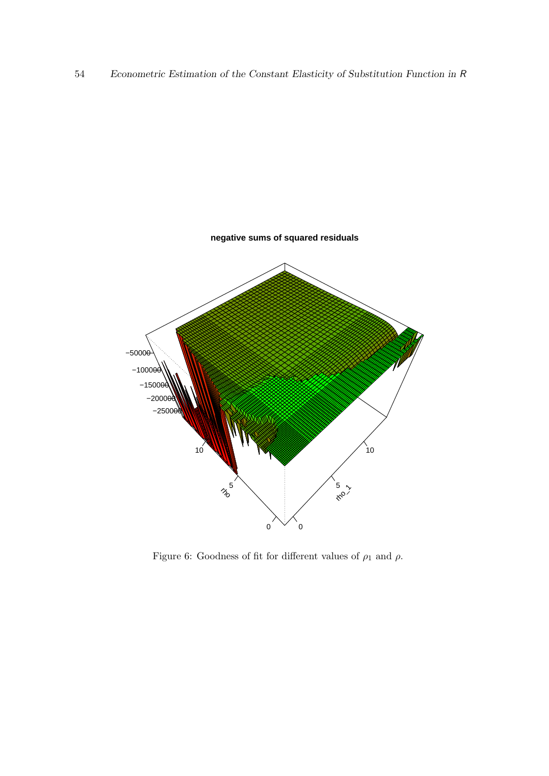

<span id="page-53-0"></span>Figure 6: Goodness of fit for different values of  $\rho_1$  and  $\rho.$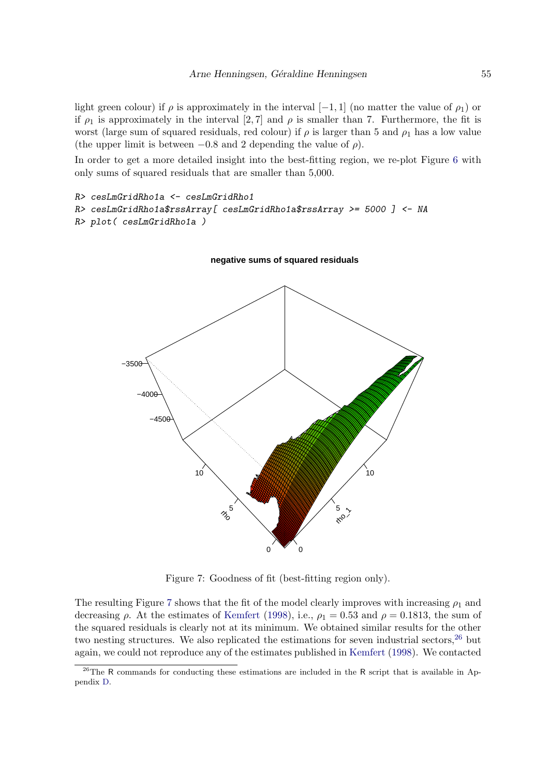light green colour) if  $\rho$  is approximately in the interval [−1, 1] (no matter the value of  $\rho_1$ ) or if  $\rho_1$  is approximately in the interval [2,7] and  $\rho$  is smaller than 7. Furthermore, the fit is worst (large sum of squared residuals, red colour) if  $\rho$  is larger than 5 and  $\rho_1$  has a low value (the upper limit is between  $-0.8$  and 2 depending the value of  $\rho$ ).

In order to get a more detailed insight into the best-fitting region, we re-plot Figure [6](#page-53-0) with only sums of squared residuals that are smaller than 5,000.

```
R> cesLmGridRho1a <- cesLmGridRho1
R> cesLmGridRho1a$rssArray[ cesLmGridRho1a$rssArray >= 5000 ] <- NA
R> plot( cesLmGridRho1a )
```
**negative sums of squared residuals**



<span id="page-54-0"></span>Figure 7: Goodness of fit (best-fitting region only).

The resulting Figure [7](#page-54-0) shows that the fit of the model clearly improves with increasing  $\rho_1$  and decreasing  $\rho$ . At the estimates of [Kemfert](#page-106-2) [\(1998\)](#page-106-2), i.e.,  $\rho_1 = 0.53$  and  $\rho = 0.1813$ , the sum of the squared residuals is clearly not at its minimum. We obtained similar results for the other two nesting structures. We also replicated the estimations for seven industrial sectors,  $26$  but again, we could not reproduce any of the estimates published in [Kemfert](#page-106-2) [\(1998\)](#page-106-2). We contacted

<span id="page-54-1"></span><sup>&</sup>lt;sup>26</sup>The R commands for conducting these estimations are included in the R script that is available in Appendix [D.](#page-90-0)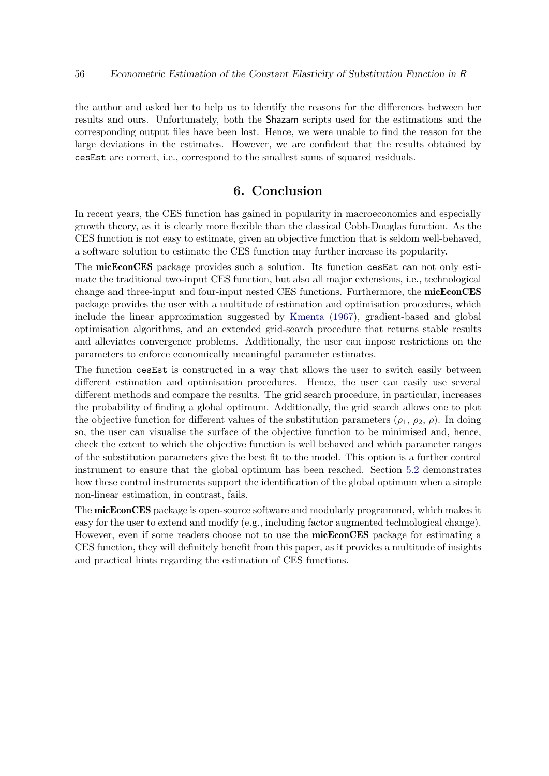the author and asked her to help us to identify the reasons for the differences between her results and ours. Unfortunately, both the Shazam scripts used for the estimations and the corresponding output files have been lost. Hence, we were unable to find the reason for the large deviations in the estimates. However, we are confident that the results obtained by cesEst are correct, i.e., correspond to the smallest sums of squared residuals.

# 6. Conclusion

In recent years, the CES function has gained in popularity in macroeconomics and especially growth theory, as it is clearly more flexible than the classical Cobb-Douglas function. As the CES function is not easy to estimate, given an objective function that is seldom well-behaved, a software solution to estimate the CES function may further increase its popularity.

The micEconCES package provides such a solution. Its function cesEst can not only estimate the traditional two-input CES function, but also all major extensions, i.e., technological change and three-input and four-input nested CES functions. Furthermore, the **micEconCES** package provides the user with a multitude of estimation and optimisation procedures, which include the linear approximation suggested by [Kmenta](#page-106-3) [\(1967\)](#page-106-3), gradient-based and global optimisation algorithms, and an extended grid-search procedure that returns stable results and alleviates convergence problems. Additionally, the user can impose restrictions on the parameters to enforce economically meaningful parameter estimates.

The function cesEst is constructed in a way that allows the user to switch easily between different estimation and optimisation procedures. Hence, the user can easily use several different methods and compare the results. The grid search procedure, in particular, increases the probability of finding a global optimum. Additionally, the grid search allows one to plot the objective function for different values of the substitution parameters  $(\rho_1, \rho_2, \rho)$ . In doing so, the user can visualise the surface of the objective function to be minimised and, hence, check the extent to which the objective function is well behaved and which parameter ranges of the substitution parameters give the best fit to the model. This option is a further control instrument to ensure that the global optimum has been reached. Section [5.2](#page-42-1) demonstrates how these control instruments support the identification of the global optimum when a simple non-linear estimation, in contrast, fails.

The micEconCES package is open-source software and modularly programmed, which makes it easy for the user to extend and modify (e.g., including factor augmented technological change). However, even if some readers choose not to use the **micEconCES** package for estimating a CES function, they will definitely benefit from this paper, as it provides a multitude of insights and practical hints regarding the estimation of CES functions.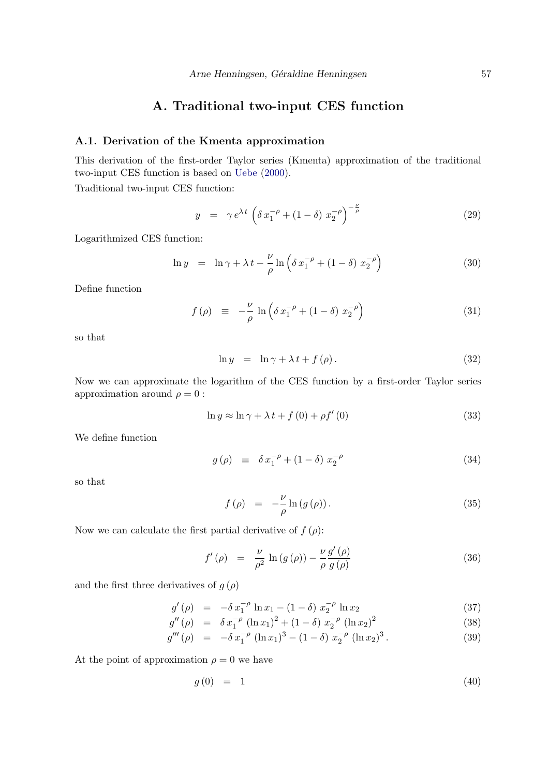# A. Traditional two-input CES function

## A.1. Derivation of the Kmenta approximation

This derivation of the first-order Taylor series (Kmenta) approximation of the traditional two-input CES function is based on [Uebe](#page-108-2) [\(2000\)](#page-108-2).

Traditional two-input CES function:

$$
y = \gamma e^{\lambda t} \left( \delta x_1^{-\rho} + (1 - \delta) x_2^{-\rho} \right)^{-\frac{\nu}{\rho}}
$$
 (29)

Logarithmized CES function:

$$
\ln y = \ln \gamma + \lambda t - \frac{\nu}{\rho} \ln \left( \delta x_1^{-\rho} + (1 - \delta) x_2^{-\rho} \right) \tag{30}
$$

Define function

<span id="page-56-0"></span>
$$
f(\rho) \equiv -\frac{\nu}{\rho} \ln \left( \delta x_1^{-\rho} + (1 - \delta) x_2^{-\rho} \right) \tag{31}
$$

so that

$$
\ln y = \ln \gamma + \lambda t + f(\rho). \tag{32}
$$

Now we can approximate the logarithm of the CES function by a first-order Taylor series approximation around  $\rho = 0$ :

$$
\ln y \approx \ln \gamma + \lambda t + f(0) + \rho f'(0)
$$
\n(33)

We define function

<span id="page-56-1"></span>
$$
g(\rho) \equiv \delta x_1^{-\rho} + (1 - \delta) x_2^{-\rho} \tag{34}
$$

so that

$$
f(\rho) = -\frac{\nu}{\rho} \ln \left( g(\rho) \right). \tag{35}
$$

Now we can calculate the first partial derivative of  $f(\rho)$ :

$$
f'(\rho) = \frac{\nu}{\rho^2} \ln(g(\rho)) - \frac{\nu}{\rho} \frac{g'(\rho)}{g(\rho)}
$$
\n(36)

and the first three derivatives of  $g(\rho)$ 

$$
g'(\rho) = -\delta x_1^{-\rho} \ln x_1 - (1 - \delta) x_2^{-\rho} \ln x_2 \tag{37}
$$

$$
g''(\rho) = \delta x_1^{-\rho} (\ln x_1)^2 + (1 - \delta) x_2^{-\rho} (\ln x_2)^2 \tag{38}
$$

$$
g'''(\rho) = -\delta x_1^{-\rho} (\ln x_1)^3 - (1 - \delta) x_2^{-\rho} (\ln x_2)^3.
$$
 (39)

At the point of approximation  $\rho = 0$  we have

$$
g(0) = 1 \tag{40}
$$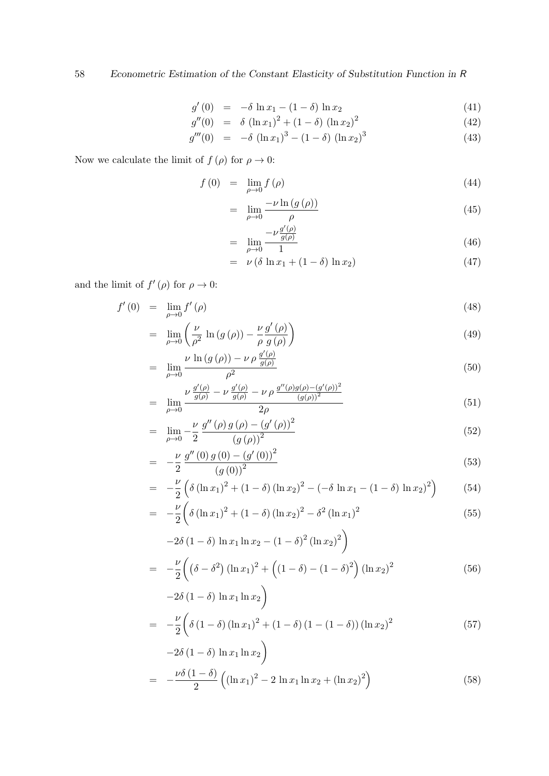$$
g'(0) = -\delta \ln x_1 - (1 - \delta) \ln x_2 \tag{41}
$$
\n
$$
g'(0) = \delta (1 - \delta)^2 + (1 - \delta)^2 \tag{42}
$$

$$
g''(0) = \delta (\ln x_1)^2 + (1 - \delta) (\ln x_2)^2 \tag{42}
$$

$$
g'''(0) = -\delta (\ln x_1)^3 - (1 - \delta) (\ln x_2)^3 \tag{43}
$$

Now we calculate the limit of  $f(\rho)$  for  $\rho \to 0$ :

$$
f(0) = \lim_{\rho \to 0} f(\rho) \tag{44}
$$

$$
= \lim_{\rho \to 0} \frac{-\nu \ln \left( g \left( \rho \right) \right)}{\rho} \tag{45}
$$

$$
= \lim_{\rho \to 0} \frac{-\nu \frac{g'(\rho)}{g(\rho)}}{1} \tag{46}
$$

$$
= \nu \left( \delta \ln x_1 + (1 - \delta) \ln x_2 \right) \tag{47}
$$

and the limit of  $f'(\rho)$  for  $\rho \to 0$ :

$$
f'(0) = \lim_{\rho \to 0} f'(\rho) \tag{48}
$$

$$
= \lim_{\rho \to 0} \left( \frac{\nu}{\rho^2} \ln \left( g \left( \rho \right) \right) - \frac{\nu}{\rho} \frac{g' \left( \rho \right)}{g \left( \rho \right)} \right) \tag{49}
$$

$$
= \lim_{\rho \to 0} \frac{\nu \ln \left( g \left( \rho \right) \right) - \nu \rho \frac{g \left( \rho \right)}{g \left( \rho \right)}}{\rho^2} \tag{50}
$$

$$
= \lim_{\rho \to 0} \frac{\nu \frac{g'(\rho)}{g(\rho)} - \nu \frac{g'(\rho)}{g(\rho)} - \nu \rho \frac{g''(\rho)g(\rho) - (g'(\rho))^2}{(g(\rho))^2}}{2\rho} \tag{51}
$$

$$
= \lim_{\rho \to 0} -\frac{\nu}{2} \frac{g''(\rho) g(\rho) - (g'(\rho))^2}{(g(\rho))^2}
$$
\n(52)

$$
= -\frac{\nu}{2} \frac{g''(0) g(0) - (g'(0))^2}{(g(0))^2}
$$
\n(53)

$$
= -\frac{\nu}{2} \left( \delta \left( (\ln x_1)^2 + (1 - \delta) (\ln x_2)^2 - (-\delta \ln x_1 - (1 - \delta) \ln x_2)^2 \right) \right) \tag{54}
$$

$$
= -\frac{\nu}{2} \left( \delta \left( \ln x_1 \right)^2 + (1 - \delta) \left( \ln x_2 \right)^2 - \delta^2 \left( \ln x_1 \right)^2 \right)
$$
(55)

$$
-2\delta (1 - \delta) \ln x_1 \ln x_2 - (1 - \delta)^2 (\ln x_2)^2
$$
  
= 
$$
-\frac{\nu}{2} \left( (\delta - \delta^2) (\ln x_1)^2 + ((1 - \delta) - (1 - \delta)^2) (\ln x_2)^2 -2\delta (1 - \delta) \ln x_1 \ln x_2 \right)
$$
 (56)

$$
= -\frac{\nu}{2} \left( \delta \left( 1 - \delta \right) \left( \ln x_1 \right)^2 + \left( 1 - \delta \right) \left( 1 - \left( 1 - \delta \right) \right) \left( \ln x_2 \right)^2 \right)
$$
(57)

$$
-2\delta (1 - \delta) \ln x_1 \ln x_2
$$
  
= 
$$
-\frac{\nu \delta (1 - \delta)}{2} ((\ln x_1)^2 - 2 \ln x_1 \ln x_2 + (\ln x_2)^2)
$$
 (58)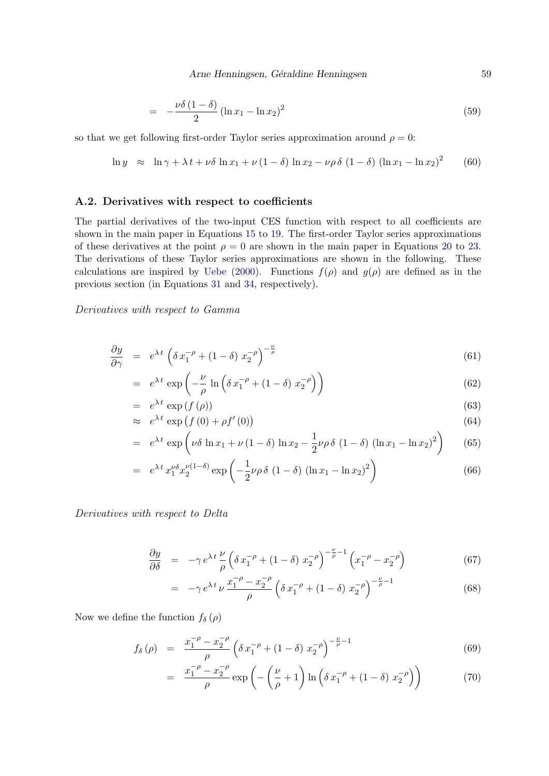Arne Henningsen, Géraldine Henningsen 59

$$
= -\frac{\nu \delta (1 - \delta)}{2} (\ln x_1 - \ln x_2)^2 \tag{59}
$$

so that we get following first-order Taylor series approximation around  $\rho = 0$ :

$$
\ln y \approx \ln \gamma + \lambda t + \nu \delta \ln x_1 + \nu (1 - \delta) \ln x_2 - \nu \rho \delta (1 - \delta) (\ln x_1 - \ln x_2)^2 \tag{60}
$$

### A.2. Derivatives with respect to coefficients

The partial derivatives of the two-input CES function with respect to all coefficients are shown in the main paper in Equations [15](#page-35-0) to [19.](#page-35-1) The first-order Taylor series approximations of these derivatives at the point  $\rho = 0$  are shown in the main paper in Equations [20](#page-35-2) to [23.](#page-35-3) The derivations of these Taylor series approximations are shown in the following. These calculations are inspired by [Uebe](#page-108-2) [\(2000\)](#page-108-2). Functions  $f(\rho)$  and  $g(\rho)$  are defined as in the previous section (in Equations [31](#page-56-0) and [34,](#page-56-1) respectively).

Derivatives with respect to Gamma

$$
\frac{\partial y}{\partial \gamma} = e^{\lambda t} \left( \delta x_1^{-\rho} + (1 - \delta) x_2^{-\rho} \right)^{-\frac{\nu}{\rho}}
$$
(61)

$$
= e^{\lambda t} \exp\left(-\frac{\nu}{\rho} \ln\left(\delta x_1^{-\rho} + (1-\delta) x_2^{-\rho}\right)\right) \tag{62}
$$

$$
= e^{\lambda t} \exp(f(\rho)) \tag{63}
$$

$$
\approx e^{\lambda t} \exp\left(f(0) + \rho f'(0)\right) \tag{64}
$$

$$
= e^{\lambda t} \exp\left(\nu \delta \ln x_1 + \nu (1 - \delta) \ln x_2 - \frac{1}{2} \nu \rho \delta (1 - \delta) (\ln x_1 - \ln x_2)^2\right) \tag{65}
$$

$$
= e^{\lambda t} x_1^{\nu \delta} x_2^{\nu (1-\delta)} \exp\left(-\frac{1}{2}\nu \rho \delta (1-\delta) (\ln x_1 - \ln x_2)^2\right)
$$
(66)

Derivatives with respect to Delta

$$
\frac{\partial y}{\partial \delta} = -\gamma e^{\lambda t} \frac{\nu}{\rho} \left( \delta x_1^{-\rho} + (1 - \delta) x_2^{-\rho} \right)^{-\frac{\nu}{\rho} - 1} \left( x_1^{-\rho} - x_2^{-\rho} \right) \tag{67}
$$

$$
= -\gamma e^{\lambda t} \nu \frac{x_1^{-\rho} - x_2^{-\rho}}{\rho} \left( \delta x_1^{-\rho} + (1 - \delta) x_2^{-\rho} \right)^{-\frac{\nu}{\rho} - 1}
$$
(68)

Now we define the function  $f_{\delta}(\rho)$ 

$$
f_{\delta}(\rho) = \frac{x_1^{-\rho} - x_2^{-\rho}}{\rho} \left( \delta x_1^{-\rho} + (1 - \delta) x_2^{-\rho} \right)^{-\frac{\nu}{\rho} - 1} \tag{69}
$$

$$
= \frac{x_1^{-\rho} - x_2^{-\rho}}{\rho} \exp\left(-\left(\frac{\nu}{\rho} + 1\right) \ln\left(\delta x_1^{-\rho} + (1 - \delta) x_2^{-\rho}\right)\right) \tag{70}
$$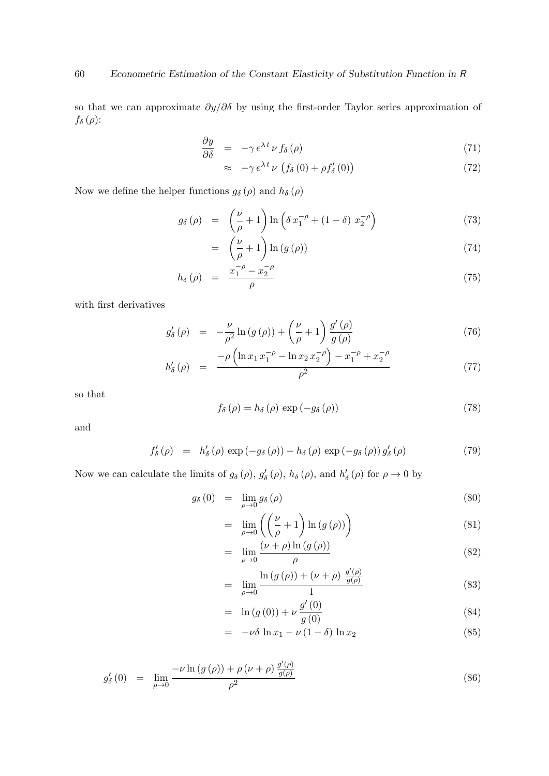so that we can approximate  $\partial y/\partial \delta$  by using the first-order Taylor series approximation of  $f_{\delta}\left( \rho\right)$ 

$$
\frac{\partial y}{\partial \delta} = -\gamma e^{\lambda t} \nu f_{\delta}(\rho) \tag{71}
$$

$$
\approx -\gamma e^{\lambda t} \nu \left( f_{\delta} \left( 0 \right) + \rho f'_{\delta} \left( 0 \right) \right) \tag{72}
$$

Now we define the helper functions  $g_{\delta}\left( \rho\right)$  and  $h_{\delta}\left( \rho\right)$ 

$$
g_{\delta}(\rho) = \left(\frac{\nu}{\rho} + 1\right) \ln\left(\delta x_1^{-\rho} + (1 - \delta) x_2^{-\rho}\right) \tag{73}
$$

$$
= \left(\frac{\nu}{\rho} + 1\right) \ln\left(g\left(\rho\right)\right) \tag{74}
$$

$$
h_{\delta}\left(\rho\right) = \frac{x_1^{-\rho} - x_2^{-\rho}}{\rho} \tag{75}
$$

with first derivatives

$$
g'_{\delta}(\rho) = -\frac{\nu}{\rho^2} \ln \left( g(\rho) \right) + \left( \frac{\nu}{\rho} + 1 \right) \frac{g'(\rho)}{g(\rho)} \tag{76}
$$

$$
h'_{\delta}(\rho) = \frac{-\rho \left( \ln x_1 x_1^{-\rho} - \ln x_2 x_2^{-\rho} \right) - x_1^{-\rho} + x_2^{-\rho}}{\rho^2}
$$
(77)

so that

$$
f_{\delta}(\rho) = h_{\delta}(\rho) \exp(-g_{\delta}(\rho))
$$
\n(78)

and

$$
f'_{\delta}(\rho) = h'_{\delta}(\rho) \exp(-g_{\delta}(\rho)) - h_{\delta}(\rho) \exp(-g_{\delta}(\rho)) g'_{\delta}(\rho)
$$
\n(79)

Now we can calculate the limits of  $g_{\delta}(\rho)$ ,  $g'_{\delta}(\rho)$ ,  $h_{\delta}(\rho)$ , and  $h'_{\delta}(\rho)$  for  $\rho \to 0$  by

$$
g_{\delta}(0) = \lim_{\rho \to 0} g_{\delta}(\rho) \tag{80}
$$

$$
= \lim_{\rho \to 0} \left( \left( \frac{\nu}{\rho} + 1 \right) \ln \left( g \left( \rho \right) \right) \right) \tag{81}
$$

$$
= \lim_{\rho \to 0} \frac{(\nu + \rho) \ln (g(\rho))}{\rho} \tag{82}
$$

$$
= \lim_{\rho \to 0} \frac{\ln (g(\rho)) + (\nu + \rho) \frac{g'(\rho)}{g(\rho)}}{1}
$$
 (83)

$$
= \ln(g(0)) + \nu \frac{g'(0)}{g(0)}
$$
\n(84)

$$
= -\nu \delta \ln x_1 - \nu (1 - \delta) \ln x_2 \tag{85}
$$

$$
g'_{\delta}(0) = \lim_{\rho \to 0} \frac{-\nu \ln (g(\rho)) + \rho (\nu + \rho) \frac{g'(\rho)}{g(\rho)}}{\rho^2}
$$
(86)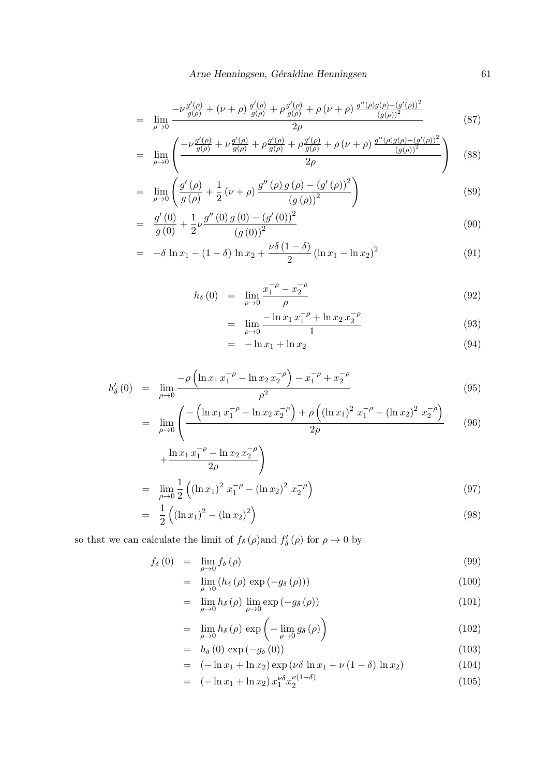$$
= \lim_{\rho \to 0} \frac{-\nu \frac{g'(\rho)}{g(\rho)} + (\nu + \rho) \frac{g'(\rho)}{g(\rho)} + \rho \frac{g'(\rho)}{g(\rho)} + \rho (\nu + \rho) \frac{g''(\rho)g(\rho) - (g'(\rho))^2}{(g(\rho))^2}}{2\rho} \tag{87}
$$

$$
= \lim_{\rho \to 0} \left( \frac{-\nu \frac{g'(\rho)}{g(\rho)} + \nu \frac{g'(\rho)}{g(\rho)} + \rho \frac{g'(\rho)}{g(\rho)} + \rho \frac{g'(\rho)}{g(\rho)} + \rho (\nu + \rho) \frac{g''(\rho)g(\rho) - (g'(\rho))^2}{(g(\rho))^2}}{2\rho} \right) \tag{88}
$$

$$
= \lim_{\rho \to 0} \left( \frac{g'(\rho)}{g(\rho)} + \frac{1}{2} (\nu + \rho) \frac{g''(\rho) g(\rho) - (g'(\rho))^2}{(g(\rho))^2} \right)
$$
(89)

$$
= \frac{g'(0)}{g(0)} + \frac{1}{2}\nu \frac{g''(0) g(0) - (g'(0))^2}{(g(0))^2}
$$
\n(90)

$$
= -\delta \ln x_1 - (1 - \delta) \ln x_2 + \frac{\nu \delta (1 - \delta)}{2} (\ln x_1 - \ln x_2)^2 \tag{91}
$$

$$
h_{\delta}(0) = \lim_{\rho \to 0} \frac{x_1^{-\rho} - x_2^{-\rho}}{\rho} \tag{92}
$$

$$
= \lim_{\rho \to 0} \frac{-\ln x_1 x_1^{-\rho} + \ln x_2 x_2^{-\rho}}{1} \tag{93}
$$

$$
= -\ln x_1 + \ln x_2 \tag{94}
$$

$$
h'_{\delta}(0) = \lim_{\rho \to 0} \frac{-\rho \left( \ln x_1 x_1^{-\rho} - \ln x_2 x_2^{-\rho} \right) - x_1^{-\rho} + x_2^{-\rho}}{\rho^2}
$$
(95)

$$
= \lim_{\rho \to 0} \left( \frac{-\left( \ln x_1 x_1^{-\rho} - \ln x_2 x_2^{-\rho} \right) + \rho \left( (\ln x_1)^2 x_1^{-\rho} - (\ln x_2)^2 x_2^{-\rho} \right)}{2\rho} \right)
$$
(96)

$$
+\frac{\ln x_1 x_1^{-\rho} - \ln x_2 x_2^{-\rho}}{2\rho}
$$
  
= 
$$
\lim_{\rho \to 0} \frac{1}{2} \left( (\ln x_1)^2 x_1^{-\rho} - (\ln x_2)^2 x_2^{-\rho} \right)
$$
 (97)

$$
= \frac{1}{2} ((\ln x_1)^2 - (\ln x_2)^2)
$$
\n(98)

so that we can calculate the limit of  $f_\delta(\rho)$  and  $f'_\delta(\rho)$  for  $\rho \to 0$  by

$$
f_{\delta}(0) = \lim_{\rho \to 0} f_{\delta}(\rho) \tag{99}
$$

$$
= \lim_{\rho \to 0} \left( h_{\delta} \left( \rho \right) \exp \left( -g_{\delta} \left( \rho \right) \right) \right) \tag{100}
$$

$$
= \lim_{\rho \to 0} h_{\delta}(\rho) \lim_{\rho \to 0} \exp(-g_{\delta}(\rho)) \tag{101}
$$

$$
= \lim_{\rho \to 0} h_{\delta}(\rho) \exp\left(-\lim_{\rho \to 0} g_{\delta}(\rho)\right) \tag{102}
$$

$$
= h_{\delta}(0) \exp(-g_{\delta}(0)) \tag{103}
$$

$$
= (-\ln x_1 + \ln x_2) \exp(\nu \delta \ln x_1 + \nu (1 - \delta) \ln x_2)
$$
 (104)

$$
= (-\ln x_1 + \ln x_2) x_1^{\nu \delta} x_2^{\nu (1-\delta)} \tag{105}
$$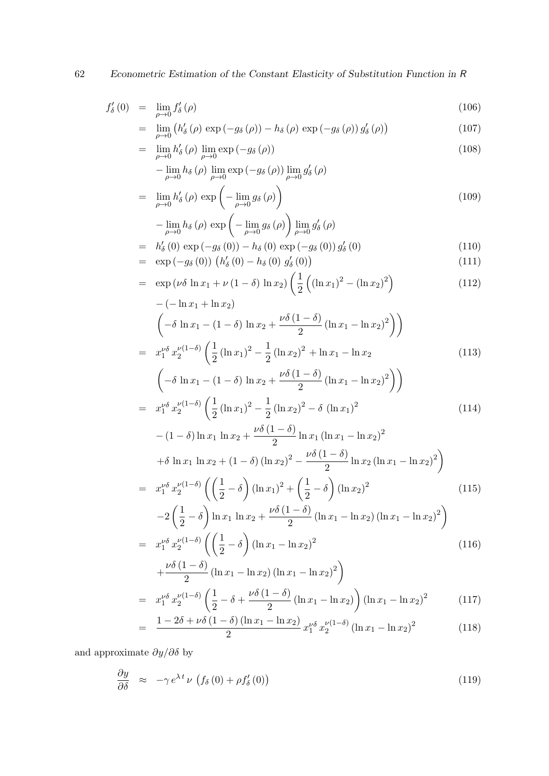62 Econometric Estimation of the Constant Elasticity of Substitution Function in R

$$
f'_{\delta}(0) = \lim_{\rho \to 0} f'_{\delta}(\rho) \tag{106}
$$

$$
= \lim_{\rho \to 0} \left( h_{\delta}^{\prime}(\rho) \exp\left(-g_{\delta}(\rho)\right) - h_{\delta}(\rho) \exp\left(-g_{\delta}(\rho)\right) g_{\delta}^{\prime}(\rho)\right) \tag{107}
$$

$$
= \lim_{\rho \to 0} h'_{\delta}(\rho) \lim_{\rho \to 0} \exp(-g_{\delta}(\rho))
$$
\n
$$
= \lim_{\rho \to 0} h_{\delta}(\rho) \lim_{\rho \to 0} \exp(-g_{\delta}(\rho)) \lim_{\rho' \to 0} g'_{\delta}(\rho)
$$
\n(108)

$$
-\lim_{\rho\to 0}h_{\delta}\left(\rho\right)\lim_{\rho\to 0}\exp\left(-g_{\delta}\left(\rho\right)\right)\lim_{\rho\to 0}g_{\delta}'\left(\rho\right)
$$

$$
= \lim_{\rho \to 0} h'_{\delta}(\rho) \exp\left(-\lim_{\rho \to 0} g_{\delta}(\rho)\right)
$$
\n(109)

$$
-\lim_{\rho \to 0} h_{\delta}(\rho) \exp\left(-\lim_{\rho \to 0} g_{\delta}(\rho)\right) \lim_{\rho \to 0} g'_{\delta}(\rho)
$$
  
=  $h'_{\delta}(0) \exp(-g_{\delta}(0)) - h_{\delta}(0) \exp(-g_{\delta}(0)) g'_{\delta}(0)$  (110)

$$
= \exp(-g_{\delta}(0)) (h'_{\delta}(0) - h_{\delta}(0) g'_{\delta}(0)) \tag{111}
$$

$$
= \exp(\nu \delta \ln x_1 + \nu (1 - \delta) \ln x_2) \left(\frac{1}{2} \left( (\ln x_1)^2 - (\ln x_2)^2 \right) - (-\ln x_1 + \ln x_2) \right)
$$
(112)

$$
\left(-\delta \ln x_1 - (1 - \delta) \ln x_2 + \frac{\nu \delta (1 - \delta)}{2} (\ln x_1 - \ln x_2)^2\right)\right)
$$
  
=  $x_1^{\nu \delta} x_2^{\nu (1 - \delta)} \left(\frac{1}{2} (\ln x_1)^2 - \frac{1}{2} (\ln x_2)^2 + \ln x_1 - \ln x_2\right)$  (113)  

$$
\left(-\delta \ln x_1 - (1 - \delta) \ln x_2 + \frac{\nu \delta (1 - \delta)}{2} (\ln x_1 - \ln x_2)^2\right)\right)
$$
  
=  $x_1^{\nu \delta} x_2^{\nu (1 - \delta)} \left(\frac{1}{2} (\ln x_1)^2 - \frac{1}{2} (\ln x_2)^2 - \delta (\ln x_1)^2\right)$  (114)  

$$
-(1 - \delta) \ln x_1 \ln x_2 + \frac{\nu \delta (1 - \delta)}{2} \ln x_1 (\ln x_1 - \ln x_2)^2
$$

$$
+\delta \ln x_1 \ln x_2 + (1 - \delta) (\ln x_2)^2 - \frac{\nu \delta (1 - \delta)}{2} \ln x_2 (\ln x_1 - \ln x_2)^2
$$

$$
= x_1^{\nu \delta} x_2^{\nu (1-\delta)} \left( \left( \frac{1}{2} - \delta \right) (\ln x_1)^2 + \left( \frac{1}{2} - \delta \right) (\ln x_2)^2 \right)
$$
  
-2\left( \frac{1}{2} - \delta \right) \ln x\_1 \ln x\_2 + \frac{\nu \delta (1-\delta)}{2} (\ln x\_1 - \ln x\_2) (\ln x\_1 - \ln x\_2)^2 \right) (115)

$$
= x_1^{\nu \delta} x_2^{\nu (1-\delta)} \left( \left( \frac{1}{2} - \delta \right) (\ln x_1 - \ln x_2)^2 \right)
$$
  

$$
\nu \delta (1-\delta) \left( \ln x_1 - \ln x_2 \right)
$$
 (116)

$$
+\frac{\nu o (1 - o)}{2} (\ln x_1 - \ln x_2) (\ln x_1 - \ln x_2)^2)
$$
  
=  $x_1^{\nu \delta} x_2^{\nu (1 - \delta)} \left(\frac{1}{2} - \delta + \frac{\nu \delta (1 - \delta)}{2} (\ln x_1 - \ln x_2) \right) (\ln x_1 - \ln x_2)^2$  (117)

$$
= \frac{1 - 2\delta + \nu\delta \left(1 - \delta\right) (\ln x_1 - \ln x_2)}{2} x_1^{\nu\delta} x_2^{\nu(1-\delta)} (\ln x_1 - \ln x_2)^2 \tag{118}
$$

and approximate  $\partial y/\partial \delta$  by

$$
\frac{\partial y}{\partial \delta} \quad \approx \quad -\gamma \, e^{\lambda \, t} \, \nu \, \left( f_{\delta} \left( 0 \right) + \rho f'_{\delta} \left( 0 \right) \right) \tag{119}
$$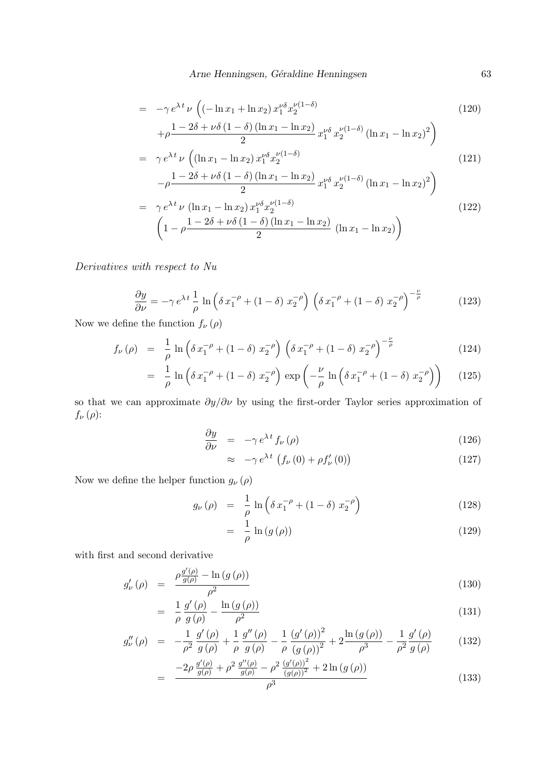Arne Henningsen, Géraldine Henningsen 63

$$
= -\gamma e^{\lambda t} \nu \left( \left( -\ln x_1 + \ln x_2 \right) x_1^{\nu \delta} x_2^{\nu (1-\delta)} + \rho \frac{1 - 2\delta + \nu \delta \left( 1 - \delta \right) \left( \ln x_1 - \ln x_2 \right)}{2} x_1^{\nu \delta} x_2^{\nu (1-\delta)} \left( \ln x_1 - \ln x_2 \right)^2 \right)
$$
\n(120)

$$
= \gamma e^{\lambda t} \nu \left( (\ln x_1 - \ln x_2) x_1^{\nu \delta} x_2^{\nu (1 - \delta)} \right)
$$
\n(121)

$$
-\rho \frac{1 - 2\delta + \nu \delta (1 - \delta) (\ln x_1 - \ln x_2)}{2} x_1^{\nu \delta} x_2^{\nu (1 - \delta)} (\ln x_1 - \ln x_2)^2)
$$
  
=  $\gamma e^{\lambda t} \nu (\ln x_1 - \ln x_2) x_1^{\nu \delta} x_2^{\nu (1 - \delta)}$   

$$
\left(1 - \rho \frac{1 - 2\delta + \nu \delta (1 - \delta) (\ln x_1 - \ln x_2)}{2} (\ln x_1 - \ln x_2)\right)
$$
 (122)

Derivatives with respect to Nu

$$
\frac{\partial y}{\partial \nu} = -\gamma e^{\lambda t} \frac{1}{\rho} \ln \left( \delta x_1^{-\rho} + (1 - \delta) x_2^{-\rho} \right) \left( \delta x_1^{-\rho} + (1 - \delta) x_2^{-\rho} \right)^{-\frac{\nu}{\rho}}
$$
(123)

Now we define the function  $f_{\nu}(\rho)$ 

$$
f_{\nu}(\rho) = \frac{1}{\rho} \ln \left( \delta x_1^{-\rho} + (1 - \delta) x_2^{-\rho} \right) \left( \delta x_1^{-\rho} + (1 - \delta) x_2^{-\rho} \right)^{-\frac{\nu}{\rho}}
$$
(124)

$$
= \frac{1}{\rho} \ln \left( \delta x_1^{-\rho} + (1 - \delta) x_2^{-\rho} \right) \exp \left( -\frac{\nu}{\rho} \ln \left( \delta x_1^{-\rho} + (1 - \delta) x_2^{-\rho} \right) \right) \tag{125}
$$

so that we can approximate  $\partial y/\partial \nu$  by using the first-order Taylor series approximation of  $f_{\nu}(\rho)$ :

$$
\frac{\partial y}{\partial \nu} = -\gamma e^{\lambda t} f_{\nu}(\rho) \tag{126}
$$

$$
\approx -\gamma e^{\lambda t} \left( f_{\nu} \left( 0 \right) + \rho f_{\nu}' \left( 0 \right) \right) \tag{127}
$$

Now we define the helper function  $g_{\nu}(\rho)$ 

$$
g_{\nu}(\rho) = \frac{1}{\rho} \ln \left( \delta x_1^{-\rho} + (1 - \delta) x_2^{-\rho} \right) \tag{128}
$$

$$
= \frac{1}{\rho} \ln \left( g \left( \rho \right) \right) \tag{129}
$$

with first and second derivative

$$
g'_{\nu}(\rho) = \frac{\rho \frac{g'(\rho)}{g(\rho)} - \ln\left(g\left(\rho\right)\right)}{\rho^2} \tag{130}
$$

$$
= \frac{1}{\rho} \frac{g'(\rho)}{g(\rho)} - \frac{\ln\left(g(\rho)\right)}{\rho^2} \tag{131}
$$

$$
g_{\nu}''(\rho) = -\frac{1}{\rho^2} \frac{g'(\rho)}{g(\rho)} + \frac{1}{\rho} \frac{g''(\rho)}{g(\rho)} - \frac{1}{\rho} \frac{(g'(\rho))^2}{(g(\rho))^2} + 2 \frac{\ln(g(\rho))}{\rho^3} - \frac{1}{\rho^2} \frac{g'(\rho)}{g(\rho)}
$$
(132)

$$
= \frac{-2\rho \frac{g'(\rho)}{g(\rho)} + \rho^2 \frac{g''(\rho)}{g(\rho)} - \rho^2 \frac{(g'(\rho))^2}{(g(\rho))^2} + 2\ln\left(g(\rho)\right)}{\rho^3} \tag{133}
$$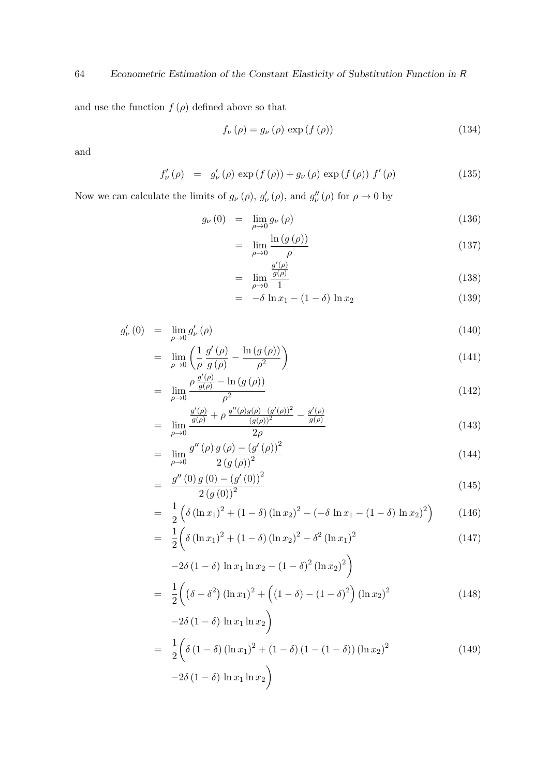and use the function  $f(\rho)$  defined above so that

$$
f_{\nu}(\rho) = g_{\nu}(\rho) \exp\left(f(\rho)\right) \tag{134}
$$

and

$$
f'_{\nu}(\rho) = g'_{\nu}(\rho) \exp(f(\rho)) + g_{\nu}(\rho) \exp(f(\rho)) f'(\rho)
$$
 (135)

Now we can calculate the limits of  $g_{\nu}(\rho)$ ,  $g'_{\nu}(\rho)$ , and  $g''_{\nu}(\rho)$  for  $\rho \to 0$  by

$$
g_{\nu}(0) = \lim_{\rho \to 0} g_{\nu}(\rho) \tag{136}
$$

$$
= \lim_{\rho \to 0} \frac{\ln\left(g\left(\rho\right)\right)}{\rho} \tag{137}
$$

$$
= \lim_{\rho \to 0} \frac{\frac{g'(\rho)}{g(\rho)}}{1} \tag{138}
$$

$$
= -\delta \ln x_1 - (1 - \delta) \ln x_2 \tag{139}
$$

$$
g'_{\nu}(0) = \lim_{\rho \to 0} g'_{\nu}(\rho) \tag{140}
$$

$$
= \lim_{\rho \to 0} \left( \frac{1}{\rho} \frac{g'(\rho)}{g(\rho)} - \frac{\ln\left(g(\rho)\right)}{\rho^2} \right) \tag{141}
$$

$$
= \lim_{\rho \to 0} \frac{\rho \frac{g'(\rho)}{g(\rho)} - \ln\left(g\left(\rho\right)\right)}{\rho^2} \tag{142}
$$

$$
= \lim_{\rho \to 0} \frac{\frac{g'(\rho)}{g(\rho)} + \rho \frac{g''(\rho)g(\rho) - (g'(\rho))^2}{(g(\rho))^2} - \frac{g'(\rho)}{g(\rho)}}{2\rho} \tag{143}
$$

$$
= \lim_{\rho \to 0} \frac{g''(\rho) g(\rho) - (g'(\rho))^2}{2 (g(\rho))^2}
$$
\n(144)

$$
= \frac{g''(0) g(0) - (g'(0))^2}{2 (g(0))^2}
$$
\n(145)

$$
= \frac{1}{2} \left( \delta \left( \ln x_1 \right)^2 + (1 - \delta) \left( \ln x_2 \right)^2 - \left( -\delta \ln x_1 - (1 - \delta) \ln x_2 \right)^2 \right) \tag{146}
$$

$$
= \frac{1}{2} \left( \delta \left( \ln x_1 \right)^2 + (1 - \delta) \left( \ln x_2 \right)^2 - \delta^2 \left( \ln x_1 \right)^2 \right) \tag{147}
$$

$$
-2\delta (1 - \delta) \ln x_1 \ln x_2 - (1 - \delta)^2 (\ln x_2)^2
$$
  
=  $\frac{1}{2} \left( (\delta - \delta^2) (\ln x_1)^2 + ((1 - \delta) - (1 - \delta)^2) (\ln x_2)^2 \right)$  (148)

$$
-2\delta (1 - \delta) \ln x_1 \ln x_2
$$
  
=  $\frac{1}{2} \left( \delta (1 - \delta) (\ln x_1)^2 + (1 - \delta) (1 - (1 - \delta)) (\ln x_2)^2 -2\delta (1 - \delta) \ln x_1 \ln x_2 \right)$  (149)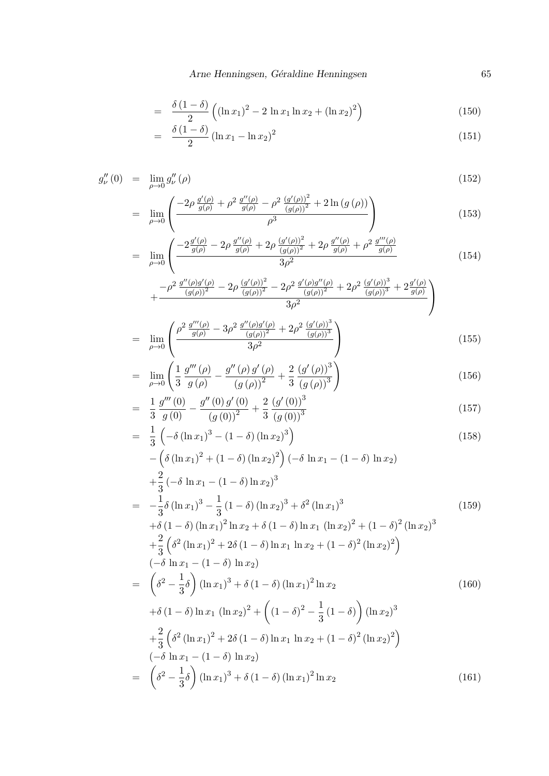$$
= \frac{\delta (1 - \delta)}{2} \left( (\ln x_1)^2 - 2 \ln x_1 \ln x_2 + (\ln x_2)^2 \right) \tag{150}
$$

$$
= \frac{\delta (1 - \delta)}{2} (\ln x_1 - \ln x_2)^2 \tag{151}
$$

$$
g_{\nu}''(0) = \lim_{\rho \to 0} g_{\nu}''(\rho) \tag{152}
$$

$$
= \lim_{\rho \to 0} \left( \frac{-2\rho \frac{g'(\rho)}{g(\rho)} + \rho^2 \frac{g''(\rho)}{g(\rho)} - \rho^2 \frac{(g'(\rho))^2}{(g(\rho))^2} + 2\ln(g(\rho))}{\rho^3} \right) \tag{153}
$$

$$
= \lim_{\rho \to 0} \left( \frac{-2 \frac{g'(\rho)}{g(\rho)} - 2\rho \frac{g''(\rho)}{g(\rho)} + 2\rho \frac{(g'(\rho))^2}{(g(\rho))^2} + 2\rho \frac{g''(\rho)}{g(\rho)} + \rho^2 \frac{g'''(\rho)}{g(\rho)}}{3\rho^2} \right) \tag{154}
$$

$$
+\frac{-\rho^2\,\frac{g''(\rho)g'(\rho)}{(g(\rho))^2}-2\rho\,\frac{(g'(\rho))^2}{(g(\rho))^2}-2\rho^2\,\frac{g'(\rho)g''(\rho)}{(g(\rho))^2}+2\rho^2\,\frac{(g'(\rho))^3}{(g(\rho))^3}+2\frac{g'(\rho)}{g(\rho)}}{3\rho^2}\Bigg)
$$

$$
= \lim_{\rho \to 0} \left( \frac{\rho^2 \frac{g'''(\rho)}{g(\rho)} - 3\rho^2 \frac{g''(\rho)g'(\rho)}{(g(\rho))^2} + 2\rho^2 \frac{(g'(\rho))^3}{(g(\rho))^3}}{3\rho^2} \right)
$$
(155)

$$
= \lim_{\rho \to 0} \left( \frac{1}{3} \frac{g'''(\rho)}{g(\rho)} - \frac{g''(\rho) g'(\rho)}{(g(\rho))^2} + \frac{2}{3} \frac{(g'(\rho))^3}{(g(\rho))^3} \right)
$$
(156)

$$
= \frac{1}{3} \frac{g'''(0)}{g(0)} - \frac{g''(0) g'(0)}{(g(0))^2} + \frac{2}{3} \frac{(g'(0))^3}{(g(0))^3}
$$
(157)

$$
= \frac{1}{3} \left( -\delta (\ln x_1)^3 - (1 - \delta) (\ln x_2)^3 \right)
$$
  
 
$$
- \left( \delta (\ln x_1)^2 + (1 - \delta) (\ln x_2)^2 \right) \left( -\delta \ln x_1 - (1 - \delta) \ln x_2 \right)
$$
 (158)

$$
+\frac{2}{3}(-\delta \ln x_1 - (1 - \delta) \ln x_2)^3
$$
  
=  $-\frac{1}{3}\delta (\ln x_1)^3 - \frac{1}{3}(1 - \delta) (\ln x_2)^3 + \delta^2 (\ln x_1)^3$   
+  $\delta (1 - \delta) (\ln x_1)^2 \ln x_2 + \delta (1 - \delta) \ln x_1 (\ln x_2)^2 + (1 - \delta)^2 (\ln x_2)^3$   
+  $\frac{2}{3} (\delta^2 (\ln x_1)^2 + 2\delta (1 - \delta) \ln x_1 \ln x_2 + (1 - \delta)^2 (\ln x_2)^2)$   
 $(-\delta \ln x_1 - (1 - \delta) \ln x_2)$   
=  $(\delta^2 - \frac{1}{3}\delta) (\ln x_1)^3 + \delta (1 - \delta) (\ln x_1)^2 \ln x_2$  (160)  
+  $\delta (1 - \delta) \ln x_1 (\ln x_2)^2 + ((1 - \delta)^2 - \frac{1}{3}(1 - \delta)) (\ln x_2)^3$   
+  $\frac{2}{3} (\delta^2 (\ln x_1)^2 + 2\delta (1 - \delta) \ln x_1 \ln x_2 + (1 - \delta)^2 (\ln x_2)^2)$   
 $(-\delta \ln x_1 - (1 - \delta) \ln x_2)$   
=  $(\delta^2 - \frac{1}{3}\delta) (\ln x_1)^3 + \delta (1 - \delta) (\ln x_1)^2 \ln x_2$  (161)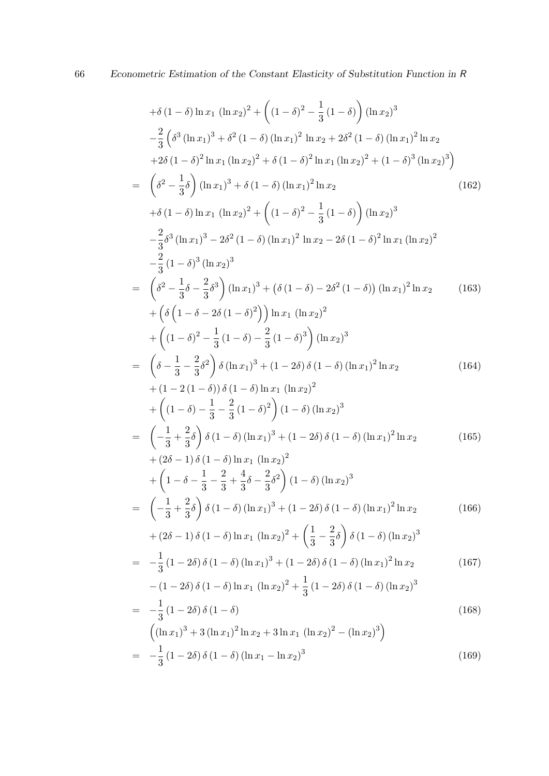$$
+ \delta (1 - \delta) \ln x_1 (\ln x_2)^2 + ((1 - \delta)^2 - \frac{1}{3} (1 - \delta)) (\ln x_2)^3
$$
  
\n
$$
- \frac{2}{3} (\delta^3 (\ln x_1)^3 + \delta^2 (1 - \delta) (\ln x_1)^2 \ln x_2 + 2\delta^2 (1 - \delta) (\ln x_1)^2 \ln x_2
$$
  
\n
$$
+ 2\delta (1 - \delta)^2 \ln x_1 (\ln x_2)^2 + \delta (1 - \delta)^2 \ln x_1 (\ln x_2)^2 + (1 - \delta)^3 (\ln x_2)^3
$$
  
\n
$$
= (\delta^2 - \frac{1}{3}\delta) (\ln x_1)^3 + \delta (1 - \delta) (\ln x_1)^2 \ln x_2
$$
(162)  
\n
$$
+ \delta (1 - \delta) \ln x_1 (\ln x_2)^2 + ((1 - \delta)^2 - \frac{1}{3} (1 - \delta)) (\ln x_2)^3
$$
  
\n
$$
- \frac{2}{3} \delta^3 (\ln x_1)^3 - 2\delta^2 (1 - \delta) (\ln x_1)^2 \ln x_2 - 2\delta (1 - \delta)^2 \ln x_1 (\ln x_2)^2
$$
  
\n
$$
- \frac{2}{3} (1 - \delta)^3 (\ln x_2)^3
$$
  
\n
$$
= (\delta^2 - \frac{1}{3}\delta - \frac{2}{3}\delta^3) (\ln x_1)^3 + (\delta (1 - \delta) - 2\delta^2 (1 - \delta)) (\ln x_1)^2 \ln x_2
$$
(163)  
\n
$$
+ (\delta (1 - \delta - 2\delta (1 - \delta)^2)) \ln x_1 (\ln x_2)^2
$$
  
\n
$$
+ ((1 - \delta)^2 - \frac{1}{3} (1 - \delta) - \frac{2}{3} (1 - \delta)^3) (\ln x_2)^3
$$
  
\n
$$
= (\delta - \frac{1}{3} - \frac{2}{3}\delta^2) \delta (\ln x_1)^3 + (1 - 2\delta) \delta (1 - \delta) (\ln x_1)^2 \ln x_2
$$
(164)  
\n
$$
+ (1 - 2 (1 - \delta)) \delta (1 - \delta) \ln x_1 (\ln x_2)^2
$$
  
\n
$$
+ ((1 -
$$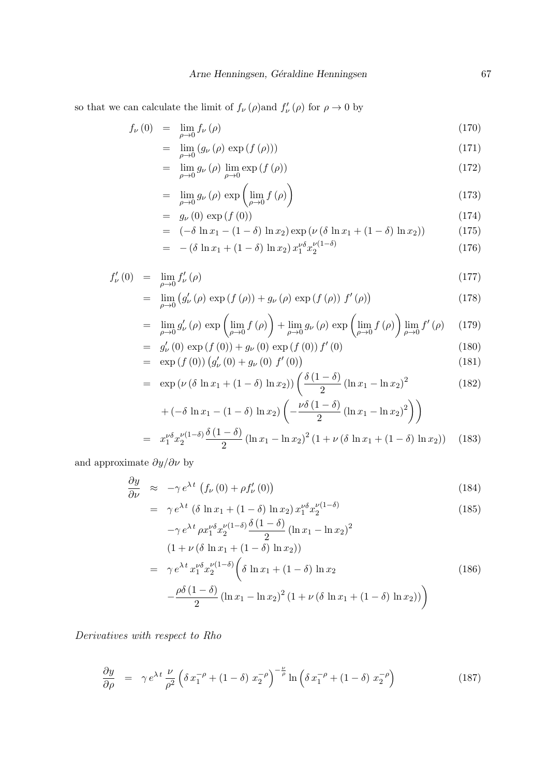so that we can calculate the limit of  $f_{\nu}(\rho)$  and  $f_{\nu}'(\rho)$  for  $\rho \to 0$  by

$$
f_{\nu}(0) = \lim_{\rho \to 0} f_{\nu}(\rho) \tag{170}
$$

$$
= \lim_{\rho \to 0} \left( g_{\nu} \left( \rho \right) \exp \left( f \left( \rho \right) \right) \right) \tag{171}
$$

$$
= \lim_{\rho \to 0} g_{\nu}(\rho) \lim_{\rho \to 0} \exp\left(f(\rho)\right) \tag{172}
$$

$$
= \lim_{\rho \to 0} g_{\nu}(\rho) \exp\left(\lim_{\rho \to 0} f(\rho)\right) \tag{173}
$$

$$
= g_{\nu}(0) \exp\left(f(0)\right) \tag{174}
$$

$$
= (-\delta \ln x_1 - (1 - \delta) \ln x_2) \exp (\nu (\delta \ln x_1 + (1 - \delta) \ln x_2)) \tag{175}
$$

$$
= -(\delta \ln x_1 + (1 - \delta) \ln x_2) x_1^{\nu \delta} x_2^{\nu (1 - \delta)}
$$
\n(176)

$$
f'_{\nu}(0) = \lim_{\rho \to 0} f'_{\nu}(\rho) \tag{177}
$$

$$
= \lim_{\rho \to 0} \left( g'_{\nu}(\rho) \exp\left(f(\rho)\right) + g_{\nu}(\rho) \exp\left(f(\rho)\right) f'(\rho) \right) \tag{178}
$$

$$
= \lim_{\rho \to 0} g'_{\nu}(\rho) \exp\left(\lim_{\rho \to 0} f(\rho)\right) + \lim_{\rho \to 0} g_{\nu}(\rho) \exp\left(\lim_{\rho \to 0} f(\rho)\right) \lim_{\rho \to 0} f'(\rho) \tag{179}
$$

$$
= g'_{\nu}(0) \exp(f(0)) + g_{\nu}(0) \exp(f(0)) f'(0)
$$
\n(180)

$$
= \exp\left(f(0)\right)\left(g'_{\nu}(0) + g_{\nu}(0)\ f'(0)\right) \tag{181}
$$

$$
= \exp\left(\nu\left(\delta\ln x_1 + (1-\delta)\ln x_2\right)\right) \left(\frac{\delta\left(1-\delta\right)}{2}\left(\ln x_1 - \ln x_2\right)^2\right) \tag{182}
$$

$$
+(-\delta \ln x_1 - (1 - \delta) \ln x_2) \left( -\frac{\nu \delta (1 - \delta)}{2} (\ln x_1 - \ln x_2)^2 \right) \Biggr)
$$
  
=  $x_1^{\nu \delta} x_2^{\nu (1 - \delta)} \frac{\delta (1 - \delta)}{2} (\ln x_1 - \ln x_2)^2 (1 + \nu (\delta \ln x_1 + (1 - \delta) \ln x_2))$  (183)

and approximate  $\partial y/\partial \nu$  by

$$
\frac{\partial y}{\partial \nu} \approx -\gamma e^{\lambda t} \left( f_{\nu} (0) + \rho f_{\nu}' (0) \right)
$$
 (184)

$$
= \gamma e^{\lambda t} \left( \delta \ln x_1 + (1 - \delta) \ln x_2 \right) x_1^{\nu \delta} x_2^{\nu (1 - \delta)} \tag{185}
$$

$$
-\gamma e^{\lambda t} \rho x_1^{\nu \delta} x_2^{\nu (1-\delta)} \frac{\partial (1-\delta)}{2} (\ln x_1 - \ln x_2)^2
$$
  
\n
$$
(1 + \nu (\delta \ln x_1 + (1-\delta) \ln x_2))
$$
  
\n
$$
= \gamma e^{\lambda t} x_1^{\nu \delta} x_2^{\nu (1-\delta)} \left( \delta \ln x_1 + (1-\delta) \ln x_2 \right)
$$
  
\n
$$
- \frac{\rho \delta (1-\delta)}{2} (\ln x_1 - \ln x_2)^2 (1 + \nu (\delta \ln x_1 + (1-\delta) \ln x_2))
$$
\n(186)

Derivatives with respect to Rho

$$
\frac{\partial y}{\partial \rho} = \gamma e^{\lambda t} \frac{\nu}{\rho^2} \left( \delta x_1^{-\rho} + (1 - \delta) x_2^{-\rho} \right)^{-\frac{\nu}{\rho}} \ln \left( \delta x_1^{-\rho} + (1 - \delta) x_2^{-\rho} \right) \tag{187}
$$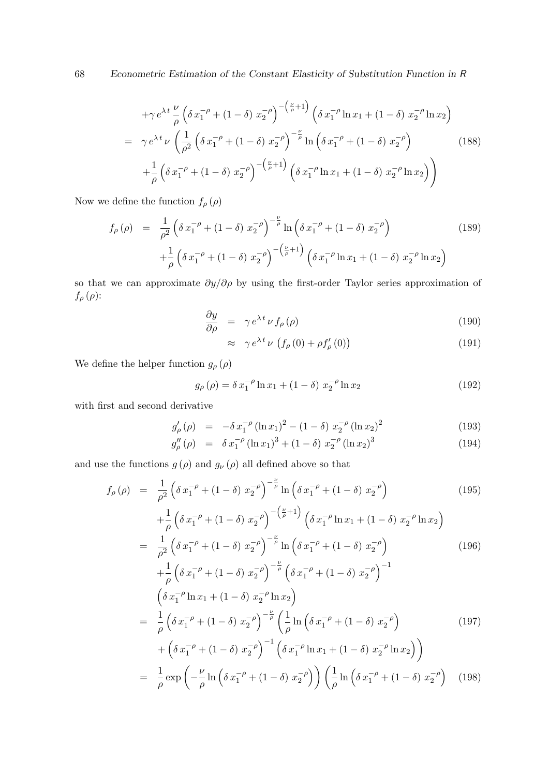68 Econometric Estimation of the Constant Elasticity of Substitution Function in R

$$
+ \gamma e^{\lambda t} \frac{\nu}{\rho} \left( \delta x_1^{-\rho} + (1 - \delta) x_2^{-\rho} \right)^{-\left(\frac{\nu}{\rho} + 1\right)} \left( \delta x_1^{-\rho} \ln x_1 + (1 - \delta) x_2^{-\rho} \ln x_2 \right)
$$
  
=  $\gamma e^{\lambda t} \nu \left( \frac{1}{\rho^2} \left( \delta x_1^{-\rho} + (1 - \delta) x_2^{-\rho} \right)^{-\frac{\nu}{\rho}} \ln \left( \delta x_1^{-\rho} + (1 - \delta) x_2^{-\rho} \right) \right)$  (188)  
 $+ \frac{1}{\rho} \left( \delta x_1^{-\rho} + (1 - \delta) x_2^{-\rho} \right)^{-\left(\frac{\nu}{\rho} + 1\right)} \left( \delta x_1^{-\rho} \ln x_1 + (1 - \delta) x_2^{-\rho} \ln x_2 \right) \right)$ 

Now we define the function  $f_\rho\left(\rho\right)$ 

$$
f_{\rho}(\rho) = \frac{1}{\rho^2} \left( \delta x_1^{-\rho} + (1 - \delta) x_2^{-\rho} \right)^{-\frac{\nu}{\rho}} \ln \left( \delta x_1^{-\rho} + (1 - \delta) x_2^{-\rho} \right) + \frac{1}{\rho} \left( \delta x_1^{-\rho} + (1 - \delta) x_2^{-\rho} \right)^{-\left(\frac{\nu}{\rho} + 1\right)} \left( \delta x_1^{-\rho} \ln x_1 + (1 - \delta) x_2^{-\rho} \ln x_2 \right)
$$
(189)

so that we can approximate  $\partial y/\partial \rho$  by using the first-order Taylor series approximation of  $f_{\rho}(\rho)$ :

$$
\frac{\partial y}{\partial \rho} = \gamma e^{\lambda t} \nu f_{\rho}(\rho) \tag{190}
$$

$$
\approx \gamma e^{\lambda t} \nu \left( f_{\rho}(0) + \rho f_{\rho}'(0) \right) \tag{191}
$$

We define the helper function  $g_\rho\left(\rho\right)$ 

$$
g_{\rho}(\rho) = \delta x_1^{-\rho} \ln x_1 + (1 - \delta) x_2^{-\rho} \ln x_2 \tag{192}
$$

with first and second derivative

$$
g'_{\rho}(\rho) = -\delta x_1^{-\rho} (\ln x_1)^2 - (1 - \delta) x_2^{-\rho} (\ln x_2)^2 \tag{193}
$$

$$
g_{\rho}''(\rho) = \delta x_1^{-\rho} (\ln x_1)^3 + (1 - \delta) x_2^{-\rho} (\ln x_2)^3 \tag{194}
$$

and use the functions  $g\left(\rho\right)$  and  $g_{\nu}\left(\rho\right)$  all defined above so that

$$
f_{\rho}(\rho) = \frac{1}{\rho^{2}} \left( \delta x_{1}^{-\rho} + (1 - \delta) x_{2}^{-\rho} \right)^{-\frac{\nu}{\rho}} \ln \left( \delta x_{1}^{-\rho} + (1 - \delta) x_{2}^{-\rho} \right) \qquad (195)
$$
  
\n
$$
+ \frac{1}{\rho} \left( \delta x_{1}^{-\rho} + (1 - \delta) x_{2}^{-\rho} \right)^{-\left(\frac{\nu}{\rho} + 1\right)} \left( \delta x_{1}^{-\rho} \ln x_{1} + (1 - \delta) x_{2}^{-\rho} \ln x_{2} \right)
$$
  
\n
$$
= \frac{1}{\rho^{2}} \left( \delta x_{1}^{-\rho} + (1 - \delta) x_{2}^{-\rho} \right)^{-\frac{\nu}{\rho}} \ln \left( \delta x_{1}^{-\rho} + (1 - \delta) x_{2}^{-\rho} \right) \qquad (196)
$$
  
\n
$$
+ \frac{1}{\rho} \left( \delta x_{1}^{-\rho} + (1 - \delta) x_{2}^{-\rho} \right)^{-\frac{\nu}{\rho}} \left( \delta x_{1}^{-\rho} + (1 - \delta) x_{2}^{-\rho} \right)^{-1}
$$
  
\n
$$
\left( \delta x_{1}^{-\rho} \ln x_{1} + (1 - \delta) x_{2}^{-\rho} \ln x_{2} \right)
$$
  
\n
$$
= \frac{1}{\rho} \left( \delta x_{1}^{-\rho} + (1 - \delta) x_{2}^{-\rho} \right)^{-\frac{\nu}{\rho}} \left( \frac{1}{\rho} \ln \left( \delta x_{1}^{-\rho} + (1 - \delta) x_{2}^{-\rho} \right) \right) \qquad (197)
$$
  
\n
$$
+ \left( \delta x_{1}^{-\rho} + (1 - \delta) x_{2}^{-\rho} \right)^{-1} \left( \delta x_{1}^{-\rho} \ln x_{1} + (1 - \delta) x_{2}^{-\rho} \ln x_{2} \right) \right)
$$
  
\n
$$
= \frac{1}{\rho} \exp \left( -\frac{\nu}{\rho} \ln \left( \delta x_{1}^{-\rho} + (1 - \delta) x_{2}^{-\rho} \right) \right) \left( \frac{1}{\rho} \ln \left( \delta x_{1
$$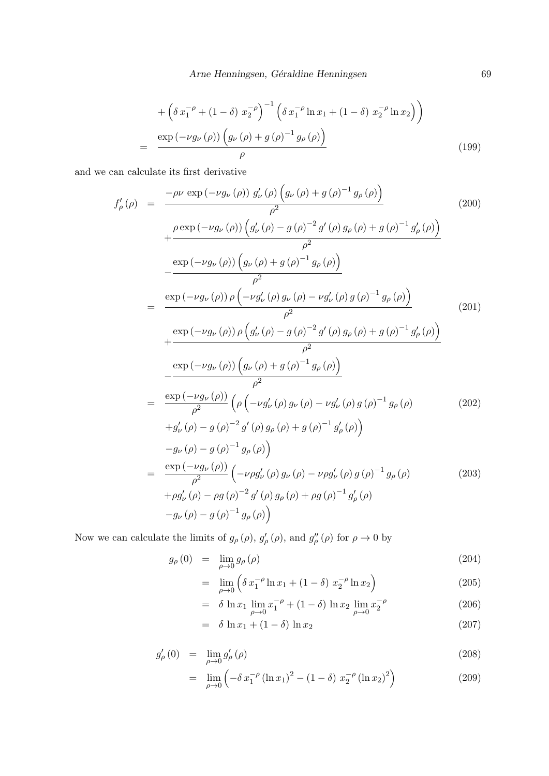Arne Henningsen, Géraldine Henningsen 69

$$
+\left(\delta x_1^{-\rho} + (1-\delta) x_2^{-\rho}\right)^{-1} \left(\delta x_1^{-\rho} \ln x_1 + (1-\delta) x_2^{-\rho} \ln x_2\right)\right)
$$
  
= 
$$
\frac{\exp(-\nu g_\nu(\rho)) \left(g_\nu(\rho) + g(\rho)^{-1} g_\rho(\rho)\right)}{\rho}
$$
(199)

and we can calculate its first derivative

$$
f'_{\rho}(\rho) = \frac{-\rho \nu \exp(-\nu g_{\nu}(\rho)) g'_{\nu}(\rho) (g_{\nu}(\rho) + g(\rho)^{-1} g_{\rho}(\rho))}{\rho^{2}}
$$
\n
$$
+ \frac{\rho \exp(-\nu g_{\nu}(\rho)) (g'_{\nu}(\rho) - g(\rho)^{-2} g'(\rho) g_{\rho}(\rho) + g(\rho)^{-1} g'_{\rho}(\rho))}{\rho^{2}}
$$
\n
$$
- \frac{\exp(-\nu g_{\nu}(\rho)) (g_{\nu}(\rho) + g(\rho)^{-1} g_{\rho}(\rho))}{\rho^{2}}
$$
\n
$$
= \frac{\exp(-\nu g_{\nu}(\rho)) \rho (-\nu g'_{\nu}(\rho) g_{\nu}(\rho) - \nu g'_{\nu}(\rho) g(\rho)^{-1} g_{\rho}(\rho))}{\rho^{2}}
$$
\n
$$
+ \frac{\exp(-\nu g_{\nu}(\rho)) \rho (g'_{\nu}(\rho) - g(\rho)^{-2} g'(\rho) g_{\rho}(\rho) + g(\rho)^{-1} g'_{\rho}(\rho))}{\rho^{2}}
$$
\n
$$
- \frac{\exp(-\nu g_{\nu}(\rho)) (g_{\nu}(\rho) + g(\rho)^{-1} g_{\rho}(\rho))}{\rho^{2}}
$$
\n
$$
= \frac{\exp(-\nu g_{\nu}(\rho)) (g_{\nu}(\rho) + g(\rho)^{-1} g_{\rho}(\rho))}{\rho^{2}}
$$
\n
$$
+ g'_{\nu}(\rho) - g(\rho)^{-2} g'(\rho) g_{\nu}(\rho) - \nu g'_{\nu}(\rho) g(\rho)^{-1} g_{\rho}(\rho)
$$
\n
$$
-g_{\nu}(\rho) - g(\rho)^{-2} g'(\rho) g_{\rho}(\rho) + g(\rho)^{-1} g'_{\rho}(\rho)
$$
\n
$$
- g_{\nu}(\rho) - g(\rho)^{-1} g_{\rho}(\rho)
$$
\n
$$
+ \rho g'_{\nu}(\rho) - \rho g(\rho)^{-2} g'(\rho) g_{\nu}(\rho) - \nu \rho g'_{\nu}(\rho) g(\rho)^{-1} g_{\rho}(\rho)
$$
\n
$$
+ \rho g'_{\nu}(\rho) - \rho g(\rho)^{-2} g'(\rho) g_{\rho}(\rho) + \rho g(\
$$

Now we can calculate the limits of  $g_{\rho}(\rho)$ ,  $g'_{\rho}(\rho)$ , and  $g''_{\rho}(\rho)$  for  $\rho \to 0$  by

$$
g_{\rho}(0) = \lim_{\rho \to 0} g_{\rho}(\rho) \tag{204}
$$

$$
= \lim_{\rho \to 0} \left( \delta x_1^{-\rho} \ln x_1 + (1 - \delta) x_2^{-\rho} \ln x_2 \right) \tag{205}
$$

$$
= \delta \ln x_1 \lim_{\rho \to 0} x_1^{-\rho} + (1 - \delta) \ln x_2 \lim_{\rho \to 0} x_2^{-\rho}
$$
 (206)

$$
= \delta \ln x_1 + (1 - \delta) \ln x_2 \tag{207}
$$

$$
g'_{\rho}(0) = \lim_{\rho \to 0} g'_{\rho}(\rho) \tag{208}
$$

$$
= \lim_{\rho \to 0} \left( -\delta x_1^{-\rho} \left( \ln x_1 \right)^2 - (1 - \delta) x_2^{-\rho} \left( \ln x_2 \right)^2 \right) \tag{209}
$$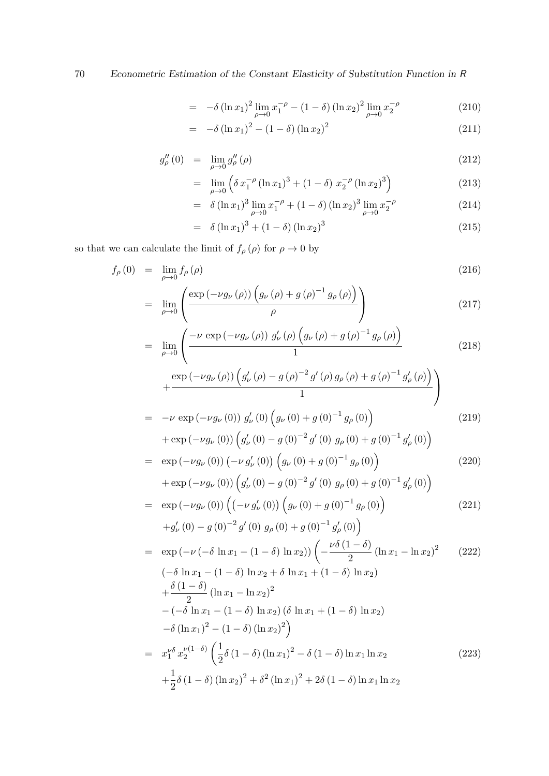$$
= -\delta (\ln x_1)^2 \lim_{\rho \to 0} x_1^{-\rho} - (1 - \delta) (\ln x_2)^2 \lim_{\rho \to 0} x_2^{-\rho}
$$
 (210)

$$
= -\delta (\ln x_1)^2 - (1 - \delta) (\ln x_2)^2 \tag{211}
$$

$$
g_{\rho}''(0) = \lim_{\rho \to 0} g_{\rho}''(\rho) \tag{212}
$$

$$
= \lim_{\rho \to 0} \left( \delta x_1^{-\rho} \left( (\ln x_1)^3 + (1 - \delta) x_2^{-\rho} \left( (\ln x_2)^3 \right) \right) \right) \tag{213}
$$

$$
= \delta (\ln x_1)^3 \lim_{\rho \to 0} x_1^{-\rho} + (1 - \delta) (\ln x_2)^3 \lim_{\rho \to 0} x_2^{-\rho}
$$
 (214)

$$
= \delta (\ln x_1)^3 + (1 - \delta) (\ln x_2)^3 \tag{215}
$$

so that we can calculate the limit of  $f_{\rho}\left(\rho\right)$  for  $\rho\rightarrow0$  by

$$
f_{\rho}(0) = \lim_{\rho \to 0} f_{\rho}(\rho) \tag{216}
$$

$$
= \lim_{\rho \to 0} \left( \frac{\exp\left(-\nu g_{\nu}\left(\rho\right)\right) \left(g_{\nu}\left(\rho\right) + g\left(\rho\right)^{-1} g_{\rho}\left(\rho\right)\right)}{\rho} \right) \tag{217}
$$

$$
= \lim_{\rho \to 0} \left( \frac{-\nu \exp\left(-\nu g_{\nu}\left(\rho\right)\right) g_{\nu}'\left(\rho\right) \left(g_{\nu}\left(\rho\right) + g\left(\rho\right)^{-1} g_{\rho}\left(\rho\right)\right)}{1} \right) \tag{218}
$$

$$
+\frac{\exp\left(-\nu g_{\nu}\left(\rho\right)\right)\left(g_{\nu}'\left(\rho\right)-g\left(\rho\right)^{-2}g'\left(\rho\right)g_{\rho}\left(\rho\right)+g\left(\rho\right)^{-1}g_{\rho}'\left(\rho\right)\right)}{1}\right)}{1}
$$
\n
$$
=-\nu\exp\left(-\nu g_{\nu}\left(0\right)\right)g_{\nu}'\left(0\right)\left(g_{\nu}\left(0\right)+g\left(0\right)^{-1}g_{\rho}\left(0\right)\right) \tag{219}
$$

+ 
$$
\exp(-\nu g_{\nu}(0)) \left( g'_{\nu}(0) - g(0)^{-2} g'(0) g_{\rho}(0) + g(0)^{-1} g'_{\rho}(0) \right)
$$
  
\n=  $\exp(-\nu g_{\nu}(0)) (-\nu g'_{\nu}(0)) \left( g_{\nu}(0) + g(0)^{-1} g_{\rho}(0) \right)$  (220)

+ 
$$
\exp(-\nu g_\nu(0))\left(g'_\nu(0) - g(0)^{-2}g'(0)g_\rho(0) + g(0)^{-1}g'_\rho(0)\right)
$$

$$
= \exp(-\nu g_{\nu}(0)) \left( \left( -\nu g_{\nu}'(0) \right) \left( g_{\nu}(0) + g(0)^{-1} g_{\rho}(0) \right) \right)
$$
  
+g\_{\nu}'(0) - g(0)^{-2} g'(0) g\_{\rho}(0) + g(0)^{-1} g\_{\rho}'(0) \right) (221)

$$
= \exp(-\nu(-\delta \ln x_1 - (1 - \delta) \ln x_2)) \left( -\frac{\nu \delta (1 - \delta)}{2} (\ln x_1 - \ln x_2)^2 - (\delta \ln x_1 - (1 - \delta) \ln x_2 + \delta \ln x_1 + (1 - \delta) \ln x_2) \right)
$$
  
\n
$$
+ \frac{\delta (1 - \delta)}{2} (\ln x_1 - \ln x_2)^2 - (-\delta \ln x_1 - (1 - \delta) \ln x_2) (\delta \ln x_1 + (1 - \delta) \ln x_2) -\delta (\ln x_1)^2 - (1 - \delta) (\ln x_2)^2 \right)
$$
  
\n
$$
= x_1^{\nu \delta} x_2^{\nu (1 - \delta)} \left( \frac{1}{2} \delta (1 - \delta) (\ln x_1)^2 - \delta (1 - \delta) \ln x_1 \ln x_2 - (223) + \frac{1}{2} \delta (1 - \delta) (\ln x_2)^2 + \delta^2 (\ln x_1)^2 + 2\delta (1 - \delta) \ln x_1 \ln x_2 - (223) + \frac{1}{2} \delta (1 - \delta) (\ln x_2)^2 + \delta^2 (\ln x_1)^2 + 2\delta (1 - \delta) \ln x_1 \ln x_2
$$
 (223)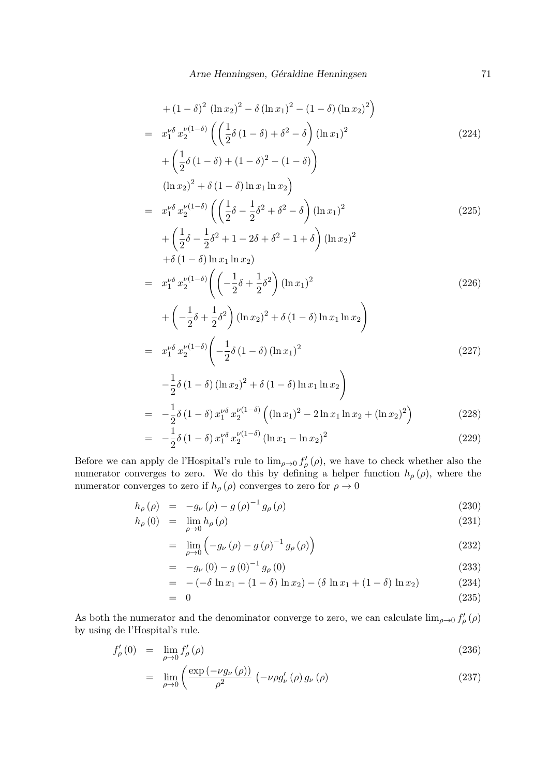$$
+(1-\delta)^2 (\ln x_2)^2 - \delta (\ln x_1)^2 - (1-\delta) (\ln x_2)^2
$$
\n
$$
= x_1^{\nu \delta} x_2^{\nu (1-\delta)} \left( \left( \frac{1}{2} \delta (1-\delta) + \delta^2 - \delta \right) (\ln x_1)^2 + \left( \frac{1}{2} \delta (1-\delta) + (1-\delta)^2 - (1-\delta) \right) \right)
$$
\n
$$
(\ln x_2)^2 + \delta (1-\delta) \ln x_1 \ln x_2
$$
\n
$$
= x_1^{\nu \delta} x_2^{\nu (1-\delta)} \left( \left( \frac{1}{2} \delta - \frac{1}{2} \delta^2 + \delta^2 - \delta \right) (\ln x_1)^2 + \left( \frac{1}{2} \delta - \frac{1}{2} \delta^2 + 1 - 2\delta + \delta^2 - 1 + \delta \right) (\ln x_2)^2 + \delta (1-\delta) \ln x_1 \ln x_2
$$
\n
$$
= x_1^{\nu \delta} x_2^{\nu (1-\delta)} \left( \left( -\frac{1}{2} \delta + \frac{1}{2} \delta^2 \right) (\ln x_1)^2 + \left( -\frac{1}{2} \delta + \frac{1}{2} \delta^2 \right) (\ln x_2)^2 + \delta (1-\delta) \ln x_1 \ln x_2 \right)
$$
\n
$$
= x_1^{\nu \delta} x_2^{\nu (1-\delta)} \left( -\frac{1}{2} \delta (1-\delta) (\ln x_1)^2 \right)
$$
\n
$$
= x_1^{\nu \delta} x_2^{\nu (1-\delta)} \left( -\frac{1}{2} \delta (1-\delta) (\ln x_1)^2 \right)
$$
\n
$$
= x_1^{\nu \delta} x_2^{\nu (1-\delta)} \left( -\frac{1}{2} \delta (1-\delta) (\ln x_1)^2 \right)
$$
\n
$$
= -\frac{1}{2} \delta (1-\delta) x_1^{\nu \delta} x_2^{\nu (1-\delta)} \left( (\ln x_1)^2 - 2 \ln x_1 \ln x_2 + (\ln x_2)^2 \right)
$$
\n(228)

$$
= -\frac{1}{2}\delta (1 - \delta) x_1^{\nu \delta} x_2^{\nu (1 - \delta)} (\ln x_1 - \ln x_2)^2
$$
\n(229)

Before we can apply de l'Hospital's rule to  $\lim_{\rho\to 0} f'_{\rho}(\rho)$ , we have to check whether also the numerator converges to zero. We do this by defining a helper function  $h_{\rho}(\rho)$ , where the numerator converges to zero if  $h_{\rho}(\rho)$  converges to zero for  $\rho \to 0$ 

$$
h_{\rho}(\rho) = -g_{\nu}(\rho) - g(\rho)^{-1} g_{\rho}(\rho) \qquad (230)
$$

$$
h_{\rho}(0) = \lim_{\rho \to 0} h_{\rho}(\rho) \tag{231}
$$

$$
= \lim_{\rho \to 0} \left( -g_{\nu} \left( \rho \right) - g \left( \rho \right)^{-1} g_{\rho} \left( \rho \right) \right) \tag{232}
$$

$$
= -g_{\nu}(0) - g(0)^{-1} g_{\rho}(0) \tag{233}
$$

$$
= -(-\delta \ln x_1 - (1 - \delta) \ln x_2) - (\delta \ln x_1 + (1 - \delta) \ln x_2) \tag{234}
$$

$$
= 0 \tag{235}
$$

As both the numerator and the denominator converge to zero, we can calculate  $\lim_{\rho\to 0} f'_{\rho}(\rho)$ by using de l'Hospital's rule.

$$
f'_{\rho}(0) = \lim_{\rho \to 0} f'_{\rho}(\rho) \tag{236}
$$

$$
= \lim_{\rho \to 0} \left( \frac{\exp\left(-\nu g_{\nu}\left(\rho\right)\right)}{\rho^2} \left(-\nu \rho g_{\nu}'\left(\rho\right) g_{\nu}\left(\rho\right) \right) \right) \tag{237}
$$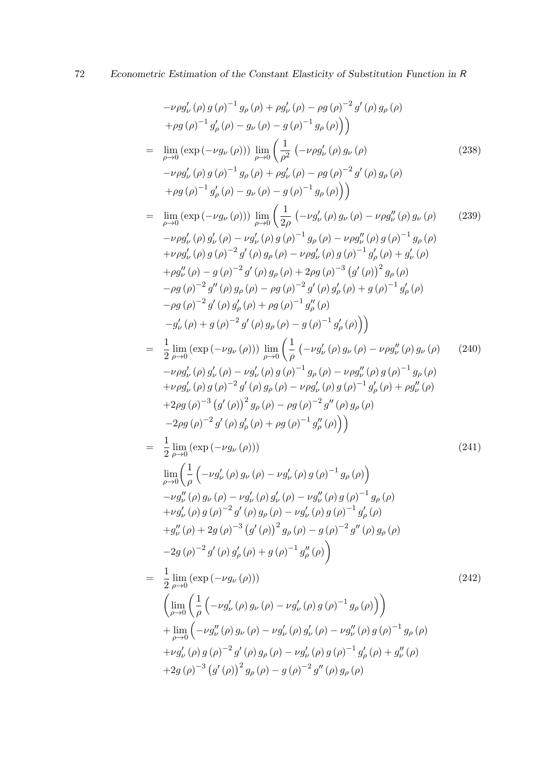$$
-\nu \rho g'_{\nu}(\rho) (p)^{-1} g_{\rho}(\rho) + \rho g'_{\nu}(\rho) - \rho g(\rho)^{-2} g'(\rho) g_{\rho}(\rho)
$$
  
\n
$$
+ \rho g(\rho)^{-1} g'_{\rho}(\rho) - g_{\nu}(\rho) - g(\rho)^{-1} g_{\rho}(\rho))
$$
  
\n
$$
= \lim_{\rho \to 0} (\exp(-\nu g_{\nu}(\rho))) \lim_{\rho \to 0} (\frac{1}{\rho^2} (-\nu \rho g'_{\nu}(\rho) g_{\nu}(\rho) \qquad (238)
$$
  
\n
$$
-\nu \rho g'_{\nu}(\rho) g(\rho)^{-1} g_{\rho}(\rho) + \rho g'_{\nu}(\rho) - \rho g(\rho)^{-2} g'(\rho) g_{\rho}(\rho)
$$
  
\n
$$
+ \rho g(\rho)^{-1} g'_{\rho}(\rho) - g_{\nu}(\rho) - g(\rho)^{-1} g_{\rho}(\rho))
$$
  
\n
$$
= \lim_{\rho \to 0} (\exp(-\nu g_{\nu}(\rho))) \lim_{\rho \to 0} (\frac{1}{2\rho} (-\nu g'_{\nu}(\rho) g_{\nu}(\rho) - \nu \rho g''_{\nu}(\rho) g_{\nu}(\rho) \qquad (239)
$$
  
\n
$$
-\nu \rho g'_{\nu}(\rho) g'_{\nu}(\rho) - \nu g'_{\nu}(\rho) g(\rho)^{-1} g_{\rho}(\rho) - \nu \rho g''_{\nu}(\rho) g(\rho)^{-1} g_{\rho}(\rho)
$$
  
\n
$$
+ \rho g''_{\nu}(\rho) - g(\rho)^{-2} g'(\rho) g_{\rho}(\rho) + 2\rho g(\rho)^{-3} g'(\rho) g(\rho)^{-1} g'_{\rho}(\rho)
$$
  
\n
$$
- \rho g(\rho)^{-2} g''(\rho) g_{\rho}(\rho) - \rho g(\rho)^{-2} g'(\rho) g_{\nu}(\rho) + g(\rho)^{-1} g'_{\rho}(\rho)
$$
  
\n
$$
- \rho g(\rho)^{-2} g'(\rho) g_{\rho}(\rho) - \rho g(\rho)^{-2} g'(\rho) g_{\rho}(\rho) + g(\rho)^{-1} g'_{\rho}(\rho)
$$
  
\n $$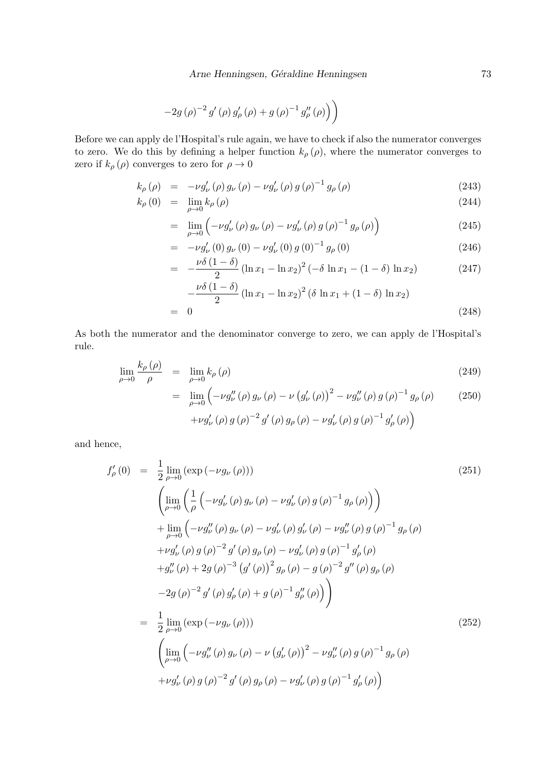$$
-2g\left(\rho\right)^{-2}g'\left(\rho\right)g'_{\rho}\left(\rho\right)+g\left(\rho\right)^{-1}g''_{\rho}\left(\rho\right)\right)
$$

Before we can apply de l'Hospital's rule again, we have to check if also the numerator converges to zero. We do this by defining a helper function  $k_{\rho}(\rho)$ , where the numerator converges to zero if  $k_{\rho}(\rho)$  converges to zero for  $\rho \to 0$ 

$$
k_{\rho}(\rho) = -\nu g'_{\nu}(\rho) g_{\nu}(\rho) - \nu g'_{\nu}(\rho) g(\rho)^{-1} g_{\rho}(\rho)
$$
\n(243)

$$
k_{\rho}(0) = \lim_{\rho \to 0} k_{\rho}(\rho) \tag{244}
$$

$$
= \lim_{\rho \to 0} \left( -\nu g'_{\nu}(\rho) g_{\nu}(\rho) - \nu g'_{\nu}(\rho) g(\rho)^{-1} g_{\rho}(\rho) \right) \tag{245}
$$

$$
= -\nu g'_{\nu}(0) g_{\nu}(0) - \nu g'_{\nu}(0) g(0)^{-1} g_{\rho}(0) \qquad (246)
$$

$$
= -\frac{\nu \delta (1 - \delta)}{2} (\ln x_1 - \ln x_2)^2 (-\delta \ln x_1 - (1 - \delta) \ln x_2)
$$
 (247)

$$
-\frac{\nu\delta (1-\delta)}{2} (\ln x_1 - \ln x_2)^2 (\delta \ln x_1 + (1-\delta) \ln x_2)
$$
  
= 0 (248)

As both the numerator and the denominator converge to zero, we can apply de l'Hospital's rule.

$$
\lim_{\rho \to 0} \frac{k_{\rho}(\rho)}{\rho} = \lim_{\rho \to 0} k_{\rho}(\rho) \tag{249}
$$

$$
= \lim_{\rho \to 0} \left( -\nu g_{\nu}''(\rho) g_{\nu}(\rho) - \nu (g_{\nu}'(\rho))^{2} - \nu g_{\nu}''(\rho) g(\rho)^{-1} g_{\rho}(\rho) - 2g_{\nu}'(\rho) g(\rho)^{-1} g_{\rho}'(\rho) \right)
$$
\n
$$
+ \nu g_{\nu}'(\rho) g(\rho)^{-2} g'(\rho) g_{\rho}(\rho) - \nu g_{\nu}'(\rho) g(\rho)^{-1} g_{\rho}'(\rho) \right)
$$
\n(250)

and hence,

$$
f'_{\rho}(0) = \frac{1}{2} \lim_{\rho \to 0} (\exp(-\nu g_{\nu}(\rho)))
$$
\n
$$
\left( \lim_{\rho \to 0} \left( \frac{1}{\rho} \left( -\nu g'_{\nu}(\rho) g_{\nu}(\rho) - \nu g'_{\nu}(\rho) g(\rho)^{-1} g_{\rho}(\rho) \right) \right) \right)
$$
\n
$$
+ \lim_{\rho \to 0} \left( -\nu g''_{\nu}(\rho) g_{\nu}(\rho) - \nu g'_{\nu}(\rho) g'_{\nu}(\rho) - \nu g''_{\nu}(\rho) g(\rho)^{-1} g_{\rho}(\rho) \right)
$$
\n
$$
+ \nu g'_{\nu}(\rho) g(\rho)^{-2} g'(\rho) g_{\rho}(\rho) - \nu g'_{\nu}(\rho) g(\rho)^{-1} g'_{\rho}(\rho)
$$
\n
$$
+ g''_{\nu}(\rho) + 2g(\rho)^{-3} (g'(\rho))^2 g_{\rho}(\rho) - g(\rho)^{-2} g''(\rho) g_{\rho}(\rho)
$$
\n
$$
-2g(\rho)^{-2} g'(\rho) g'_{\rho}(\rho) + g(\rho)^{-1} g''_{\rho}(\rho) \right)
$$
\n
$$
= \frac{1}{2} \lim_{\rho \to 0} (\exp(-\nu g_{\nu}(\rho)))
$$
\n
$$
\left( \lim_{\rho \to 0} \left( -\nu g''_{\nu}(\rho) g_{\nu}(\rho) - \nu (g'_{\nu}(\rho))^2 - \nu g''_{\nu}(\rho) g(\rho)^{-1} g_{\rho}(\rho) \right)
$$
\n
$$
+ \nu g'_{\nu}(\rho) g(\rho)^{-2} g'(\rho) g_{\rho}(\rho) - \nu g'_{\nu}(\rho) g(\rho)^{-1} g'_{\rho}(\rho)
$$
\n
$$
(252)
$$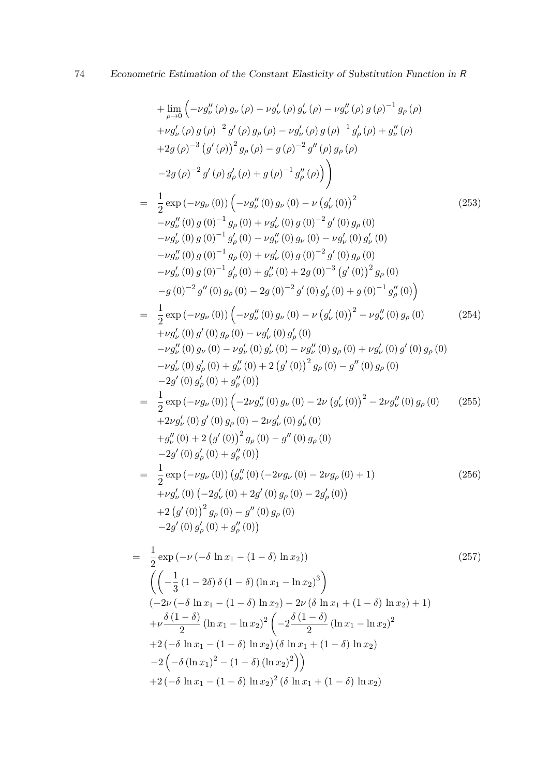+ 
$$
\lim_{\rho \to 0} ( -\nu g_{\nu}''(\rho) g_{\nu}(\rho) - \nu g_{\nu}'(\rho) g_{\nu}(\rho) - \nu g_{\nu}''(\rho) g(\rho)^{-1} g_{\rho}(\rho) \n+ \nu g_{\nu}'(\rho) g(\rho)^{-2} g'(\rho) g_{\rho}(\rho) - \nu g_{\nu}'(\rho) g(\rho)^{-1} g_{\rho}'(\rho) + g_{\nu}''(\rho) \n+ 2g(\rho)^{-3} (g'(\rho))^2 g_{\rho}(\rho) - g(\rho)^{-2} g''(\rho) g_{\rho}(\rho) \n- 2g(\rho)^{-2} g'(\rho) g_{\rho}(\rho) + g(\rho)^{-1} g_{\rho}''(\rho) ) \Big) \n= \frac{1}{2} \exp(-\nu g_{\nu}(0)) ( -\nu g_{\nu}''(0) g_{\nu}(0) - \nu (g_{\nu}'(0))^2
$$
  

 $-\nu g_{\nu}''(0) g(0)^{-1} g_{\rho}(0) + \nu g_{\nu}'(0) g(0)^{-2} g'(0) g_{\rho}(0) \n- \nu g_{\nu}'(0) g(0)^{-1} g_{\rho}(0) - \nu g_{\nu}''(0) g_{\nu}(0)^2 g_{\nu}(0) \n- \nu g_{\nu}'(0) g(0)^{-1} g_{\rho}(0) + \nu g_{\nu}'(0) g(0)^{-2} g'(0) g_{\rho}(0) \n- \nu g_{\nu}'(0) g(0)^{-1} g_{\rho}(0) + \nu g_{\nu}'(0) g(0)^{-2} g'(0) g_{\rho}(0) \n- g(0)^{-2} g''(0) g_{\rho}(0) - 2g(0)^{-2} g'(0) g_{\rho}(0) \n- g(0)^{-2} g''(0) g_{\rho}(0) - 2g(0)^{-2} g'(0) g_{\rho}(0) \n- g(0)^{-2} g''(0) g_{\rho}(0) - 2g(0)^{-2} g'(0) g_{\rho}(0) \n- g(0)^{-2} g''(0) g_{\rho}(0) - \nu g_{\nu}'(0) g'(\rho) g'(0) \n+ \nu g_{\nu}'(0) g'(0) - \nu g_{\nu}'(0) g_{\rho}(0) - \nu g_{\nu}'(0) g_{$ 

+2(
$$
-\delta \ln x_1 - (1-\delta) \ln x_2
$$
)<sup>2</sup> ( $\delta \ln x_1 + (1-\delta) \ln x_2$ )

 $+2(-\delta \ln x_1 - (1-\delta) \ln x_2) (\delta \ln x_1 + (1-\delta) \ln x_2)$ 

 $-2\left(-\delta(\ln x_1)^2-(1-\delta)(\ln x_2)^2\right)\right)$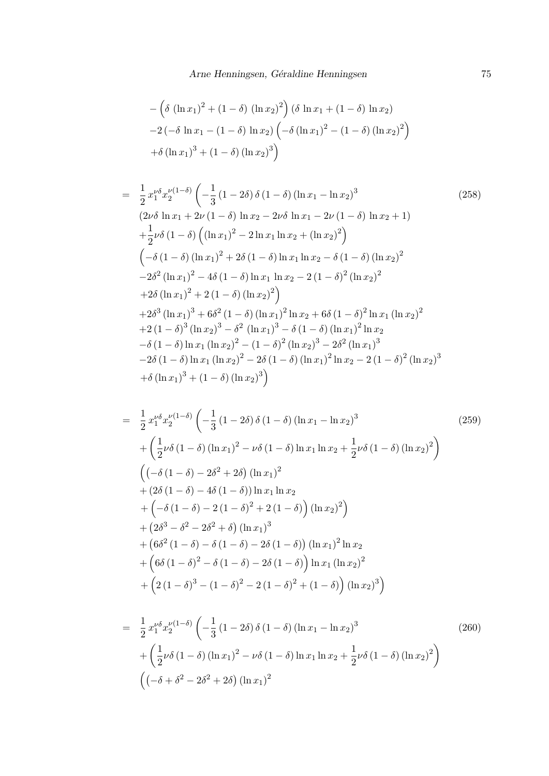$$
-\left(\delta (\ln x_1)^2 + (1 - \delta) (\ln x_2)^2\right) (\delta \ln x_1 + (1 - \delta) \ln x_2)
$$
  
-2(-\delta \ln x\_1 - (1 - \delta) \ln x\_2) (-\delta (\ln x\_1)^2 - (1 - \delta) (\ln x\_2)^2)  
+ \delta (\ln x\_1)^3 + (1 - \delta) (\ln x\_2)^3

$$
= \frac{1}{2} x_1^{\nu \delta} x_2^{\nu (1-\delta)} \left( -\frac{1}{3} (1 - 2\delta) \delta (1 - \delta) (\ln x_1 - \ln x_2)^3 \right) \tag{258}
$$
\n
$$
(2\nu \delta \ln x_1 + 2\nu (1 - \delta) \ln x_2 - 2\nu \delta \ln x_1 - 2\nu (1 - \delta) \ln x_2 + 1) + \frac{1}{2}\nu \delta (1 - \delta) \left( (\ln x_1)^2 - 2 \ln x_1 \ln x_2 + (\ln x_2)^2 \right) \right)
$$
\n
$$
\left( -\delta (1 - \delta) (\ln x_1)^2 + 2\delta (1 - \delta) \ln x_1 \ln x_2 - \delta (1 - \delta) (\ln x_2)^2 \right)
$$
\n
$$
-2\delta^2 (\ln x_1)^2 - 4\delta (1 - \delta) \ln x_1 \ln x_2 - 2 (1 - \delta)^2 (\ln x_2)^2
$$
\n
$$
+2\delta (\ln x_1)^2 + 2 (1 - \delta) (\ln x_2)^2 \right)
$$
\n
$$
+2\delta^3 (\ln x_1)^3 + 6\delta^2 (1 - \delta) (\ln x_1)^2 \ln x_2 + 6\delta (1 - \delta)^2 \ln x_1 (\ln x_2)^2
$$
\n
$$
+2 (1 - \delta)^3 (\ln x_2)^3 - \delta^2 (\ln x_1)^3 - \delta (1 - \delta) (\ln x_1)^2 \ln x_2
$$
\n
$$
- \delta (1 - \delta) \ln x_1 (\ln x_2)^2 - (1 - \delta)^2 (\ln x_2)^3 - 2\delta^2 (\ln x_1)^3
$$
\n
$$
-2\delta (1 - \delta) \ln x_1 (\ln x_2)^2 - 2\delta (1 - \delta) (\ln x_1)^2 \ln x_2 - 2 (1 - \delta)^2 (\ln x_2)^3
$$
\n
$$
+ \delta (\ln x_1)^3 + (1 - \delta) (\ln x_2)^3
$$

$$
= \frac{1}{2} x_1^{\nu \delta} x_2^{\nu (1-\delta)} \left( -\frac{1}{3} (1 - 2\delta) \delta (1 - \delta) (\ln x_1 - \ln x_2)^3 + \left( \frac{1}{2} \nu \delta (1 - \delta) (\ln x_1)^2 - \nu \delta (1 - \delta) \ln x_1 \ln x_2 + \frac{1}{2} \nu \delta (1 - \delta) (\ln x_2)^2 \right) \right)
$$
  
\n
$$
\left( (-\delta (1 - \delta) - 2\delta^2 + 2\delta) (\ln x_1)^2 + (2\delta (1 - \delta) - 4\delta (1 - \delta)) \ln x_1 \ln x_2 + \left( -\delta (1 - \delta) - 2 (1 - \delta)^2 + 2 (1 - \delta) \right) (\ln x_2)^2 \right)
$$
  
\n
$$
+ (2\delta^3 - \delta^2 - 2\delta^2 + \delta) (\ln x_1)^3 + (6\delta^2 (1 - \delta) - \delta (1 - \delta) - 2\delta (1 - \delta)) (\ln x_1)^2 \ln x_2 + (6\delta (1 - \delta)^2 - \delta (1 - \delta) - 2\delta (1 - \delta)) \ln x_1 (\ln x_2)^2 + (2(1 - \delta)^3 - (1 - \delta)^2 - 2 (1 - \delta)^2 + (1 - \delta)) (\ln x_2)^3
$$
 (11.2)

$$
= \frac{1}{2} x_1^{\nu \delta} x_2^{\nu (1-\delta)} \left( -\frac{1}{3} (1 - 2\delta) \delta (1 - \delta) (\ln x_1 - \ln x_2)^3 + \left( \frac{1}{2} \nu \delta (1 - \delta) (\ln x_1)^2 - \nu \delta (1 - \delta) \ln x_1 \ln x_2 + \frac{1}{2} \nu \delta (1 - \delta) (\ln x_2)^2 \right) \right)
$$
\n
$$
((-\delta + \delta^2 - 2\delta^2 + 2\delta) (\ln x_1)^2)
$$
\n(260)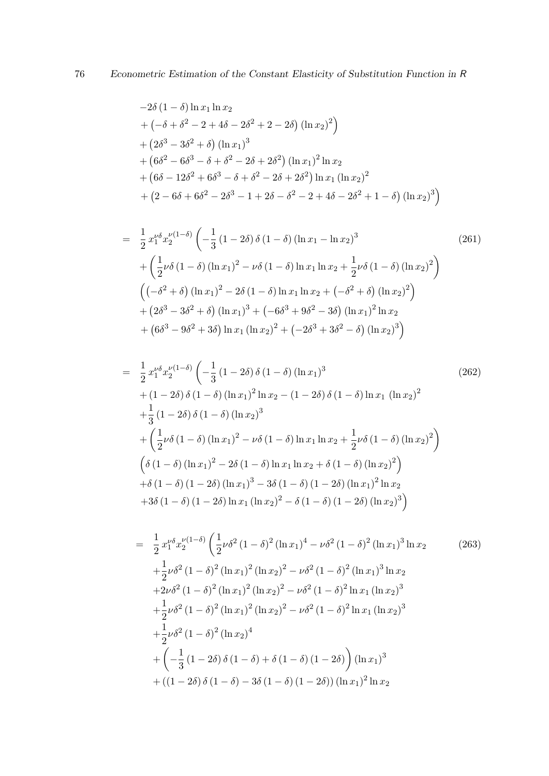$$
-2\delta (1 - \delta) \ln x_1 \ln x_2
$$
  
+  $(-\delta + \delta^2 - 2 + 4\delta - 2\delta^2 + 2 - 2\delta) (\ln x_2)^2$   
+  $(2\delta^3 - 3\delta^2 + \delta) (\ln x_1)^3$   
+  $(6\delta^2 - 6\delta^3 - \delta + \delta^2 - 2\delta + 2\delta^2) (\ln x_1)^2 \ln x_2$   
+  $(6\delta - 12\delta^2 + 6\delta^3 - \delta + \delta^2 - 2\delta + 2\delta^2) \ln x_1 (\ln x_2)^2$   
+  $(2 - 6\delta + 6\delta^2 - 2\delta^3 - 1 + 2\delta - \delta^2 - 2 + 4\delta - 2\delta^2 + 1 - \delta) (\ln x_2)^3$ 

$$
= \frac{1}{2} x_1^{\nu \delta} x_2^{\nu (1-\delta)} \left( -\frac{1}{3} (1 - 2\delta) \delta (1 - \delta) (\ln x_1 - \ln x_2)^3 + \left( \frac{1}{2} \nu \delta (1 - \delta) (\ln x_1)^2 - \nu \delta (1 - \delta) \ln x_1 \ln x_2 + \frac{1}{2} \nu \delta (1 - \delta) (\ln x_2)^2 \right) \right)
$$
  

$$
\left( (-\delta^2 + \delta) (\ln x_1)^2 - 2\delta (1 - \delta) \ln x_1 \ln x_2 + (-\delta^2 + \delta) (\ln x_2)^2 \right)
$$
  

$$
+ (2\delta^3 - 3\delta^2 + \delta) (\ln x_1)^3 + (-6\delta^3 + 9\delta^2 - 3\delta) (\ln x_1)^2 \ln x_2
$$
  

$$
+ (6\delta^3 - 9\delta^2 + 3\delta) \ln x_1 (\ln x_2)^2 + (-2\delta^3 + 3\delta^2 - \delta) (\ln x_2)^3 \right)
$$
 (261)

$$
= \frac{1}{2} x_1^{\nu \delta} x_2^{\nu (1-\delta)} \left( -\frac{1}{3} (1 - 2\delta) \delta (1 - \delta) (\ln x_1)^3 + (1 - 2\delta) \delta (1 - \delta) (\ln x_1)^2 \ln x_2 - (1 - 2\delta) \delta (1 - \delta) \ln x_1 (\ln x_2)^2 + \frac{1}{3} (1 - 2\delta) \delta (1 - \delta) (\ln x_2)^3 + \left( \frac{1}{2} \nu \delta (1 - \delta) (\ln x_1)^2 - \nu \delta (1 - \delta) \ln x_1 \ln x_2 + \frac{1}{2} \nu \delta (1 - \delta) (\ln x_2)^2 \right) \left( \delta (1 - \delta) (\ln x_1)^2 - 2\delta (1 - \delta) \ln x_1 \ln x_2 + \delta (1 - \delta) (\ln x_2)^2 \right) + \delta (1 - \delta) (1 - 2\delta) (\ln x_1)^3 - 3\delta (1 - \delta) (1 - 2\delta) (\ln x_1)^2 \ln x_2 + 3\delta (1 - \delta) (1 - 2\delta) \ln x_1 (\ln x_2)^2 - \delta (1 - \delta) (1 - 2\delta) (\ln x_2)^3 \right)
$$
\n(262)

$$
= \frac{1}{2} x_1^{\nu \delta} x_2^{\nu (1-\delta)} \left( \frac{1}{2} \nu \delta^2 (1-\delta)^2 (\ln x_1)^4 - \nu \delta^2 (1-\delta)^2 (\ln x_1)^3 \ln x_2 \right) \n+ \frac{1}{2} \nu \delta^2 (1-\delta)^2 (\ln x_1)^2 (\ln x_2)^2 - \nu \delta^2 (1-\delta)^2 (\ln x_1)^3 \ln x_2 \n+ 2 \nu \delta^2 (1-\delta)^2 (\ln x_1)^2 (\ln x_2)^2 - \nu \delta^2 (1-\delta)^2 \ln x_1 (\ln x_2)^3 \n+ \frac{1}{2} \nu \delta^2 (1-\delta)^2 (\ln x_1)^2 (\ln x_2)^2 - \nu \delta^2 (1-\delta)^2 \ln x_1 (\ln x_2)^3 \n+ \frac{1}{2} \nu \delta^2 (1-\delta)^2 (\ln x_2)^4 \n+ \left( - \frac{1}{3} (1-2\delta) \delta (1-\delta) + \delta (1-\delta) (1-2\delta) \right) (\ln x_1)^3 \n+ ((1-2\delta) \delta (1-\delta) - 3\delta (1-\delta) (1-2\delta)) (\ln x_1)^2 \ln x_2
$$
\n(263)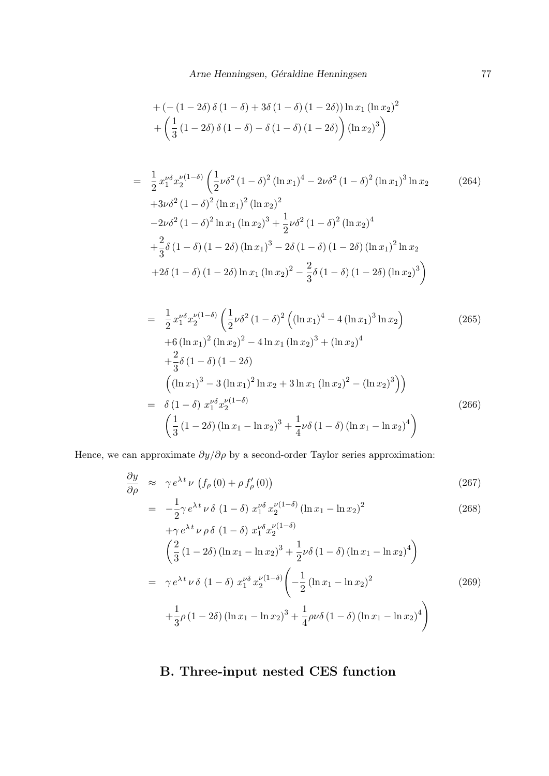+
$$
\left(-\left(1-2\delta\right)\delta\left(1-\delta\right)+3\delta\left(1-\delta\right)\left(1-2\delta\right)\right)\ln x_1\left(\ln x_2\right)^2
$$
  
+ $\left(\frac{1}{3}\left(1-2\delta\right)\delta\left(1-\delta\right)-\delta\left(1-\delta\right)\left(1-2\delta\right)\right)\left(\ln x_2\right)^3$ 

$$
= \frac{1}{2} x_1^{\nu \delta} x_2^{\nu (1-\delta)} \left( \frac{1}{2} \nu \delta^2 (1-\delta)^2 (\ln x_1)^4 - 2 \nu \delta^2 (1-\delta)^2 (\ln x_1)^3 \ln x_2 \right) + 3 \nu \delta^2 (1-\delta)^2 (\ln x_1)^2 (\ln x_2)^2 - 2 \nu \delta^2 (1-\delta)^2 \ln x_1 (\ln x_2)^3 + \frac{1}{2} \nu \delta^2 (1-\delta)^2 (\ln x_2)^4 + \frac{2}{3} \delta (1-\delta) (1-2\delta) (\ln x_1)^3 - 2 \delta (1-\delta) (1-2\delta) (\ln x_1)^2 \ln x_2 + 2 \delta (1-\delta) (1-2\delta) \ln x_1 (\ln x_2)^2 - \frac{2}{3} \delta (1-\delta) (1-2\delta) (\ln x_2)^3 \right)
$$
 (10.2)

$$
= \frac{1}{2} x_1^{\nu \delta} x_2^{\nu (1-\delta)} \left( \frac{1}{2} \nu \delta^2 (1-\delta)^2 \left( (\ln x_1)^4 - 4 (\ln x_1)^3 \ln x_2 \right) \right)
$$
\n
$$
+ 6 (\ln x_1)^2 (\ln x_2)^2 - 4 \ln x_1 (\ln x_2)^3 + (\ln x_2)^4
$$
\n
$$
+ \frac{2}{3} \delta (1-\delta) (1-2\delta)
$$
\n
$$
\left( (\ln x_1)^3 - 3 (\ln x_1)^2 \ln x_2 + 3 \ln x_1 (\ln x_2)^2 - (\ln x_2)^3 \right) \right)
$$
\n
$$
= \delta (1-\delta) x_1^{\nu \delta} x_2^{\nu (1-\delta)} \left( \frac{1}{3} (1-2\delta) (\ln x_1 - \ln x_2)^3 + \frac{1}{4} \nu \delta (1-\delta) (\ln x_1 - \ln x_2)^4 \right)
$$
\n(266)

Hence, we can approximate  $\partial y/\partial \rho$  by a second-order Taylor series approximation:

$$
\frac{\partial y}{\partial \rho} \approx \gamma e^{\lambda t} \nu \left( f_{\rho}(0) + \rho f'_{\rho}(0) \right) \tag{267}
$$

$$
= -\frac{1}{2} \gamma e^{\lambda t} \nu \delta (1 - \delta) x_1^{\nu \delta} x_2^{\nu (1 - \delta)} (\ln x_1 - \ln x_2)^2
$$
 (268)

$$
+ \gamma e^{\lambda t} \nu \rho \delta (1 - \delta) x_1^{\nu \delta} x_2^{\nu (1 - \delta)}
$$
  
\n
$$
\left(\frac{2}{3} (1 - 2\delta) (\ln x_1 - \ln x_2)^3 + \frac{1}{2} \nu \delta (1 - \delta) (\ln x_1 - \ln x_2)^4\right)
$$
  
\n
$$
= \gamma e^{\lambda t} \nu \delta (1 - \delta) x_1^{\nu \delta} x_2^{\nu (1 - \delta)} \left(-\frac{1}{2} (\ln x_1 - \ln x_2)^2 + \frac{1}{3} \rho (1 - 2\delta) (\ln x_1 - \ln x_2)^3 + \frac{1}{4} \rho \nu \delta (1 - \delta) (\ln x_1 - \ln x_2)^4\right)
$$
\n(269)

# B. Three-input nested CES function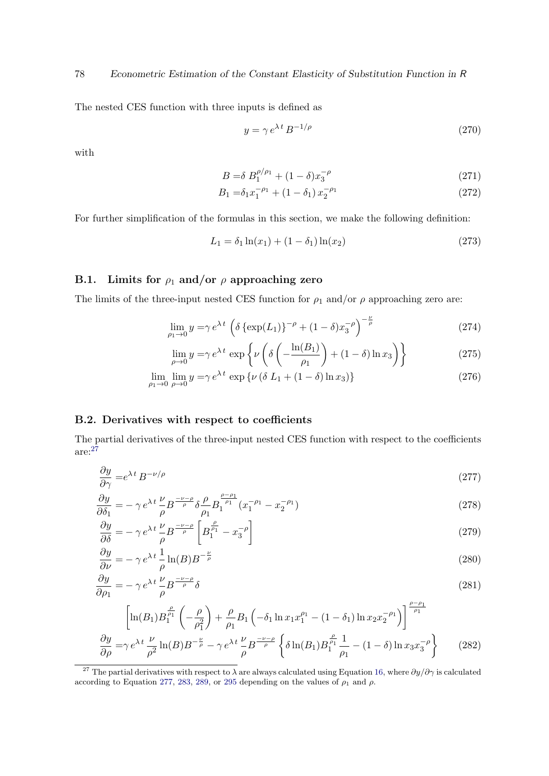The nested CES function with three inputs is defined as

$$
y = \gamma e^{\lambda t} B^{-1/\rho} \tag{270}
$$

with

$$
B = \delta B_1^{\rho/\rho_1} + (1 - \delta)x_3^{-\rho} \tag{271}
$$

$$
B_1 = \delta_1 x_1^{-\rho_1} + (1 - \delta_1) x_2^{-\rho_1} \tag{272}
$$

For further simplification of the formulas in this section, we make the following definition:

$$
L_1 = \delta_1 \ln(x_1) + (1 - \delta_1) \ln(x_2) \tag{273}
$$

# B.1. Limits for  $\rho_1$  and/or  $\rho$  approaching zero

The limits of the three-input nested CES function for  $\rho_1$  and/or  $\rho$  approaching zero are:

$$
\lim_{\rho_1 \to 0} y = \gamma e^{\lambda t} \left( \delta \left\{ \exp(L_1) \right\}^{-\rho} + (1 - \delta) x_3^{-\rho} \right)^{-\frac{\nu}{\rho}} \tag{274}
$$

<span id="page-77-1"></span>
$$
\lim_{\rho \to 0} y = \gamma e^{\lambda t} \exp \left\{ \nu \left( \delta \left( -\frac{\ln(B_1)}{\rho_1} \right) + (1 - \delta) \ln x_3 \right) \right\} \tag{275}
$$

$$
\lim_{\rho_1 \to 0} \lim_{\rho \to 0} y = \gamma e^{\lambda t} \exp \{ \nu \left( \delta L_1 + (1 - \delta) \ln x_3 \right) \} \tag{276}
$$

#### B.2. Derivatives with respect to coefficients

The partial derivatives of the three-input nested CES function with respect to the coefficients are:[27](#page-77-0)

$$
\frac{\partial y}{\partial \gamma} = e^{\lambda t} B^{-\nu/\rho} \tag{277}
$$

$$
\frac{\partial y}{\partial \delta_1} = -\gamma e^{\lambda t} \frac{\nu}{\rho} B^{-\frac{\nu-\rho}{\rho}} \delta \frac{\rho}{\rho_1} B_1^{\frac{\rho-\rho_1}{\rho_1}} (x_1^{-\rho_1} - x_2^{-\rho_1})
$$
\n(278)

$$
\frac{\partial y}{\partial \delta} = -\gamma e^{\lambda t} \frac{\nu}{\rho} B^{\frac{-\nu-\rho}{\rho}} \left[ B_1^{\frac{\rho}{\rho_1}} - x_3^{-\rho} \right]
$$
\n(279)

$$
\frac{\partial y}{\partial \nu} = -\gamma e^{\lambda t} \frac{1}{\rho} \ln(B) B^{-\frac{\nu}{\rho}}
$$
\n(280)

$$
\frac{\partial y}{\partial \rho_1} = -\gamma e^{\lambda t} \frac{\nu}{\rho} B^{\frac{-\nu - \rho}{\rho}} \delta \tag{281}
$$

$$
\left[\ln(B_1)B_1^{\frac{\rho}{\rho_1}}\left(-\frac{\rho}{\rho_1^2}\right) + \frac{\rho}{\rho_1}B_1\left(-\delta_1\ln x_1x_1^{\rho_1} - (1-\delta_1)\ln x_2x_2^{-\rho_1}\right)\right]^{\frac{\rho-\rho_1}{\rho_1}}\frac{\partial y}{\partial \rho} = \gamma e^{\lambda t} \frac{\nu}{\rho^2}\ln(B)B^{-\frac{\nu}{\rho}} - \gamma e^{\lambda t} \frac{\nu}{\rho}B^{\frac{-\nu-\rho}{\rho}}\left\{\delta\ln(B_1)B_1^{\frac{\rho}{\rho_1}}\frac{1}{\rho_1} - (1-\delta)\ln x_3x_3^{-\rho}\right\} (282)
$$

<span id="page-77-0"></span><sup>27</sup> The partial derivatives with respect to  $\overline{\lambda}$  are always calculated using Equation [16,](#page-35-0) where  $\partial y/\partial \gamma$  is calculated according to Equation [277,](#page-77-1) [283,](#page-78-0) [289,](#page-78-1) or [295](#page-79-0) depending on the values of  $\rho_1$  and  $\rho$ .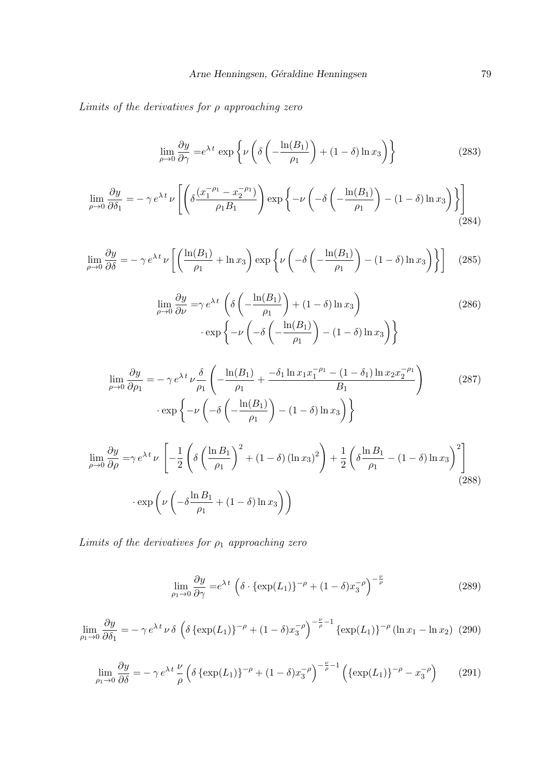Limits of the derivatives for  $\rho$  approaching zero

<span id="page-78-0"></span>
$$
\lim_{\rho \to 0} \frac{\partial y}{\partial \gamma} = e^{\lambda t} \exp \left\{ \nu \left( \delta \left( -\frac{\ln(B_1)}{\rho_1} \right) + (1 - \delta) \ln x_3 \right) \right\} \tag{283}
$$

$$
\lim_{\rho \to 0} \frac{\partial y}{\partial \delta_1} = -\gamma e^{\lambda t} \nu \left[ \left( \delta \frac{(x_1^{-\rho_1} - x_2^{-\rho_1})}{\rho_1 B_1} \right) \exp \left\{ -\nu \left( -\delta \left( -\frac{\ln(B_1)}{\rho_1} \right) - (1 - \delta) \ln x_3 \right) \right\} \right] \tag{284}
$$

$$
\lim_{\rho \to 0} \frac{\partial y}{\partial \delta} = -\gamma e^{\lambda t} \nu \left[ \left( \frac{\ln(B_1)}{\rho_1} + \ln x_3 \right) \exp \left\{ \nu \left( -\delta \left( -\frac{\ln(B_1)}{\rho_1} \right) - (1 - \delta) \ln x_3 \right) \right\} \right] \tag{285}
$$

$$
\lim_{\rho \to 0} \frac{\partial y}{\partial \nu} = \gamma e^{\lambda t} \left( \delta \left( -\frac{\ln(B_1)}{\rho_1} \right) + (1 - \delta) \ln x_3 \right) \cdot \exp \left\{ -\nu \left( -\delta \left( -\frac{\ln(B_1)}{\rho_1} \right) - (1 - \delta) \ln x_3 \right) \right\}
$$
\n(286)

$$
\lim_{\rho \to 0} \frac{\partial y}{\partial \rho_1} = -\gamma e^{\lambda t} \nu \frac{\delta}{\rho_1} \left( -\frac{\ln(B_1)}{\rho_1} + \frac{-\delta_1 \ln x_1 x_1^{-\rho_1} - (1 - \delta_1) \ln x_2 x_2^{-\rho_1}}{B_1} \right) \tag{287}
$$
\n
$$
\cdot \exp \left\{ -\nu \left( -\delta \left( -\frac{\ln(B_1)}{\rho_1} \right) - (1 - \delta) \ln x_3 \right) \right\}
$$

$$
\lim_{\rho \to 0} \frac{\partial y}{\partial \rho} = \gamma e^{\lambda t} \nu \left[ -\frac{1}{2} \left( \delta \left( \frac{\ln B_1}{\rho_1} \right)^2 + (1 - \delta) (\ln x_3)^2 \right) + \frac{1}{2} \left( \delta \frac{\ln B_1}{\rho_1} - (1 - \delta) \ln x_3 \right)^2 \right]
$$
\n
$$
\cdot \exp \left( \nu \left( -\delta \frac{\ln B_1}{\rho_1} + (1 - \delta) \ln x_3 \right) \right)
$$
\n(288)

Limits of the derivatives for  $\rho_1$  approaching zero

<span id="page-78-1"></span>
$$
\lim_{\rho_1 \to 0} \frac{\partial y}{\partial \gamma} = e^{\lambda t} \left( \delta \cdot \{ \exp(L_1) \}^{-\rho} + (1 - \delta) x_3^{-\rho} \right)^{-\frac{\nu}{\rho}}
$$
(289)

$$
\lim_{\rho_1 \to 0} \frac{\partial y}{\partial \delta_1} = -\gamma e^{\lambda t} \nu \delta \left( \delta \left\{ \exp(L_1) \right\}^{-\rho} + (1 - \delta) x_3^{-\rho} \right)^{-\frac{\nu}{\rho} - 1} \left\{ \exp(L_1) \right\}^{-\rho} (\ln x_1 - \ln x_2) \tag{290}
$$

$$
\lim_{\rho_1 \to 0} \frac{\partial y}{\partial \delta} = -\gamma e^{\lambda t} \frac{\nu}{\rho} \left( \delta \left\{ \exp(L_1) \right\}^{-\rho} + (1 - \delta) x_3^{-\rho} \right)^{-\frac{\nu}{\rho} - 1} \left( \left\{ \exp(L_1) \right\}^{-\rho} - x_3^{-\rho} \right) \tag{291}
$$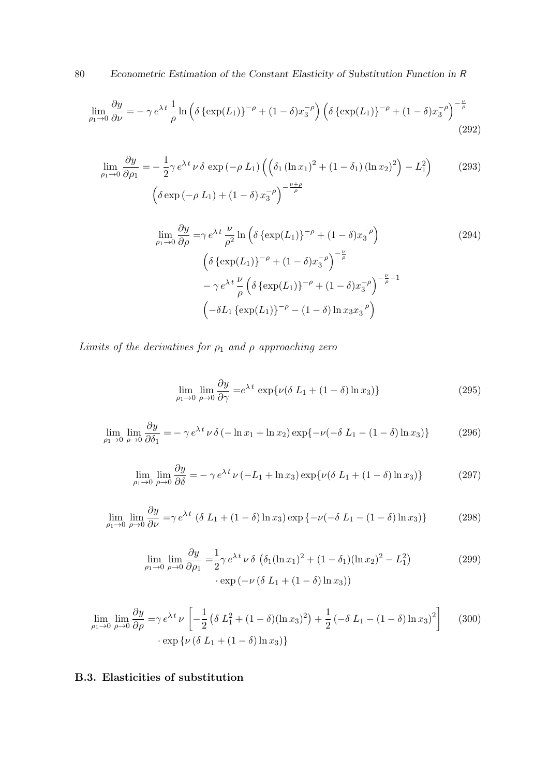80 Econometric Estimation of the Constant Elasticity of Substitution Function in R

$$
\lim_{\rho_1 \to 0} \frac{\partial y}{\partial \nu} = -\gamma e^{\lambda t} \frac{1}{\rho} \ln \left( \delta \left\{ \exp(L_1) \right\}^{-\rho} + (1 - \delta) x_3^{-\rho} \right) \left( \delta \left\{ \exp(L_1) \right\}^{-\rho} + (1 - \delta) x_3^{-\rho} \right)^{-\frac{\nu}{\rho}}
$$
\n(292)

$$
\lim_{\rho_1 \to 0} \frac{\partial y}{\partial \rho_1} = -\frac{1}{2} \gamma e^{\lambda t} \nu \delta \exp\left(-\rho L_1\right) \left( \left(\delta_1 (\ln x_1)^2 + (1 - \delta_1) (\ln x_2)^2\right) - L_1^2 \right) \tag{293}
$$
\n
$$
\left( \delta \exp\left(-\rho L_1\right) + (1 - \delta) x_3^{-\rho} \right)^{-\frac{\nu + \rho}{\rho}}
$$

$$
\lim_{\rho_1 \to 0} \frac{\partial y}{\partial \rho} = \gamma e^{\lambda t} \frac{\nu}{\rho^2} \ln \left( \delta \left\{ \exp(L_1) \right\}^{-\rho} + (1 - \delta) x_3^{-\rho} \right)
$$
\n
$$
\left( \delta \left\{ \exp(L_1) \right\}^{-\rho} + (1 - \delta) x_3^{-\rho} \right)^{-\frac{\nu}{\rho}}
$$
\n
$$
- \gamma e^{\lambda t} \frac{\nu}{\rho} \left( \delta \left\{ \exp(L_1) \right\}^{-\rho} + (1 - \delta) x_3^{-\rho} \right)^{-\frac{\nu}{\rho} - 1}
$$
\n
$$
\left( -\delta L_1 \left\{ \exp(L_1) \right\}^{-\rho} - (1 - \delta) \ln x_3 x_3^{-\rho} \right)
$$
\n(294)

Limits of the derivatives for  $\rho_1$  and  $\rho$  approaching zero

<span id="page-79-0"></span>
$$
\lim_{\rho_1 \to 0} \lim_{\rho \to 0} \frac{\partial y}{\partial \gamma} = e^{\lambda t} \exp\{\nu (\delta L_1 + (1 - \delta) \ln x_3)\}\n\tag{295}
$$

$$
\lim_{\rho_1 \to 0} \lim_{\rho \to 0} \frac{\partial y}{\partial \delta_1} = -\gamma e^{\lambda t} \nu \delta \left( -\ln x_1 + \ln x_2 \right) \exp \left\{ -\nu \left( -\delta L_1 - (1 - \delta) \ln x_3 \right) \right\} \tag{296}
$$

$$
\lim_{\rho_1 \to 0} \lim_{\rho \to 0} \frac{\partial y}{\partial \delta} = -\gamma e^{\lambda t} \nu \left( -L_1 + \ln x_3 \right) \exp \{ \nu (\delta L_1 + (1 - \delta) \ln x_3) \} \tag{297}
$$

$$
\lim_{\rho_1 \to 0} \lim_{\rho \to 0} \frac{\partial y}{\partial \nu} = \gamma e^{\lambda t} \left( \delta L_1 + (1 - \delta) \ln x_3 \right) \exp \left\{ -\nu \left( -\delta L_1 - (1 - \delta) \ln x_3 \right) \right\}
$$
 (298)

$$
\lim_{\rho_1 \to 0} \lim_{\rho \to 0} \frac{\partial y}{\partial \rho_1} = \frac{1}{2} \gamma e^{\lambda t} \nu \delta \left( \delta_1 (\ln x_1)^2 + (1 - \delta_1)(\ln x_2)^2 - L_1^2 \right) \tag{299}
$$
\n
$$
\cdot \exp \left( -\nu \left( \delta L_1 + (1 - \delta) \ln x_3 \right) \right)
$$

$$
\lim_{\rho_1 \to 0} \lim_{\rho \to 0} \frac{\partial y}{\partial \rho} = \gamma e^{\lambda t} \nu \left[ -\frac{1}{2} \left( \delta L_1^2 + (1 - \delta)(\ln x_3)^2 \right) + \frac{1}{2} \left( -\delta L_1 - (1 - \delta) \ln x_3 \right)^2 \right] \tag{300}
$$
\n
$$
\cdot \exp \left\{ \nu \left( \delta L_1 + (1 - \delta) \ln x_3 \right) \right\}
$$

# B.3. Elasticities of substitution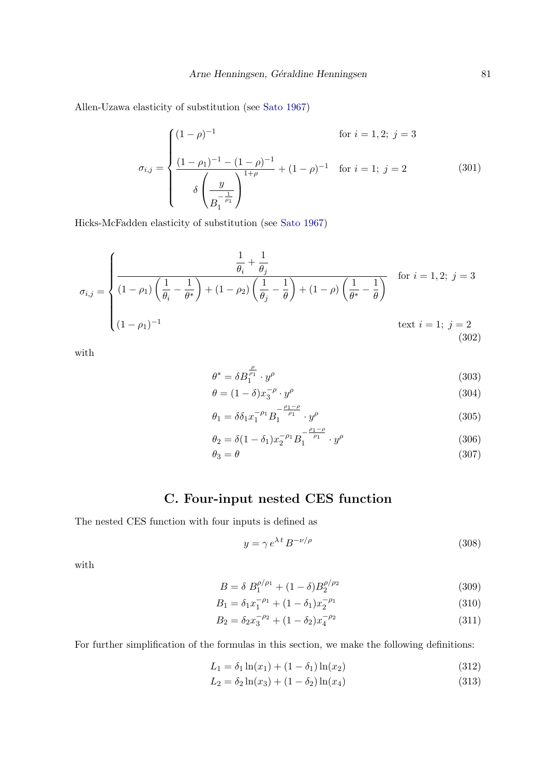Allen-Uzawa elasticity of substitution (see [Sato](#page-107-0) [1967\)](#page-107-0)

$$
\sigma_{i,j} = \begin{cases}\n(1-\rho)^{-1} & \text{for } i = 1,2;\ j = 3 \\
\frac{(1-\rho_1)^{-1} - (1-\rho)^{-1}}{\delta \left(\frac{y}{B_1^{-\rho_1}}\right)^{1+\rho}} + (1-\rho)^{-1} & \text{for } i = 1;\ j = 2\n\end{cases}
$$
\n(301)

Hicks-McFadden elasticity of substitution (see [Sato](#page-107-0) [1967\)](#page-107-0)

$$
\sigma_{i,j} = \begin{cases}\n\frac{\frac{1}{\theta_i} + \frac{1}{\theta_j}}{(1 - \rho_1) \left(\frac{1}{\theta_i} - \frac{1}{\theta^*}\right) + (1 - \rho_2) \left(\frac{1}{\theta_j} - \frac{1}{\theta}\right) + (1 - \rho) \left(\frac{1}{\theta^*} - \frac{1}{\theta}\right)} & \text{for } i = 1, 2;\ j = 3 \\
(1 - \rho_1)^{-1} & \text{text } i = 1;\ j = 2\n\end{cases}
$$
\n(302)

with

$$
\theta^* = \delta B_1^{\frac{\rho}{\rho_1}} \cdot y^{\rho} \tag{303}
$$

$$
\theta = (1 - \delta)x_3^{-\rho} \cdot y^{\rho} \tag{304}
$$

$$
\theta_1 = \delta \delta_1 x_1^{-\rho_1} B_1^{-\frac{\rho_1 - \rho}{\rho_1}} \cdot y^{\rho} \tag{305}
$$

$$
\theta_2 = \delta (1 - \delta_1) x_2^{-\rho_1} B_1^{-\frac{\rho_1 - \rho}{\rho_1}} \cdot y^{\rho} \tag{306}
$$

$$
\theta_3 = \theta \tag{307}
$$

# C. Four-input nested CES function

The nested CES function with four inputs is defined as

$$
y = \gamma e^{\lambda t} B^{-\nu/\rho} \tag{308}
$$

with

$$
B = \delta B_1^{\rho/\rho_1} + (1 - \delta)B_2^{\rho/\rho_2}
$$
\n(309)

$$
B_1 = \delta_1 x_1^{-\rho_1} + (1 - \delta_1) x_2^{-\rho_1} \tag{310}
$$

$$
B_2 = \delta_2 x_3^{-\rho_2} + (1 - \delta_2) x_4^{-\rho_2}
$$
\n(311)

For further simplification of the formulas in this section, we make the following definitions:

$$
L_1 = \delta_1 \ln(x_1) + (1 - \delta_1) \ln(x_2) \tag{312}
$$

$$
L_2 = \delta_2 \ln(x_3) + (1 - \delta_2) \ln(x_4)
$$
\n(313)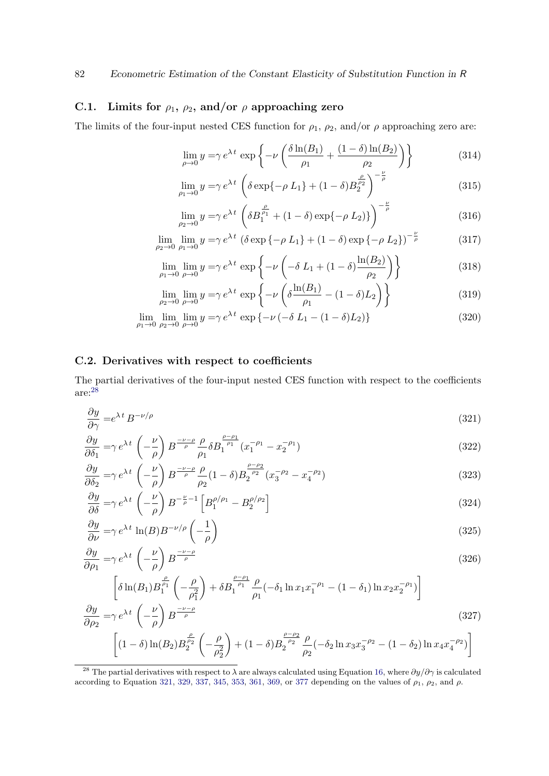# C.1. Limits for  $\rho_1$ ,  $\rho_2$ , and/or  $\rho$  approaching zero

The limits of the four-input nested CES function for  $\rho_1$ ,  $\rho_2$ , and/or  $\rho$  approaching zero are:

$$
\lim_{\rho \to 0} y = \gamma e^{\lambda t} \exp \left\{-\nu \left(\frac{\delta \ln(B_1)}{\rho_1} + \frac{(1-\delta)\ln(B_2)}{\rho_2}\right)\right\} \tag{314}
$$

$$
\lim_{\rho_1 \to 0} y = \gamma e^{\lambda t} \left( \delta \exp\{-\rho L_1\} + (1 - \delta) B_2^{\frac{\rho}{\rho_2}} \right)^{-\frac{\nu}{\rho}}
$$
(315)

$$
\lim_{\rho_2 \to 0} y = \gamma e^{\lambda t} \left( \delta B_1^{\frac{\rho}{\rho_1}} + (1 - \delta) \exp\{-\rho L_2\} \right)^{-\frac{\nu}{\rho}}
$$
(316)

$$
\lim_{\rho_2 \to 0} \lim_{\rho_1 \to 0} y = \gamma e^{\lambda t} \left( \delta \exp \{-\rho L_1\} + (1 - \delta) \exp \{-\rho L_2\} \right)^{-\frac{\nu}{\rho}}
$$
(317)

$$
\lim_{\rho_1 \to 0} \lim_{\rho \to 0} y = \gamma e^{\lambda t} \exp \left\{-\nu \left(-\delta L_1 + (1 - \delta) \frac{\ln(B_2)}{\rho_2}\right)\right\} \tag{318}
$$

<span id="page-81-1"></span>
$$
\lim_{\rho_2 \to 0} \lim_{\rho \to 0} y = \gamma e^{\lambda t} \exp \left\{-\nu \left(\delta \frac{\ln(B_1)}{\rho_1} - (1 - \delta)L_2\right)\right\} \tag{319}
$$

$$
\lim_{\rho_1 \to 0} \lim_{\rho_2 \to 0} \lim_{\rho \to 0} y = \gamma e^{\lambda t} \exp \{-\nu \left(-\delta L_1 - (1 - \delta)L_2\right)\}\n \tag{320}
$$

#### C.2. Derivatives with respect to coefficients

The partial derivatives of the four-input nested CES function with respect to the coefficients are:[28](#page-81-0)

$$
\frac{\partial y}{\partial \gamma} = e^{\lambda t} B^{-\nu/\rho} \tag{321}
$$

$$
\frac{\partial y}{\partial \delta_1} = \gamma e^{\lambda t} \left( -\frac{\nu}{\rho} \right) B^{\frac{-\nu-\rho}{\rho}} \frac{\rho}{\rho_1} \delta B_1^{\frac{\rho-\rho_1}{\rho_1}} (x_1^{-\rho_1} - x_2^{-\rho_1}) \tag{322}
$$

$$
\frac{\partial y}{\partial \delta_2} = \gamma e^{\lambda t} \left( -\frac{\nu}{\rho} \right) B^{\frac{-\nu-\rho}{\rho}} \frac{\rho}{\rho_2} (1-\delta) B^{\frac{\rho-\rho_2}{\rho_2}}_2 (x_3^{-\rho_2} - x_4^{-\rho_2}) \tag{323}
$$

$$
\frac{\partial y}{\partial \delta} = \gamma e^{\lambda t} \left( -\frac{\nu}{\rho} \right) B^{-\frac{\nu}{\rho}-1} \left[ B_1^{\rho/\rho_1} - B_2^{\rho/\rho_2} \right]
$$
\n(324)

$$
\frac{\partial y}{\partial \nu} = \gamma e^{\lambda t} \ln(B) B^{-\nu/\rho} \left( -\frac{1}{\rho} \right) \tag{325}
$$

$$
\frac{\partial y}{\partial \rho_1} = \gamma e^{\lambda t} \left( -\frac{\nu}{\rho} \right) B^{\frac{-\nu - \rho}{\rho}}
$$
\n(326)

$$
\left[\delta \ln(B_1) B_1^{\frac{\rho}{\rho_1}} \left(-\frac{\rho}{\rho_1^2}\right) + \delta B_1^{\frac{\rho-\rho_1}{\rho_1}} \frac{\rho}{\rho_1} \left(-\delta_1 \ln x_1 x_1^{-\rho_1} - (1-\delta_1) \ln x_2 x_2^{-\rho_1}\right)\right]
$$
  

$$
\frac{\partial y}{\partial \rho_2} = \gamma e^{\lambda t} \left(-\frac{\nu}{\rho}\right) B^{-\frac{\nu-\rho}{\rho}}
$$
(327)

$$
\left[ (1 - \delta) \ln(B_2) B_2^{\frac{\rho}{\rho_2}} \left( -\frac{\rho}{\rho_2^2} \right) + (1 - \delta) B_2^{\frac{\rho - \rho_2}{\rho_2}} \frac{\rho}{\rho_2} (-\delta_2 \ln x_3 x_3^{-\rho_2} - (1 - \delta_2) \ln x_4 x_4^{-\rho_2}) \right]
$$

<span id="page-81-0"></span><sup>&</sup>lt;sup>28</sup> The partial derivatives with respect to  $\lambda$  are always calculated using Equation [16,](#page-35-0) where  $\partial y/\partial \gamma$  is calculated according to Equation [321,](#page-81-1) [329,](#page-82-0) [337,](#page-83-0) [345,](#page-84-0) [353,](#page-85-0) [361,](#page-86-0) [369,](#page-87-0) or [377](#page-87-1) depending on the values of  $\rho_1$ ,  $\rho_2$ , and  $\rho$ .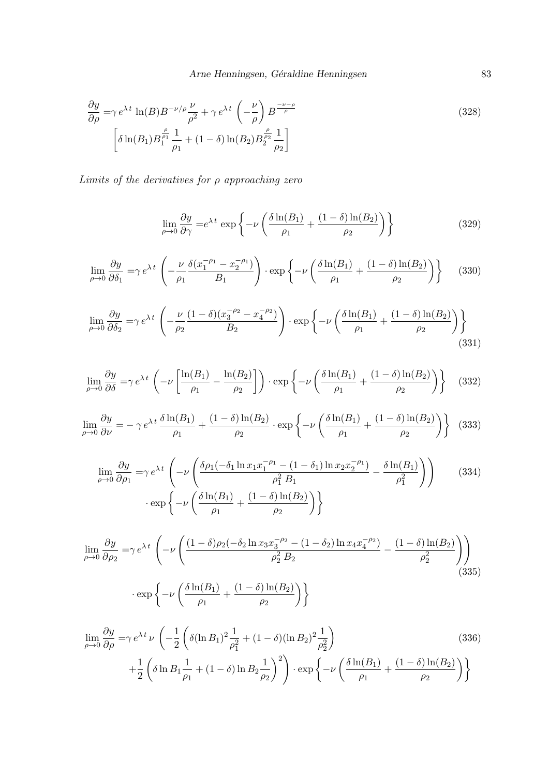Arne Henningsen, Géraldine Henningsen 83

$$
\frac{\partial y}{\partial \rho} = \gamma e^{\lambda t} \ln(B) B^{-\nu/\rho} \frac{\nu}{\rho^2} + \gamma e^{\lambda t} \left( -\frac{\nu}{\rho} \right) B^{\frac{-\nu-\rho}{\rho}} \n\left[ \delta \ln(B_1) B_1^{\frac{\rho}{\rho_1}} \frac{1}{\rho_1} + (1-\delta) \ln(B_2) B_2^{\frac{\rho}{\rho_2}} \frac{1}{\rho_2} \right]
$$
\n(328)

Limits of the derivatives for  $\rho$  approaching zero

$$
\lim_{\rho \to 0} \frac{\partial y}{\partial \gamma} = e^{\lambda t} \exp \left\{-\nu \left(\frac{\delta \ln(B_1)}{\rho_1} + \frac{(1-\delta)\ln(B_2)}{\rho_2}\right)\right\} \tag{329}
$$

$$
\lim_{\rho \to 0} \frac{\partial y}{\partial \delta_1} = \gamma e^{\lambda t} \left( -\frac{\nu}{\rho_1} \frac{\delta(x_1^{-\rho_1} - x_2^{-\rho_1})}{B_1} \right) \cdot \exp\left\{-\nu \left( \frac{\delta \ln(B_1)}{\rho_1} + \frac{(1 - \delta) \ln(B_2)}{\rho_2} \right) \right\} \tag{330}
$$

$$
\lim_{\rho \to 0} \frac{\partial y}{\partial \delta_2} = \gamma e^{\lambda t} \left( -\frac{\nu}{\rho_2} \frac{(1-\delta)(x_3^{-\rho_2} - x_4^{-\rho_2})}{B_2} \right) \cdot \exp\left\{-\nu \left( \frac{\delta \ln(B_1)}{\rho_1} + \frac{(1-\delta)\ln(B_2)}{\rho_2} \right) \right\}
$$
\n(331)

$$
\lim_{\rho \to 0} \frac{\partial y}{\partial \delta} = \gamma e^{\lambda t} \left( -\nu \left[ \frac{\ln(B_1)}{\rho_1} - \frac{\ln(B_2)}{\rho_2} \right] \right) \cdot \exp \left\{ -\nu \left( \frac{\delta \ln(B_1)}{\rho_1} + \frac{(1-\delta)\ln(B_2)}{\rho_2} \right) \right\} \tag{332}
$$

$$
\lim_{\rho \to 0} \frac{\partial y}{\partial \nu} = -\gamma e^{\lambda t} \frac{\delta \ln(B_1)}{\rho_1} + \frac{(1-\delta)\ln(B_2)}{\rho_2} \cdot \exp\left\{-\nu \left(\frac{\delta \ln(B_1)}{\rho_1} + \frac{(1-\delta)\ln(B_2)}{\rho_2}\right)\right\} (333)
$$

$$
\lim_{\rho \to 0} \frac{\partial y}{\partial \rho_1} = \gamma e^{\lambda t} \left( -\nu \left( \frac{\delta \rho_1(-\delta_1 \ln x_1 x_1^{-\rho_1} - (1 - \delta_1) \ln x_2 x_2^{-\rho_1})}{\rho_1^2 B_1} - \frac{\delta \ln(B_1)}{\rho_1^2} \right) \right)
$$
(334)  
 
$$
\cdot \exp \left\{ -\nu \left( \frac{\delta \ln(B_1)}{\rho_1} + \frac{(1 - \delta) \ln(B_2)}{\rho_2} \right) \right\}
$$

$$
\lim_{\rho \to 0} \frac{\partial y}{\partial \rho_2} = \gamma e^{\lambda t} \left( -\nu \left( \frac{(1 - \delta) \rho_2 (-\delta_2 \ln x_3 x_3^{-\rho_2} - (1 - \delta_2) \ln x_4 x_4^{-\rho_2})}{\rho_2^2 B_2} - \frac{(1 - \delta) \ln(B_2)}{\rho_2^2} \right) \right)
$$
\n
$$
\cdot \exp \left\{ -\nu \left( \frac{\delta \ln(B_1)}{\rho_1} + \frac{(1 - \delta) \ln(B_2)}{\rho_2} \right) \right\}
$$
\n(335)

$$
\lim_{\rho \to 0} \frac{\partial y}{\partial \rho} = \gamma e^{\lambda t} \nu \left( -\frac{1}{2} \left( \delta (\ln B_1)^2 \frac{1}{\rho_1^2} + (1 - \delta)(\ln B_2)^2 \frac{1}{\rho_2^2} \right) + \frac{1}{2} \left( \delta \ln B_1 \frac{1}{\rho_1} + (1 - \delta) \ln B_2 \frac{1}{\rho_2} \right)^2 \right) \cdot \exp \left\{ -\nu \left( \frac{\delta \ln(B_1)}{\rho_1} + \frac{(1 - \delta) \ln(B_2)}{\rho_2} \right) \right\}
$$
\n(336)

<span id="page-82-0"></span>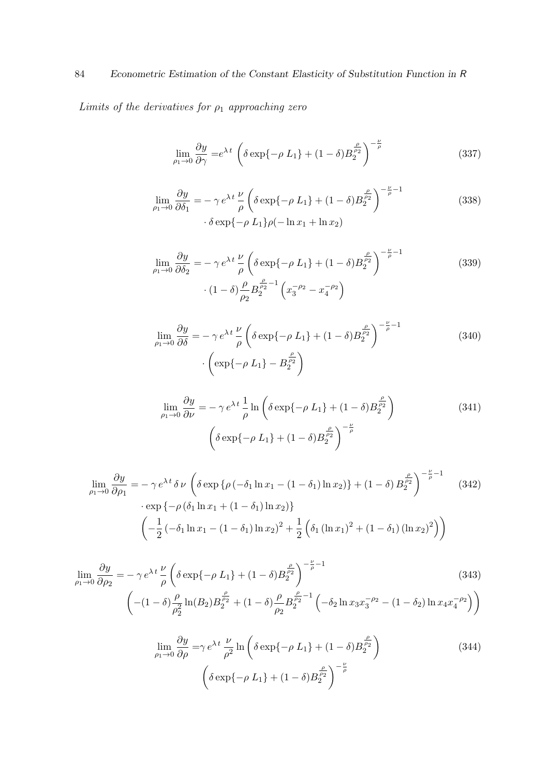# 84 Econometric Estimation of the Constant Elasticity of Substitution Function in R

Limits of the derivatives for  $\rho_1$  approaching zero

<span id="page-83-0"></span>
$$
\lim_{\rho_1 \to 0} \frac{\partial y}{\partial \gamma} = e^{\lambda t} \left( \delta \exp\{-\rho L_1\} + (1 - \delta) B_2^{\frac{\rho}{\rho_2}} \right)^{-\frac{\nu}{\rho}}
$$
\n(337)

$$
\lim_{\rho_1 \to 0} \frac{\partial y}{\partial \delta_1} = -\gamma e^{\lambda t} \frac{\nu}{\rho} \left( \delta \exp\{-\rho L_1\} + (1 - \delta) B_2^{\frac{\rho}{\rho_2}} \right)^{-\frac{\nu}{\rho} - 1}
$$
\n
$$
\cdot \delta \exp\{-\rho L_1\} \rho(-\ln x_1 + \ln x_2)
$$
\n(338)

$$
\lim_{\rho_1 \to 0} \frac{\partial y}{\partial \delta_2} = -\gamma e^{\lambda t} \frac{\nu}{\rho} \left( \delta \exp\{-\rho L_1\} + (1 - \delta) B_2^{\frac{\rho}{\rho_2}} \right)^{-\frac{\nu}{\rho} - 1}
$$
\n
$$
\cdot (1 - \delta) \frac{\rho}{\rho_2} B_2^{\frac{\rho}{\rho_2} - 1} \left( x_3^{-\rho_2} - x_4^{-\rho_2} \right)
$$
\n(339)

$$
\lim_{\rho_1 \to 0} \frac{\partial y}{\partial \delta} = -\gamma e^{\lambda t} \frac{\nu}{\rho} \left( \delta \exp\{-\rho L_1\} + (1 - \delta) B_2^{\frac{\rho}{\rho_2}} \right)^{-\frac{\nu}{\rho} - 1}
$$
\n
$$
\cdot \left( \exp\{-\rho L_1\} - B_2^{\frac{\rho}{\rho_2}} \right)
$$
\n(340)

$$
\lim_{\rho_1 \to 0} \frac{\partial y}{\partial \nu} = -\gamma e^{\lambda t} \frac{1}{\rho} \ln \left( \delta \exp\{-\rho L_1\} + (1 - \delta) B_2^{\frac{\rho}{\rho_2}} \right)
$$
\n
$$
\left( \delta \exp\{-\rho L_1\} + (1 - \delta) B_2^{\frac{\rho}{\rho_2}} \right)^{-\frac{\nu}{\rho}}
$$
\n(341)

$$
\lim_{\rho_1 \to 0} \frac{\partial y}{\partial \rho_1} = -\gamma e^{\lambda t} \delta \nu \left( \delta \exp \{ \rho \left( -\delta_1 \ln x_1 - (1 - \delta_1) \ln x_2 \right) \} + (1 - \delta) B_2^{\frac{\rho}{\rho_2}} \right)^{-\frac{\nu}{\rho} - 1} \quad (342)
$$

$$
\cdot \exp \{ -\rho \left( \delta_1 \ln x_1 + (1 - \delta_1) \ln x_2 \right) \} \left( -\frac{1}{2} \left( -\delta_1 \ln x_1 - (1 - \delta_1) \ln x_2 \right)^2 + \frac{1}{2} \left( \delta_1 \left( \ln x_1 \right)^2 + (1 - \delta_1) \left( \ln x_2 \right)^2 \right) \right)
$$

$$
\lim_{\rho_1 \to 0} \frac{\partial y}{\partial \rho_2} = -\gamma e^{\lambda t} \frac{\nu}{\rho} \left( \delta \exp\{-\rho L_1\} + (1 - \delta) B_2^{\frac{\rho}{\rho_2}} \right)^{-\frac{\nu}{\rho} - 1}
$$
\n
$$
- (1 - \delta) \frac{\rho}{\rho_2^2} \ln(B_2) B_2^{\frac{\rho}{\rho_2}} + (1 - \delta) \frac{\rho}{\rho_2} B_2^{\frac{\rho}{\rho_2} - 1} \left( -\delta_2 \ln x_3 x_3^{-\rho_2} - (1 - \delta_2) \ln x_4 x_4^{-\rho_2} \right) \right)
$$
\n(343)

$$
\lim_{\rho_1 \to 0} \frac{\partial y}{\partial \rho} = \gamma e^{\lambda t} \frac{\nu}{\rho^2} \ln \left( \delta \exp\{-\rho L_1\} + (1 - \delta) B_2^{\frac{\rho}{\rho_2}} \right)
$$
\n
$$
\left( \delta \exp\{-\rho L_1\} + (1 - \delta) B_2^{\frac{\rho}{\rho_2}} \right)^{-\frac{\nu}{\rho}}
$$
\n(344)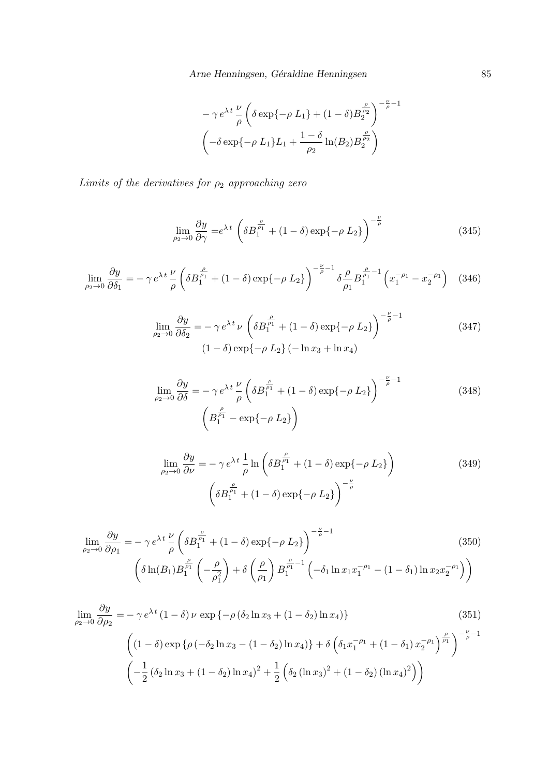<span id="page-84-0"></span>
$$
-\gamma e^{\lambda t} \frac{\nu}{\rho} \left( \delta \exp\{-\rho L_1\} + (1 - \delta) B_2^{\frac{\rho}{\rho_2}} \right)^{-\frac{\nu}{\rho} - 1}
$$

$$
\left( -\delta \exp\{-\rho L_1\} L_1 + \frac{1 - \delta}{\rho_2} \ln(B_2) B_2^{\frac{\rho}{\rho_2}} \right)
$$

Limits of the derivatives for  $\rho_2$  approaching zero

$$
\lim_{\rho_2 \to 0} \frac{\partial y}{\partial \gamma} = e^{\lambda t} \left( \delta B_1^{\frac{\rho}{\rho_1}} + (1 - \delta) \exp\{-\rho L_2\} \right)^{-\frac{\nu}{\rho}}
$$
(345)

$$
\lim_{\rho_2 \to 0} \frac{\partial y}{\partial \delta_1} = -\gamma e^{\lambda t} \frac{\nu}{\rho} \left( \delta B_1^{\frac{\rho}{\rho_1}} + (1 - \delta) \exp\{-\rho L_2\} \right)^{-\frac{\nu}{\rho} - 1} \delta \frac{\rho}{\rho_1} B_1^{\frac{\rho}{\rho_1} - 1} \left( x_1^{-\rho_1} - x_2^{-\rho_1} \right) \tag{346}
$$

$$
\lim_{\rho_2 \to 0} \frac{\partial y}{\partial \delta_2} = -\gamma e^{\lambda t} \nu \left( \delta B_1^{\frac{\rho}{\rho_1}} + (1 - \delta) \exp\{-\rho L_2\} \right)^{-\frac{\nu}{\rho} - 1}
$$
\n
$$
(1 - \delta) \exp\{-\rho L_2\} (-\ln x_3 + \ln x_4)
$$
\n(347)

$$
\lim_{\rho_2 \to 0} \frac{\partial y}{\partial \delta} = -\gamma e^{\lambda t} \frac{\nu}{\rho} \left( \delta B_1^{\frac{\rho}{\rho_1}} + (1 - \delta) \exp\{-\rho L_2\} \right)^{-\frac{\nu}{\rho} - 1}
$$
\n
$$
\left( B_1^{\frac{\rho}{\rho_1}} - \exp\{-\rho L_2\} \right)
$$
\n(348)

$$
\lim_{\rho_2 \to 0} \frac{\partial y}{\partial \nu} = -\gamma e^{\lambda t} \frac{1}{\rho} \ln \left( \delta B_1^{\frac{\rho}{\rho_1}} + (1 - \delta) \exp\{-\rho L_2\} \right)
$$
\n
$$
\left( \delta B_1^{\frac{\rho}{\rho_1}} + (1 - \delta) \exp\{-\rho L_2\} \right)^{-\frac{\nu}{\rho}}
$$
\n(349)

$$
\lim_{\rho_2 \to 0} \frac{\partial y}{\partial \rho_1} = -\gamma e^{\lambda t} \frac{\nu}{\rho} \left( \delta B_1^{\frac{\rho}{\rho_1}} + (1 - \delta) \exp\{-\rho L_2\} \right)^{-\frac{\nu}{\rho} - 1}
$$
\n
$$
\left( \delta \ln(B_1) B_1^{\frac{\rho}{\rho_1}} \left( -\frac{\rho}{\rho_1^2} \right) + \delta \left( \frac{\rho}{\rho_1} \right) B_1^{\frac{\rho}{\rho_1} - 1} \left( -\delta_1 \ln x_1 x_1^{-\rho_1} - (1 - \delta_1) \ln x_2 x_2^{-\rho_1} \right) \right)
$$
\n(350)

$$
\lim_{\rho_2 \to 0} \frac{\partial y}{\partial \rho_2} = -\gamma e^{\lambda t} (1 - \delta) \nu \exp \{-\rho (\delta_2 \ln x_3 + (1 - \delta_2) \ln x_4) \} \tag{351}
$$
\n
$$
\left( (1 - \delta) \exp \{ \rho (-\delta_2 \ln x_3 - (1 - \delta_2) \ln x_4) \} + \delta \left( \delta_1 x_1^{-\rho_1} + (1 - \delta_1) x_2^{-\rho_1} \right)^{\frac{\rho}{\rho_1}} \right)^{-\frac{\nu}{\rho} - 1}
$$
\n
$$
\left( -\frac{1}{2} (\delta_2 \ln x_3 + (1 - \delta_2) \ln x_4)^2 + \frac{1}{2} \left( \delta_2 (\ln x_3)^2 + (1 - \delta_2) (\ln x_4)^2 \right) \right)
$$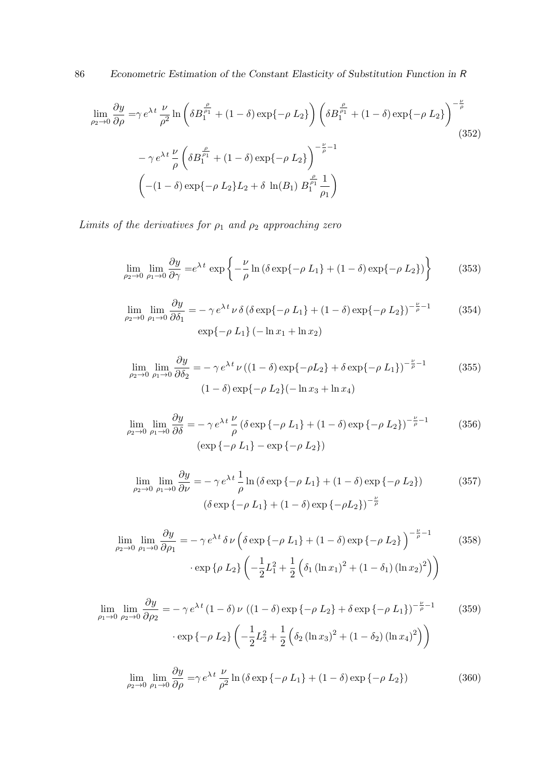86 Econometric Estimation of the Constant Elasticity of Substitution Function in R

$$
\lim_{\rho_2 \to 0} \frac{\partial y}{\partial \rho} = \gamma e^{\lambda t} \frac{\nu}{\rho^2} \ln \left( \delta B_1^{\frac{\rho}{\rho_1}} + (1 - \delta) \exp\{-\rho L_2\} \right) \left( \delta B_1^{\frac{\rho}{\rho_1}} + (1 - \delta) \exp\{-\rho L_2\} \right)^{-\frac{\nu}{\rho}}
$$
\n
$$
- \gamma e^{\lambda t} \frac{\nu}{\rho} \left( \delta B_1^{\frac{\rho}{\rho_1}} + (1 - \delta) \exp\{-\rho L_2\} \right)^{-\frac{\nu}{\rho} - 1}
$$
\n
$$
\left( -(1 - \delta) \exp\{-\rho L_2\} L_2 + \delta \ln(B_1) B_1^{\frac{\rho}{\rho_1}} \frac{1}{\rho_1} \right)
$$
\n(352)

Limits of the derivatives for  $\rho_1$  and  $\rho_2$  approaching zero

<span id="page-85-0"></span>
$$
\lim_{\rho_2 \to 0} \lim_{\rho_1 \to 0} \frac{\partial y}{\partial \gamma} = e^{\lambda t} \exp \left\{ -\frac{\nu}{\rho} \ln \left( \delta \exp \{-\rho L_1\} + (1 - \delta) \exp \{-\rho L_2\} \right) \right\} \tag{353}
$$

$$
\lim_{\rho_2 \to 0} \lim_{\rho_1 \to 0} \frac{\partial y}{\partial \delta_1} = -\gamma e^{\lambda t} \nu \delta \left( \delta \exp\{-\rho L_1\} + (1 - \delta) \exp\{-\rho L_2\} \right)^{-\frac{\nu}{\rho} - 1}
$$
\n
$$
\exp\{-\rho L_1\} \left( -\ln x_1 + \ln x_2 \right)
$$
\n(354)

$$
\lim_{\rho_2 \to 0} \lim_{\rho_1 \to 0} \frac{\partial y}{\partial \delta_2} = -\gamma e^{\lambda t} \nu ((1 - \delta) \exp\{-\rho L_2\} + \delta \exp\{-\rho L_1\})^{-\frac{\nu}{\rho} - 1}
$$
(355)  

$$
(1 - \delta) \exp\{-\rho L_2\} (-\ln x_3 + \ln x_4)
$$

$$
\lim_{\rho_2 \to 0} \lim_{\rho_1 \to 0} \frac{\partial y}{\partial \delta} = -\gamma e^{\lambda t} \frac{\nu}{\rho} \left( \delta \exp \left\{ -\rho L_1 \right\} + (1 - \delta) \exp \left\{ -\rho L_2 \right\} \right)^{-\frac{\nu}{\rho} - 1}
$$
\n
$$
\left( \exp \left\{ -\rho L_1 \right\} - \exp \left\{ -\rho L_2 \right\} \right)
$$
\n(356)

$$
\lim_{\rho_2 \to 0} \lim_{\rho_1 \to 0} \frac{\partial y}{\partial \nu} = -\gamma e^{\lambda t} \frac{1}{\rho} \ln \left( \delta \exp \left\{ -\rho L_1 \right\} + (1 - \delta) \exp \left\{ -\rho L_2 \right\} \right) \tag{357}
$$
\n
$$
\left( \delta \exp \left\{ -\rho L_1 \right\} + (1 - \delta) \exp \left\{ -\rho L_2 \right\} \right)^{-\frac{\nu}{\rho}}
$$

$$
\lim_{\rho_2 \to 0} \lim_{\rho_1 \to 0} \frac{\partial y}{\partial \rho_1} = -\gamma e^{\lambda t} \delta \nu \left( \delta \exp \{-\rho L_1\} + (1 - \delta) \exp \{-\rho L_2\} \right)^{-\frac{\nu}{\rho} - 1}
$$
(358)  
 
$$
\cdot \exp \{\rho L_2\} \left( -\frac{1}{2} L_1^2 + \frac{1}{2} \left( \delta_1 (\ln x_1)^2 + (1 - \delta_1) (\ln x_2)^2 \right) \right)
$$

$$
\lim_{\rho_1 \to 0} \lim_{\rho_2 \to 0} \frac{\partial y}{\partial \rho_2} = -\gamma e^{\lambda t} (1 - \delta) \nu ((1 - \delta) \exp \{-\rho L_2\} + \delta \exp \{-\rho L_1\})^{-\frac{\nu}{\rho} - 1}
$$
(359)  
 
$$
\cdot \exp \{-\rho L_2\} \left( -\frac{1}{2} L_2^2 + \frac{1}{2} \left( \delta_2 (\ln x_3)^2 + (1 - \delta_2) (\ln x_4)^2 \right) \right)
$$

$$
\lim_{\rho_2 \to 0} \lim_{\rho_1 \to 0} \frac{\partial y}{\partial \rho} = \gamma e^{\lambda t} \frac{\nu}{\rho^2} \ln \left( \delta \exp \left\{ -\rho L_1 \right\} + (1 - \delta) \exp \left\{ -\rho L_2 \right\} \right) \tag{360}
$$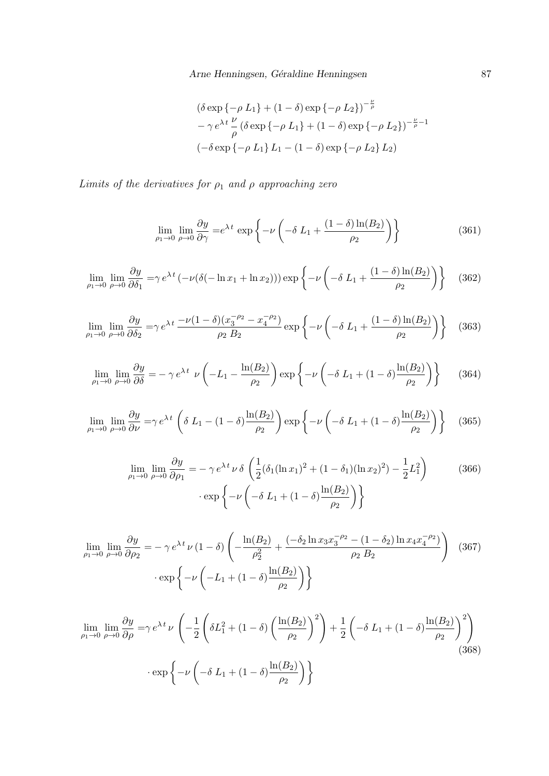<span id="page-86-0"></span>
$$
(\delta \exp \{-\rho L_1\} + (1 - \delta) \exp \{-\rho L_2\})^{-\frac{\nu}{\rho}}-\gamma e^{\lambda t} \frac{\nu}{\rho} (\delta \exp \{-\rho L_1\} + (1 - \delta) \exp \{-\rho L_2\})^{-\frac{\nu}{\rho}-1}(-\delta \exp \{-\rho L_1\} L_1 - (1 - \delta) \exp \{-\rho L_2\} L_2)
$$

Limits of the derivatives for  $\rho_1$  and  $\rho$  approaching zero

$$
\lim_{\rho_1 \to 0} \lim_{\rho \to 0} \frac{\partial y}{\partial \gamma} = e^{\lambda t} \exp \left\{-\nu \left(-\delta L_1 + \frac{(1-\delta)\ln(B_2)}{\rho_2}\right)\right\} \tag{361}
$$

$$
\lim_{\rho_1 \to 0} \lim_{\rho \to 0} \frac{\partial y}{\partial \delta_1} = \gamma e^{\lambda t} \left( -\nu (\delta(-\ln x_1 + \ln x_2)) \right) \exp\left\{-\nu \left( -\delta L_1 + \frac{(1-\delta)\ln(B_2)}{\rho_2} \right) \right\} \tag{362}
$$

$$
\lim_{\rho_1 \to 0} \lim_{\rho \to 0} \frac{\partial y}{\partial \delta_2} = \gamma e^{\lambda t} \frac{-\nu (1 - \delta) (x_3^{-\rho_2} - x_4^{-\rho_2})}{\rho_2 B_2} \exp \left\{-\nu \left(-\delta L_1 + \frac{(1 - \delta) \ln(B_2)}{\rho_2}\right)\right\} \tag{363}
$$

$$
\lim_{\rho_1 \to 0} \lim_{\rho \to 0} \frac{\partial y}{\partial \delta} = -\gamma e^{\lambda t} \nu \left( -L_1 - \frac{\ln(B_2)}{\rho_2} \right) \exp \left\{ -\nu \left( -\delta L_1 + (1 - \delta) \frac{\ln(B_2)}{\rho_2} \right) \right\} \tag{364}
$$

$$
\lim_{\rho_1 \to 0} \lim_{\rho \to 0} \frac{\partial y}{\partial \nu} = \gamma e^{\lambda t} \left( \delta L_1 - (1 - \delta) \frac{\ln(B_2)}{\rho_2} \right) \exp \left\{ -\nu \left( -\delta L_1 + (1 - \delta) \frac{\ln(B_2)}{\rho_2} \right) \right\} \tag{365}
$$

$$
\lim_{\rho_1 \to 0} \lim_{\rho \to 0} \frac{\partial y}{\partial \rho_1} = -\gamma e^{\lambda t} \nu \delta \left( \frac{1}{2} (\delta_1 (\ln x_1)^2 + (1 - \delta_1)(\ln x_2)^2) - \frac{1}{2} L_1^2 \right) \qquad (366)
$$

$$
\cdot \exp \left\{ -\nu \left( -\delta L_1 + (1 - \delta) \frac{\ln(B_2)}{\rho_2} \right) \right\}
$$

$$
\lim_{\rho_1 \to 0} \lim_{\rho \to 0} \frac{\partial y}{\partial \rho_2} = -\gamma e^{\lambda t} \nu (1 - \delta) \left( -\frac{\ln(B_2)}{\rho_2^2} + \frac{(-\delta_2 \ln x_3 x_3^{-\rho_2} - (1 - \delta_2) \ln x_4 x_4^{-\rho_2})}{\rho_2 B_2} \right)
$$
(367)  
 
$$
\cdot \exp \left\{ -\nu \left( -L_1 + (1 - \delta) \frac{\ln(B_2)}{\rho_2} \right) \right\}
$$

$$
\lim_{\rho_1 \to 0} \lim_{\rho \to 0} \frac{\partial y}{\partial \rho} = \gamma e^{\lambda t} \nu \left( -\frac{1}{2} \left( \delta L_1^2 + (1 - \delta) \left( \frac{\ln(B_2)}{\rho_2} \right)^2 \right) + \frac{1}{2} \left( -\delta L_1 + (1 - \delta) \frac{\ln(B_2)}{\rho_2} \right)^2 \right)
$$
\n
$$
\cdot \exp \left\{ -\nu \left( -\delta L_1 + (1 - \delta) \frac{\ln(B_2)}{\rho_2} \right) \right\}
$$
\n(368)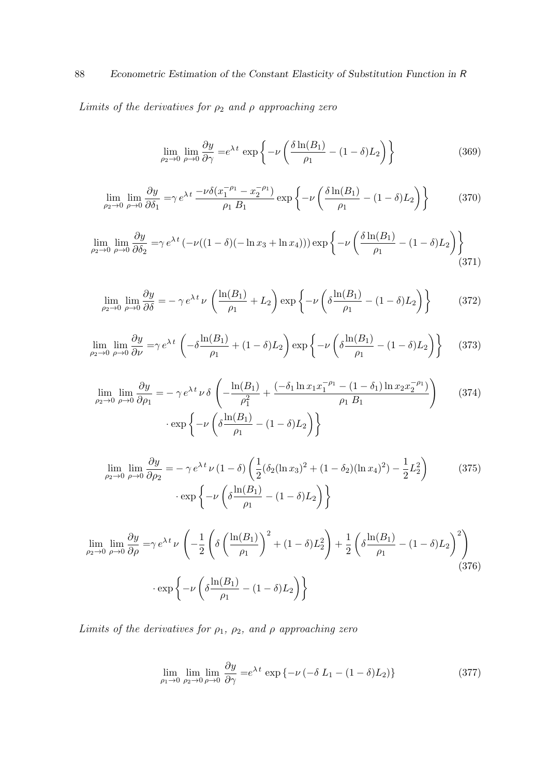88 Econometric Estimation of the Constant Elasticity of Substitution Function in R

Limits of the derivatives for  $\rho_2$  and  $\rho$  approaching zero

<span id="page-87-0"></span>
$$
\lim_{\rho_2 \to 0} \lim_{\rho \to 0} \frac{\partial y}{\partial \gamma} = e^{\lambda t} \exp \left\{-\nu \left(\frac{\delta \ln(B_1)}{\rho_1} - (1 - \delta)L_2\right)\right\} \tag{369}
$$

$$
\lim_{\rho_2 \to 0} \lim_{\rho \to 0} \frac{\partial y}{\partial \delta_1} = \gamma e^{\lambda t} \frac{-\nu \delta (x_1^{-\rho_1} - x_2^{-\rho_1})}{\rho_1 B_1} \exp \left\{-\nu \left(\frac{\delta \ln(B_1)}{\rho_1} - (1 - \delta) L_2\right)\right\} \tag{370}
$$

$$
\lim_{\rho_2 \to 0} \lim_{\rho \to 0} \frac{\partial y}{\partial \delta_2} = \gamma e^{\lambda t} \left( -\nu ((1 - \delta)(-\ln x_3 + \ln x_4)) \right) \exp \left\{-\nu \left( \frac{\delta \ln(B_1)}{\rho_1} - (1 - \delta) L_2 \right) \right\}
$$
\n(371)

$$
\lim_{\rho_2 \to 0} \lim_{\rho \to 0} \frac{\partial y}{\partial \delta} = -\gamma e^{\lambda t} \nu \left( \frac{\ln(B_1)}{\rho_1} + L_2 \right) \exp \left\{ -\nu \left( \delta \frac{\ln(B_1)}{\rho_1} - (1 - \delta) L_2 \right) \right\}
$$
(372)

$$
\lim_{\rho_2 \to 0} \lim_{\rho \to 0} \frac{\partial y}{\partial \nu} = \gamma e^{\lambda t} \left( -\delta \frac{\ln(B_1)}{\rho_1} + (1 - \delta)L_2 \right) \exp \left\{ -\nu \left( \delta \frac{\ln(B_1)}{\rho_1} - (1 - \delta)L_2 \right) \right\} \tag{373}
$$

$$
\lim_{\rho_2 \to 0} \lim_{\rho \to 0} \frac{\partial y}{\partial \rho_1} = -\gamma e^{\lambda t} \nu \delta \left( -\frac{\ln(B_1)}{\rho_1^2} + \frac{(-\delta_1 \ln x_1 x_1^{-\rho_1} - (1 - \delta_1) \ln x_2 x_2^{-\rho_1})}{\rho_1 B_1} \right) \tag{374}
$$
\n
$$
\cdot \exp \left\{ -\nu \left( \delta \frac{\ln(B_1)}{\rho_1} - (1 - \delta) L_2 \right) \right\}
$$

$$
\lim_{\rho_2 \to 0} \lim_{\rho \to 0} \frac{\partial y}{\partial \rho_2} = -\gamma e^{\lambda t} \nu (1 - \delta) \left( \frac{1}{2} (\delta_2 (\ln x_3)^2 + (1 - \delta_2) (\ln x_4)^2) - \frac{1}{2} L_2^2 \right) \tag{375}
$$
\n
$$
\cdot \exp \left\{ -\nu \left( \delta \frac{\ln(B_1)}{\rho_1} - (1 - \delta) L_2 \right) \right\}
$$

$$
\lim_{\rho_2 \to 0} \lim_{\rho \to 0} \frac{\partial y}{\partial \rho} = \gamma e^{\lambda t} \nu \left( -\frac{1}{2} \left( \delta \left( \frac{\ln(B_1)}{\rho_1} \right)^2 + (1 - \delta) L_2^2 \right) + \frac{1}{2} \left( \delta \frac{\ln(B_1)}{\rho_1} - (1 - \delta) L_2 \right)^2 \right)
$$
\n
$$
\cdot \exp \left\{ -\nu \left( \delta \frac{\ln(B_1)}{\rho_1} - (1 - \delta) L_2 \right) \right\}
$$
\n(376)

Limits of the derivatives for  $\rho_1$ ,  $\rho_2$ , and  $\rho$  approaching zero

<span id="page-87-1"></span>
$$
\lim_{\rho_1 \to 0} \lim_{\rho_2 \to 0} \lim_{\rho \to 0} \frac{\partial y}{\partial \gamma} = e^{\lambda t} \exp \left\{ -\nu \left( -\delta L_1 - (1 - \delta) L_2 \right) \right\}
$$
\n(377)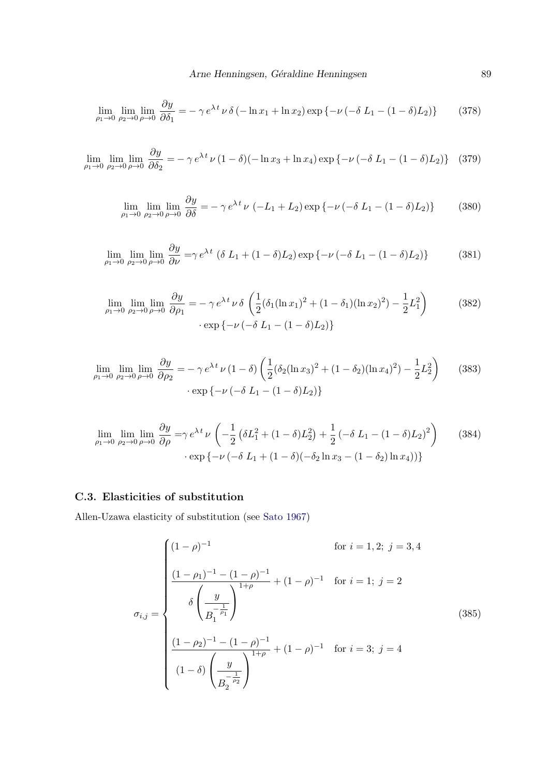$$
\lim_{\rho_1 \to 0} \lim_{\rho_2 \to 0} \lim_{\rho \to 0} \frac{\partial y}{\partial \delta_1} = -\gamma e^{\lambda t} \nu \delta \left( -\ln x_1 + \ln x_2 \right) \exp \left\{ -\nu \left( -\delta L_1 - (1 - \delta) L_2 \right) \right\} \tag{378}
$$

 $\lim_{\rho_1 \to 0} \lim_{\rho_2 \to 0} \lim_{\rho \to 0}$  $\partial y$  $\frac{\partial g}{\partial \delta_2} = -\gamma e^{\lambda t} \nu (1 - \delta) (-\ln x_3 + \ln x_4) \exp \{-\nu (-\delta L_1 - (1 - \delta)L_2)\}$  (379)

$$
\lim_{\rho_1 \to 0} \lim_{\rho_2 \to 0} \lim_{\rho \to 0} \frac{\partial y}{\partial \delta} = -\gamma e^{\lambda t} \nu \left( -L_1 + L_2 \right) \exp \left\{ -\nu \left( -\delta L_1 - (1 - \delta)L_2 \right) \right\} \tag{380}
$$

$$
\lim_{\rho_1 \to 0} \lim_{\rho_2 \to 0} \lim_{\rho \to 0} \frac{\partial y}{\partial \nu} = \gamma e^{\lambda t} \left( \delta L_1 + (1 - \delta) L_2 \right) \exp \left\{ -\nu \left( -\delta L_1 - (1 - \delta) L_2 \right) \right\} \tag{381}
$$

$$
\lim_{\rho_1 \to 0} \lim_{\rho_2 \to 0} \lim_{\rho \to 0} \frac{\partial y}{\partial \rho_1} = -\gamma e^{\lambda t} \nu \delta \left( \frac{1}{2} (\delta_1 (\ln x_1)^2 + (1 - \delta_1)(\ln x_2)^2) - \frac{1}{2} L_1^2 \right) \tag{382}
$$
\n
$$
\cdot \exp \left\{ -\nu \left( -\delta L_1 - (1 - \delta) L_2 \right) \right\}
$$

$$
\lim_{\rho_1 \to 0} \lim_{\rho_2 \to 0} \lim_{\rho \to 0} \frac{\partial y}{\partial \rho_2} = -\gamma e^{\lambda t} \nu (1 - \delta) \left( \frac{1}{2} (\delta_2 (\ln x_3)^2 + (1 - \delta_2) (\ln x_4)^2) - \frac{1}{2} L_2^2 \right) \tag{383}
$$
\n
$$
\cdot \exp \{-\nu ( -\delta L_1 - (1 - \delta) L_2) \}
$$

$$
\lim_{\rho_1 \to 0} \lim_{\rho_2 \to 0} \lim_{\rho \to 0} \frac{\partial y}{\partial \rho} = \gamma e^{\lambda t} \nu \left( -\frac{1}{2} \left( \delta L_1^2 + (1 - \delta) L_2^2 \right) + \frac{1}{2} \left( -\delta L_1 - (1 - \delta) L_2 \right)^2 \right) \tag{384}
$$
\n
$$
\cdot \exp \left\{ -\nu \left( -\delta L_1 + (1 - \delta) \left( -\delta_2 \ln x_3 - (1 - \delta_2) \ln x_4 \right) \right) \right\}
$$

#### C.3. Elasticities of substitution

Allen-Uzawa elasticity of substitution (see [Sato](#page-107-0) [1967\)](#page-107-0)

$$
\sigma_{i,j} = \begin{cases}\n(1 - \rho)^{-1} & \text{for } i = 1, 2; j = 3, 4 \\
\frac{(1 - \rho_1)^{-1} - (1 - \rho)^{-1}}{\delta \left(\frac{y}{B_1^{-\rho_1}}\right)^{1 + \rho}} + (1 - \rho)^{-1} & \text{for } i = 1; j = 2 \\
\frac{\delta \left(\frac{y}{B_1^{-\rho_1}}\right)^{1 + \rho}}{\delta \left(\frac{y}{B_1^{-\rho_1}}\right)^{1 + \rho}} + (1 - \rho)^{-1} & \text{for } i = 3; j = 4 \\
(1 - \delta) \left(\frac{y}{B_2^{-\rho_2}}\right)^{1 + \rho}\n\end{cases}
$$
\n(385)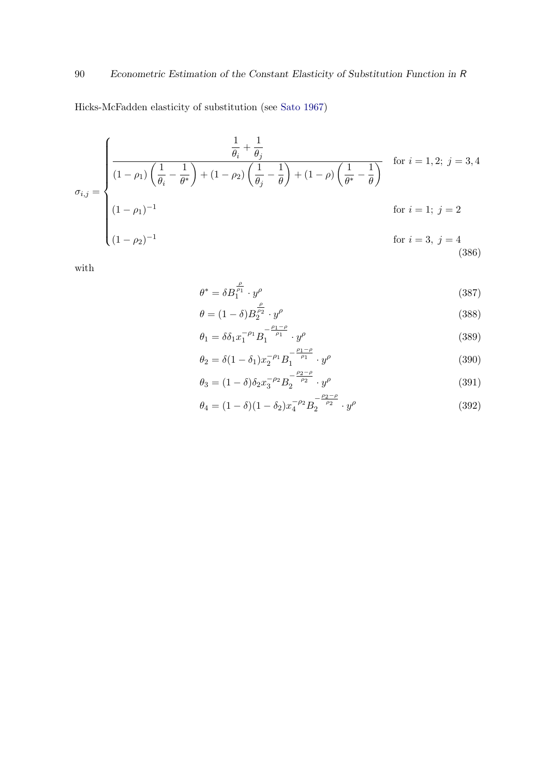Hicks-McFadden elasticity of substitution (see [Sato](#page-107-0) [1967\)](#page-107-0)

$$
\sigma_{i,j} = \begin{cases}\n\frac{\frac{1}{\theta_i} + \frac{1}{\theta_j}}{(1 - \rho_1) \left(\frac{1}{\theta_i} - \frac{1}{\theta^*}\right) + (1 - \rho_2) \left(\frac{1}{\theta_j} - \frac{1}{\theta}\right) + (1 - \rho) \left(\frac{1}{\theta^*} - \frac{1}{\theta}\right)} & \text{for } i = 1, 2; j = 3, 4 \\
(1 - \rho_1)^{-1} & \text{for } i = 1; j = 2 \\
(1 - \rho_2)^{-1} & \text{for } i = 3, j = 4\n\end{cases}
$$
\n(386)

with

$$
\theta^* = \delta B_1^{\frac{\rho}{\rho_1}} \cdot y^{\rho} \tag{387}
$$

$$
\theta = (1 - \delta) B_2^{\frac{\rho}{\rho_2}} \cdot y^{\rho} \tag{388}
$$

$$
\theta_1 = \delta \delta_1 x_1^{-\rho_1} B_1^{-\frac{\rho_1 - \rho}{\rho_1}} \cdot y^{\rho} \tag{389}
$$

$$
\theta_2 = \delta(1 - \delta_1)x_2^{-\rho_1} B_1^{-\frac{\rho_1 - \rho}{\rho_1}} \cdot y^{\rho}
$$
\n(390)

$$
\theta_3 = (1 - \delta)\delta_2 x_3^{-\rho_2} B_2^{-\frac{\rho_2 - \rho}{\rho_2}} \cdot y^{\rho}
$$
\n(391)

$$
\theta_4 = (1 - \delta)(1 - \delta_2)x_4^{-\rho_2} B_2^{-\rho_2} \cdot y^\rho \tag{392}
$$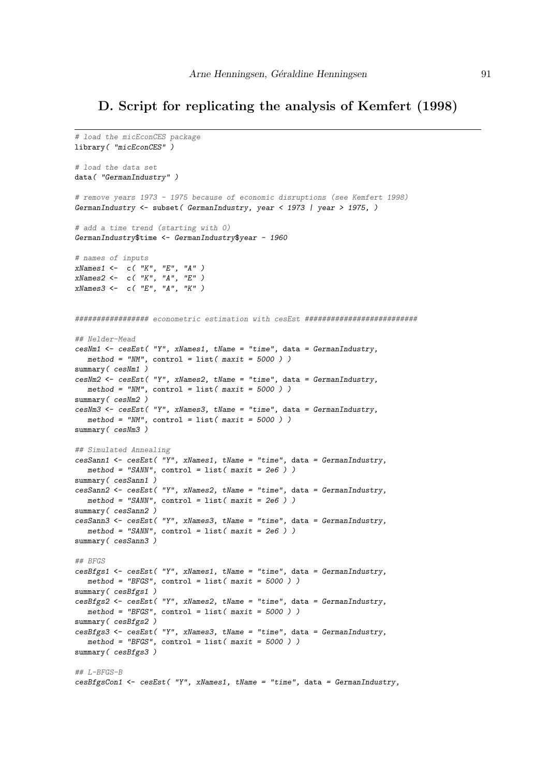## D. Script for replicating the analysis of Kemfert (1998)

```
# load the micEconCES package
library( "micEconCES" )
# load the data set
data( "GermanIndustry" )
# remove years 1973 - 1975 because of economic disruptions (see Kemfert 1998)
GermanIndustry <- subset( GermanIndustry, year < 1973 | year > 1975, )
# add a time trend (starting with 0)
GermanIndustry$time <- GermanIndustry$year - 1960
# names of inputs
xNames1 <- c( "K", "E", "A" )
xNames2 <- c( "K", "A", "E")
xNames3 <- c( "E", "A", "K")
################# econometric estimation with cesEst ##########################
## Nelder-Mead
cesNm1 \leq cesEst('''Y'', xNames1, tName = "time", data = GermanIndustry,method = "NM", control = list(maxit = 5000))
summary ( c \text{e} s Nm1 )
cesNm2 <- cesEst( "Y", xNames2, tName = "time", data = GermanIndustry,
  method = "NM", control = list(maxit = 5000))
summary ( cesNm2 )
cesNm3 <- cesEst( "Y", xNames3, tName = "time", data = German Industry,method = "NM", control = list(maxit = 5000))
summary ( cesNm3 )
## Simulated Annealing
cesSann1 <- cesEst( "Y", xNames1, tName = "time", data = GermanIndustry,
  method = "SANN", control = list(maxit = 2e6))
summary ( cesSann1 )
cesSann2 <- cesEst( "Y", xNames2, tName = "time", data = GermanIndustry,
  method = "SANN", control = list( maxit = 2e6 ) )summary( cesSann2 )
cesSann3 \leq cesEst('''Y''. xNames3. tName = "time". data = GermanIndustrv.method = "SANN", control = list(maxit = 2e6))
summary ( cesSann3 )
## BFGS
cesBfgs1 <- cesEst( "Y", xNames1, tName = "time", data = GermanIndustry,
  method = "BFGS", control = list(maxit = 5000))
summary ( cesBfgs1 )
cesBfgs2 <- cesEst( "Y", xNames2, tName = "time", data = GermanIndustry,
  method = "BFGS", control = list( maxit = 5000 ) )summary(cesBfgs2)
cesBfgs3 <- cesEst( "Y", xNames3, tName = "time", data = GermanIndustry,
  method = "BFGS", control = list( maxit = 5000 ) )summary(cesBfgs3)
## L-BFGS-B
cesBfgsCon1 <- cesEst( "Y", xNames1, tName = "time", data = GermanIndustry,
```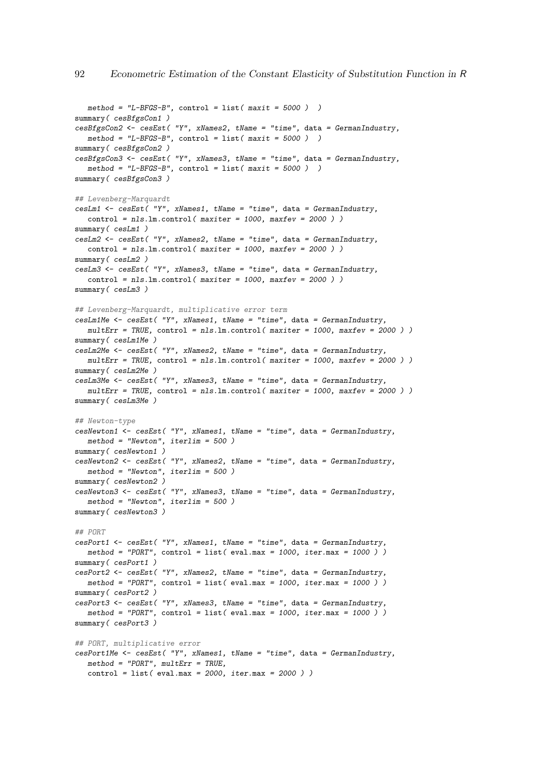```
method = "L-BFGS-B", control = list( maxit = 5000 ) )summary(cesBfgsCon1)
cesBfgsCon2 <- cesEst( "Y", xNames2, tName = "time", data = GermanIndustry,
  method = "L-BFGS-B", control = list( maxit = 5000 ) )summary(cesBfgsCon2)
cesBfgsCon3 <- cesEst( "Y", xNames3, tName = "time", data = GermanIndustry,
  method = "L-BFGS-B", control = list(maxit = 5000))
summary ( cesBfgsCon3 )
## Levenberg-Marquardt
cesLm1 \leq cesEst( "Y", xNames1, tName = "time", data = GermanIndustry,
  control = nls.lm.control( maxiter = 1000, maxfer = 2000 )summary ( csLm1 )
cesLm2 <- cesEst( "Y", xNames2, tName = "time", data = GermanIndustry,
  control = nls.lm.control( maxiter = 1000, maxfer = 2000 )summary( cesLm2 )
cesLm3 <- cesEst( "Y", xNames3, tName = "time", data = GermanIndustry,
  control = nls.lm.contrib( maxiter = 1000, maxfev = 2000) )summary ( cesLm3 )
## Levenberg-Marquardt, multiplicative error term
cesLm1Me < -cesEst( "Y", xNames1, tName = "time", data = GermanIndustry,multErr = TRUE, control = nls.lm.control( maxiter = 1000, maxfev = 2000))
summary ( csLm1Me )
cesLm2Me <- cesEst( "Y", xNames2, tName = "time", data = GermanIndustry,
  multErr = TRUE, control = nls.lm.control (maxiter = 1000, maxfer = 2000))
summary ( cesLm2Me )
cesLm3Me <- cesEst( "Y", xNames3, tName = "time", data = GermanIndustry,
  multErr = TRUE, control = nls.lm.control (maxiter = 1000, maxfev = 2000))
summary ( csLm3Me )
## Newton-type
cesNewton1 <- cesEst( "Y", xNames1, tName = "time", data = GermanIndustry,
  method = "Newton", iterlim = 500 )
summary ( cesNewton1 )
cesNewton2 <- cesEst( "Y", xNames2, tName = "time", data = GermanIndustry,
  method = "Newton", iterlim = 500 )
summary( cesNewton2 )
cesNewton3 \leq cesEst('''Y''. xNames3. tName = "time". data = Germanymethod = "Newton", iterlim = 500 )
summary ( cesNewton3 )
## PORT
cesPort1 <- cesEst( "Y", xNames1, tName = "time", data = GermanIndustry,
  method = "PORT", control = list( eval.max = 1000, iter.max = 1000))
summary( cesPort1 )
cesPort2 \leftarrow cesEst('''Y''. xNames2. tName = "time". data = GermanIndustrv.method = "PORT", control = list( eval.max = 1000, iter.max = 1000) )
summary( cesPort2 )
cesPort3 \leftarrow cesEst( "Y", xNames3, tName = "time", data = GermanIndustry,method = "PORT", control = list( eval.max = 1000, iter.max = 1000))
summary ( cesPort3 )
## PORT, multiplicative error
cesPort1Me <- cesEst( "Y", xNames1, tName = "time", data = GermanIndustry,
  method = "PORT", multErr = TRUE,control = list( eval.max = 2000, iter.max = 2000) )
```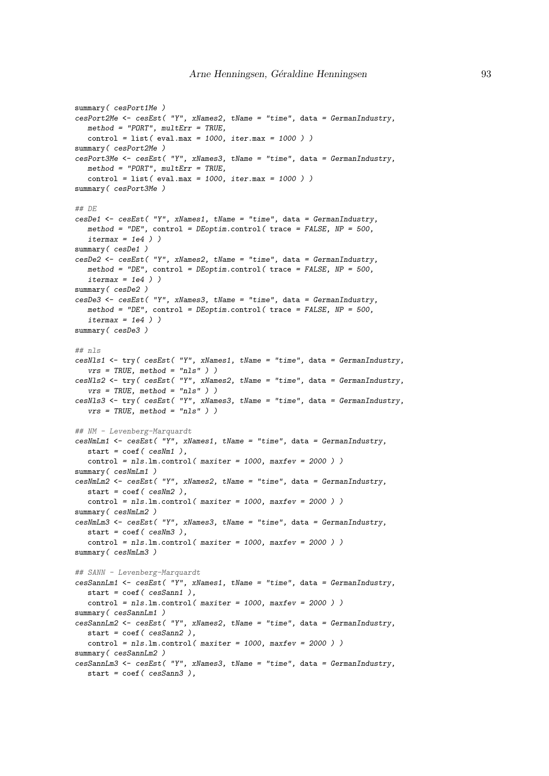```
summary( cesPort1Me )
cesPort2Me <- cesEst( "Y", xNames2, tName = "time", data = GermanIndustry,
  method = "PORT", multErr = TRUE,control = list( eval.max = 1000, iter.max = 1000))
summary( cesPort2Me )
cesPort3Me <- cesEst ("Y", xNames3, tName = "time", data = GermanIndustry,
  method = "PORT". multErr = TRUE.control = list( eval.max = 1000, iter.max = 1000) )summary( cesPort3Me )
## DE
cesDe1 <- cesEst( "Y", xNames1, tName = "time", data = GermanIndustry,
  method = "DE", control = DEoptim.control( trace = FALSE, NP = 500,
  itermax = 1e4)
summary(cesDe1)
cesDe2 <- cesEst( "Y", xNames2, tName = "time", data = GermanIndustry,
  method = "DE", control = DEoptim.control( trace = FALSE, NP = 500,
   itermax = 1e4)
summary( cesDe2 )
cesDe3 \leq cesEst( "Y", xNames3, tName = "time", data = GermanIndustry,
  method = "DE", control = DEoptim.control( trace = FALSE, NP = 500,
  itermax = 1e4)
summary(cesDe3)
## nls
cesNls1 <- try( cesEst( "Y", xNames1, tName = "time", data = GermanIndustry,
  vrs = TRUE, method = "nls" ) )
cesNls2 <- try( cesEst( "Y", xNames2, tName = "time", data = GermanIndustry,
  vrs = TRUE, method = "nls" )cesNls3 <- try( cesEst( "Y", xNames3, tName = "time", data = GermanIndustry,
  vrs = TRUE, method = "nls" ) )
## NM - Levenberg-Marquardt
cesNmLm1 <- cesEst( "Y", xNames1, tName = "time", data = GermanIndustry,
  start = \text{coef}(\text{cesNm1}),control = nls.lm.control( maxiter = 1000, maxfer = 2000 )summary(cesNmLm1)
cesNmLm2 <- cesEst( "Y", xNames2, tName = "time", data = GermanIndustry,
  start = \text{coef}(\text{cesNm2}).
  control = nls.lm.contrib( maxiter = 1000, maxfev = 2000 ) )summary ( cesNmLm2 )
cesNmLm3 <- cesEst( "Y", xNames3, tName = "time", data = GermanIndustry,
   start = \text{coef} (\text{cesNm3}),
   control = nls.lm.control( maxiter = 1000, maxfev = 2000 ) )
summary ( cesNmLm3 )
## SANN - Levenberg-Marquardt
cesSannLm1 <- cesEst( "Y", xNames1, tName = "time", data = GermanIndustry,
  start = \text{coef}( \text{cesSann1 } ).
  control = nls.lm.control( maxiter = 1000, maxfer = 2000 )summary ( cesSannLm1 )
cesSannLm2 <- cesEst( "Y", xNames2, tName = "time", data = GermanIndustry,
  start = coef ( cesSann2 ),
  control = nls.lm.control( maxiter = 1000, maxfev = 2000 ) )
summary ( cesSannLm2 )
cesSannLm3 <- cesEst( "Y", xNames3, tName = "time", data = GermanIndustry,
  start = coef ( cesSann3 ),
```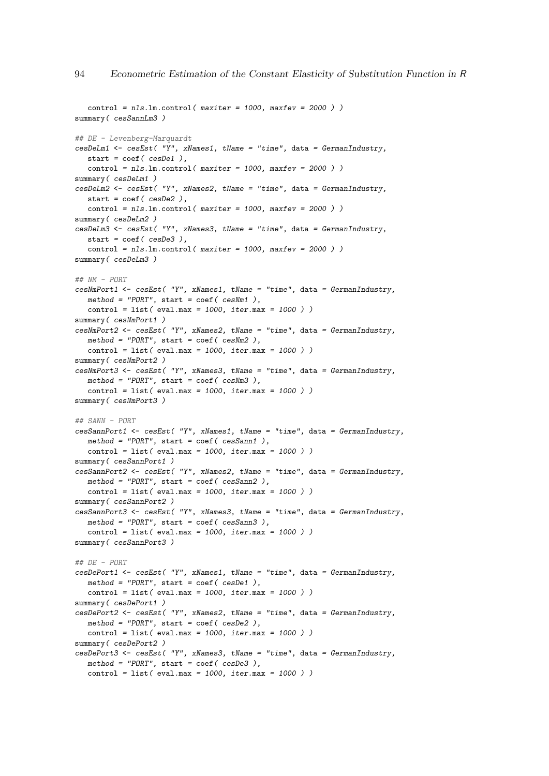```
control = nls.lm.contrib( maxiter = 1000, maxfer = 2000 )summary ( cesSannLm3 )
## DE - Levenberg-Marquardt
cesDeLm1 \leftarrow cesEst( "Y", xNames1, tName = "time", data = GermanIndustry,start = \text{coef}( \text{cesDe1 } ).control = nls.lm.contrib( maxiter = 1000, maxfev = 2000 ) )summary(cesDeLm1)
cesDeLm2 \leftarrow cesEst('''Y'', xNames2, tName = "time", data = GermanIndustry,start = \text{coef}( \text{cesDe2 } ).control = nls.lm.contrib( maxiter = 1000, maxfev = 2000 ) )summary( cesDeLm2 )
cesDeLm3 <- cesEst( "Y", xNames3, tName = "time", data = GermanIndustry,
  start = coef( cesDe3 ),
  control = nls.lm.contrib( maxiter = 1000, maxfer = 2000 ) )summary ( cesDeLm3 )
## NM - PORT
cesNmPort1 <- cesEst( "Y", xNames1, tName = "time", data = GermanIndustry,
  method = "PORT", start = coef( cesNm1 ),control = list( eval.max = 1000, iter.max = 1000) )summary(cesNmPort1)
cesNmPort2 <- cesEst( "Y", xNames2, tName = "time", data = GermanIndustry,
  method = "PORT", start = coef(cesMm2),control = list( eval.max = 1000, iter.max = 1000) )summary( cesNmPort2 )
cesNmPort3 <- cesEst( "Y", xNames3, tName = "time", data = GermanIndustry,
  method = "PORT", start = coef ( cesNm3 ),
  control = list( eval.max = 1000, iter.max = 1000) )summary ( cesNmPort3 )
## SANN - PORT
cesSannPort1 <- cesEst( "Y", xNames1, tName = "time", data = GermanIndustry,
  method = "PORT", start = coef( cesSann1),control = list( eval.max = 1000, iter.max = 1000))
summary(cesSannPort1)
cesSannPort2 <- cesEst( "Y", xNames2, tName = "time", data = GermanIndustry,
  method = "PORT", start = coef ( cesSann2 ),
   control = list( eval.max = 1000, iter.max = 1000))
summary( cesSannPort2 )
cesSannPort3 <- cesEst( "Y", xNames3, tName = "time", data = GermanIndustry,
   method = "PORT", start = coef( cesSann3 ),control = list( eval.max = 1000, iter.max = 1000) )summary ( cesSannPort3 )
## DE - PORT
cesDePort1 <- cesEst( "Y", xNames1, tName = "time", data = GermanIndustry,
  method = "PORT", start = coef( cesDe1 ),control = list( eval.max = 1000, iter.max = 1000)summary( cesDePort1 )
cesDePort2 \leq cesEst( "Y", xNames2, tName = "time", data = GermanIndustry,
  method = "PORT", start = coef( cesDe2 ),control = list( eval.max = 1000, iter.max = 1000)summary( cesDePort2 )
cesDePort3 <- cesEst( "Y", xNames3, tName = "time", data = GermanIndustry,
  method = "PORT", start = coef ( cesDe3 ),
  control = list( eval.max = 1000, iter.max = 1000) )
```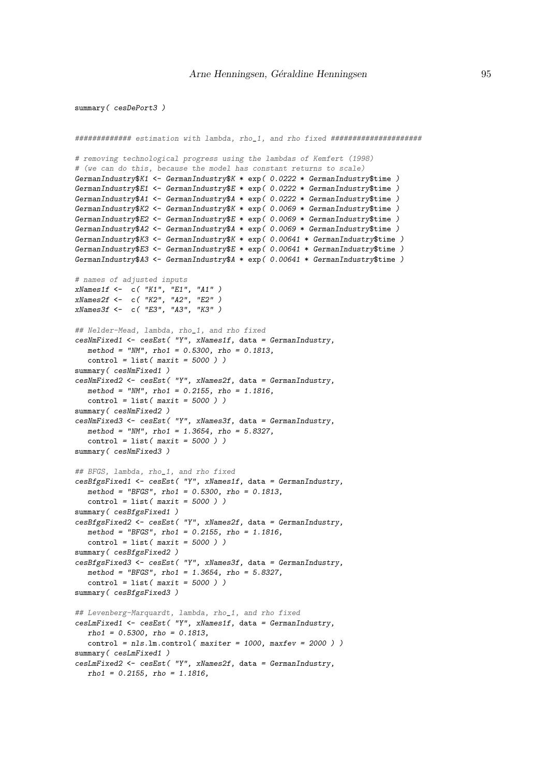#### summary( cesDePort3 )

```
############# estimation with lambda, rho_1, and rho fixed #####################
# removing technological progress using the lambdas of Kemfert (1998)
# (we can do this, because the model has constant returns to scale)
GermanIndustry$K1 <- GermanIndustry$K * exp( 0.0222 * GermanIndustry$time )
GermanIndustry$E1 <- GermanIndustry$E * exp( 0.0222 * GermanIndustry$time )
GermanIndustry$A1 <- GermanIndustry$A * exp( 0.0222 * GermanIndustry$time )
GermanIndustry$K2 <- GermanIndustry$K * exp( 0.0069 * GermanIndustry$time )
GermanIndustry$E2 <- GermanIndustry$E * exp( 0.0069 * GermanIndustry$time )
GermanIndustry$A2 <- GermanIndustry$A * exp( 0.0069 * GermanIndustry$time )
GermanIndustry$K3 <- GermanIndustry$K * exp( 0.00641 * GermanIndustry$time )
GermanIndustry$E3 <- GermanIndustry$E * exp( 0.00641 * GermanIndustry$time )
GermanIndustry$A3 <- GermanIndustry$A * exp( 0.00641 * GermanIndustry$time )
# names of adjusted inputs
xNames1f <- c( "K1", "E1", "A1" )
xNames2f <- c( "K2", "A2", "E2" )
xNames3f <- c( "E3", "A3", "K3")
## Nelder-Mead, lambda, rho_1, and rho fixed
cesNmFixed1 <- cesEst( "Y", xNames1f, data = GermanIndustry,
  method = "NM", rho1 = 0.5300, rho = 0.1813,
  control = list(maxit = 5000))
summary(cesNmFixed1)
cesNmFixed2 <- cesEst( "Y", xNames2f, data = GermanIndustry,
  method = "NM", rho1 = 0.2155, rho = 1.1816,
  control = list(maxit = 5000))
summary(cesNmFixed2)
cesNmFixed3 <- cesEst( "Y", xNames3f, data = GermanIndustry,
  method = "NM", rho1 = 1.3654, rho = 5.8327,
   control = list(maxit = 5000) )summary ( cesNmFixed3 )
## BFGS, lambda, rho_1, and rho fixed
cesBfgsFixed1 <- cesEst( "Y", xNames1f, data = GermanIndustry,
  method = "BFGS", rho1 = 0.5300, rho = 0.1813.
   control = list(maxit = 5000))
summary(cesBfgsFixed1)
cesBfgsFixed2 <- cesEst( "Y", xNames2f, data = GermanIndustry,
  method = "BFGS", rho1 = 0.2155, rho = 1.1816,
   control = list(maxit = 5000) )summary( cesBfgsFixed2 )
cesBfgsFixed3 <- cesEst( "Y", xNames3f, data = GermanIndustry,
  method = "BFGS", rho1 = 1.3654, rho = 5.8327,
  control = list(maxit = 5000))
summary(cesBfgsFixed3)
## Levenberg-Marquardt, lambda, rho_1, and rho fixed
cesLmFixed1 <- cesEst( "Y", xNames1f, data = GermanIndustry,
  rho1 = 0.5300, rho = 0.1813,
  control = nls.lm.contrib( maxiter = 1000, maxfev = 2000 ) )summary(cesLmFixed1)
cesLmFixed2 <- cesEst( "Y", xNames2f, data = GermanIndustry,
   rho1 = 0.2155, rho = 1.1816.
```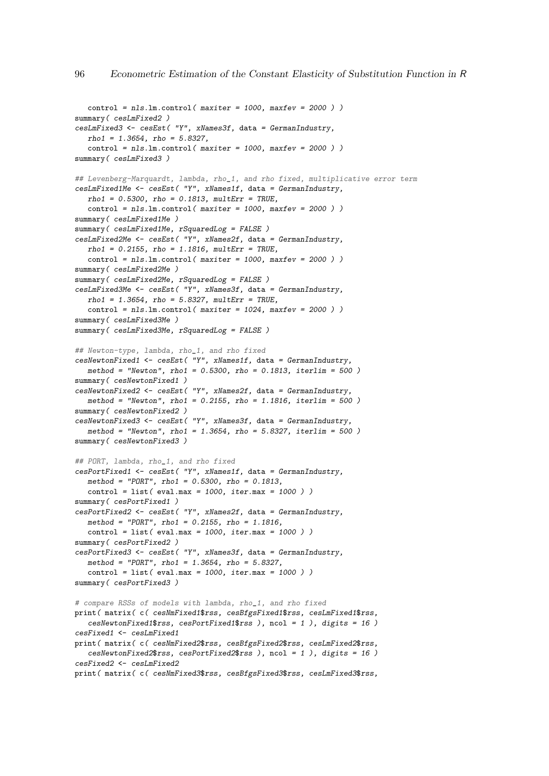```
control = nls.lm.contrib( maxiter = 1000, maxfer = 2000 )summary ( cesLmFixed2 )
cesLmFixed3 <- cesEst( "Y", xNames3f, data = GermanIndustry,
   rho1 = 1.3654, rho = 5.8327,
   control = nls.lm.control( maxiter = 1000, maxfer = 2000 )summary(cesLmFixed3)
## Levenberg-Marquardt, lambda, rho_1, and rho fixed, multiplicative error term
cesLmFixed1Me <- cesEst( "Y", xNames1f, data = GermanIndustry,
  rho1 = 0.5300, rho = 0.1813, mu1tErr = TRUE.
  control = nls.lm.contrib( maxiter = 1000, maxfer = 2000 )summary(cesLmFixed1Me)
summary( cesLmFixed1Me, rSquaredLog = FALSE )
cesLmFixed2Me <- cesEst( "Y", xNames2f, data = GermanIndustry,
  rho1 = 0.2155, rho = 1.1816, multErr = TRUE,
   control = nls.lm.control( maxiter = 1000, maxfer = 2000 )summary(cesLmFixed2Me)
summarv ( cesLmFixed2Me, rSquareLoc = FALSE )
cesLmFixed3Me <- cesEst( "Y", xNames3f, data = GermanIndustry,
   rho1 = 1.3654, rho = 5.8327, multErr = TRUE,
   control = nls.lm.control( maxiter = 1024, maxfer = 2000 ))
summary(cesLmFixed3Me)
summary(cesLmFixed3Me, rSquaredLog = FALSE)
## Newton-type, lambda, rho_1, and rho fixed
cesNewtonFixed1 <- cesEst( "Y", xNames1f, data = GermanIndustry,
  method = "Newton", rho1 = 0.5300, rho = 0.1813, iterlim = 500)
summary(cesNewtonFixed1)
cesNewtonFixed2 \leftarrow cesEst( "Y", xNames2f, data = German Industry,method = "Newton", rho1 = 0.2155, rho = 1.1816, iterlim = 500)
summary(cesNewtonFixed2)
cesNewtonFixed3 <- cesEst( "Y", xNames3f, data = GermanIndustry,
   method = "Newton", rho1 = 1.3654, rho = 5.8327, iterlim = 500 )
summary ( cesNewtonFixed3 )
## PORT, lambda, rho_1, and rho fixed
cesPortFixed1 <- cesEst( "Y", xNames1f, data = GermanIndustry,
   method = "PORT", rho1 = 0.5300, rho = 0.1813,
   control = list( eval.max = 1000, iter.max = 1000))
summary(cesPortFixed1)
cesPortFixed2 <- cesEst( "Y", xNames2f, data = GermanIndustry,
   method = "PORT", rho1 = 0.2155, rho = 1.1816,
   control = list( eval.max = 1000, iter.max = 1000) )summary( cesPortFixed2 )
cesPortFixed3 <- cesEst( "Y", xNames3f, data = GermanIndustry,
   method = "PORT", rho1 = 1.3654, rho = 5.8327,
  control = list( eval.max = 1000, iter.max = 1000) )summary(cesPortFixed3)
# compare RSSs of models with lambda, rho_1, and rho fixed
print( matrix( c( cesNmFixed1$rss, cesBfgsFixed1$rss, cesLmFixed1$rss,
   cesNewtonFixed1$rss, cesPortFixed1$rss ), ncol = 1 ), digits = 16 )
cesFixed1 <- cesLmFixed1
print( matrix( c( cesNmFixed2$rss, cesBfgsFixed2$rss, cesLmFixed2$rss,
   cesNewtonFixed2$rss, cesPortFixed2$rss ), ncol = 1 ), digits = 16 )
cesFixed2 <- cesLmFixed2
print( matrix( c( cesNmFixed3$rss, cesBfgsFixed3$rss, cesLmFixed3$rss,
```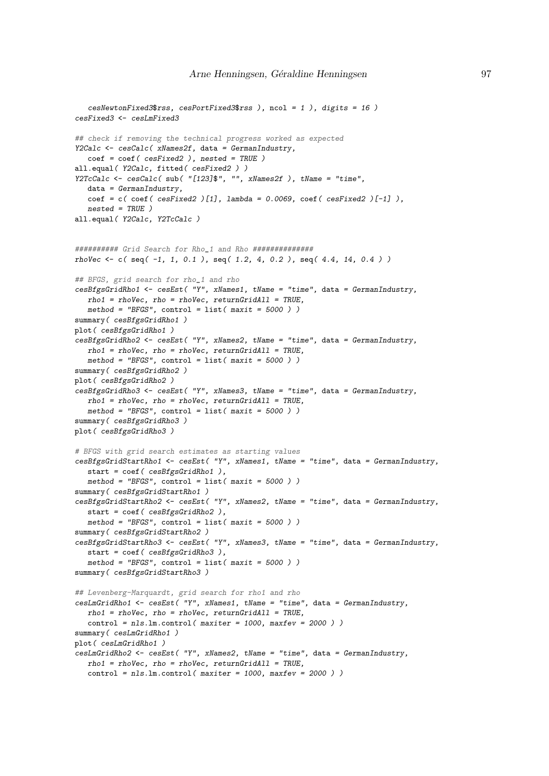```
cesNewtonFixed3$rss, cesPortFixed3$rss ), ncol = 1 ), digits = 16 )
cesFixed3 <- cesLmFixed3
## check if removing the technical progress worked as expected
Y2Calc <- cesCalc( xNames2f, data = GermanIndustry,
   coef = coef( cesFixed2 ), nested = TRUE )
all.equal( Y2Calc, fitted( cesFixed2 ) )
Y2TcCalc <- cesCalc( sub( "[123]$", "", xNames2f ), tName = "time",
  data = GermanIndustry,
  coef = c( coef( cesFixed2 )[1], lambda = 0.0069, coef( cesFixed2 )[-1] ),
  nested = TRUE )
all.equal( Y2Calc, Y2TcCalc )
########## Grid Search for Rho_1 and Rho ##############
rhoVec \leq c( seq( -1, 1, 0.1 ), seq( 1.2, 4, 0.2 ), seq( 4.4, 14, 0.4 ) )
## BFGS, grid search for rho_1 and rho
cesBfgsGridRho1 <- cesEst( "Y", xNames1, tName = "time", data = GermanIndustry,
   rho1 = rhoVec, rho = rhoVec, returnGridAll = TRUE,
   method = "BFGS", control = list( maxit = 5000 ) )summary(cesBfgsGridRho1)
plot( cesBfgsGridRho1 )
cesBfgsGridRho2 <- cesEst( "Y", xNames2, tName = "time", data = GermanIndustry,
   rho1 = rhoVec, rho = rhoVec, returnGridAll = TRUE,
   method = "BFGS", control = list( maxit = 5000 ) )summary(cesBfgsGridRho2)
plot( cesBfgsGridRho2 )
cesBfgsGridRho3 <- cesEst( "Y", xNames3, tName = "time", data = GermanIndustry,
  rho1 = rhoVec, rho = rhoVec, returnGridAll = TRUE,
   method = "BFGS", control = list(maxit = 5000))
summary ( cesBfgsGridRho3 )
plot( cesBfgsGridRho3 )
# BFGS with grid search estimates as starting values
cesBfgsGridStartRho1 <- cesEst( "Y", xNames1, tName = "time", data = GermanIndustry,
   start = coef ( cesBfgsGridRho1 ),
   method = "BFGS", control = list( maxit = 5000 ) )summary(cesBfgsGridStartRho1)
cesBfgsGridStartRho2 <- cesEst( "Y", xNames2, tName = "time", data = GermanIndustry,
   start = coef ( cesBfgsGridRho2 ),
   method = "BFGS", control = list( maxit = 5000 ) )summary( cesBfgsGridStartRho2 )
cesBfgsGridStartRho3 <- cesEst( "Y", xNames3, tName = "time", data = GermanIndustry,
  start = coef ( cesBfgsGridRho3 ),
  method = "BFGS", control = list( maxit = 5000 ) )summary(cesBfgsGridStartRho3)
## Levenberg-Marquardt, grid search for rho1 and rho
cesLmGridRho1 <- cesEst( "Y", xNames1, tName = "time", data = GermanIndustry,
   rho1 = rhoVec, rho = rhoVec, returnGridAll = TRUE,control = nls.lm.contrib( maxiter = 1000, maxfev = 2000 ) )summary(cesLmGridRho1)
plot( cesLmGridRho1 )
cesLmGridRho2 <- cesEst( "Y", xNames2, tName = "time", data = GermanIndustry,
  rho1 = rhoVec, rho = rhoVec, returnGridAll = TRUE,control = nls.lm.control( maxiter = 1000, maxfer = 2000 )
```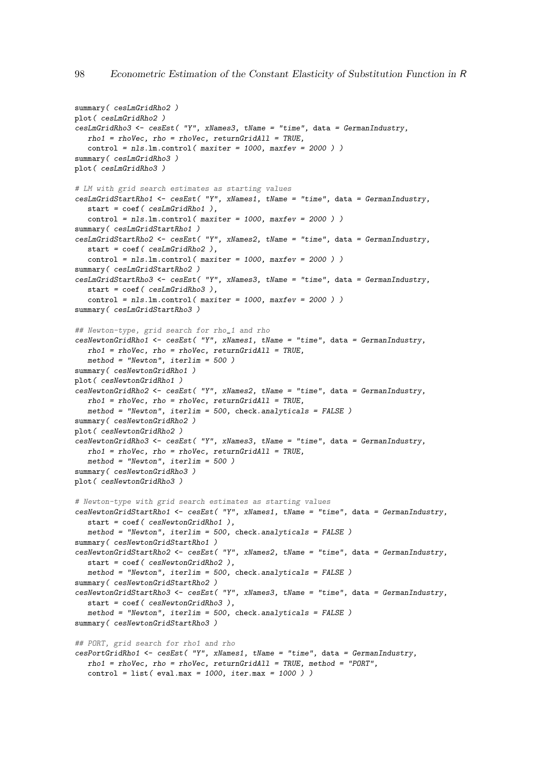```
summary(cesLmGridRho2)
plot( cesLmGridRho2 )
cesLmGridRho3 <- cesEst( "Y", xNames3, tName = "time", data = GermanIndustry,
  rho1 = rhoVec, rho = rhoVec, returnGridAll = TRUE,
  control = nls.lm.control( maxiter = 1000, maxfer = 2000 )summary ( cesLmGridRho3 )
plot( cesLmGridRho3 )
# LM with grid search estimates as starting values
cesLmGridStartRho1 <- cesEst( "Y", xNames1, tName = "time", data = GermanIndustry,
  start = coef ( cesLmGridRho1 ),
   control = nls.lm.control( maxiter = 1000, maxfev = 2000 ) )
summary(cesLmGridStartRho1)
cesLmGridStartRho2 <- cesEst( "Y", xNames2, tName = "time", data = GermanIndustry,
  start = coef ( cesLmGridRho2 ),
   control = nls.lm.contrib( maxiter = 1000, maxfev = 2000 ) )summary(cesLmGridStartRho2)
cesLmGridStartRho3 <- cesEst( "Y", xNames3, tName = "time", data = GermanIndustry,
   start = coef ( cesLmGridRho3 ),
   control = nls.lm.contrib( maxiter = 1000, maxfev = 2000 ) )summary(cesLmGridStartRho3)
## Newton-type, grid search for rho_1 and rho
cesNewtonGridRho1 <- cesEst( "Y", xNames1, tName = "time", data = GermanIndustry,
   rho1 = rhoVec, rho = rhoVec, returnGridAll = TRUE,
  method = "Newton", iterlim = 500)
summary(cesNewtonGridRho1)
plot( cesNewtonGridRho1 )
cesNewtonGridRho2 <- cesEst( "Y", xNames2, tName = "time", data = GermanIndustry,
   rho1 = rhoVec, rho = rhoVec, returnGridAll = TRUE,
   method = "Newton", iterlim = 500, check.analyticals = FALSE)
summary(cesNewtonGridRho2)
plot( cesNewtonGridRho2 )
cesNewtonGridRho3 <- cesEst( "Y", xNames3, tName = "time", data = GermanIndustry,
  rho1 = rhoVec, rho = rhoVec, returnGridAll = TRUE,
   method = "Newton", iterlim = 500)summary ( cesNewtonGridRho3 )
plot( cesNewtonGridRho3 )
# Newton-type with grid search estimates as starting values
cesNewtonGridStartRho1 <- cesEst( "Y", xNames1, tName = "time", data = GermanIndustry,
   start = coef( cesNewtonGridRho1 ),
   method = "Newton", iterlim = 500, check.analyticals = FALSE )
summary( cesNewtonGridStartRho1 )
cesNewtonGridStartRho2 <- cesEst( "Y", xNames2, tName = "time", data = GermanIndustry,
  start = coef( cesNewtonGridRho2 ),
  method = "Newton", iterlim = 500, check.analyticals = FALSE )
summary( cesNewtonGridStartRho2 )
cesNewtonGridStartRho3 <- cesEst( "Y", xNames3, tName = "time", data = GermanIndustry,
  start = coef ( cesNewtonGridRho3 ),
  method = "Newton", iterlim = 500, check.analyticals = FALSE)
summary(cesNewtonGridStartRho3)
## PORT, grid search for rho1 and rho
cesPortGridRho1 <- cesEst( "Y", xNames1, tName = "time", data = GermanIndustry,
  rho1 = rhoVec, rho = rhoVec, returnGridAll = TRUE, method = "PORT",control = list( eval.max = 1000, iter.max = 1000) )
```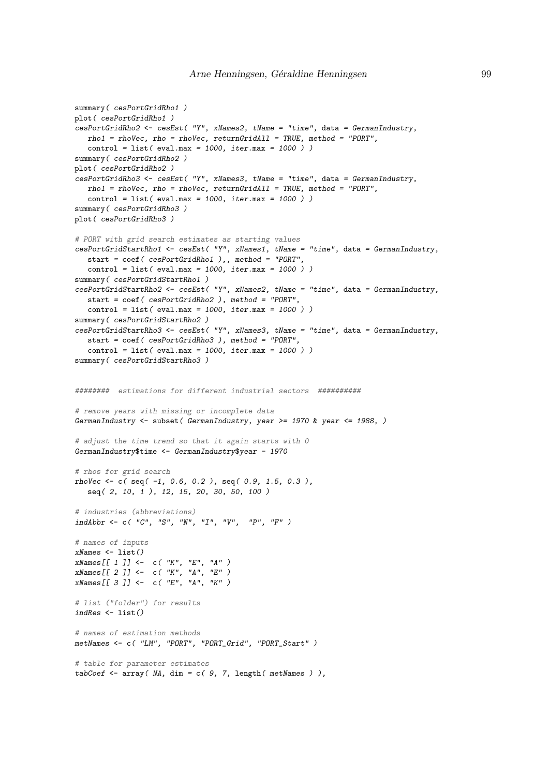```
summary(cesPortGridRho1)
plot( cesPortGridRho1 )
cesPortGridRho2 <- cesEst( "Y", xNames2, tName = "time", data = GermanIndustry,
  rho1 = rhoVec, rho = rhoVec, returnGridAll = TRUE, method = "PORT",
  control = list( eval.max = 1000, iter.max = 1000))
summary ( cesPortGridRho2 )
plot( cesPortGridRho2 )
cesPortGridRho3 <- cesEst( "Y", xNames3, tName = "time", data = GermanIndustry,
  rho1 = rhoVec, rho = rhoVec, returnGridAll = TRUE, method = "PORT",
  control = list( eval.max = 1000, iter.max = 1000) )summary(cesPortGridRho3)
plot( cesPortGridRho3 )
# PORT with grid search estimates as starting values
cesPortGridStartRho1 <- cesEst( "Y", xNames1, tName = "time", data = GermanIndustry,
  start = coef ( cesPortGridRho1 ),, method = "PORT",
  control = list( eval.max = 1000, iter.max = 1000))
summary( cesPortGridStartRho1 )
cesPortGridStartRho2 <- cesEst( "Y", xNames2, tName = "time", data = GermanIndustry,
  start = \text{coeff}( \text{cesPortGridRho2 } ), method = "PORT",
   control = list( eval.max = 1000, iter.max = 1000) )summary( cesPortGridStartRho2 )
cesPortGridStartRho3 <- cesEst( "Y", xNames3, tName = "time", data = GermanIndustry,
  start = coef( cesPortGridRho3 ), method = "PORT",
  control = list(eval.max = 1000, iter.max = 1000))
summary( cesPortGridStartRho3)
######## estimations for different industrial sectors ##########
# remove years with missing or incomplete data
GermanIndustry \leq subset (GermanIndustry, year \geq 1970 & year \leq 1988, )
# adjust the time trend so that it again starts with 0
GermanIndustry$time <- GermanIndustry$year - 1970
# rhos for grid search
rhoVec <- c( seq( -1, 0.6, 0.2 ), seq( 0.9, 1.5, 0.3 ),
   seq( 2, 10, 1 ), 12, 15, 20, 30, 50, 100 )
# industries (abbreviations)
indAbbr \leftarrow c( "C", "S", "N", "I", "V", "P", "F", "F")# names of inputs
xNames \leftarrow list()
xNames[[ 1 ]] <- c( "K", "E", "A" )
xNames[[ 2 ]] <- c( "K", "A", "E" )
xNames[[ 3 ]] <- c( "E", "A", "K" )
# list ("folder") for results
indRes <- list()
# names of estimation methods
metNames <- c( "LM", "PORT", "PORT_Grid", "PORT_Start" )
# table for parameter estimates
tabCoef \leftarrow array( M, dim = c( 9, 7, length( methods ) ),
```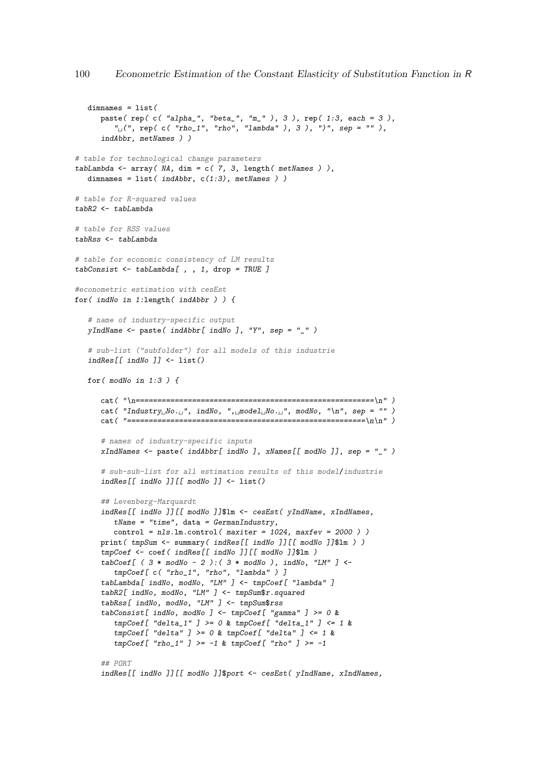```
dimnames = list(paste( rep( c( "alpha_", "beta_", "m_" ), 3 ), rep( 1:3, each = 3 ),
         "
\mu(", rep( c( "rho_1", "rho", "lambda" ), 3 ), ")", sep = "" ),
      indAbbr, metNames ) )
# table for technological change parameters
tabLambda \leq array( MA, dim = c( 7, 3, length( metNames )),
   dimnames = list(indAbbr, c(1:3), metNames))
# table for R-squared values
tabR2 <- tabLambda
# table for RSS values
tabRss <- tabLambda
# table for economic consistency of LM results
tabConsist <- tabLambda[ , , 1, drop = TRUE ]
#econometric estimation with cesEst
for( indNo in 1:length( indAbbr ) ) {
   # name of industry-specific output
   yIndName \leftarrow paste(indAbbr[indNo], "Y", sep = "__ " )# sub-list ("subfolder") for all models of this industrie
   indRes[[indNo]] \leftarrow list()for( modNo in 1:3 ) {
      cat( "\n=======================================================\n" )
      cat( "Industry<sub>\mu</sub>No. \mu", indNo, ", model No. \mu", modNo, "\n", sep = "")
      cat ( "=\n=# names of industry-specific inputs
      xIndNames \leq paste( indAbbr[ indNo ], xNames[[ modNo ]], sep = "_" )
      # sub-sub-list for all estimation results of this model/industrie
      indRes[[indNo]][[modNo]]<-list()## Levenberg-Marquardt
      indRes[[ indNo ]][[ modNo ]]$lm <- cesEst( yIndName, xIndNames,
         tName = "time", data = German Industry,control = nls.lm.control( maxiter = 1024, maxfev = 2000 ))
      print ( tmpSum <- summary ( indRes [[ indNo ]] [[ modNo ]]$1m ) )
      tmpCoef <- coef ( indRes[[ indNo ]][[ modNo ]]$lm )
      tabCoeff[ ( 3 * modNo - 2 ): ( 3 * modNo ), indNo, "LM" ] <-
         tmpCoef[ c( "rho_1", "rho", "lambda" ) ]
      tabLambda[ indNo, modNo, "LM" ] <- tmpCoef[ "lambda" ]
      tabR2[ indNo, modNo, "LM" ] <- tmpSum$r.squared
      tabRss[ indNo, modNo, "LM" ] <- tmpSum$rss
      tabConsist[ indNo, modNo ] <- tmpCoef[ "gamma" ] >= 0 &
         tmpCoeff[ "delta_1" ] >= 0 & tmpCoef[ "delta_1" ] <= 1 &
         tmpCoef[ "delta" ] >= 0 & tmpCoef[ "delta" ] <= 1 &
         tmpCoeff['rho_1" ] >= -1 % tmpCoeff['rho" ] >= -1## PORT
      indRes[[ indNo ]][[ modNo ]]$port <- cesEst( yIndName, xIndNames,
```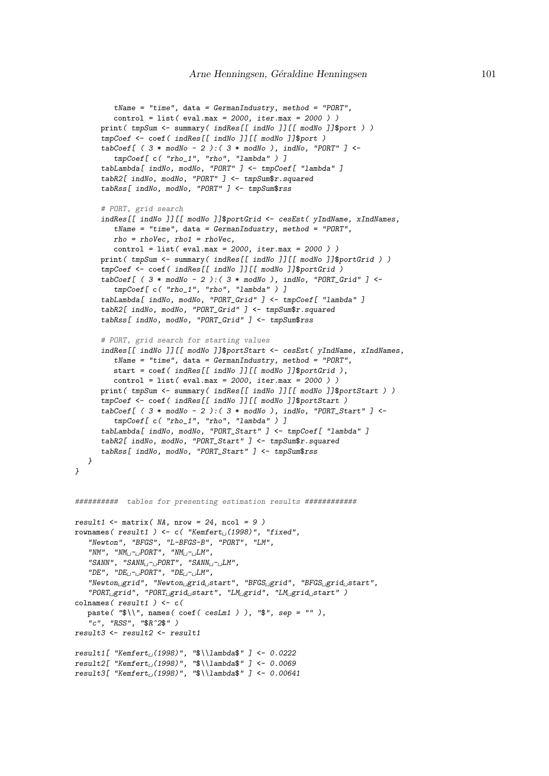```
tName = "time", data = Germany, Inethod = "PORT",control = list( eval.max = 2000, iter.max = 2000) )print ( tmpSum <- summary ( indRes [[ indNo ]] [[ modNo ]]$port ) )
       tmpCoef <- coef( indRes[[ indNo ]][[ modNo ]]$port )
       tabCoef [ ( 3 * modNo - 2 ): ( 3 * modNo ), indNo, "PORT" ] <-
          tmpCoef[ c( "rho_1", "rho", "lambda" ) ]
       tabLambda[ indNo, modNo, "PORT" ] <- tmpCoef[ "lambda" ]
       tabR2[ indNo, modNo, "PORT" ] <- tmpSum$r.squared
       tabRss[ indNo, modNo, "PORT" ] <- tmpSum$rss
       # PORT, grid search
       indRes[[ indNo ]][[ modNo ]]$portGrid <- cesEst( yIndName, xIndNames,
          tName = "time", data = GermanIndustry, method = "PORT",
          rho = rhoVec, rho1 = rhoVec,control = list( eval.max = 2000, iter.max = 2000) )print ( tmpSum <- summary ( indRes [[ indNo ]] [[ modNo ]]$portGrid ) )
       tmpCoef <- coef( indRes[[ indNo ]][[ modNo ]]$portGrid )
       tabCoef [ ( 3 * \text{ modulo} - 2 ): ( 3 * \text{ modulo} ), indNo, "PORT_Grid" ] <-
          tmpCoef[ c( "rho_1", "rho", "lambda" ) ]
       tabLambda[ indNo, modNo, "PORT_Grid" ] <- tmpCoef[ "lambda" ]
       tabR2[ indNo, modNo, "PORT_Grid" ] <- tmpSum$r.squared
       tabRss[ indNo, modNo, "PORT_Grid" ] <- tmpSum$rss
       # PORT, grid search for starting values
       indRes[[ indNo ]][[ modNo ]]$portStart <- cesEst( yIndName, xIndNames,
          tName = "time", data = Germany, \\mentdustry, method = "PORT",start = coef ( indRes[[ indNo ]][[ modNo ]]$portGrid ),
          control = list( eval.max = 2000, iter.max = 2000) )print ( tmpSum <- summary ( indRes[[ indNo ]][[ modNo ]]$portStart ) )
       tmpCoef <- coef ( indRes[[ indNo ]][[ modNo ]]$portStart )
       tabCoef[ ( 3 * modNo - 2 ): ( 3 * modNo ), indNo, "PORT_Start" ] <-
          tmpCoef[ c( "rho_1", "rho", "lambda" ) ]
       tabLambda[ indNo, modNo, "PORT_Start" ] <- tmpCoef[ "lambda" ]
       tabR2[ indNo, modNo, "PORT_Start" ] <- tmpSum$r.squared
       tabRss[ indNo, modNo, "PORT_Start" ] <- tmpSum$rss
   }
########## tables for presenting estimation results ############
result1 <- matrix (NA, nrow = 24, ncol = 9)
rownames(result1) <- c("Kemfert<sub>1</sub>(1998)", "fixed",
   "Newton", "BFGS", "L-BFGS-B", "PORT", "LM",
   "NM", "NM_{\sqcup}\text{-}\sqcup PORT", "NM_{\sqcup}\text{-}\sqcup LM",
   "SANN", "SANN_{\sqcup}-_{\sqcup}PORT", "SANN_{\sqcup}-_{\sqcup}LM",
   "DE", "DE_{\sqcup}-_{\sqcup}PORT", "DE_{\sqcup}-_{\sqcup}LM",
   \overline{\text{``Newton}}_{\cup}grid", "Newton\overline{\text{``action}}_{\cup}grid\overline{\text{``S}}rid", "BFGS\overline{\text{``BFGS}}_{\cup}grid\overline{\text{``S}}tart",
   "PORT_Ugrid", "PORT_Ugrid_Ustart", "LM_Ugrid", "LM_Ugrid_Ustart" )colnames (result1) <- c(
   paste( "\sqrt{s})', names( coef( cesLm1 ) ), "\sqrt{s}", sep = "" ),
   "c", "RSS", "$R^2$" )
result3 <- result2 <- result1
result1[ "Kemfert<sub>\cup</sub>(1998)", "$\\lambda$" ] <- 0.0222
result2[ "Kemfert_{(1998)}", "\lceil \cdot \rceil ) <- 0.0069
result3[ "Kemfert_{\sqcup}(1998)", "$\\lambda$" ] <- 0.00641
```
}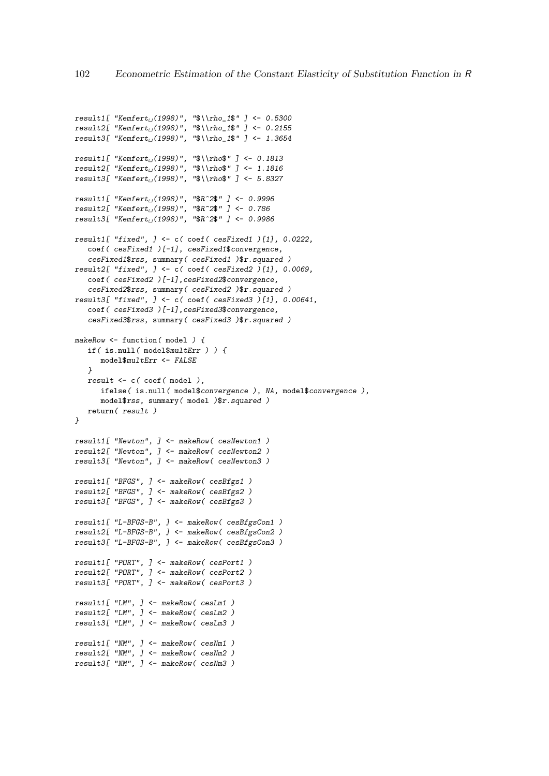```
result2[ "Kemfert<sub>1</sub>(1998)", "$\\rho_1$" ] <- 0.2155
result3[ "Kemfert<sub>1</sub>(1998)", "$\\rho_1$" ] <- 1.3654
result1[ "Kemfert<sub>((</sub>1998)", "$\\rho$" ] <- 0.1813
result2[ "Kemfert_U(1998)", "$\\rho$" ] <- 1.1816
result3[ "Kemfert<sub>((1998)</sub>", "$\\rho$" ] <- 5.8327
result1[ "Kemfert<sub>((</sub>(1998)", "$R^2$" ] <- 0.9996
result2[ "Kemfert<sub>\cup</sub>(1998)", "$R^2$" ] <- 0.786
result3[ "Kemfert<sub>\cup</sub>(1998)", "$R^2$" ] <- 0.9986
result1[ "fixed", ] <- c( coef( cesFixed1 )[1], 0.0222,
   coef( cesFixed1 )[-1], cesFixed1$convergence,
   cesFixed1$rss, summary( cesFixed1 )$r.squared )
result2[ "fixed", ] <- c( coef( cesFixed2 )[1], 0.0069,
   coef( cesFixed2 )[-1], cesFixed2$convergence,
   cesFixed2$rss, summary( cesFixed2 )$r.squared )
result3[ "fixed", ] <- c( coef( cesFixed3 )[1], 0.00641,
   coef( cesFixed3 )[-1],cesFixed3$convergence,
   cesFixed3$rss, summary( cesFixed3 )$r.squared )
makeRow <- function(model) {
   if( is.null( model$multErr ) ) {
     model$multErr <- FALSE
   }
   result <- c( coef( model ),
      ifelse( is.null( model$convergence ), NA, model$convergence ),
      model$rss, summary(model )$r.squared )
   return( result )
}
result1[ "Newton", ] <- makeRow( cesNewton1 )
result2[ "Newton", ] <- makeRow( cesNewton2 )
result3[ "Newton", ] <- makeRow( cesNewton3 )
result1[ "BFGS", ] <- makeRow( cesBfgs1 )
result2[ "BFGS", ] <- makeRow( cesBfgs2 )
result3[ "BFGS", ] <- makeRow( cesBfgs3 )
result1[ "L-BFGS-B", ] <- makeRow( cesBfgsCon1 )
result2[ "L-BFGS-B", ] <- makeRow( cesBfgsCon2 )
result3[ "L-BFGS-B", ] <- makeRow( cesBfgsCon3 )
result1[ "PORT", ] <- makeRow( cesPort1 )
result2[ "PORT", ] <- makeRow( cesPort2 )
result3[ "PORT", ] <- makeRow( cesPort3 )
result1[ "LM", ] <- makeRow( cesLm1 )
result2[ "LM", ] <- makeRow( cesLm2 )
result3[ "LM", ] <- makeRow( cesLm3 )
result1[ "NM", ] <- makeRow( cesNm1 )
result2[ "NM", ] <- makeRow( cesNm2 )
result3[ "NM", ] <- makeRow( cesNm3 )
```
 $result1[$  "Kemfert<sub>((</sub>1998)", " $\rho_1$ "] <- 0.5300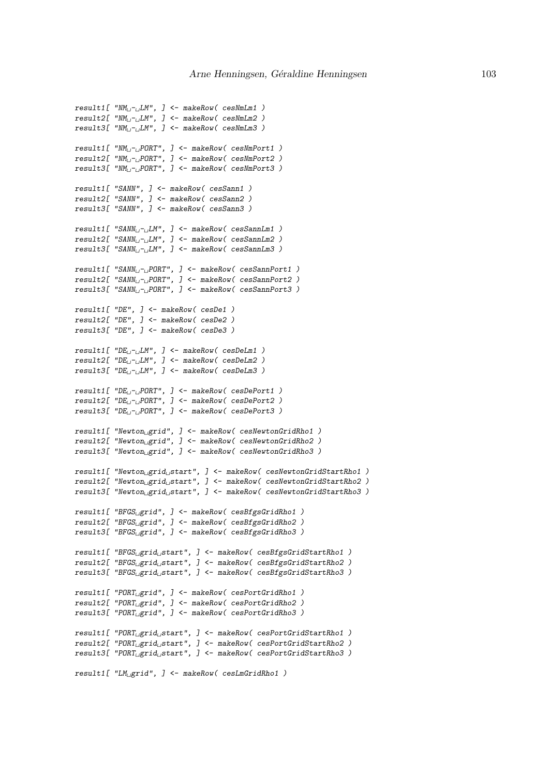```
result1[ "NM<sub>U</sub>-_LLM", ] <- makeRow( cesNmLm1 )
result2[ "NM<sub>I</sub>-iLM", ] <- makeRow( cesNmLm2 )
result3[ "NM<sub>U-L</sub>LM", ] <- makeRow( cesNmLm3 )
result1[ "NM<sub>i-i</sub>PORT", ] <- makeRow( cesNmPort1 )
result2[ "NM_{\sqcup}\negthinspace\negthinspace\lnot PORT", ] <- makeRow( cesNmPort2 )
result3[ "NM<sub>1</sub>-<sub>1</sub>PORT", ] <- makeRow( cesNmPort3 )
result1[ "SANN", ] <- makeRow( cesSann1 )
result2[ "SANN", ] <- makeRow( cesSann2 )
result3[ "SANN", ] <- makeRow( cesSann3 )
result1[ "SANN<sub>U</sub>-_LLM", ] <- makeRow( cesSannLm1 )
result2[ "SANN<sub>\sqcup</sub>-\sqcup M", ] <- makeRow( cesSannLm2 )
result3[ "SANN<sub>L</sub>-<sub>L</sub>LM", ] <- makeRow( cesSannLm3 )
result1[ "SANN<sub>⊔</sub>-<sub>⊔</sub>PORT", ] <- makeRow( cesSannPort1 )
result2[ "SANN<sub>L</sub>-<sub>L</sub>PORT", ] <- makeRow( cesSannPort2 )
result3[ "SANN<sub>i-i</sub>PORT", ] <- makeRow( cesSannPort3 )
result1[ "DE", ] <- makeRow( cesDe1 )
result2[ "DE", ] <- makeRow( cesDe2 )
result3[ "DE", ] <- makeRow( cesDe3 )
result1[ "DE_{\cup}-\cupLM", ] <- makeRow( cesDeLm1 )
result2[ "DE_{i} - iLM", ] <- makeRow( cesDeLm2 )
result3[ "DE_U-JLM", ] <- makeRow( cesDeLm3 )
result1[ "DE<sub>i-i</sub>PORT", ] <- makeRow( cesDePort1 )
result2[ "DE_{\cup}-\cupPORT", ] <- makeRow( cesDePort2 )
result3[ "DE_{\sqcup}\neg\sqcup\text{PORT}", ] <- makeRow( cesDePort3 )
result1[ "Newton<sub>i</sub>grid", ] <- makeRow( cesNewtonGridRho1 )
result2[ "Newton<sub>L</sub>grid", ] <- makeRow( cesNewtonGridRho2 )
result3[ "Newton<sub>Li</sub>grid", ] <- makeRow( cesNewtonGridRho3 )
result1[ "Newton grid start", ] <- makeRow( cesNewtonGridStartRho1 )
result2[ "Newton<sub>L</sub>grid<sub>L</sub>start", ] <- makeRow( cesNewtonGridStartRho2 )
result3[ "Newton<sub>L</sub>grid<sub>L</sub>start", ] <- makeRow( cesNewtonGridStartRho3 )
result1[ "BFGS<sub>LI</sub>grid", ] <- makeRow( cesBfgsGridRho1 )
result2[ "BFGS<sub>LI</sub>grid", ] <- makeRow( cesBfgsGridRho2 )
result3[ "BFGS<sub>L</sub>grid", ] <- makeRow( cesBfgsGridRho3 )
result1[ "BFGS<sub>LI</sub>grid<sub>LI</sub>start", ] <- makeRow( cesBfgsGridStartRho1 )
result2[ "BFGS<sub>u</sub>grid<sub>L</sub>start", ] <- makeRow( cesBfgsGridStartRho2 )
result3[ "BFGS<sub>U</sub>grid<sub>U</sub>start", ] <- makeRow( cesBfgsGridStartRho3 )
result1[ "PORT<sub>I I</sub>grid", ] <- makeRow( cesPortGridRho1 )
result2[ "PORT<sub>LI</sub>grid", ] <- makeRow( cesPortGridRho2 )
result3[ "PORT<sub>1</sub> grid", ] <- makeRow( cesPortGridRho3 )
result1[ "PORT<sub>LI</sub>grid<sub>LI</sub>start", ] <- makeRow( cesPortGridStartRho1 )
result2[ "PORT_Ugrid_Ustart", ] <- makeRow( cesPortGridStartRho2 )result3[ "PORT<sub>LI</sub>grid<sub>LI</sub>start", ] <- makeRow( cesPortGridStartRho3 )
result1[ "LM<sub>i</sub>grid", ] <- makeRow( cesLmGridRho1)
```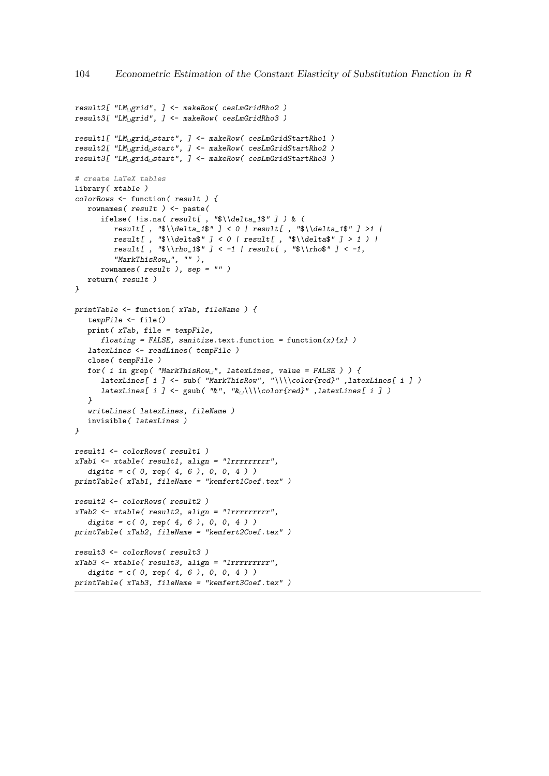```
result2[ "LM_{\neg}grid", ] \leftarrow makeRow( cesLmGridRho2 )result3[ "LM<sub>il</sub>grid", ] <- makeRow( cesLmGridRho3 )
result1[ "LM<sub>u</sub>grid<sub>L</sub>start", ] <- makeRow( cesLmGridStartRho1 )
result2[ "LM<sub>u</sub>grid<sub>u</sub>start", ] <- makeRow( cesLmGridStartRho2 )
result3[ "LM<sub>U</sub>grid<sub>U</sub>start", ] \leftarrow makeRow( cesLmGridStartRho3 )# create LaTeX tables
library( xtable )
colorRows <- function( result ) {
   rownames( result ) <- paste(
      ifelse( !is.na( result[, "\\\delta_1\; ]) & (
         result[, "\delta_1;"] < 0 | result[, "\delta_1;"] >1 |
          result[ , "\delta' ] < 0 | result[ , "\delta' ] > 1 ) |
          result[, "\lceil \cdot \cdot \cdot 1 \rceil / \lceil \cdot \cdot \cdot 1 \rceil / result[, "\lceil \cdot \cdot \cdot 1 \rceil,
          "MarkThisRow<sub>U</sub>", " " " ],rownames( result ), sep = "" )
   return( result )
}
printTable <- function( xTab, fileName ) {
   tempFile <- file()
   print( xTab, file = tempFile,
      floating = FALSE, sanitize.text.function = function(x){x} )
   latexLines <- readLines( tempFile )
   close( tempFile )
   for( i in grep( "MarkThisRow<sub>L"</sub>, latexLines, value = FALSE ) ) {
      latexLines[ i ] <- sub( "MarkThisRow", "\\\\color{red}" ,latexLines[ i ] )
      latexLines[ i ] <- gsub( "&", "&<sub>\\</sub>\\\color{red}" ,latexLines[ i ] )
   }
   writeLines( latexLines, fileName )
   invisible( latexLines )
}
result1 <- colorRows( result1 )
xTab1 <- xtable( result1, align = "lrrrrrrrrr",
   digits = c( 0, rep( 4, 6 ), 0, 0, 4 ))printTable( xTab1, fileName = "kemfert1Coef.tex" )
result2 <- colorRows( result2 )
xTab2 <- xtable( result2, align = "lrrrrrrrrr",
   digits = c( 0, rep( 4, 6 ), 0, 0, 4 ))printTable( xTab2, fileName = "kemfert2Coef.tex" )
result3 <- colorRows( result3 )
xTab3 <- xtable( result3, align = "lrrrrrrrrr",
   digits = c( 0, rep( 4, 6 ), 0, 0, 4 ))printTable( xTab3, fileName = "kemfert3Coef.tex" )
```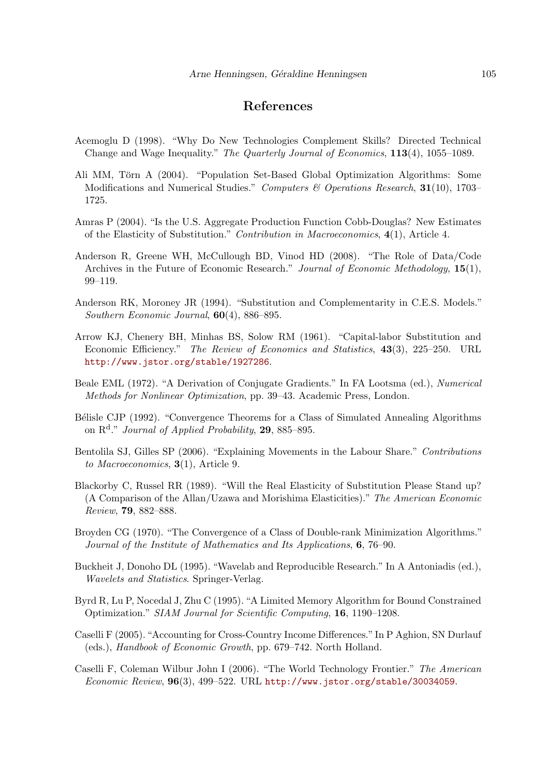### References

- Acemoglu D (1998). "Why Do New Technologies Complement Skills? Directed Technical Change and Wage Inequality." The Quarterly Journal of Economics, 113(4), 1055–1089.
- Ali MM, Törn A (2004). "Population Set-Based Global Optimization Algorithms: Some Modifications and Numerical Studies." Computers & Operations Research,  $31(10)$ , 1703– 1725.
- Amras P (2004). "Is the U.S. Aggregate Production Function Cobb-Douglas? New Estimates of the Elasticity of Substitution." Contribution in Macroeconomics, 4(1), Article 4.
- Anderson R, Greene WH, McCullough BD, Vinod HD (2008). "The Role of Data/Code Archives in the Future of Economic Research." Journal of Economic Methodology, 15(1), 99–119.
- Anderson RK, Moroney JR (1994). "Substitution and Complementarity in C.E.S. Models." Southern Economic Journal, 60(4), 886–895.
- Arrow KJ, Chenery BH, Minhas BS, Solow RM (1961). "Capital-labor Substitution and Economic Efficiency." The Review of Economics and Statistics, 43(3), 225–250. URL <http://www.jstor.org/stable/1927286>.
- Beale EML (1972). "A Derivation of Conjugate Gradients." In FA Lootsma (ed.), Numerical Methods for Nonlinear Optimization, pp. 39–43. Academic Press, London.
- Bélisle CJP (1992). "Convergence Theorems for a Class of Simulated Annealing Algorithms on  $\mathbb{R}^d$ ." Journal of Applied Probability, 29, 885–895.
- Bentolila SJ, Gilles SP (2006). "Explaining Movements in the Labour Share." Contributions to Macroeconomics, 3(1), Article 9.
- Blackorby C, Russel RR (1989). "Will the Real Elasticity of Substitution Please Stand up? (A Comparison of the Allan/Uzawa and Morishima Elasticities)." The American Economic Review, 79, 882–888.
- Broyden CG (1970). "The Convergence of a Class of Double-rank Minimization Algorithms." Journal of the Institute of Mathematics and Its Applications, 6, 76–90.
- Buckheit J, Donoho DL (1995). "Wavelab and Reproducible Research." In A Antoniadis (ed.), Wavelets and Statistics. Springer-Verlag.
- Byrd R, Lu P, Nocedal J, Zhu C (1995). "A Limited Memory Algorithm for Bound Constrained Optimization." SIAM Journal for Scientific Computing, 16, 1190–1208.
- Caselli F (2005). "Accounting for Cross-Country Income Differences." In P Aghion, SN Durlauf (eds.), Handbook of Economic Growth, pp. 679–742. North Holland.
- Caselli F, Coleman Wilbur John I (2006). "The World Technology Frontier." The American Economic Review,  $96(3)$ ,  $499-522$ . URL <http://www.jstor.org/stable/30034059>.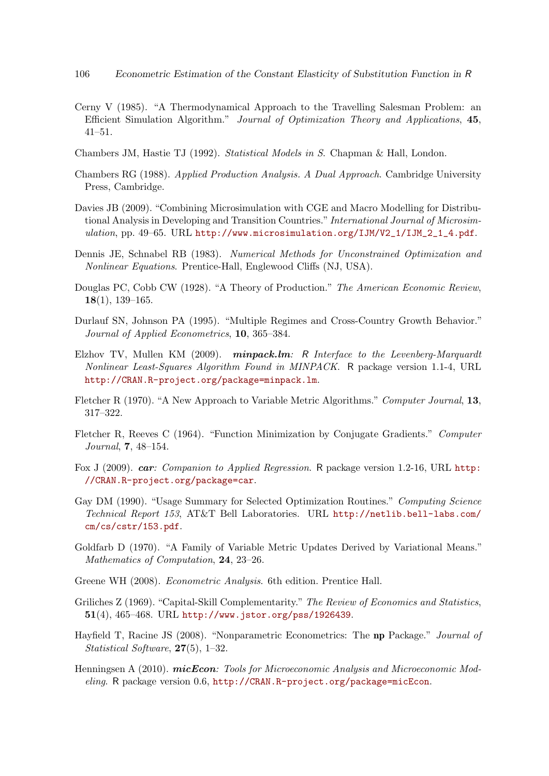- Cerny V (1985). "A Thermodynamical Approach to the Travelling Salesman Problem: an Efficient Simulation Algorithm." Journal of Optimization Theory and Applications, 45, 41–51.
- Chambers JM, Hastie TJ (1992). Statistical Models in S. Chapman & Hall, London.
- Chambers RG (1988). Applied Production Analysis. A Dual Approach. Cambridge University Press, Cambridge.
- Davies JB (2009). "Combining Microsimulation with CGE and Macro Modelling for Distributional Analysis in Developing and Transition Countries." International Journal of Microsimulation, pp. 49-65. URL [http://www.microsimulation.org/IJM/V2\\_1/IJM\\_2\\_1\\_4.pdf](http://www.microsimulation.org/IJM/V2_1/IJM_2_1_4.pdf).
- Dennis JE, Schnabel RB (1983). Numerical Methods for Unconstrained Optimization and Nonlinear Equations. Prentice-Hall, Englewood Cliffs (NJ, USA).
- Douglas PC, Cobb CW (1928). "A Theory of Production." The American Economic Review, 18(1), 139–165.
- Durlauf SN, Johnson PA (1995). "Multiple Regimes and Cross-Country Growth Behavior." Journal of Applied Econometrics, 10, 365–384.
- Elzhov TV, Mullen KM (2009). minpack.lm: R Interface to the Levenberg-Marquardt Nonlinear Least-Squares Algorithm Found in MINPACK. R package version 1.1-4, URL <http://CRAN.R-project.org/package=minpack.lm>.
- Fletcher R (1970). "A New Approach to Variable Metric Algorithms." Computer Journal, 13, 317–322.
- Fletcher R, Reeves C (1964). "Function Minimization by Conjugate Gradients." Computer Journal, 7, 48–154.
- Fox J (2009). car: Companion to Applied Regression. R package version 1.2-16, URL [http:](http://CRAN.R-project.org/package=car) [//CRAN.R-project.org/package=car](http://CRAN.R-project.org/package=car).
- Gay DM (1990). "Usage Summary for Selected Optimization Routines." Computing Science Technical Report 153, AT&T Bell Laboratories. URL [http://netlib.bell-labs.com/](http://netlib.bell-labs.com/cm/cs/cstr/153.pdf) [cm/cs/cstr/153.pdf](http://netlib.bell-labs.com/cm/cs/cstr/153.pdf).
- Goldfarb D (1970). "A Family of Variable Metric Updates Derived by Variational Means." Mathematics of Computation, 24, 23–26.
- Greene WH (2008). Econometric Analysis. 6th edition. Prentice Hall.
- Griliches Z (1969). "Capital-Skill Complementarity." The Review of Economics and Statistics, 51(4), 465–468. URL <http://www.jstor.org/pss/1926439>.
- Hayfield T, Racine JS (2008). "Nonparametric Econometrics: The np Package." Journal of Statistical Software, 27(5), 1–32.
- Henningsen A (2010). *micEcon:* Tools for Microeconomic Analysis and Microeconomic Modeling. R package version 0.6, <http://CRAN.R-project.org/package=micEcon>.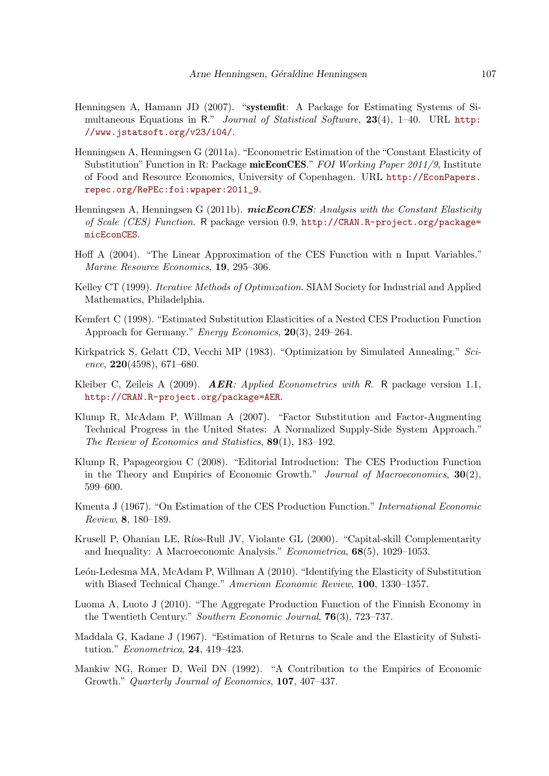- Henningsen A, Hamann JD (2007). "systemfit: A Package for Estimating Systems of Simultaneous Equations in R." Journal of Statistical Software, 23(4), 1–40. URL [http:](http://www.jstatsoft.org/v23/i04/) [//www.jstatsoft.org/v23/i04/](http://www.jstatsoft.org/v23/i04/).
- Henningsen A, Henningsen G (2011a). "Econometric Estimation of the "Constant Elasticity of Substitution" Function in R: Package micEconCES." FOI Working Paper 2011/9, Institute of Food and Resource Economics, University of Copenhagen. URL [http://EconPapers.](http://EconPapers.repec.org/RePEc:foi:wpaper:2011_9) [repec.org/RePEc:foi:wpaper:2011\\_9](http://EconPapers.repec.org/RePEc:foi:wpaper:2011_9).
- Henningsen A, Henningsen G (2011b).  $micEconCES: Analysis with the Constant Elasticity$ of Scale (CES) Function. R package version 0.9, [http://CRAN.R-project.org/package=](http://CRAN.R-project.org/package=micEconCES) [micEconCES](http://CRAN.R-project.org/package=micEconCES).
- Hoff A (2004). "The Linear Approximation of the CES Function with n Input Variables." Marine Resource Economics, 19, 295–306.
- Kelley CT (1999). *Iterative Methods of Optimization*. SIAM Society for Industrial and Applied Mathematics, Philadelphia.
- Kemfert C (1998). "Estimated Substitution Elasticities of a Nested CES Production Function Approach for Germany." Energy Economics, 20(3), 249–264.
- Kirkpatrick S, Gelatt CD, Vecchi MP (1983). "Optimization by Simulated Annealing." Science,  $220(4598)$ , 671–680.
- Kleiber C, Zeileis A (2009). **AER**: Applied Econometrics with R. R package version 1.1, <http://CRAN.R-project.org/package=AER>.
- Klump R, McAdam P, Willman A (2007). "Factor Substitution and Factor-Augmenting Technical Progress in the United States: A Normalized Supply-Side System Approach." The Review of Economics and Statistics, 89(1), 183–192.
- Klump R, Papageorgiou C (2008). "Editorial Introduction: The CES Production Function in the Theory and Empirics of Economic Growth." Journal of Macroeconomics, 30(2), 599–600.
- Kmenta J (1967). "On Estimation of the CES Production Function." International Economic Review, 8, 180–189.
- Krusell P, Ohanian LE, Ríos-Rull JV, Violante GL (2000). "Capital-skill Complementarity and Inequality: A Macroeconomic Analysis." Econometrica, 68(5), 1029–1053.
- León-Ledesma MA, McAdam P, Willman A (2010). "Identifying the Elasticity of Substitution with Biased Technical Change." American Economic Review, 100, 1330–1357.
- Luoma A, Luoto J (2010). "The Aggregate Production Function of the Finnish Economy in the Twentieth Century." Southern Economic Journal, 76(3), 723–737.
- Maddala G, Kadane J (1967). "Estimation of Returns to Scale and the Elasticity of Substitution." Econometrica, 24, 419–423.
- Mankiw NG, Romer D, Weil DN (1992). "A Contribution to the Empirics of Economic Growth." Quarterly Journal of Economics, 107, 407–437.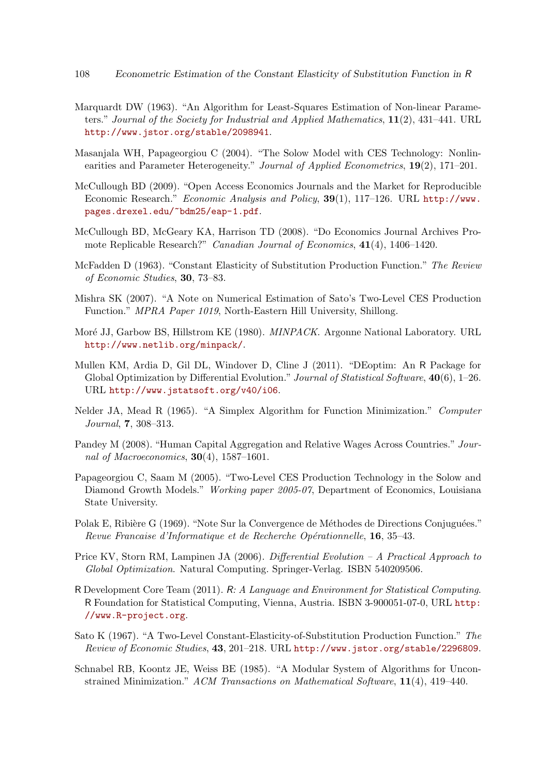- Marquardt DW (1963). "An Algorithm for Least-Squares Estimation of Non-linear Parameters." Journal of the Society for Industrial and Applied Mathematics, 11(2), 431–441. URL <http://www.jstor.org/stable/2098941>.
- Masanjala WH, Papageorgiou C (2004). "The Solow Model with CES Technology: Nonlinearities and Parameter Heterogeneity." Journal of Applied Econometrics, 19(2), 171-201.
- McCullough BD (2009). "Open Access Economics Journals and the Market for Reproducible Economic Research." Economic Analysis and Policy, 39(1), 117–126. URL [http://www.](http://www.pages.drexel.edu/~bdm25/eap-1.pdf) [pages.drexel.edu/~bdm25/eap-1.pdf](http://www.pages.drexel.edu/~bdm25/eap-1.pdf).
- McCullough BD, McGeary KA, Harrison TD (2008). "Do Economics Journal Archives Promote Replicable Research?" Canadian Journal of Economics, 41(4), 1406–1420.
- McFadden D (1963). "Constant Elasticity of Substitution Production Function." The Review of Economic Studies, 30, 73–83.
- Mishra SK (2007). "A Note on Numerical Estimation of Sato's Two-Level CES Production Function." MPRA Paper 1019, North-Eastern Hill University, Shillong.
- Moré JJ, Garbow BS, Hillstrom KE (1980). *MINPACK*. Argonne National Laboratory. URL <http://www.netlib.org/minpack/>.
- Mullen KM, Ardia D, Gil DL, Windover D, Cline J (2011). "DEoptim: An R Package for Global Optimization by Differential Evolution." Journal of Statistical Software, 40(6), 1-26. URL <http://www.jstatsoft.org/v40/i06>.
- Nelder JA, Mead R (1965). "A Simplex Algorithm for Function Minimization." Computer Journal, 7, 308–313.
- Pandey M (2008). "Human Capital Aggregation and Relative Wages Across Countries." Journal of Macroeconomics,  $30(4)$ , 1587-1601.
- Papageorgiou C, Saam M (2005). "Two-Level CES Production Technology in the Solow and Diamond Growth Models." Working paper 2005-07, Department of Economics, Louisiana State University.
- Polak E, Ribière G (1969). "Note Sur la Convergence de Méthodes de Directions Conjuguées." Revue Francaise d'Informatique et de Recherche Opérationnelle, 16, 35-43.
- Price KV, Storn RM, Lampinen JA (2006). Differential Evolution A Practical Approach to Global Optimization. Natural Computing. Springer-Verlag. ISBN 540209506.
- R Development Core Team (2011). R: A Language and Environment for Statistical Computing. R Foundation for Statistical Computing, Vienna, Austria. ISBN 3-900051-07-0, URL [http:](http://www.R-project.org) [//www.R-project.org](http://www.R-project.org).
- <span id="page-107-0"></span>Sato K (1967). "A Two-Level Constant-Elasticity-of-Substitution Production Function." The Review of Economic Studies, 43, 201–218. URL <http://www.jstor.org/stable/2296809>.
- Schnabel RB, Koontz JE, Weiss BE (1985). "A Modular System of Algorithms for Unconstrained Minimization." ACM Transactions on Mathematical Software, 11(4), 419–440.